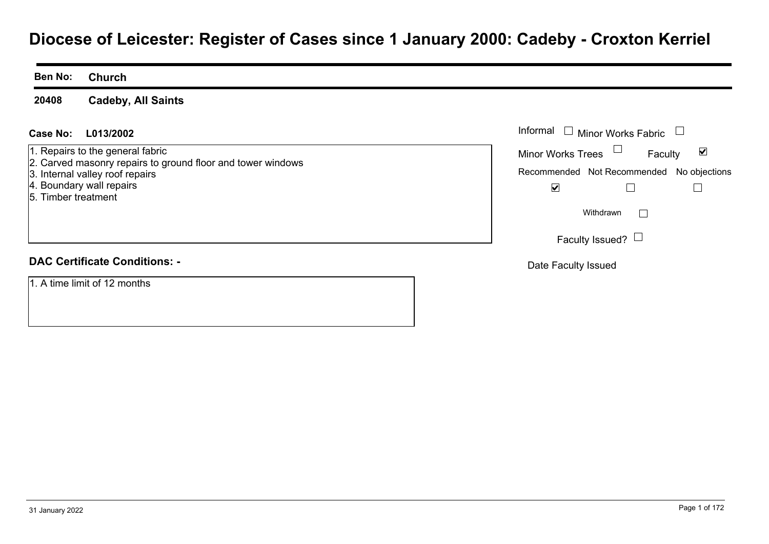# **Diocese of Leicester: Register of Cases since 1 January 2000: Cadeby - Croxton Kerriel**

**Ben No:Church**

**20408Cadeby, All Saints**

#### **L013/2002Case No:** Informal

1. Repairs to the general fabric

- 2. Carved masonry repairs to ground floor and tower windows
- 3. Internal valley roof repairs
- 4. Boundary wall repairs
- 5. Timber treatment

#### **DAC Certificate Conditions: -**

1. A time limit of 12 months

| Informal                 | Minor Works Fabric                        |  |
|--------------------------|-------------------------------------------|--|
| <b>Minor Works Trees</b> | Faculty                                   |  |
|                          | Recommended Not Recommended No objections |  |
|                          |                                           |  |
|                          | Withdrawn                                 |  |
|                          | Faculty Issued?                           |  |

Date Faculty Issued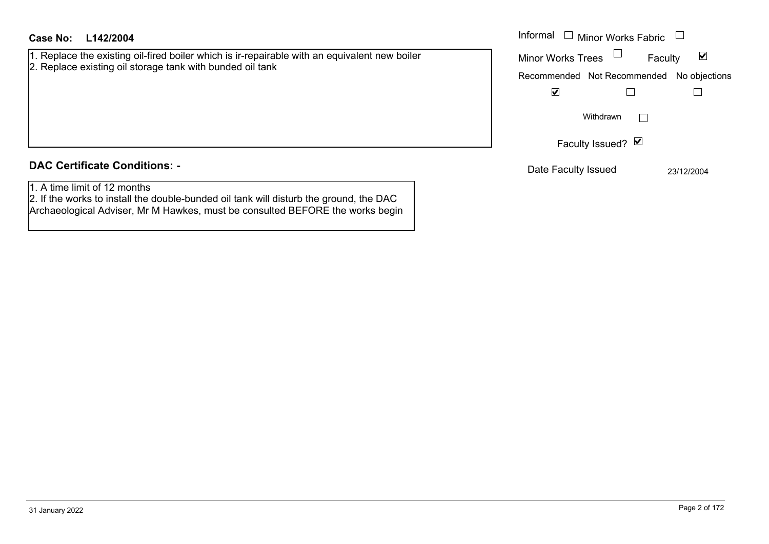#### **L142/2004Case No:** Informal

1. Replace the existing oil-fired boiler which is ir-repairable with an equivalent new boiler 2. Replace existing oil storage tank with bunded oil tank

### **DAC Certificate Conditions: -**

1. A time limit of 12 months

2. If the works to install the double-bunded oil tank will disturb the ground, the DAC Archaeological Adviser, Mr M Hawkes, must be consulted BEFORE the works begin Informal  $\Box$  Minor Works Fabric  $\Box$ Faculty  $\blacktriangledown$ Minor Works Trees Recommended Not Recommended No objections  $\blacktriangledown$  $\Box$  $\Box$  $\Box$ Withdrawn Faculty Issued? Ø Date Faculty Issued 23/12/2004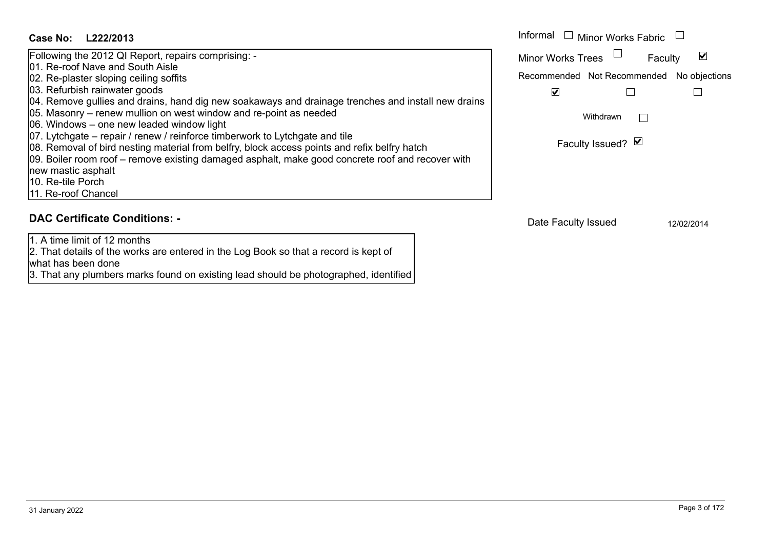#### Informal  $\Box$  Minor Works Fabric  $\Box$ **L222/2013Case No:** Informal Following the 2012 QI Report, repairs comprising: -  $\blacktriangledown$ Faculty Minor Works Trees 01. Re-roof Nave and South Aisle02. Re-plaster sloping ceiling soffits Recommended Not Recommended No objections 03. Refurbish rainwater goods  $\overline{\mathbf{v}}$  $\Box$  $\Box$ 04. Remove gullies and drains, hand dig new soakaways and drainage trenches and install new drains 05. Masonry – renew mullion on west window and re-point as needed Withdrawn $\Box$ 06. Windows – one new leaded window light 07. Lytchgate – repair / renew / reinforce timberwork to Lytchgate and tile Faculty Issued? Ø 08. Removal of bird nesting material from belfry, block access points and refix belfry hatch 09. Boiler room roof – remove existing damaged asphalt, make good concrete roof and recover with new mastic asphalt 10. Re-tile Porch11. Re-roof Chancel **DAC Certificate Conditions: -**Date Faculty Issued 12/02/2014 1. A time limit of 12 months

2. That details of the works are entered in the Log Book so that a record is kept of

3. That any plumbers marks found on existing lead should be photographed, identified

what has been done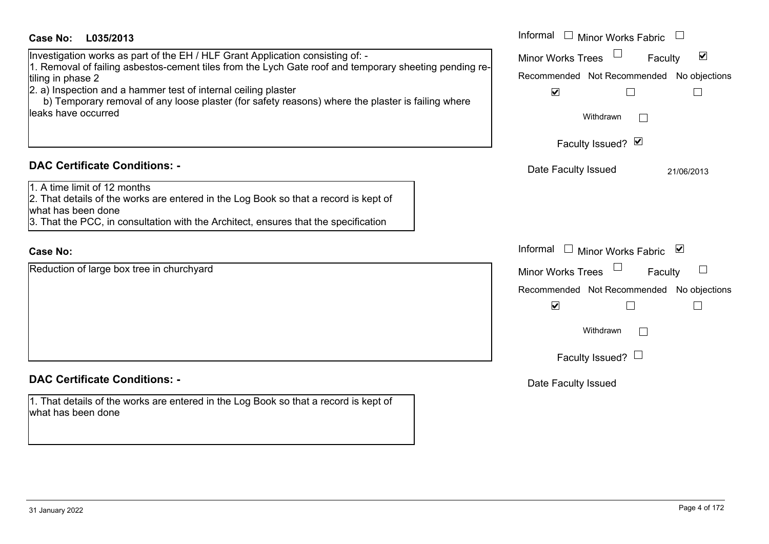| Case No:<br>L035/2013                                                                                                                                                                                                             | Informal $\Box$ Minor Works Fabric $\Box$                   |
|-----------------------------------------------------------------------------------------------------------------------------------------------------------------------------------------------------------------------------------|-------------------------------------------------------------|
| Investigation works as part of the EH / HLF Grant Application consisting of: -                                                                                                                                                    | $\blacktriangledown$<br><b>Minor Works Trees</b><br>Faculty |
| 1. Removal of failing asbestos-cement tiles from the Lych Gate roof and temporary sheeting pending re-<br>tiling in phase 2                                                                                                       | Recommended Not Recommended No objections                   |
| 2. a) Inspection and a hammer test of internal ceiling plaster<br>b) Temporary removal of any loose plaster (for safety reasons) where the plaster is failing where                                                               | $\blacktriangledown$<br>$\Box$<br>$\Box$                    |
| leaks have occurred                                                                                                                                                                                                               | Withdrawn                                                   |
|                                                                                                                                                                                                                                   | Faculty Issued? Ø                                           |
| <b>DAC Certificate Conditions: -</b>                                                                                                                                                                                              | Date Faculty Issued<br>21/06/2013                           |
| 1. A time limit of 12 months<br>2. That details of the works are entered in the Log Book so that a record is kept of<br>what has been done<br>3. That the PCC, in consultation with the Architect, ensures that the specification |                                                             |
| <b>Case No:</b>                                                                                                                                                                                                                   | Informal $\Box$ Minor Works Fabric $\Box$                   |
| Reduction of large box tree in churchyard                                                                                                                                                                                         | <b>Minor Works Trees</b><br>Faculty                         |
|                                                                                                                                                                                                                                   | Recommended Not Recommended No objections                   |
|                                                                                                                                                                                                                                   | $\blacktriangledown$<br>$\mathsf{L}$                        |
|                                                                                                                                                                                                                                   | Withdrawn                                                   |
|                                                                                                                                                                                                                                   | Faculty Issued? $\Box$                                      |
| <b>DAC Certificate Conditions: -</b>                                                                                                                                                                                              | Date Faculty Issued                                         |
| 1. That details of the works are entered in the Log Book so that a record is kept of<br>what has been done                                                                                                                        |                                                             |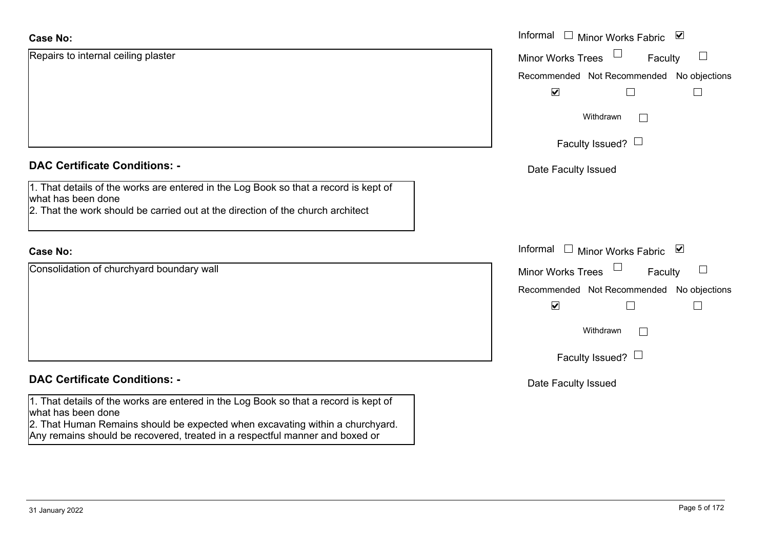| <b>Case No:</b>                                                                                                                                                                             | Informal □ Minor Works Fabric<br>$\blacktriangledown$ |
|---------------------------------------------------------------------------------------------------------------------------------------------------------------------------------------------|-------------------------------------------------------|
| Repairs to internal ceiling plaster                                                                                                                                                         | <b>Minor Works Trees</b><br>Faculty                   |
|                                                                                                                                                                                             | No objections<br>Recommended Not Recommended          |
|                                                                                                                                                                                             | $\blacktriangledown$                                  |
|                                                                                                                                                                                             | Withdrawn                                             |
|                                                                                                                                                                                             | Faculty Issued? $\Box$                                |
| <b>DAC Certificate Conditions: -</b>                                                                                                                                                        | Date Faculty Issued                                   |
| 1. That details of the works are entered in the Log Book so that a record is kept of<br>what has been done                                                                                  |                                                       |
| 2. That the work should be carried out at the direction of the church architect                                                                                                             |                                                       |
| <b>Case No:</b>                                                                                                                                                                             | Informal □ Minor Works Fabric ⊠                       |
| Consolidation of churchyard boundary wall                                                                                                                                                   | <b>Minor Works Trees</b><br>Faculty                   |
|                                                                                                                                                                                             | Recommended Not Recommended No objections             |
|                                                                                                                                                                                             | $\blacktriangledown$<br>L<br>$\mathbf{L}$             |
|                                                                                                                                                                                             | Withdrawn                                             |
|                                                                                                                                                                                             | Faculty Issued? $\Box$                                |
| <b>DAC Certificate Conditions: -</b>                                                                                                                                                        | Date Faculty Issued                                   |
| 1. That details of the works are entered in the Log Book so that a record is kept of<br>what has been done<br>2. That Human Remains should be expected when excavating within a churchyard. |                                                       |
| Any remains should be recovered, treated in a respectful manner and boxed or                                                                                                                |                                                       |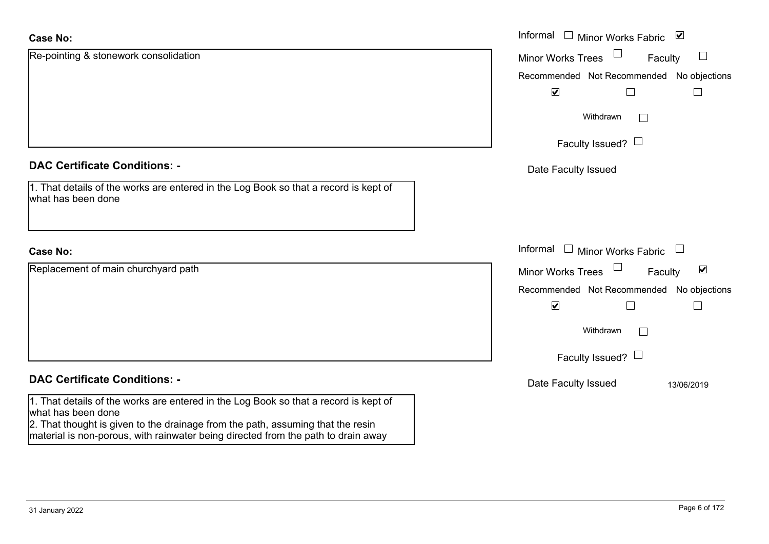| <b>Case No:</b>                                                                                                                                                                                                                                                                    | Informal $\Box$ Minor Works Fabric $\Box$                   |
|------------------------------------------------------------------------------------------------------------------------------------------------------------------------------------------------------------------------------------------------------------------------------------|-------------------------------------------------------------|
| Re-pointing & stonework consolidation                                                                                                                                                                                                                                              | $\Box$<br><b>Minor Works Trees</b><br>Faculty               |
|                                                                                                                                                                                                                                                                                    | Recommended Not Recommended No objections                   |
|                                                                                                                                                                                                                                                                                    | $\blacktriangledown$                                        |
|                                                                                                                                                                                                                                                                                    | Withdrawn<br>$\mathbb{R}^n$                                 |
|                                                                                                                                                                                                                                                                                    | Faculty Issued? $\Box$                                      |
| <b>DAC Certificate Conditions: -</b>                                                                                                                                                                                                                                               | Date Faculty Issued                                         |
| 1. That details of the works are entered in the Log Book so that a record is kept of<br>what has been done                                                                                                                                                                         |                                                             |
| <b>Case No:</b>                                                                                                                                                                                                                                                                    | Informal $\Box$ Minor Works Fabric $\Box$                   |
| Replacement of main churchyard path                                                                                                                                                                                                                                                | $\blacktriangledown$<br>Faculty<br><b>Minor Works Trees</b> |
|                                                                                                                                                                                                                                                                                    | Recommended Not Recommended No objections                   |
|                                                                                                                                                                                                                                                                                    | $\blacktriangledown$<br>$\overline{\phantom{a}}$            |
|                                                                                                                                                                                                                                                                                    | Withdrawn<br>$\mathbb{R}^n$                                 |
|                                                                                                                                                                                                                                                                                    | Faculty Issued? $\Box$                                      |
| <b>DAC Certificate Conditions: -</b>                                                                                                                                                                                                                                               | Date Faculty Issued<br>13/06/2019                           |
| 1. That details of the works are entered in the Log Book so that a record is kept of<br>what has been done<br>2. That thought is given to the drainage from the path, assuming that the resin<br>material is non-porous, with rainwater being directed from the path to drain away |                                                             |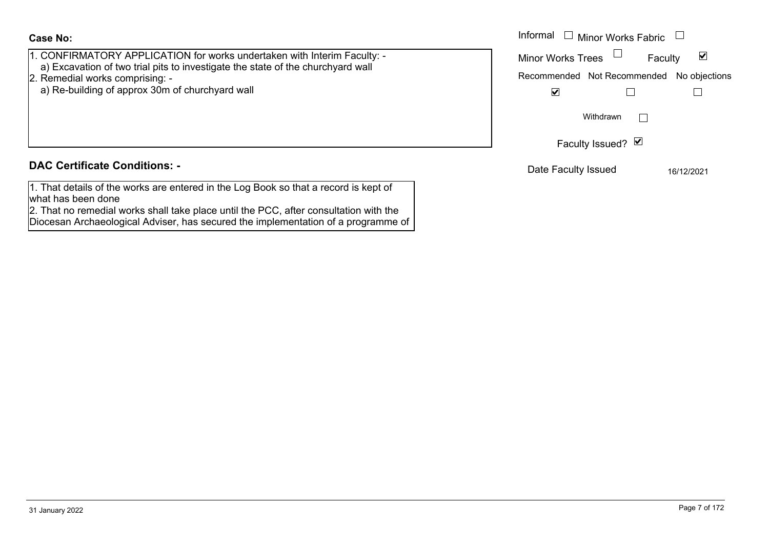**Case No:**

| 1. CONFIRMATORY APPLICATION for works undertaken with Interim Faculty: - |  |
|--------------------------------------------------------------------------|--|
|--------------------------------------------------------------------------|--|

- a) Excavation of two trial pits to investigate the state of the churchyard wall
- 2. Remedial works comprising:
	- a) Re-building of approx 30m of churchyard wall

### **DAC Certificate Conditions: -**

1. That details of the works are entered in the Log Book so that a record is kept of what has been done

2. That no remedial works shall take place until the PCC, after consultation with the Diocesan Archaeological Adviser, has secured the implementation of a programme of

|                                                                                                                                                                                                                         | Informal<br>Minor Works Fabric $\;\;\sqcup\;$                                                             |
|-------------------------------------------------------------------------------------------------------------------------------------------------------------------------------------------------------------------------|-----------------------------------------------------------------------------------------------------------|
| IRMATORY APPLICATION for works undertaken with Interim Faculty: -<br>avation of two trial pits to investigate the state of the churchyard wall<br>dial works comprising: -<br>building of approx 30m of churchyard wall | Minor Works Trees<br>M<br>Faculty<br>Recommended Not Recommended No objections<br>$\overline{\mathbf{v}}$ |
|                                                                                                                                                                                                                         | Withdrawn                                                                                                 |
|                                                                                                                                                                                                                         | Faculty Issued? Ø                                                                                         |
| rtificate Conditions: -                                                                                                                                                                                                 | Date Faculty Issued<br>16/12/2021                                                                         |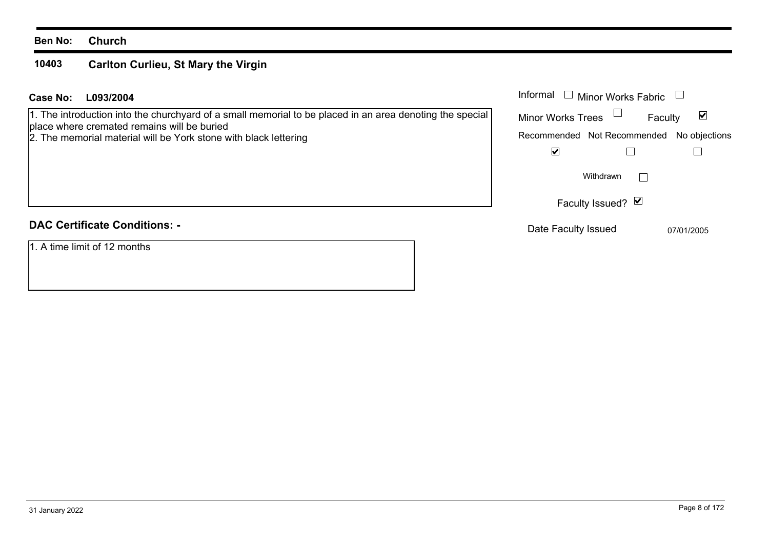#### **10403Carlton Curlieu, St Mary the Virgin**

| Case No:<br>L093/2004 | Informal |
|-----------------------|----------|
|-----------------------|----------|

1. The introduction into the churchyard of a small memorial to be placed in an area denoting the special place where cremated remains will be buried

2. The memorial material will be York stone with black lettering

|  |  |  | <b>DAC Certificate Conditions: -</b> |
|--|--|--|--------------------------------------|
|--|--|--|--------------------------------------|

1. A time limit of 12 months

| Informal                 | $\Box$ Minor Works Fabric                 |            |
|--------------------------|-------------------------------------------|------------|
| <b>Minor Works Trees</b> | Faculty                                   | V          |
|                          | Recommended Not Recommended No objections |            |
|                          |                                           |            |
|                          | Withdrawn                                 |            |
|                          | Faculty Issued? Ø                         |            |
| Date Faculty Issued      |                                           | 07/01/2005 |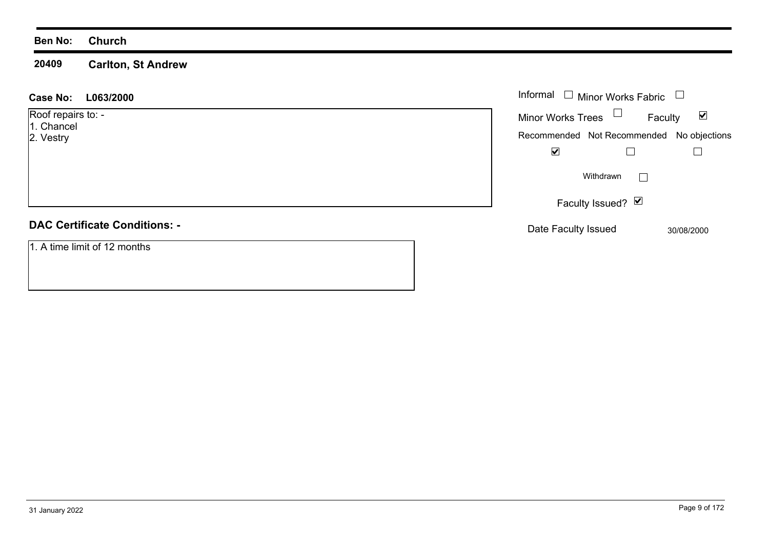**20409 Carlton, St Andrew**

| L063/2000<br><b>Case No:</b>                  | Informal $\Box$ Minor Works Fabric                                                            |                                 |
|-----------------------------------------------|-----------------------------------------------------------------------------------------------|---------------------------------|
| Roof repairs to: -<br>1. Chancel<br>2. Vestry | Minor Works Trees $\Box$<br>Recommended Not Recommended No objections<br>$\blacktriangledown$ | $\blacktriangledown$<br>Faculty |
|                                               | Withdrawn                                                                                     |                                 |
|                                               | Faculty Issued? Ø                                                                             |                                 |
| <b>DAC Certificate Conditions: -</b>          | Date Faculty Issued                                                                           | 30/08/2000                      |
| 1. A time limit of 12 months                  |                                                                                               |                                 |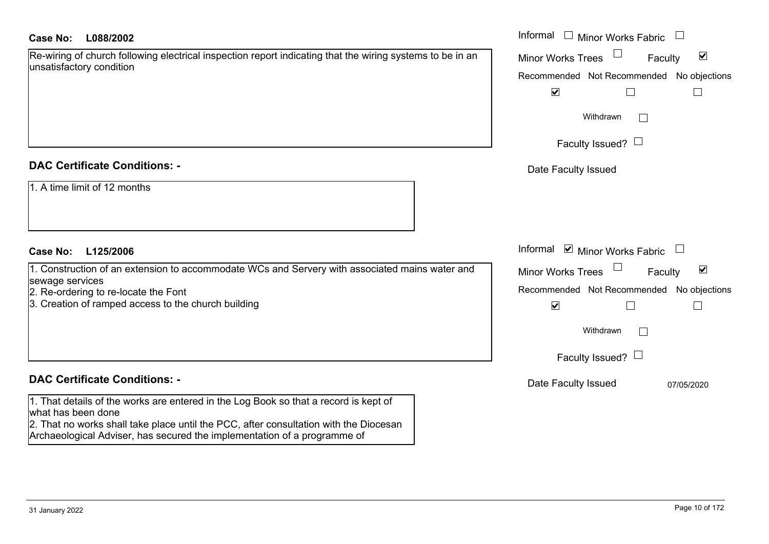| Re-wiring of church following electrical inspection report indicating that the wiring systems to be in an |  |
|-----------------------------------------------------------------------------------------------------------|--|
| unsatisfactory condition                                                                                  |  |

#### **DAC Certificate Conditions: -**

| $\vert$ 1. A time limit of 12 months |
|--------------------------------------|
|                                      |
|                                      |

#### **DAC Certificate Conditions: -**

1. That details of the works are entered in the Log Book so that a record is kept of what has been done

2. That no works shall take place until the PCC, after consultation with the Diocesan Archaeological Adviser, has secured the implementation of a programme of

| Case No:<br>L088/2002                                                                                             | Informal<br>$\Box$ Minor Works Fabric<br>$\begin{array}{c} \hline \end{array}$ |
|-------------------------------------------------------------------------------------------------------------------|--------------------------------------------------------------------------------|
| Re-wiring of church following electrical inspection report indicating that the wiring systems to be in an         | $\blacktriangledown$<br>Minor Works Trees<br>Faculty                           |
| unsatisfactory condition                                                                                          | Recommended Not Recommended No objections                                      |
|                                                                                                                   | $\blacktriangledown$                                                           |
|                                                                                                                   | Withdrawn<br>$\perp$                                                           |
|                                                                                                                   | Faculty Issued? $\Box$                                                         |
| <b>DAC Certificate Conditions: -</b>                                                                              | Date Faculty Issued                                                            |
| 1. A time limit of 12 months                                                                                      |                                                                                |
| L125/2006<br>Case No:                                                                                             | Informal ☑ Minor Works Fabric                                                  |
| 1. Construction of an extension to accommodate WCs and Servery with associated mains water and<br>sewage services | $\blacktriangledown$<br>Minor Works Trees<br>Faculty                           |
| 2. Re-ordering to re-locate the Font                                                                              | Recommended Not Recommended No objections                                      |
| 3. Creation of ramped access to the church building                                                               | $\blacktriangledown$                                                           |
|                                                                                                                   | Withdrawn                                                                      |
|                                                                                                                   | Faculty Issued? $\Box$                                                         |
| <b>DAC Certificate Conditions: -</b>                                                                              | Date Faculty Issued<br>07/05/2020                                              |
| 1. That details of the works are entered in the Log Book so that a record is kept of                              |                                                                                |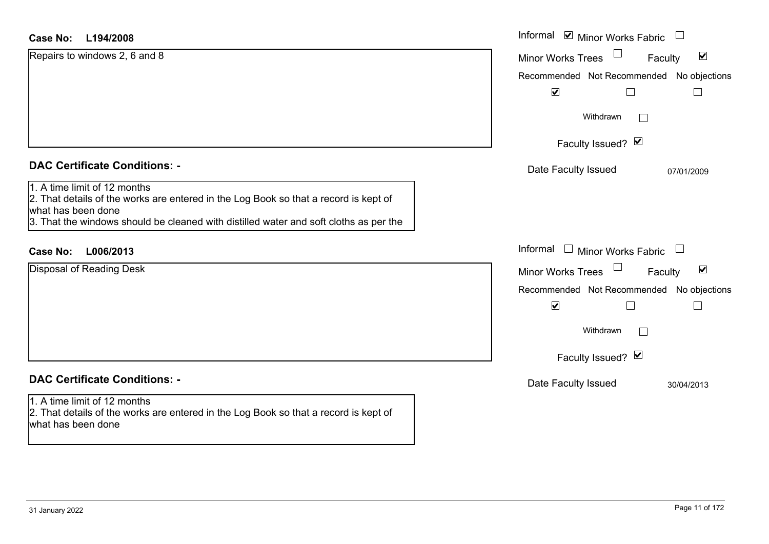#### **L194/2008Case No:**

| <b>Case No:</b><br>L194/2008                                                                                                                                                                                                        | Informal ⊠ Minor Works Fabric                               |
|-------------------------------------------------------------------------------------------------------------------------------------------------------------------------------------------------------------------------------------|-------------------------------------------------------------|
| Repairs to windows 2, 6 and 8                                                                                                                                                                                                       | $\blacktriangledown$<br><b>Minor Works Trees</b><br>Faculty |
|                                                                                                                                                                                                                                     | Recommended Not Recommended No objections                   |
|                                                                                                                                                                                                                                     | $\blacktriangledown$<br>$\Box$<br>$\sqcup$                  |
|                                                                                                                                                                                                                                     | Withdrawn<br>$\Box$                                         |
|                                                                                                                                                                                                                                     | Faculty Issued? Ø                                           |
| <b>DAC Certificate Conditions: -</b>                                                                                                                                                                                                | Date Faculty Issued<br>07/01/2009                           |
| 1. A time limit of 12 months<br>2. That details of the works are entered in the Log Book so that a record is kept of<br>what has been done<br>3. That the windows should be cleaned with distilled water and soft cloths as per the |                                                             |
| L006/2013<br><b>Case No:</b>                                                                                                                                                                                                        | Informal $\Box$ Minor Works Fabric $\Box$                   |
| Disposal of Reading Desk                                                                                                                                                                                                            | $\blacktriangledown$<br><b>Minor Works Trees</b><br>Faculty |
|                                                                                                                                                                                                                                     | Recommended Not Recommended No objections                   |
|                                                                                                                                                                                                                                     | $\blacktriangledown$<br>$\Box$<br>$\Box$                    |
|                                                                                                                                                                                                                                     | Withdrawn                                                   |
|                                                                                                                                                                                                                                     | Faculty Issued? Ø                                           |
| <b>DAC Certificate Conditions: -</b>                                                                                                                                                                                                | Date Faculty Issued<br>30/04/2013                           |
| 1. A time limit of 12 months<br>2. That details of the works are entered in the Log Book so that a record is kept of<br>what has been done                                                                                          |                                                             |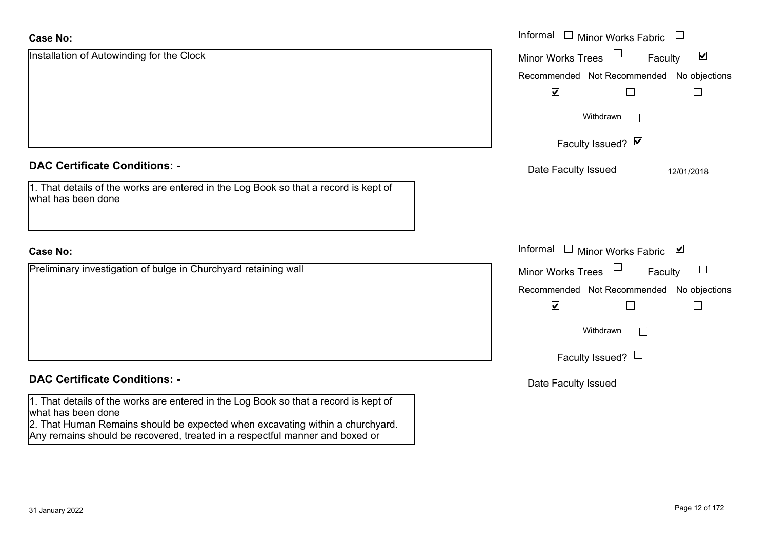| <b>Case No:</b>                                                                                                                                                                             | Informal □ Minor Works Fabric                                                   |
|---------------------------------------------------------------------------------------------------------------------------------------------------------------------------------------------|---------------------------------------------------------------------------------|
| Installation of Autowinding for the Clock                                                                                                                                                   | $\blacktriangledown$<br><b>Minor Works Trees</b><br>Faculty                     |
|                                                                                                                                                                                             | Recommended Not Recommended No objections                                       |
|                                                                                                                                                                                             | $\blacktriangledown$                                                            |
|                                                                                                                                                                                             | Withdrawn<br>$\mathbf{I}$                                                       |
|                                                                                                                                                                                             | Faculty Issued? Ø                                                               |
| <b>DAC Certificate Conditions: -</b>                                                                                                                                                        | Date Faculty Issued<br>12/01/2018                                               |
| 1. That details of the works are entered in the Log Book so that a record is kept of<br>what has been done                                                                                  |                                                                                 |
| <b>Case No:</b>                                                                                                                                                                             | Informal $\Box$ Minor Works Fabric $\Box$                                       |
| Preliminary investigation of bulge in Churchyard retaining wall                                                                                                                             | $\begin{array}{c} \boxed{1} \end{array}$<br><b>Minor Works Trees</b><br>Faculty |
|                                                                                                                                                                                             | Recommended Not Recommended No objections                                       |
|                                                                                                                                                                                             | $\blacktriangledown$                                                            |
|                                                                                                                                                                                             | Withdrawn<br>$\Box$                                                             |
|                                                                                                                                                                                             | Faculty Issued? $\Box$                                                          |
| <b>DAC Certificate Conditions: -</b>                                                                                                                                                        | Date Faculty Issued                                                             |
| 1. That details of the works are entered in the Log Book so that a record is kept of<br>what has been done<br>2. That Human Remains should be expected when excavating within a churchyard. |                                                                                 |
| Any remains should be recovered, treated in a respectful manner and boxed or                                                                                                                |                                                                                 |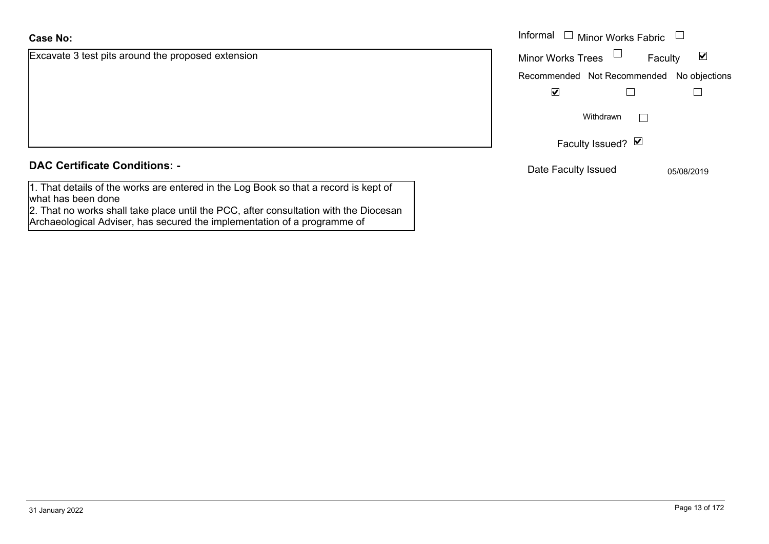#### **Case No:**

Excavate 3 test pits around the proposed extension

#### **DAC Certificate Conditions: -**

1. That details of the works are entered in the Log Book so that a record is kept of what has been done

2. That no works shall take place until the PCC, after consultation with the Diocesan Archaeological Adviser, has secured the implementation of a programme of

|                                           | Informal<br>Minor Works Fabric $\;\;\sqcup\;\;$<br>$\Box$ |                      |
|-------------------------------------------|-----------------------------------------------------------|----------------------|
| 3 test pits around the proposed extension | Minor Works Trees<br>Faculty                              | $\blacktriangledown$ |
|                                           | Recommended Not Recommended No objections                 |                      |
|                                           | $\blacktriangledown$                                      |                      |
|                                           | Withdrawn                                                 |                      |
|                                           | Faculty Issued? Ø                                         |                      |
| rtificate Conditions: -                   | Date Faculty Issued                                       | 05/08/2019           |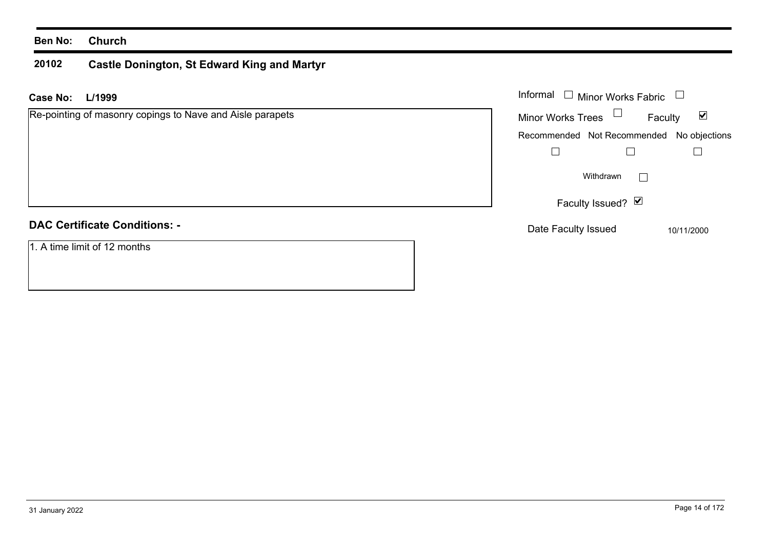#### **20102 Castle Donington, St Edward King and Martyr**

| <b>Case No:</b><br>L/1999                                 | Informal<br><b>Minor Works Fabric</b>                       |
|-----------------------------------------------------------|-------------------------------------------------------------|
| Re-pointing of masonry copings to Nave and Aisle parapets | Minor Works Trees $\Box$<br>$\blacktriangledown$<br>Faculty |
|                                                           | Recommended Not Recommended<br>No objections                |
|                                                           |                                                             |
|                                                           | Withdrawn<br>$\mathbb{R}^n$                                 |
|                                                           | Faculty Issued? $\boxed{\blacktriangledown}$                |
| <b>DAC Certificate Conditions: -</b>                      | Date Faculty Issued<br>10/11/2000                           |
| 1. A time limit of 12 months                              |                                                             |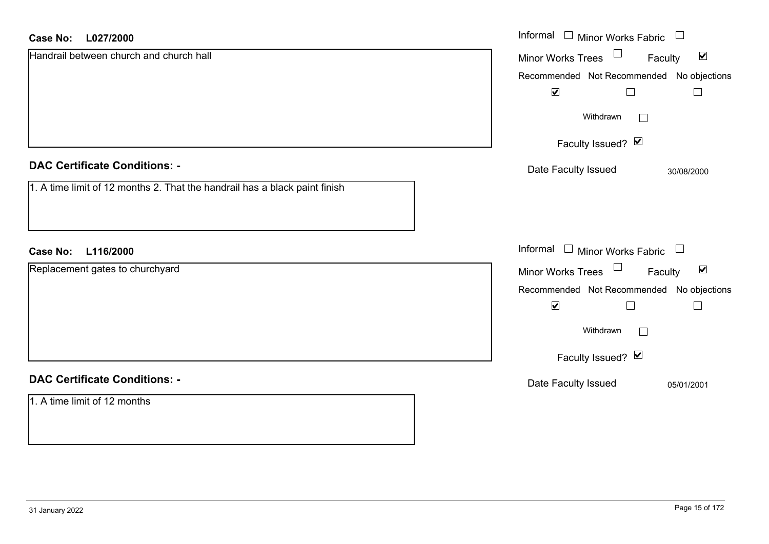#### **L027/2000Case No:**

| <b>Case No:</b><br>L027/2000                                               | Informal $\Box$ Minor Works Fabric<br>$\begin{array}{c} \hline \end{array}$ |
|----------------------------------------------------------------------------|-----------------------------------------------------------------------------|
| Handrail between church and church hall                                    | $\Box$<br>$\blacktriangledown$<br>Minor Works Trees<br>Faculty              |
|                                                                            | Recommended Not Recommended No objections                                   |
|                                                                            | $\blacktriangledown$<br>$\Box$                                              |
|                                                                            | Withdrawn<br>$\Box$                                                         |
|                                                                            | Faculty Issued? Ø                                                           |
| <b>DAC Certificate Conditions: -</b>                                       | Date Faculty Issued<br>30/08/2000                                           |
| 1. A time limit of 12 months 2. That the handrail has a black paint finish |                                                                             |
| L116/2000<br><b>Case No:</b>                                               | Informal $\Box$ Minor Works Fabric $\Box$                                   |
| Replacement gates to churchyard                                            | $\Box$<br>$\blacktriangledown$<br>Minor Works Trees<br>Faculty              |
|                                                                            | Recommended Not Recommended No objections                                   |
|                                                                            | $\blacktriangledown$                                                        |
|                                                                            | Withdrawn<br>$\Box$                                                         |
|                                                                            | Faculty Issued? Ø                                                           |
| <b>DAC Certificate Conditions: -</b>                                       | Date Faculty Issued<br>05/01/2001                                           |
| 1. A time limit of 12 months                                               |                                                                             |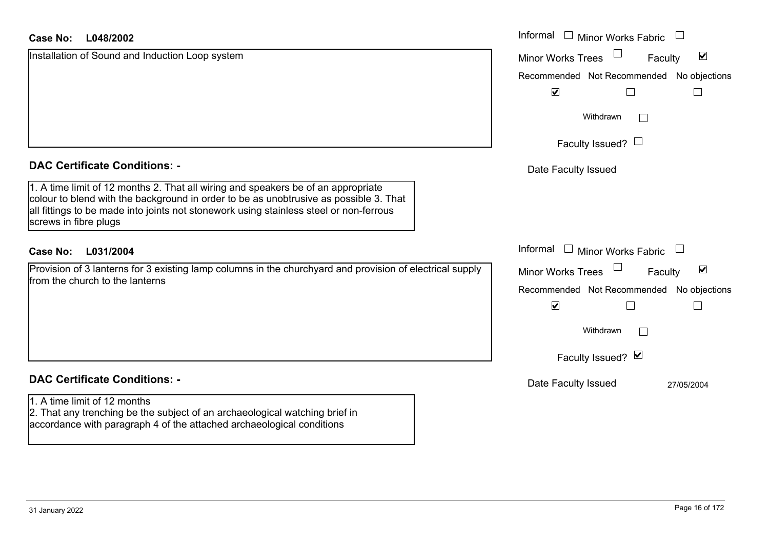| <b>Case No:</b><br>L048/2002                                                                                                                                                                                                                                                                  | Informal $\Box$ Minor Works Fabric                          |
|-----------------------------------------------------------------------------------------------------------------------------------------------------------------------------------------------------------------------------------------------------------------------------------------------|-------------------------------------------------------------|
| Installation of Sound and Induction Loop system                                                                                                                                                                                                                                               | $\blacktriangledown$<br><b>Minor Works Trees</b><br>Faculty |
|                                                                                                                                                                                                                                                                                               | Recommended Not Recommended No objections                   |
|                                                                                                                                                                                                                                                                                               | $\blacktriangledown$<br>$\Box$<br>$\Box$                    |
|                                                                                                                                                                                                                                                                                               | Withdrawn<br>$\mathbb{R}^n$                                 |
|                                                                                                                                                                                                                                                                                               | Faculty Issued? $\Box$                                      |
| <b>DAC Certificate Conditions: -</b>                                                                                                                                                                                                                                                          | Date Faculty Issued                                         |
| 1. A time limit of 12 months 2. That all wiring and speakers be of an appropriate<br>colour to blend with the background in order to be as unobtrusive as possible 3. That<br>all fittings to be made into joints not stonework using stainless steel or non-ferrous<br>screws in fibre plugs |                                                             |
| L031/2004<br><b>Case No:</b>                                                                                                                                                                                                                                                                  | Informal<br>$\Box$ Minor Works Fabric $\Box$                |
| Provision of 3 lanterns for 3 existing lamp columns in the churchyard and provision of electrical supply<br>from the church to the lanterns                                                                                                                                                   | $\blacktriangledown$<br>Minor Works Trees<br>Faculty        |
|                                                                                                                                                                                                                                                                                               | Recommended Not Recommended No objections                   |
|                                                                                                                                                                                                                                                                                               | $\blacktriangledown$                                        |
|                                                                                                                                                                                                                                                                                               | Withdrawn<br>$\mathbb{R}^n$                                 |
|                                                                                                                                                                                                                                                                                               | Faculty Issued? Ø                                           |
| <b>DAC Certificate Conditions: -</b>                                                                                                                                                                                                                                                          | Date Faculty Issued<br>27/05/2004                           |
| 1. A time limit of 12 months<br>2. That any trenching be the subject of an archaeological watching brief in<br>accordance with paragraph 4 of the attached archaeological conditions                                                                                                          |                                                             |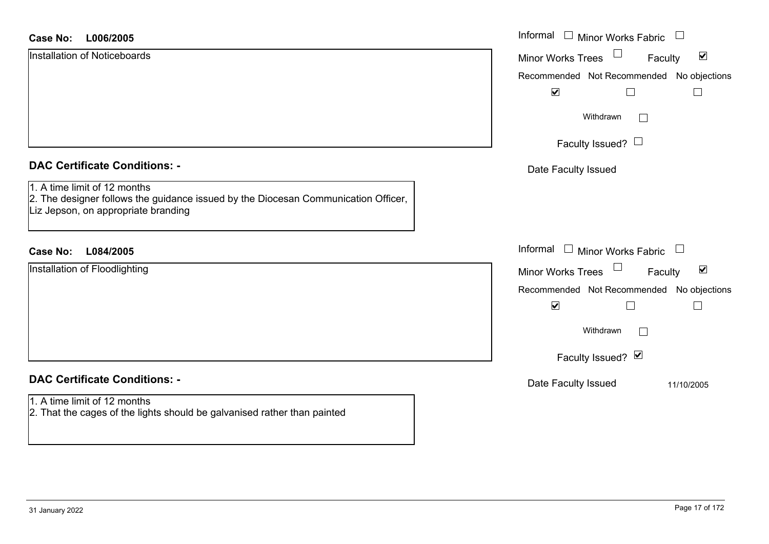| <b>Case No:</b><br>L006/2005                                                                                                                              | Informal<br>Minor Works Fabric                              |
|-----------------------------------------------------------------------------------------------------------------------------------------------------------|-------------------------------------------------------------|
| <b>Installation of Noticeboards</b>                                                                                                                       | $\blacktriangledown$<br><b>Minor Works Trees</b><br>Faculty |
|                                                                                                                                                           | Recommended Not Recommended No objections                   |
|                                                                                                                                                           | $\blacktriangledown$                                        |
|                                                                                                                                                           | Withdrawn<br>$\mathbf{I}$                                   |
|                                                                                                                                                           | Faculty Issued? $\Box$                                      |
| <b>DAC Certificate Conditions: -</b>                                                                                                                      | Date Faculty Issued                                         |
| 1. A time limit of 12 months<br>2. The designer follows the guidance issued by the Diocesan Communication Officer,<br>Liz Jepson, on appropriate branding |                                                             |
| L084/2005<br><b>Case No:</b>                                                                                                                              | Informal<br>$\Box$ Minor Works Fabric $\Box$                |
| Installation of Floodlighting                                                                                                                             | $\blacktriangledown$<br><b>Minor Works Trees</b><br>Faculty |
|                                                                                                                                                           | Recommended Not Recommended No objections                   |
|                                                                                                                                                           | $\blacktriangledown$                                        |
|                                                                                                                                                           | Withdrawn                                                   |
|                                                                                                                                                           | Faculty Issued? Ø                                           |
| <b>DAC Certificate Conditions: -</b>                                                                                                                      | Date Faculty Issued<br>11/10/2005                           |
| 1. A time limit of 12 months<br>2. That the cages of the lights should be galvanised rather than painted                                                  |                                                             |

ш.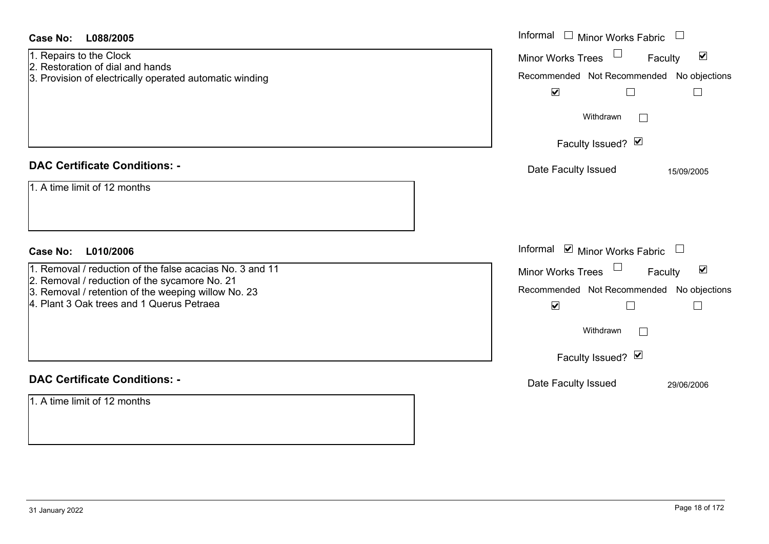| <b>Case No:</b><br>L088/2005                                                                                                                                                                                  | Informal $\Box$ Minor Works Fabric $\Box$                                                                                                                                         |
|---------------------------------------------------------------------------------------------------------------------------------------------------------------------------------------------------------------|-----------------------------------------------------------------------------------------------------------------------------------------------------------------------------------|
| 1. Repairs to the Clock<br>2. Restoration of dial and hands<br>3. Provision of electrically operated automatic winding                                                                                        | Minor Works Trees <sup>1</sup><br>$\blacktriangledown$<br>Faculty<br>Recommended Not Recommended No objections<br>$\blacktriangledown$<br>$\Box$<br>$\Box$<br>Withdrawn<br>$\Box$ |
|                                                                                                                                                                                                               | Faculty Issued? Ø                                                                                                                                                                 |
| <b>DAC Certificate Conditions: -</b>                                                                                                                                                                          | Date Faculty Issued<br>15/09/2005                                                                                                                                                 |
| 1. A time limit of 12 months                                                                                                                                                                                  |                                                                                                                                                                                   |
| <b>Case No:</b><br>L010/2006                                                                                                                                                                                  | Informal Ø Minor Works Fabric □                                                                                                                                                   |
| 1. Removal / reduction of the false acacias No. 3 and 11<br>2. Removal / reduction of the sycamore No. 21<br>3. Removal / retention of the weeping willow No. 23<br>4. Plant 3 Oak trees and 1 Querus Petraea | Minor Works Trees<br>$\blacktriangledown$<br>Faculty<br>Recommended Not Recommended No objections<br>$\blacktriangledown$<br>$\Box$<br>$\Box$<br>Withdrawn<br>Faculty Issued? Ø   |
| <b>DAC Certificate Conditions: -</b>                                                                                                                                                                          | Date Faculty Issued<br>29/06/2006                                                                                                                                                 |
| 1. A time limit of 12 months                                                                                                                                                                                  |                                                                                                                                                                                   |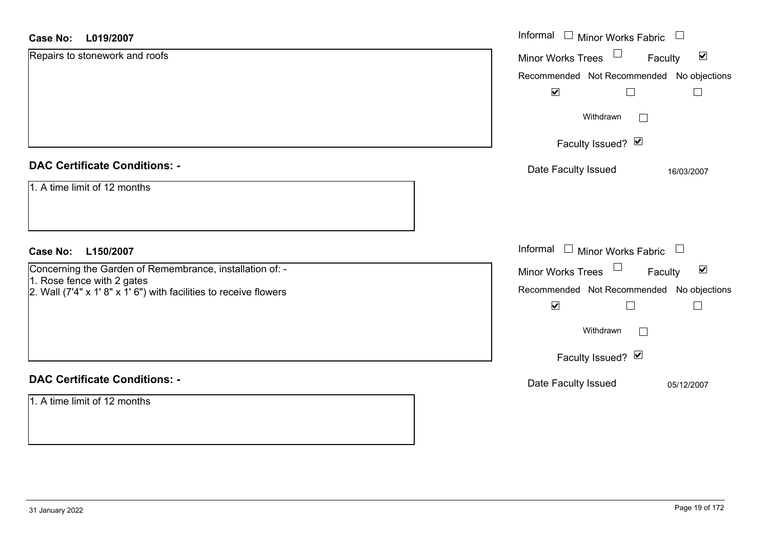#### **L019/2007Case No:** Informal

| Case No:<br>L019/2007                                                                           | Informal $\Box$ Minor Works Fabric $\Box$                  |
|-------------------------------------------------------------------------------------------------|------------------------------------------------------------|
| Repairs to stonework and roofs                                                                  | Minor Works Trees<br>$\blacktriangledown$<br>Faculty       |
|                                                                                                 | Recommended Not Recommended No objections                  |
|                                                                                                 | $\blacktriangledown$                                       |
|                                                                                                 | Withdrawn<br>$\mathbf{L}$                                  |
|                                                                                                 | Faculty Issued? Ø                                          |
| <b>DAC Certificate Conditions: -</b>                                                            | Date Faculty Issued<br>16/03/2007                          |
| 1. A time limit of 12 months                                                                    |                                                            |
|                                                                                                 |                                                            |
|                                                                                                 |                                                            |
| L150/2007<br><b>Case No:</b>                                                                    | Informal<br>$\Box$ Minor Works Fabric                      |
| Concerning the Garden of Remembrance, installation of: -                                        | Minor Works Trees<br>$\blacktriangledown$<br>Faculty       |
| 1. Rose fence with 2 gates<br>2. Wall (7'4" x 1' 8" x 1' 6") with facilities to receive flowers | Recommended Not Recommended No objections                  |
|                                                                                                 | $\blacktriangledown$<br>$\Box$<br>$\overline{\phantom{a}}$ |
|                                                                                                 | Withdrawn<br>$\Box$                                        |
|                                                                                                 | Faculty Issued? $\blacksquare$                             |
| <b>DAC Certificate Conditions: -</b>                                                            | Date Faculty Issued<br>05/12/2007                          |
| 1. A time limit of 12 months                                                                    |                                                            |
|                                                                                                 |                                                            |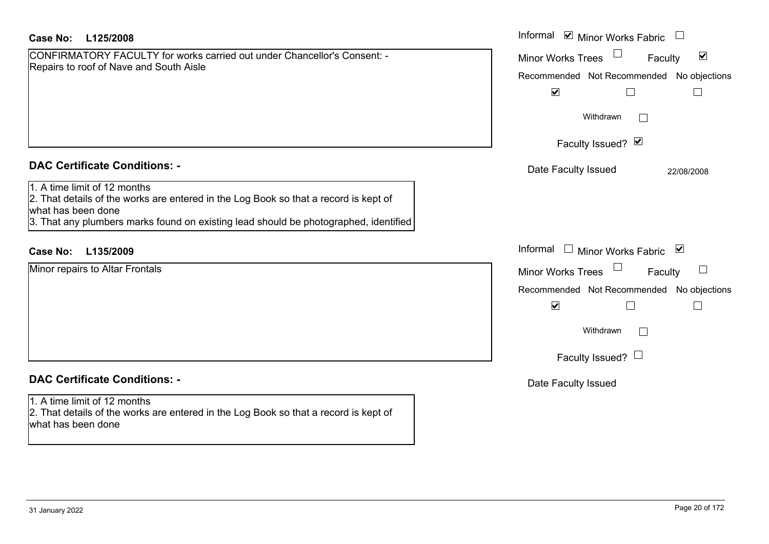| Case No: | L125/2008 |
|----------|-----------|
|----------|-----------|

CONFIRMATORY FACULTY for works carried out under Chancellor's Consent: -Repairs to roof of Nave and South Aisle

## **DAC Certificate Conditions: -**

1. A time limit of 12 months

 2. That details of the works are entered in the Log Book so that a record is kept of what has been done

3. That any plumbers marks found on existing lead should be photographed, identified

## **L135/2009Case No:** Informal

Minor repairs to Altar Frontals

## **DAC Certificate Conditions: -**

1. A time limit of 12 months 2. That details of the works are entered in the Log Book so that a record is kept of what has been done

| L125/2008                                                                                                                                                                                     | Informal <b>v</b> Minor Works Fabric                                                                                         |
|-----------------------------------------------------------------------------------------------------------------------------------------------------------------------------------------------|------------------------------------------------------------------------------------------------------------------------------|
| MATORY FACULTY for works carried out under Chancellor's Consent: -<br>o roof of Nave and South Aisle                                                                                          | $\blacktriangledown$<br>Minor Works Trees<br>Faculty<br>Recommended Not Recommended<br>No objections<br>$\blacktriangledown$ |
|                                                                                                                                                                                               | Withdrawn                                                                                                                    |
|                                                                                                                                                                                               | Faculty Issued? Ø                                                                                                            |
| rtificate Conditions: -                                                                                                                                                                       | Date Faculty Issued<br>22/08/2008                                                                                            |
| limit of 12 months<br>etails of the works are entered in the Log Book so that a record is kept of<br>been done<br>ny plumbers marks found on existing lead should be photographed, identified |                                                                                                                              |
| L135/2009                                                                                                                                                                                     | Informal<br>Minor Works Fabric ⊠<br>$\Box$                                                                                   |
| pairs to Altar Frontals                                                                                                                                                                       | Minor Works Trees<br>Faculty                                                                                                 |
|                                                                                                                                                                                               | No objections<br>Recommended Not Recommended                                                                                 |
|                                                                                                                                                                                               | $\blacktriangledown$<br>$\mathsf{L}$                                                                                         |
|                                                                                                                                                                                               | Withdrawn<br>$\mathbf{L}$                                                                                                    |
|                                                                                                                                                                                               | Faculty Issued? $\Box$                                                                                                       |
| rtificate Conditions: -                                                                                                                                                                       | Date Faculty Issued                                                                                                          |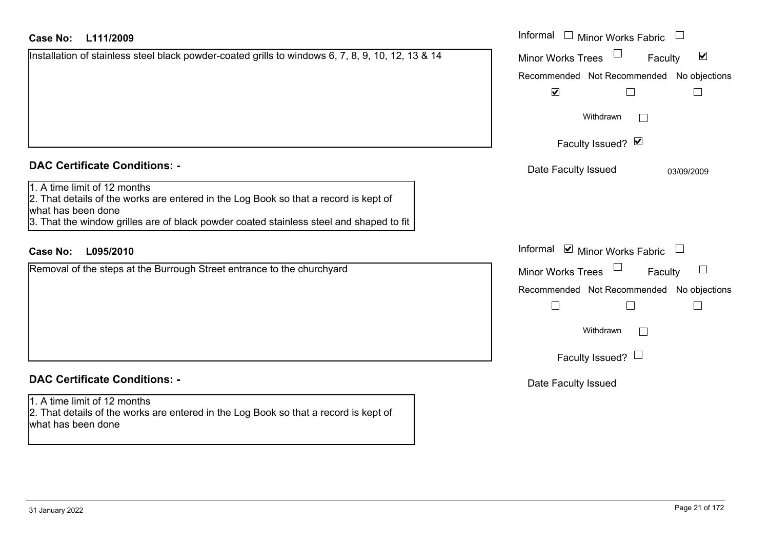| <b>Case No:</b><br>L111/2009                                                                                                                                                                                                          | Informal □ Minor Works Fabric                                     |
|---------------------------------------------------------------------------------------------------------------------------------------------------------------------------------------------------------------------------------------|-------------------------------------------------------------------|
| Installation of stainless steel black powder-coated grills to windows 6, 7, 8, 9, 10, 12, 13 & 14                                                                                                                                     | $\blacktriangledown$<br><b>Minor Works Trees</b><br>Faculty       |
|                                                                                                                                                                                                                                       | Recommended Not Recommended No objections<br>$\blacktriangledown$ |
|                                                                                                                                                                                                                                       | Withdrawn                                                         |
|                                                                                                                                                                                                                                       | Faculty Issued? Ø                                                 |
| <b>DAC Certificate Conditions: -</b>                                                                                                                                                                                                  | Date Faculty Issued<br>03/09/2009                                 |
| 1. A time limit of 12 months<br>2. That details of the works are entered in the Log Book so that a record is kept of<br>what has been done<br>3. That the window grilles are of black powder coated stainless steel and shaped to fit |                                                                   |
| <b>Case No:</b><br>L095/2010                                                                                                                                                                                                          | Informal ☑ Minor Works Fabric                                     |
| Removal of the steps at the Burrough Street entrance to the churchyard                                                                                                                                                                | Minor Works Trees<br>$\vert \ \ \vert$<br>Faculty                 |
|                                                                                                                                                                                                                                       | Recommended Not Recommended No objections                         |
|                                                                                                                                                                                                                                       | Withdrawn<br>$\Box$                                               |
|                                                                                                                                                                                                                                       | Faculty Issued? $\Box$                                            |
| <b>DAC Certificate Conditions: -</b>                                                                                                                                                                                                  | Date Faculty Issued                                               |
| 1. A time limit of 12 months<br>2. That details of the works are entered in the Log Book so that a record is kept of<br>what has been done                                                                                            |                                                                   |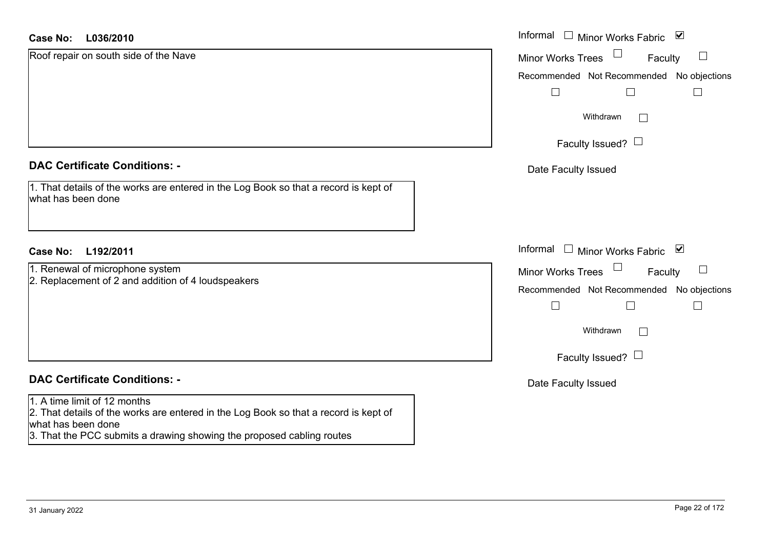| <b>Case No:</b><br>L036/2010                                                                               | Informal<br>$\Box$<br>Minor Works Fabric ⊠       |
|------------------------------------------------------------------------------------------------------------|--------------------------------------------------|
| Roof repair on south side of the Nave                                                                      | $\Box$<br><b>Minor Works Trees</b><br>Faculty    |
|                                                                                                            | Recommended Not Recommended No objections        |
|                                                                                                            | $\perp$                                          |
|                                                                                                            | Withdrawn<br>$\Box$                              |
|                                                                                                            | Faculty Issued? $\Box$                           |
| <b>DAC Certificate Conditions: -</b>                                                                       | Date Faculty Issued                              |
| 1. That details of the works are entered in the Log Book so that a record is kept of<br>what has been done |                                                  |
| <b>Case No:</b><br>L192/2011                                                                               | Informal<br>$\mathbf{1}$<br>Minor Works Fabric ⊠ |
| 1. Renewal of microphone system                                                                            | <b>Minor Works Trees</b><br>ப<br>Faculty         |
| 2. Replacement of 2 and addition of 4 loudspeakers                                                         | Recommended Not Recommended No objections        |
|                                                                                                            | $\Box$                                           |
|                                                                                                            | Withdrawn<br>$\Box$                              |
|                                                                                                            | Faculty Issued? $\Box$                           |
| <b>DAC Certificate Conditions: -</b>                                                                       | Date Faculty Issued                              |
| 1. A time limit of 12 months                                                                               |                                                  |
| 2. That details of the works are entered in the Log Book so that a record is kept of<br>what has been done |                                                  |
| 3. That the PCC submits a drawing showing the proposed cabling routes                                      |                                                  |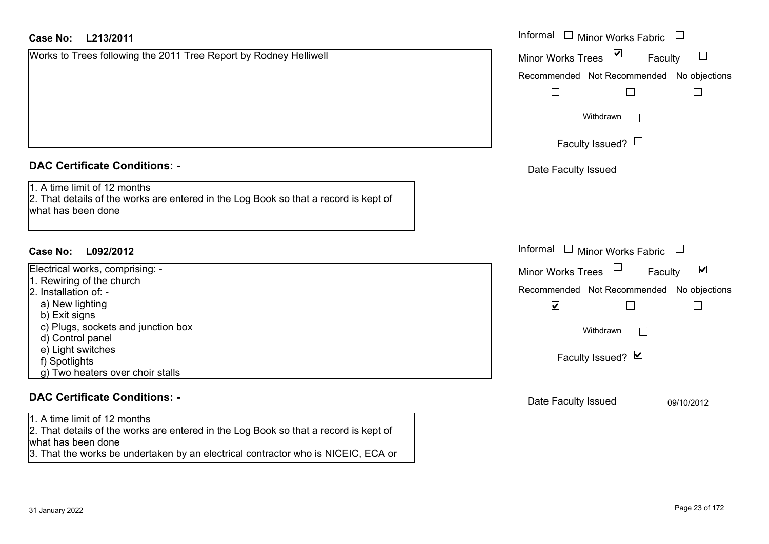### **L213/2011Case No:** Informal

## **DAC Certificate Conditions: -**

| Electrical works, comprising: -    |  |
|------------------------------------|--|
| 1. Rewiring of the church          |  |
| 2. Installation of: -              |  |
| a) New lighting                    |  |
| b) Exit signs                      |  |
| c) Plugs, sockets and junction box |  |
| d) Control panel                   |  |
| e) Light switches                  |  |
| f) Spotlights                      |  |
| g) Two heaters over choir stalls   |  |

#### **DAC Certificate Conditions: -**

1. A time limit of 12 months 2. That details of the works are entered in the Log Book so that a record is kept of what has been done 3. That the works be undertaken by an electrical contractor who is NICEIC, ECA or

| <b>Case No:</b><br>L213/2011                                                                                                               | Informal □ Minor Works Fabric                                         |
|--------------------------------------------------------------------------------------------------------------------------------------------|-----------------------------------------------------------------------|
| Works to Trees following the 2011 Tree Report by Rodney Helliwell                                                                          | $\blacktriangledown$<br>Minor Works Trees<br>$\Box$<br>Faculty        |
|                                                                                                                                            | Recommended Not Recommended No objections                             |
|                                                                                                                                            | ⊔                                                                     |
|                                                                                                                                            | Withdrawn<br>$\Box$                                                   |
|                                                                                                                                            | Faculty Issued? $\Box$                                                |
| <b>DAC Certificate Conditions: -</b>                                                                                                       | Date Faculty Issued                                                   |
| 1. A time limit of 12 months<br>2. That details of the works are entered in the Log Book so that a record is kept of<br>what has been done |                                                                       |
| <b>Case No:</b><br>L092/2012                                                                                                               | Informal $\Box$ Minor Works Fabric $\Box$                             |
| Electrical works, comprising: -                                                                                                            | $\Box$<br>$\blacktriangledown$<br><b>Minor Works Trees</b><br>Faculty |
| 1. Rewiring of the church                                                                                                                  |                                                                       |
| 2. Installation of: -                                                                                                                      | Recommended Not Recommended No objections                             |
| a) New lighting<br>b) Exit signs                                                                                                           | $\blacktriangledown$<br>$\Box$                                        |
| c) Plugs, sockets and junction box<br>d) Control panel                                                                                     | Withdrawn<br>$\perp$                                                  |
| e) Light switches                                                                                                                          |                                                                       |
| f) Spotlights                                                                                                                              | Faculty Issued? Ø                                                     |
| g) Two heaters over choir stalls                                                                                                           |                                                                       |
| <b>DAC Certificate Conditions: -</b>                                                                                                       | Date Faculty Issued<br>09/10/2012                                     |
| 1. A time limit of 12 months                                                                                                               |                                                                       |
| 2. That details of the works are entered in the Log Book so that a record is kept of                                                       |                                                                       |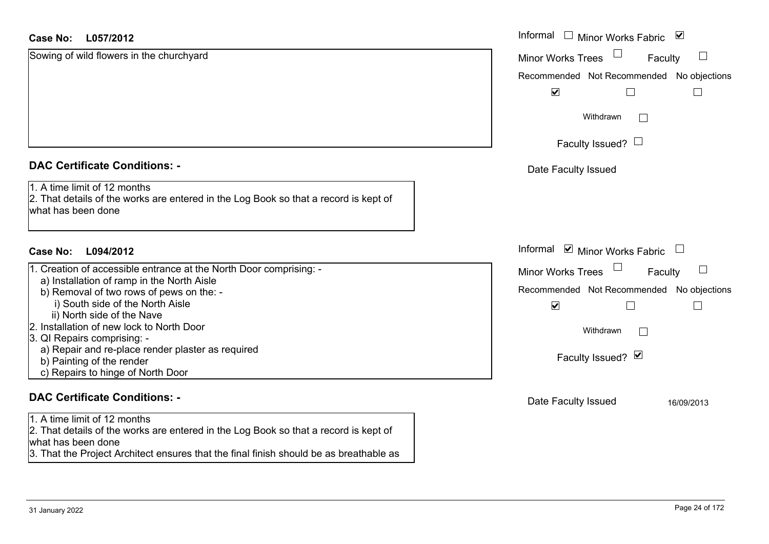| <b>Case No:</b><br>L057/2012                                                                                                               | Informal<br>$\overline{\phantom{a}}$<br>⊻<br>Minor Works Fabric |
|--------------------------------------------------------------------------------------------------------------------------------------------|-----------------------------------------------------------------|
| Sowing of wild flowers in the churchyard                                                                                                   | <b>Minor Works Trees</b><br>$\mathbb{R}^n$<br>Faculty           |
|                                                                                                                                            | Recommended Not Recommended No objections                       |
|                                                                                                                                            | $\blacktriangledown$<br>Г                                       |
|                                                                                                                                            | Withdrawn<br>$\vert \ \ \vert$                                  |
|                                                                                                                                            | Faculty Issued? $\Box$                                          |
| <b>DAC Certificate Conditions: -</b>                                                                                                       | Date Faculty Issued                                             |
| 1. A time limit of 12 months<br>2. That details of the works are entered in the Log Book so that a record is kept of<br>what has been done |                                                                 |
| L094/2012<br><b>Case No:</b>                                                                                                               | Informal <b>v</b> Minor Works Fabric                            |
| 1. Creation of accessible entrance at the North Door comprising: -                                                                         | Minor Works Trees<br>$\Box$<br>Faculty                          |
| a) Installation of ramp in the North Aisle<br>b) Removal of two rows of pews on the: -                                                     | Recommended Not Recommended No objections                       |
| i) South side of the North Aisle<br>ii) North side of the Nave                                                                             | $\blacktriangledown$<br>L                                       |
| 2. Installation of new lock to North Door<br>3. QI Repairs comprising: -                                                                   | Withdrawn<br>$\Box$                                             |
| a) Repair and re-place render plaster as required<br>b) Painting of the render<br>c) Repairs to hinge of North Door                        | Faculty Issued? Ø                                               |
| <b>DAC Certificate Conditions: -</b>                                                                                                       | Date Faculty Issued<br>16/09/2013                               |
| 1. A time limit of 12 months<br>2. That details of the works are entered in the Log Book so that a record is kept of<br>what has been done |                                                                 |

3. That the Project Architect ensures that the final finish should be as breathable as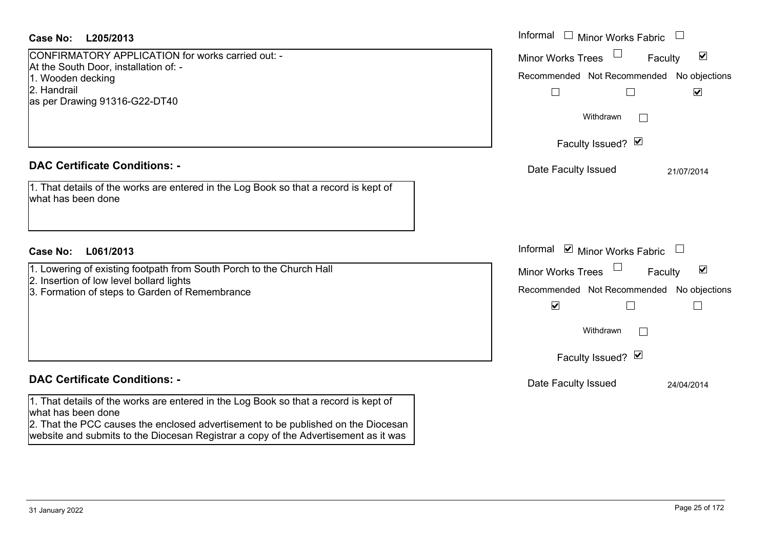| <b>Case No:</b><br>L205/2013                                                                                                                                                                                                                                                           | Informal □ Minor Works Fabric                                                                                                                                                                                                            |
|----------------------------------------------------------------------------------------------------------------------------------------------------------------------------------------------------------------------------------------------------------------------------------------|------------------------------------------------------------------------------------------------------------------------------------------------------------------------------------------------------------------------------------------|
| CONFIRMATORY APPLICATION for works carried out: -<br>At the South Door, installation of: -<br>1. Wooden decking<br>2. Handrail<br>as per Drawing 91316-G22-DT40                                                                                                                        | Minor Works Trees<br>$\blacktriangledown$<br>Faculty<br>Recommended Not Recommended<br>No objections<br>$\blacktriangleright$<br>$\Box$<br>Withdrawn<br>$\sim$<br>Faculty Issued? Ø                                                      |
| <b>DAC Certificate Conditions: -</b><br>1. That details of the works are entered in the Log Book so that a record is kept of<br>what has been done                                                                                                                                     | Date Faculty Issued<br>21/07/2014                                                                                                                                                                                                        |
| <b>Case No:</b><br>L061/2013                                                                                                                                                                                                                                                           | Informal ☑ Minor Works Fabric<br>$\Box$                                                                                                                                                                                                  |
| 1. Lowering of existing footpath from South Porch to the Church Hall<br>2. Insertion of low level bollard lights<br>3. Formation of steps to Garden of Remembrance                                                                                                                     | $\blacktriangledown$<br><b>Minor Works Trees</b><br>Faculty<br>Recommended Not Recommended<br>No objections<br>$\blacktriangledown$<br>$\overline{\phantom{a}}$<br>$\vert \ \ \vert$<br>Withdrawn<br>$\overline{a}$<br>Faculty Issued? Ø |
| <b>DAC Certificate Conditions: -</b>                                                                                                                                                                                                                                                   | Date Faculty Issued<br>24/04/2014                                                                                                                                                                                                        |
| 1. That details of the works are entered in the Log Book so that a record is kept of<br>what has been done<br>2. That the PCC causes the enclosed advertisement to be published on the Diocesan<br>website and submits to the Diocesan Registrar a copy of the Advertisement as it was |                                                                                                                                                                                                                                          |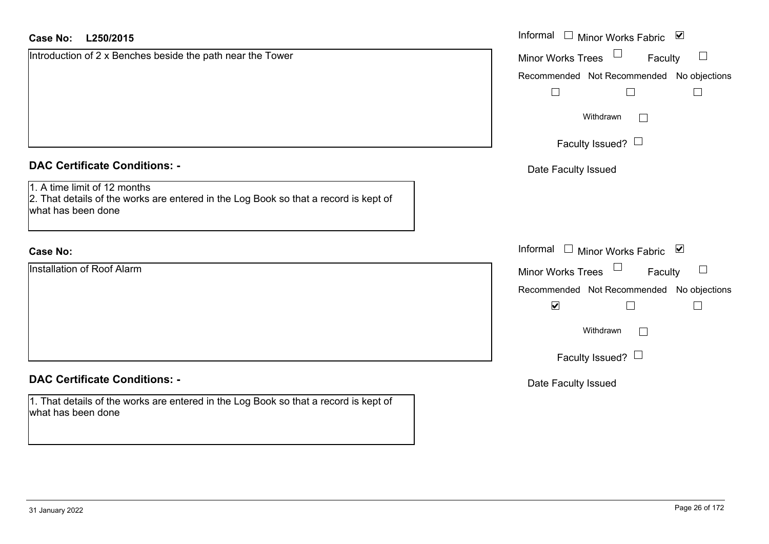| <b>Case No:</b><br>L250/2015                                                                               | Informal □ Minor Works Fabric ⊠                                         |
|------------------------------------------------------------------------------------------------------------|-------------------------------------------------------------------------|
| Introduction of 2 x Benches beside the path near the Tower                                                 | Minor Works Trees<br>Faculty                                            |
|                                                                                                            | Recommended Not Recommended No objections<br>$\Box$<br>$\Box$<br>$\Box$ |
|                                                                                                            | Withdrawn                                                               |
|                                                                                                            | Faculty Issued? $\Box$                                                  |
| <b>DAC Certificate Conditions: -</b><br>1. A time limit of 12 months                                       | Date Faculty Issued                                                     |
| 2. That details of the works are entered in the Log Book so that a record is kept of<br>what has been done |                                                                         |
| <b>Case No:</b>                                                                                            | Informal $\Box$ Minor Works Fabric $\Box$                               |
| <b>Installation of Roof Alarm</b>                                                                          | Minor Works Trees<br>Faculty<br>$\Box$                                  |
|                                                                                                            | Recommended Not Recommended No objections                               |
|                                                                                                            | $\blacktriangledown$<br>$\Box$<br>$\mathbb{R}$                          |
|                                                                                                            | Withdrawn<br>$\vert$ $\vert$                                            |
|                                                                                                            | Faculty Issued? $\Box$                                                  |
| <b>DAC Certificate Conditions: -</b>                                                                       | Date Faculty Issued                                                     |
| 1. That details of the works are entered in the Log Book so that a record is kept of<br>what has been done |                                                                         |
|                                                                                                            |                                                                         |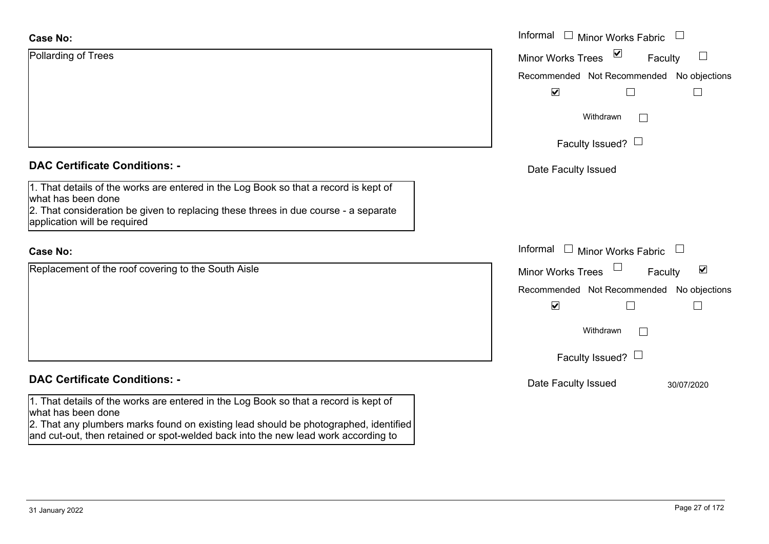| <b>Case No:</b>                                                                                                                                                            | Informal<br>$\Box$ Minor Works Fabric                                                 |
|----------------------------------------------------------------------------------------------------------------------------------------------------------------------------|---------------------------------------------------------------------------------------|
| Pollarding of Trees                                                                                                                                                        | $\triangledown$<br>$\mathcal{L}_{\mathcal{A}}$<br><b>Minor Works Trees</b><br>Faculty |
|                                                                                                                                                                            | Recommended Not Recommended No objections                                             |
|                                                                                                                                                                            | $\blacktriangledown$                                                                  |
|                                                                                                                                                                            | Withdrawn                                                                             |
|                                                                                                                                                                            | Faculty Issued? $\Box$                                                                |
| <b>DAC Certificate Conditions: -</b>                                                                                                                                       | Date Faculty Issued                                                                   |
| 1. That details of the works are entered in the Log Book so that a record is kept of<br>what has been done                                                                 |                                                                                       |
| $2.$ That consideration be given to replacing these threes in due course - a separate<br>application will be required                                                      |                                                                                       |
| <b>Case No:</b>                                                                                                                                                            | Informal<br>□ Minor Works Fabric □                                                    |
| Replacement of the roof covering to the South Aisle                                                                                                                        | $\blacktriangledown$<br>Minor Works Trees<br>Faculty                                  |
|                                                                                                                                                                            | Recommended Not Recommended No objections                                             |
|                                                                                                                                                                            | $\blacktriangledown$<br>$\mathbf{I}$                                                  |
|                                                                                                                                                                            | Withdrawn                                                                             |
|                                                                                                                                                                            | Faculty Issued? $\Box$                                                                |
| <b>DAC Certificate Conditions: -</b>                                                                                                                                       | Date Faculty Issued<br>30/07/2020                                                     |
| 1. That details of the works are entered in the Log Book so that a record is kept of<br>what has been done                                                                 |                                                                                       |
| 2. That any plumbers marks found on existing lead should be photographed, identified<br>and cut-out, then retained or spot-welded back into the new lead work according to |                                                                                       |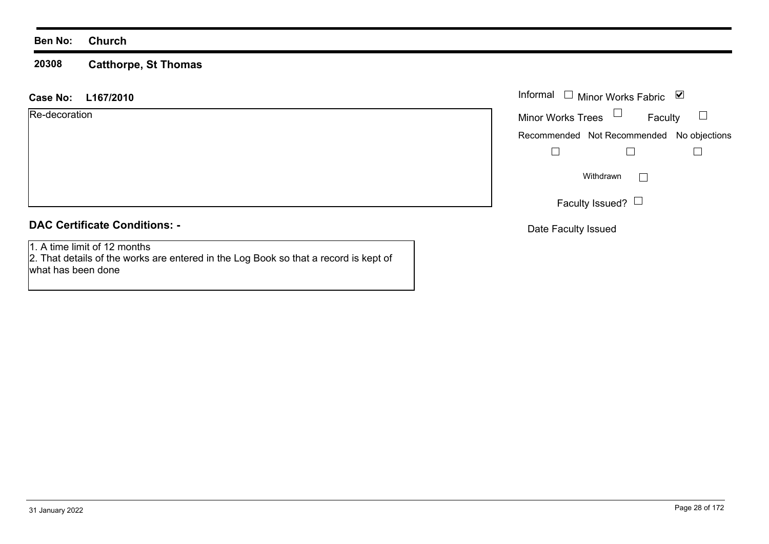#### **20308Catthorpe, St Thomas**

#### **L167/2010 Case No:** Informal

| Re-decoration |  |
|---------------|--|
|               |  |

## **DAC Certificate Conditions: -**

1. A time limit of 12 months

 2. That details of the works are entered in the Log Book so that a record is kept of what has been done

|                          | Informal $\Box$ Minor Works Fabric | び                                         |
|--------------------------|------------------------------------|-------------------------------------------|
| <b>Minor Works Trees</b> |                                    | Faculty                                   |
|                          |                                    | Recommended Not Recommended No objections |
|                          |                                    |                                           |
|                          | Withdrawn                          |                                           |
|                          | Faculty Issued?                    |                                           |

Date Faculty Issued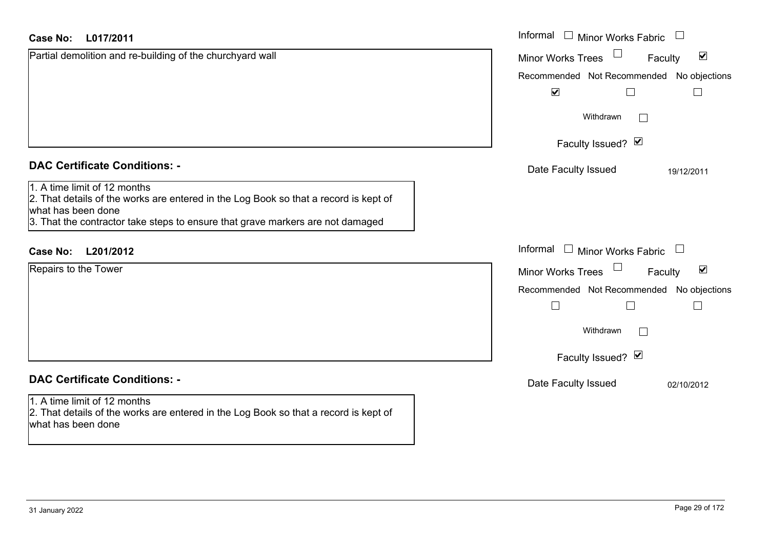| L017/2011<br>Case No:                                                                                                                                                                                                                                                | Informal $\Box$ Minor Works Fabric $\Box$                                                                                                                                                   |
|----------------------------------------------------------------------------------------------------------------------------------------------------------------------------------------------------------------------------------------------------------------------|---------------------------------------------------------------------------------------------------------------------------------------------------------------------------------------------|
| Partial demolition and re-building of the churchyard wall                                                                                                                                                                                                            | $\blacktriangledown$<br><b>Minor Works Trees</b><br>Faculty<br>Recommended Not Recommended No objections<br>$\blacktriangledown$<br>$\Box$<br>$\Box$<br>Withdrawn<br>$\Box$                 |
|                                                                                                                                                                                                                                                                      | Faculty Issued? Ø                                                                                                                                                                           |
| <b>DAC Certificate Conditions: -</b><br>1. A time limit of 12 months<br>2. That details of the works are entered in the Log Book so that a record is kept of<br>what has been done<br>3. That the contractor take steps to ensure that grave markers are not damaged | Date Faculty Issued<br>19/12/2011                                                                                                                                                           |
| L201/2012<br><b>Case No:</b>                                                                                                                                                                                                                                         | Informal<br>$\Box$ Minor Works Fabric $\Box$                                                                                                                                                |
| Repairs to the Tower                                                                                                                                                                                                                                                 | $\blacktriangledown$<br><b>Minor Works Trees</b><br>Faculty<br>Recommended Not Recommended No objections<br>$\Box$<br>$\vert \ \ \vert$<br>Withdrawn<br>$\mathbb{R}^n$<br>Faculty Issued? Ø |
| <b>DAC Certificate Conditions: -</b>                                                                                                                                                                                                                                 | Date Faculty Issued<br>02/10/2012                                                                                                                                                           |
| 1. A time limit of 12 months<br>2. That details of the works are entered in the Log Book so that a record is kept of<br>what has been done                                                                                                                           |                                                                                                                                                                                             |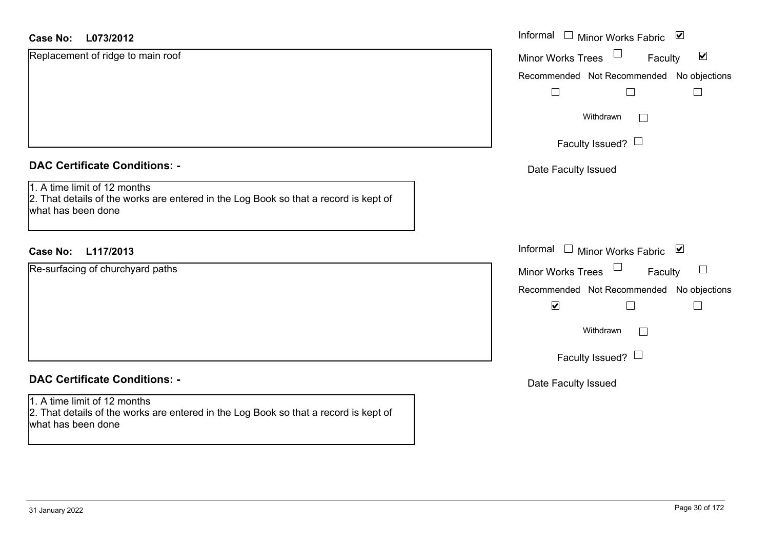| <b>Case No:</b><br>L073/2012                                                                                                               | Informal<br>Minor Works Fabric ⊠<br>$\Box$                  |
|--------------------------------------------------------------------------------------------------------------------------------------------|-------------------------------------------------------------|
| Replacement of ridge to main roof                                                                                                          | $\blacktriangledown$<br><b>Minor Works Trees</b><br>Faculty |
|                                                                                                                                            | Recommended Not Recommended No objections                   |
|                                                                                                                                            |                                                             |
|                                                                                                                                            | Withdrawn<br>$\Box$                                         |
|                                                                                                                                            | Faculty Issued? $\Box$                                      |
| <b>DAC Certificate Conditions: -</b>                                                                                                       | Date Faculty Issued                                         |
| 1. A time limit of 12 months<br>2. That details of the works are entered in the Log Book so that a record is kept of<br>what has been done |                                                             |
| L117/2013<br><b>Case No:</b>                                                                                                               | Informal<br>Minor Works Fabric ⊠<br>$\sim 10^{-1}$          |
| Re-surfacing of churchyard paths                                                                                                           | Minor Works Trees<br>$\sqcup$<br>Faculty                    |
|                                                                                                                                            | Recommended Not Recommended No objections                   |
|                                                                                                                                            | $\blacktriangledown$                                        |
|                                                                                                                                            | Withdrawn<br>$\Box$                                         |
|                                                                                                                                            | Faculty Issued? $\Box$                                      |
| <b>DAC Certificate Conditions: -</b>                                                                                                       | Date Faculty Issued                                         |
| 1. A time limit of 12 months<br>2. That details of the works are entered in the Log Book so that a record is kept of<br>what has been done |                                                             |
|                                                                                                                                            |                                                             |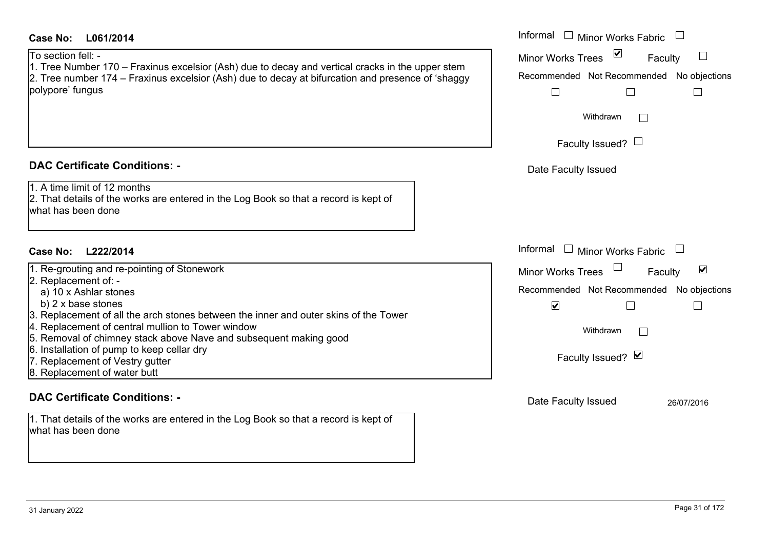## **L061/2014Case No:** Informal

To section fell: -

1. Tree Number 170 – Fraxinus excelsior (Ash) due to decay and vertical cracks in the upper stem 2. Tree number 174 – Fraxinus excelsior (Ash) due to decay at bifurcation and presence of 'shaggy polypore' fungus

### **DAC Certificate Conditions: -**

1. A time limit of 12 months

2. That details of the works are entered in the Log Book so that a record is kept of what has been done

## **L222/2014Case No:** Informal

1. Re-grouting and re-pointing of Stonework

- 2. Replacement of:
	- a) 10 x Ashlar stones
	- b) 2 x base stones
- 3. Replacement of all the arch stones between the inner and outer skins of the Tower
- 4. Replacement of central mullion to Tower window
- 5. Removal of chimney stack above Nave and subsequent making good
- 6. Installation of pump to keep cellar dry
- 7. Replacement of Vestry gutter
- 8. Replacement of water butt

### **DAC Certificate Conditions: -**

1. That details of the works are entered in the Log Book so that a record is kept of what has been done

| Informal<br>Minor Works Fabric<br>$\vert\bm{\mathsf{v}}\vert$<br><b>Minor Works Trees</b><br>Faculty<br>Recommended Not Recommended No objections<br>Withdrawn<br>Faculty Issued?<br>Date Faculty Issued |
|----------------------------------------------------------------------------------------------------------------------------------------------------------------------------------------------------------|
| Informal<br><b>Minor Works Fabric</b><br>☑                                                                                                                                                               |
| <b>Minor Works Trees</b><br>Faculty                                                                                                                                                                      |
| Recommended Not Recommended No objections<br>$\blacktriangledown$                                                                                                                                        |
| Withdrawn<br>Faculty Issued? Ø                                                                                                                                                                           |
|                                                                                                                                                                                                          |
| Date Faculty Issued<br>26/07/2016                                                                                                                                                                        |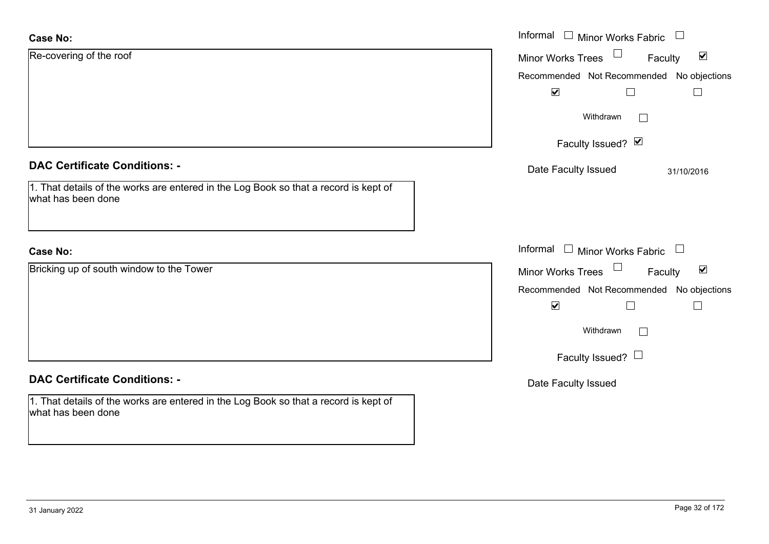| <b>Case No:</b>                                                                                            | Informal $\Box$ Minor Works Fabric $\Box$                   |
|------------------------------------------------------------------------------------------------------------|-------------------------------------------------------------|
| Re-covering of the roof                                                                                    | $\blacktriangledown$<br><b>Minor Works Trees</b><br>Faculty |
|                                                                                                            | Recommended Not Recommended No objections                   |
|                                                                                                            | $\blacktriangledown$                                        |
|                                                                                                            | Withdrawn                                                   |
|                                                                                                            | Faculty Issued? Ø                                           |
| <b>DAC Certificate Conditions: -</b>                                                                       | Date Faculty Issued<br>31/10/2016                           |
| 1. That details of the works are entered in the Log Book so that a record is kept of<br>what has been done |                                                             |
| <b>Case No:</b>                                                                                            | Informal $\Box$ Minor Works Fabric $\Box$                   |
| Bricking up of south window to the Tower                                                                   | $\blacktriangledown$<br><b>Minor Works Trees</b><br>Faculty |
|                                                                                                            | Recommended Not Recommended No objections                   |
|                                                                                                            | $\blacktriangledown$<br>$\mathsf{L}$                        |
|                                                                                                            | Withdrawn                                                   |
|                                                                                                            | Faculty Issued? $\Box$                                      |
| <b>DAC Certificate Conditions: -</b>                                                                       | Date Faculty Issued                                         |
| 1. That details of the works are entered in the Log Book so that a record is kept of<br>what has been done |                                                             |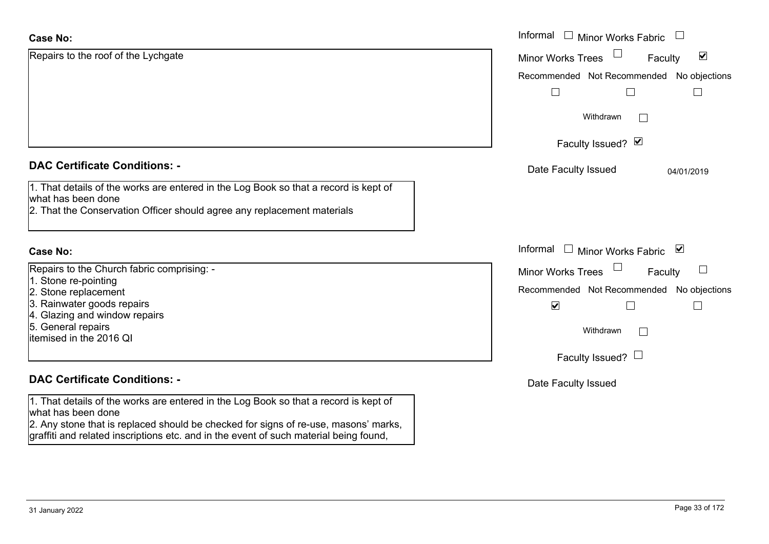| <b>Case No:</b>                                                                                                                                                                                 | Informal □ Minor Works Fabric                                  |
|-------------------------------------------------------------------------------------------------------------------------------------------------------------------------------------------------|----------------------------------------------------------------|
| Repairs to the roof of the Lychgate                                                                                                                                                             | $\overline{\mathbf{v}}$<br><b>Minor Works Trees</b><br>Faculty |
|                                                                                                                                                                                                 | Recommended Not Recommended No objections                      |
|                                                                                                                                                                                                 |                                                                |
|                                                                                                                                                                                                 | Withdrawn                                                      |
|                                                                                                                                                                                                 | Faculty Issued? Ø                                              |
| <b>DAC Certificate Conditions: -</b>                                                                                                                                                            | Date Faculty Issued<br>04/01/2019                              |
| 1. That details of the works are entered in the Log Book so that a record is kept of<br>what has been done<br>2. That the Conservation Officer should agree any replacement materials           |                                                                |
| <b>Case No:</b>                                                                                                                                                                                 | Informal $\Box$ Minor Works Fabric $\Box$                      |
| Repairs to the Church fabric comprising: -                                                                                                                                                      | Faculty<br><b>Minor Works Trees</b>                            |
| 1. Stone re-pointing<br>2. Stone replacement                                                                                                                                                    | Recommended Not Recommended No objections                      |
| 3. Rainwater goods repairs<br>4. Glazing and window repairs                                                                                                                                     | $\blacktriangledown$                                           |
| 5. General repairs<br>itemised in the 2016 QI                                                                                                                                                   | Withdrawn<br>$\mathbb{R}^n$                                    |
|                                                                                                                                                                                                 | Faculty Issued? $\Box$                                         |
| <b>DAC Certificate Conditions: -</b>                                                                                                                                                            | Date Faculty Issued                                            |
| 1. That details of the works are entered in the Log Book so that a record is kept of<br>what has been done<br>2. Any stope that is replaced should be checked for signs of re-use masons' marks |                                                                |

2. Any stone that is replaced should be checked for signs of re-use, masons' marks, graffiti and related inscriptions etc. and in the event of such material being found,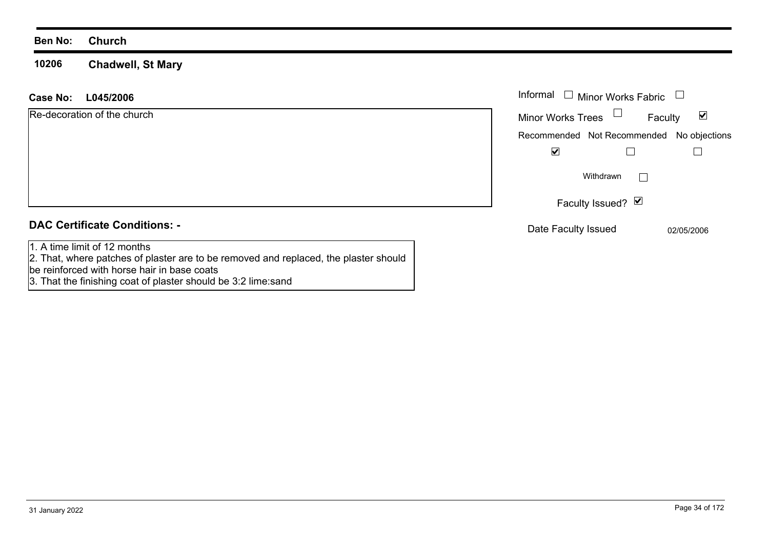**10206 Chadwell, St Mary**

| L045/2006<br>Case No:                                                                                                | Informal $\Box$ Minor Works Fabric                   |  |  |
|----------------------------------------------------------------------------------------------------------------------|------------------------------------------------------|--|--|
| Re-decoration of the church                                                                                          | Minor Works Trees<br>$\blacktriangledown$<br>Faculty |  |  |
|                                                                                                                      | Recommended Not Recommended No objections            |  |  |
|                                                                                                                      | ☑                                                    |  |  |
|                                                                                                                      | Withdrawn                                            |  |  |
|                                                                                                                      | Faculty Issued? Ø                                    |  |  |
| <b>DAC Certificate Conditions: -</b>                                                                                 | Date Faculty Issued<br>02/05/2006                    |  |  |
| 1. A time limit of 12 months<br>2. That, where patches of plaster are to be removed and replaced, the plaster should |                                                      |  |  |

be reinforced with horse hair in base coats 3. That the finishing coat of plaster should be 3:2 lime:sand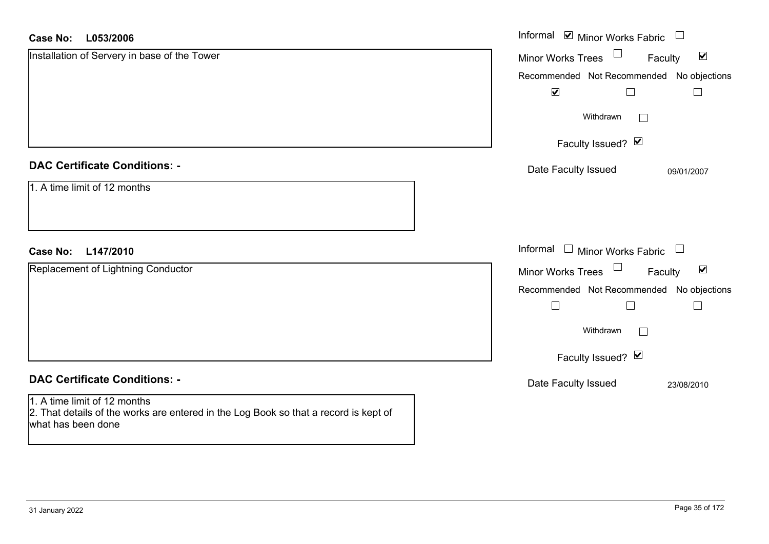#### **L053/2006Case No:**

| <b>Case No:</b><br>L053/2006                                                                                                               | Informal Ø Minor Works Fabric □                                |
|--------------------------------------------------------------------------------------------------------------------------------------------|----------------------------------------------------------------|
| Installation of Servery in base of the Tower                                                                                               | $\Box$<br>$\blacktriangledown$<br>Minor Works Trees<br>Faculty |
|                                                                                                                                            | Recommended Not Recommended No objections                      |
|                                                                                                                                            | $\blacktriangledown$                                           |
|                                                                                                                                            | Withdrawn<br>$\vert \ \ \vert$                                 |
|                                                                                                                                            | Faculty Issued? Ø                                              |
| <b>DAC Certificate Conditions: -</b>                                                                                                       | Date Faculty Issued<br>09/01/2007                              |
| 1. A time limit of 12 months                                                                                                               |                                                                |
| L147/2010<br><b>Case No:</b>                                                                                                               | Informal $\Box$ Minor Works Fabric $\Box$                      |
| Replacement of Lightning Conductor                                                                                                         | Minor Works Trees<br>$\blacktriangledown$<br>Faculty           |
|                                                                                                                                            | Recommended Not Recommended No objections                      |
|                                                                                                                                            |                                                                |
|                                                                                                                                            | Withdrawn<br>$\Box$                                            |
|                                                                                                                                            | Faculty Issued? Ø                                              |
| <b>DAC Certificate Conditions: -</b>                                                                                                       | Date Faculty Issued<br>23/08/2010                              |
| 1. A time limit of 12 months<br>2. That details of the works are entered in the Log Book so that a record is kept of<br>what has been done |                                                                |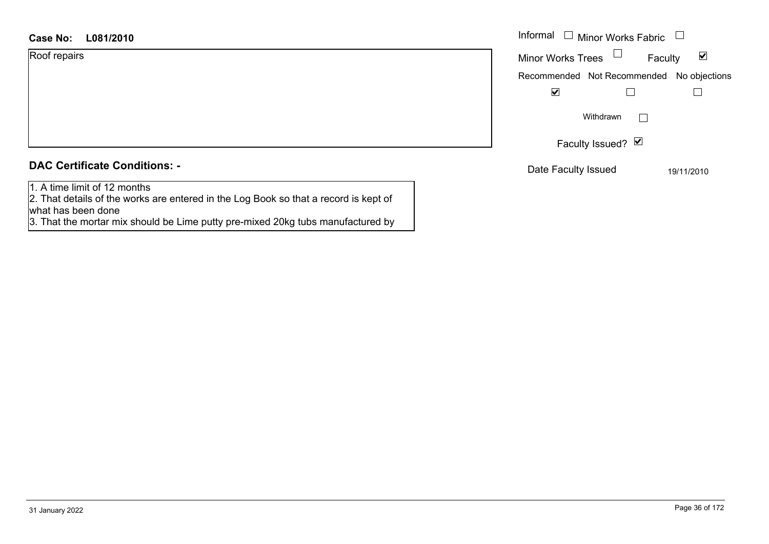| Roof repairs |  |
|--------------|--|
|              |  |

|  | <b>DAC Certificate Conditions: -</b> |  |
|--|--------------------------------------|--|
|  |                                      |  |

1. A time limit of 12 months

2. That details of the works are entered in the Log Book so that a record is kept of what has been done

3. That the mortar mix should be Lime putty pre-mixed 20kg tubs manufactured by

| Informal<br>$\Box$ Minor Works Fabric     |  |  |
|-------------------------------------------|--|--|
| M<br><b>Minor Works Trees</b><br>Faculty  |  |  |
| Recommended Not Recommended No objections |  |  |
| V                                         |  |  |
| Withdrawn                                 |  |  |
| Faculty Issued? Ø                         |  |  |
| Date Faculty Issued<br>19/11/2010         |  |  |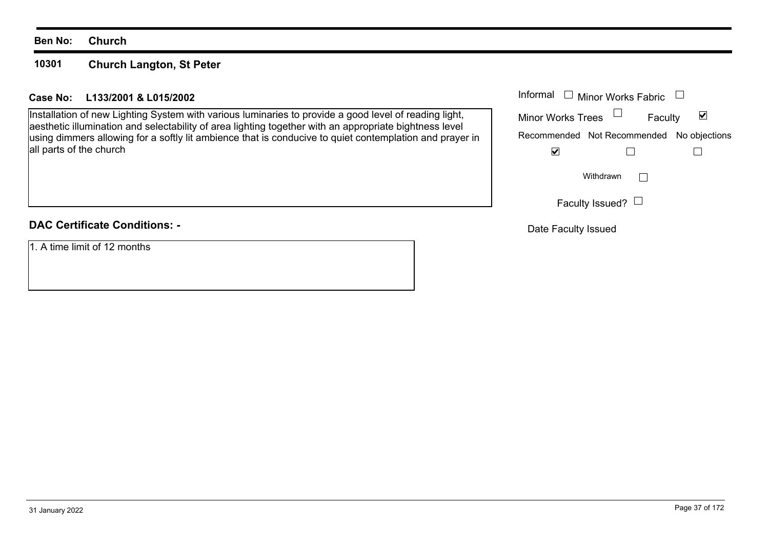#### **10301Church Langton, St Peter**

## **L133/2001 & L015/2002Case No:** Informal

Installation of new Lighting System with various luminaries to provide a good level of reading light, aesthetic illumination and selectability of area lighting together with an appropriate bightness level using dimmers allowing for a softly lit ambience that is conducive to quiet contemplation and prayer in all parts of the church

## **DAC Certificate Conditions: -**

1. A time limit of 12 months

| Informal<br>$\Box$ Minor Works Fabric |                                           |   |
|---------------------------------------|-------------------------------------------|---|
| <b>Minor Works Trees</b>              | Faculty                                   | M |
|                                       | Recommended Not Recommended No objections |   |
|                                       |                                           |   |
|                                       | Withdrawn                                 |   |
|                                       | Faculty Issued? $\Box$                    |   |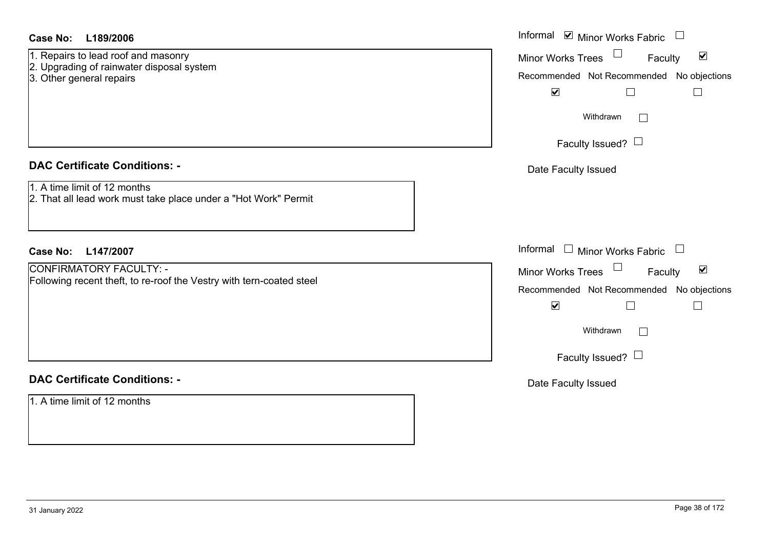|--|

- 1. Repairs to lead roof and masonry
- 2. Upgrading of rainwater disposal system
- 3. Other general repairs

## **DAC Certificate Conditions: -**

- 1. A time limit of 12 months
- 2. That all lead work must take place under a "Hot Work" Permit

## **DAC Certificate Conditions: -**

| <b>Case No:</b><br>L189/2006                                                                                 | Informal Ø Minor Works Fabric □                                                                                                                                                              |
|--------------------------------------------------------------------------------------------------------------|----------------------------------------------------------------------------------------------------------------------------------------------------------------------------------------------|
| 1. Repairs to lead roof and masonry<br>2. Upgrading of rainwater disposal system<br>3. Other general repairs | Minor Works Trees<br>$\blacktriangledown$<br>Faculty<br>Recommended Not Recommended No objections<br>$\blacktriangledown$<br>$\Box$<br>$\mathbb{R}^n$<br>Withdrawn<br>Faculty Issued? $\Box$ |
| <b>DAC Certificate Conditions: -</b>                                                                         | Date Faculty Issued                                                                                                                                                                          |
| 1. A time limit of 12 months<br>2. That all lead work must take place under a "Hot Work" Permit              |                                                                                                                                                                                              |
| Case No:<br>L147/2007                                                                                        | Informal $\Box$ Minor Works Fabric $\Box$                                                                                                                                                    |
| <b>CONFIRMATORY FACULTY: -</b><br>Following recent theft, to re-roof the Vestry with tern-coated steel       | Minor Works Trees<br>$\blacktriangledown$<br>Faculty<br>Recommended Not Recommended No objections<br>$\blacktriangledown$<br>$\mathbf{L}$                                                    |
|                                                                                                              | Withdrawn                                                                                                                                                                                    |
|                                                                                                              | Faculty Issued? $\Box$                                                                                                                                                                       |
| <b>DAC Certificate Conditions: -</b>                                                                         | Date Faculty Issued                                                                                                                                                                          |
| 1. A time limit of 12 months                                                                                 |                                                                                                                                                                                              |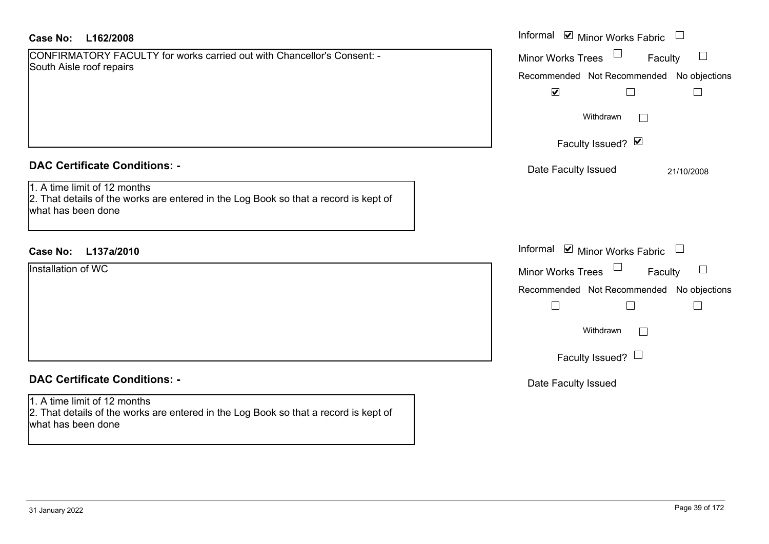| Case No: | L162/2008 |
|----------|-----------|
|----------|-----------|

| CONFIRMATORY FACULTY for works carried out with Chancellor's Consent: - |  |
|-------------------------------------------------------------------------|--|
| South Aisle roof repairs                                                |  |

### **DAC Certificate Conditions: -**

| Installation of WC |  |  |
|--------------------|--|--|
|                    |  |  |
|                    |  |  |
|                    |  |  |
|                    |  |  |
|                    |  |  |
|                    |  |  |
|                    |  |  |

## **DAC Certificate Conditions: -**

# 1. A time limit of 12 months

2. That details of the works are entered in the Log Book so that a record is kept of what has been done

| <b>Case No:</b><br>L162/2008                                                                                                               | Informal Ø Minor Works Fabric U                                                                             |
|--------------------------------------------------------------------------------------------------------------------------------------------|-------------------------------------------------------------------------------------------------------------|
| CONFIRMATORY FACULTY for works carried out with Chancellor's Consent: -<br>South Aisle roof repairs                                        | Minor Works Trees<br>Faculty<br>$\Box$<br>Recommended Not Recommended No objections<br>$\blacktriangledown$ |
|                                                                                                                                            | Withdrawn<br>$\perp$                                                                                        |
|                                                                                                                                            | Faculty Issued? Ø                                                                                           |
| <b>DAC Certificate Conditions: -</b>                                                                                                       | Date Faculty Issued<br>21/10/2008                                                                           |
| 1. A time limit of 12 months<br>2. That details of the works are entered in the Log Book so that a record is kept of<br>what has been done |                                                                                                             |
| Case No:<br>L137a/2010                                                                                                                     | Informal Ø Minor Works Fabric □                                                                             |
| Installation of WC                                                                                                                         | Minor Works Trees $\Box$<br>$\Box$<br>Faculty                                                               |
|                                                                                                                                            | Recommended Not Recommended No objections<br>$\Box$<br>$\Box$                                               |
|                                                                                                                                            | Withdrawn<br>$\Box$                                                                                         |
|                                                                                                                                            | Faculty Issued? $\Box$                                                                                      |
| <b>DAC Certificate Conditions: -</b>                                                                                                       | Date Faculty Issued                                                                                         |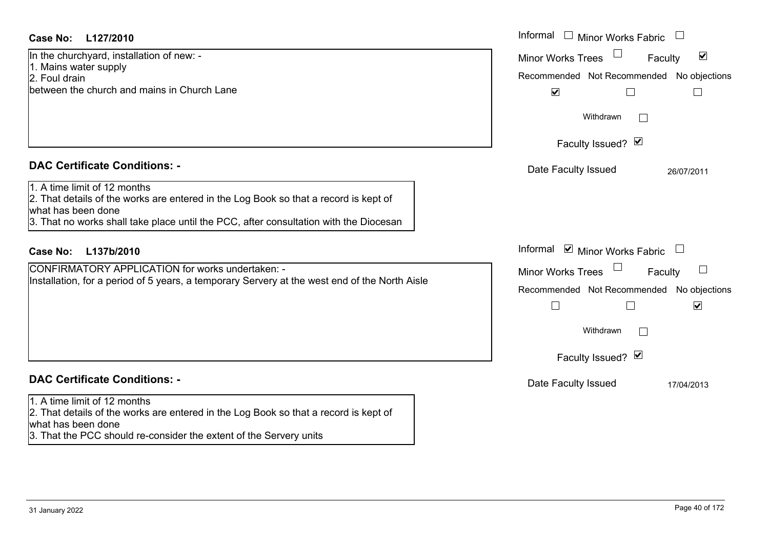## **DAC Certificate Conditions: -**

## **DAC Certificate Conditions: -**

#### 1. A time limit of 12 months

2. That details of the works are entered in the Log Book so that a record is kept of what has been done

3. That the PCC should re-consider the extent of the Servery units

| Case No:<br>L127/2010                                                                                                                                                                                                               | Informal □ Minor Works Fabric                                                                                                    |
|-------------------------------------------------------------------------------------------------------------------------------------------------------------------------------------------------------------------------------------|----------------------------------------------------------------------------------------------------------------------------------|
| In the churchyard, installation of new: -<br>1. Mains water supply<br>2. Foul drain<br>between the church and mains in Church Lane                                                                                                  | $\blacktriangledown$<br><b>Minor Works Trees</b><br>Faculty<br>Recommended Not Recommended No objections<br>$\blacktriangledown$ |
|                                                                                                                                                                                                                                     | Withdrawn                                                                                                                        |
|                                                                                                                                                                                                                                     | Faculty Issued? Ø                                                                                                                |
| <b>DAC Certificate Conditions: -</b>                                                                                                                                                                                                | Date Faculty Issued<br>26/07/2011                                                                                                |
| 1. A time limit of 12 months<br>2. That details of the works are entered in the Log Book so that a record is kept of<br>what has been done<br>3. That no works shall take place until the PCC, after consultation with the Diocesan |                                                                                                                                  |
| L137b/2010<br><b>Case No:</b>                                                                                                                                                                                                       | Informal ☑ Minor Works Fabric                                                                                                    |
| <b>CONFIRMATORY APPLICATION for works undertaken: -</b><br>Installation, for a period of 5 years, a temporary Servery at the west end of the North Aisle                                                                            | Minor Works Trees<br>$\Box$<br>Faculty<br>Recommended Not Recommended No objections<br>$\Box$<br>$\blacktriangledown$            |
|                                                                                                                                                                                                                                     | Withdrawn<br>$\Box$                                                                                                              |
|                                                                                                                                                                                                                                     | Faculty Issued? Ø                                                                                                                |
| <b>DAC Certificate Conditions: -</b>                                                                                                                                                                                                | Date Faculty Issued<br>17/04/2013                                                                                                |
| 1. A time limit of 12 months<br>2. That details of the works are entered in the Log Book so that a record is kept of                                                                                                                |                                                                                                                                  |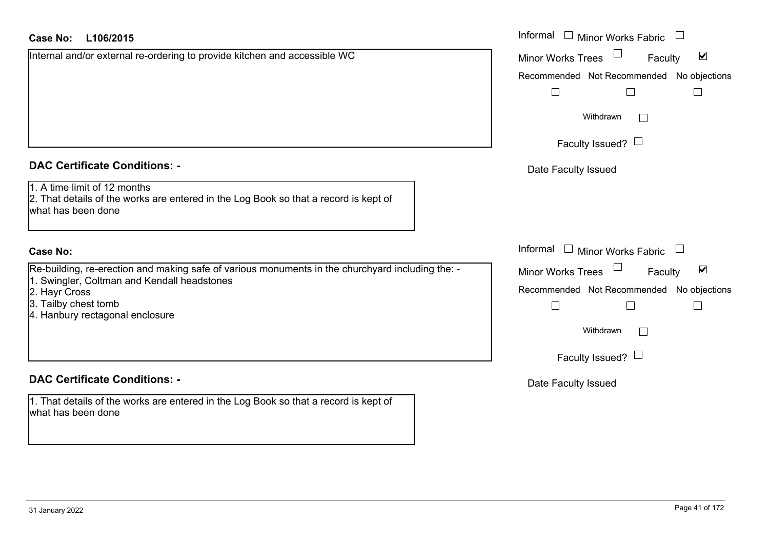| <b>Case No:</b> | L106/2015 |
|-----------------|-----------|
|-----------------|-----------|

Internal and/or external re-ordering to provide kitchen and accessible WC

## **DAC Certificate Conditions: -**

1. A time limit of 12 months

2. That details of the works are entered in the Log Book so that a record is kept of what has been done

## **Case No:**

Re-building, re-erection and making safe of various monuments in the churchyard including the: - 1. Swingler, Coltman and Kendall headstones

- 2. Hayr Cross
- 3. Tailby chest tomb
- 4. Hanbury rectagonal enclosure

## **DAC Certificate Conditions: -**

1. That details of the works are entered in the Log Book so that a record is kept of what has been done

| L106/2015                                                                                                                      | Informal<br>$\Box$ Minor Works Fabric                |  |
|--------------------------------------------------------------------------------------------------------------------------------|------------------------------------------------------|--|
| and/or external re-ordering to provide kitchen and accessible WC                                                               | Minor Works Trees<br>$\blacktriangledown$<br>Faculty |  |
|                                                                                                                                | Recommended Not Recommended No objections            |  |
|                                                                                                                                |                                                      |  |
|                                                                                                                                | Withdrawn                                            |  |
|                                                                                                                                | Faculty Issued? $\Box$                               |  |
| rtificate Conditions: -                                                                                                        | Date Faculty Issued                                  |  |
| limit of 12 months<br>etails of the works are entered in the Log Book so that a record is kept of<br>been done                 |                                                      |  |
|                                                                                                                                | Informal<br>$\Box$ Minor Works Fabric                |  |
| ng, re-erection and making safe of various monuments in the churchyard including the: -<br>ler, Coltman and Kendall headstones | Minor Works Trees<br>$\blacktriangledown$<br>Faculty |  |
| cross.                                                                                                                         | Recommended Not Recommended No objections            |  |
| chest tomb<br>ry rectagonal enclosure                                                                                          |                                                      |  |
|                                                                                                                                | Withdrawn<br>Г                                       |  |
|                                                                                                                                | Faculty Issued? $\Box$                               |  |
| rtificate Conditions: -                                                                                                        | Date Faculty Issued                                  |  |
| etails of the works are entered in the Log Book so that a record is kept of                                                    |                                                      |  |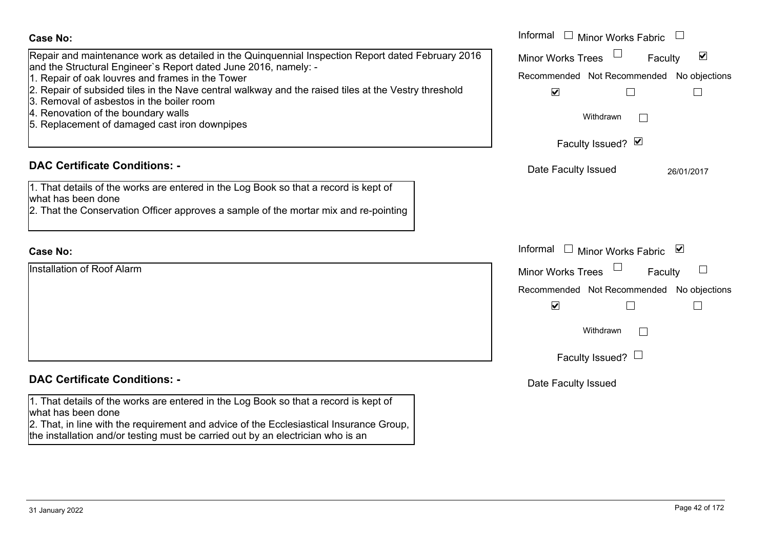| <b>Case No:</b>                                                                                                                                                                                                                           | Informal<br>$\Box$ Minor Works Fabric                                                                    |
|-------------------------------------------------------------------------------------------------------------------------------------------------------------------------------------------------------------------------------------------|----------------------------------------------------------------------------------------------------------|
| Repair and maintenance work as detailed in the Quinquennial Inspection Report dated February 2016<br>and the Structural Engineer's Report dated June 2016, namely: -<br>1. Repair of oak louvres and frames in the Tower                  | $\blacktriangledown$<br><b>Minor Works Trees</b><br>Faculty<br>Recommended Not Recommended No objections |
| 2. Repair of subsided tiles in the Nave central walkway and the raised tiles at the Vestry threshold<br>3. Removal of asbestos in the boiler room<br>4. Renovation of the boundary walls<br>5. Replacement of damaged cast iron downpipes | $\blacktriangledown$<br>$\Box$<br>$\Box$<br>Withdrawn                                                    |
|                                                                                                                                                                                                                                           | Faculty Issued? Ø                                                                                        |
| <b>DAC Certificate Conditions: -</b>                                                                                                                                                                                                      | Date Faculty Issued<br>26/01/2017                                                                        |
| 1. That details of the works are entered in the Log Book so that a record is kept of<br>what has been done<br>2. That the Conservation Officer approves a sample of the mortar mix and re-pointing                                        |                                                                                                          |
| <b>Case No:</b>                                                                                                                                                                                                                           | Informal<br>□ Minor Works Fabric $\vert \mathbf{v} \vert$                                                |
| Installation of Roof Alarm                                                                                                                                                                                                                | <b>Minor Works Trees</b><br>Faculty                                                                      |
|                                                                                                                                                                                                                                           | Recommended Not Recommended No objections                                                                |
|                                                                                                                                                                                                                                           | $\blacktriangledown$<br>$\Box$                                                                           |
|                                                                                                                                                                                                                                           | Withdrawn                                                                                                |
|                                                                                                                                                                                                                                           | Faculty Issued? $\Box$                                                                                   |
| <b>DAC Certificate Conditions: -</b>                                                                                                                                                                                                      | Date Faculty Issued                                                                                      |
| 1. That details of the works are entered in the Log Book so that a record is kept of<br>what has been done                                                                                                                                |                                                                                                          |
| 2. That, in line with the requirement and advice of the Ecclesiastical Insurance Group,<br>the installation and/or testing must be carried out by an electrician who is an                                                                |                                                                                                          |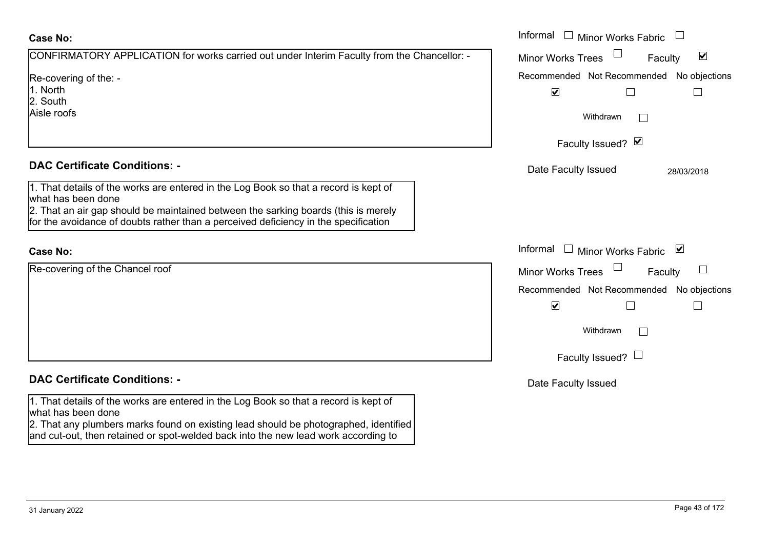| CONFIRMATORY APPLICATION for works carried out under Interim Faculty from the Chancellor: - |
|---------------------------------------------------------------------------------------------|
| Re-covering of the: -<br>1. North<br>2. South<br>Aisle roofs                                |

## **DAC Certificate Conditions: -**

1. That details of the works are entered in the Log Book so that a record is kept of what has been done

2. That an air gap should be maintained between the sarking boards (this is merely for the avoidance of doubts rather than a perceived deficiency in the specification

#### **Case No:**

Re-covering of the Chancel roof

## **DAC Certificate Conditions: -**

1. That details of the works are entered in the Log Book so that a record is kept of what has been done

2. That any plumbers marks found on existing lead should be photographed, identified and cut-out, then retained or spot-welded back into the new lead work according to

|                                                                                                                                                                                                                                                    | Informal □ Minor Works Fabric                                     |
|----------------------------------------------------------------------------------------------------------------------------------------------------------------------------------------------------------------------------------------------------|-------------------------------------------------------------------|
| MATORY APPLICATION for works carried out under Interim Faculty from the Chancellor: -                                                                                                                                                              | $\blacktriangledown$<br>Minor Works Trees<br>Faculty              |
| ing of the: -                                                                                                                                                                                                                                      | Recommended Not Recommended No objections<br>$\blacktriangledown$ |
| fs                                                                                                                                                                                                                                                 | Withdrawn                                                         |
|                                                                                                                                                                                                                                                    | Faculty Issued? Ø                                                 |
| rtificate Conditions: -                                                                                                                                                                                                                            | Date Faculty Issued<br>28/03/2018                                 |
| etails of the works are entered in the Log Book so that a record is kept of<br>been done<br>n air gap should be maintained between the sarking boards (this is merely<br>oidance of doubts rather than a perceived deficiency in the specification |                                                                   |
|                                                                                                                                                                                                                                                    | Informal<br>$\Box$ Minor Works Fabric<br>⊻                        |
| ing of the Chancel roof                                                                                                                                                                                                                            | Minor Works Trees<br>$\overline{\phantom{a}}$<br>Faculty          |
|                                                                                                                                                                                                                                                    | Recommended Not Recommended No objections<br>$\blacktriangledown$ |
|                                                                                                                                                                                                                                                    | Withdrawn                                                         |
|                                                                                                                                                                                                                                                    | Faculty Issued? $\Box$                                            |
| rtificate Conditions: -                                                                                                                                                                                                                            | Date Faculty Issued                                               |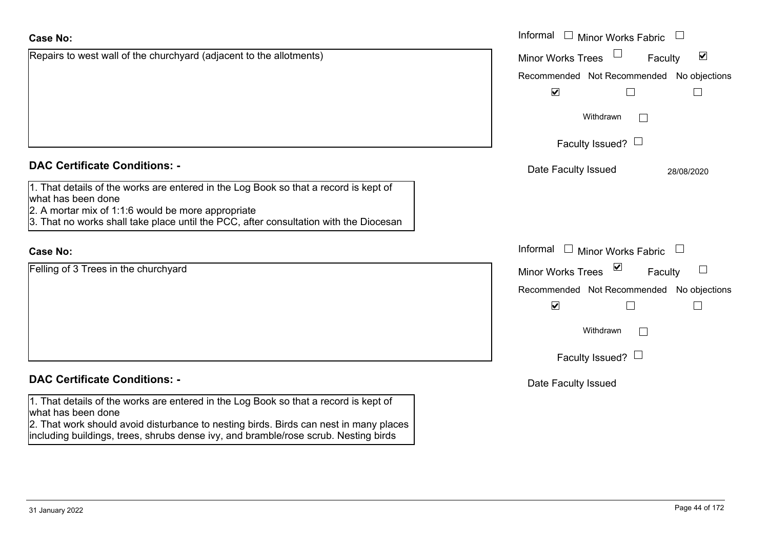what has been done

|                                                                                                                                                                                                                                                             | Faculty Issued? $\Box$                    |            |
|-------------------------------------------------------------------------------------------------------------------------------------------------------------------------------------------------------------------------------------------------------------|-------------------------------------------|------------|
| <b>DAC Certificate Conditions: -</b>                                                                                                                                                                                                                        | Date Faculty Issued                       | 28/08/2020 |
| 1. That details of the works are entered in the Log Book so that a record is kept of<br>what has been done<br>$2.$ A mortar mix of 1:1:6 would be more appropriate<br>3. That no works shall take place until the PCC, after consultation with the Diocesan |                                           |            |
| <b>Case No:</b>                                                                                                                                                                                                                                             | Informal<br>$\Box$ Minor Works Fabric     |            |
| Felling of 3 Trees in the churchyard                                                                                                                                                                                                                        | Minor Works Trees ⊠                       | Faculty    |
|                                                                                                                                                                                                                                                             | Recommended Not Recommended No objections |            |
|                                                                                                                                                                                                                                                             | $\blacktriangledown$                      |            |
|                                                                                                                                                                                                                                                             | Withdrawn                                 |            |
|                                                                                                                                                                                                                                                             | Faculty Issued? $\Box$                    |            |
| <b>DAC Certificate Conditions: -</b>                                                                                                                                                                                                                        | Date Faculty Issued                       |            |
| 1. That details of the works are entered in the Log Book so that a record is kept of                                                                                                                                                                        |                                           |            |

Repairs to west wall of the churchyard (adjacent to the allotments)

2. That work should avoid disturbance to nesting birds. Birds can nest in many places including buildings, trees, shrubs dense ivy, and bramble/rose scrub. Nesting birds

 $\blacktriangledown$ 

 $\Box$ 

Recommended Not Recommended No objections

 $\Box$ 

 $\Box$ 

Withdrawn

Informal  $\Box$  Minor Works Fabric  $\Box$ 

Minor Works Trees

 $\blacktriangledown$ 

Faculty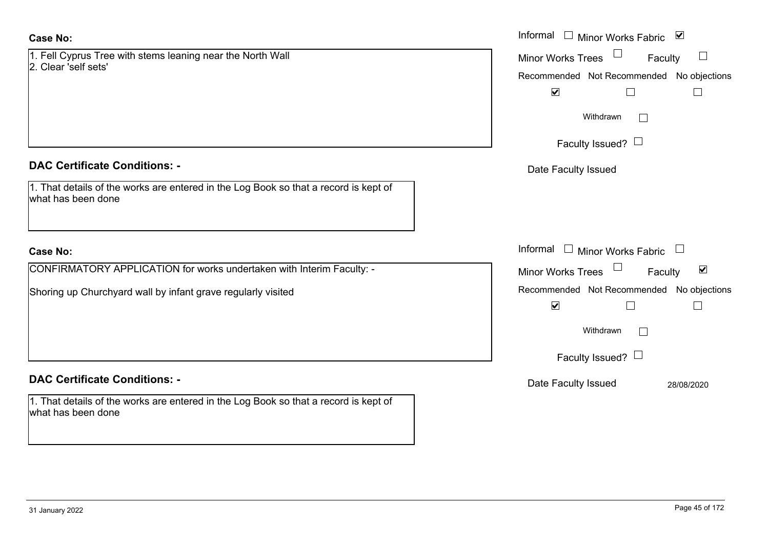1. Fell Cyprus Tree with stems leaning near the North Wall 2. Clear 'self sets'

#### **DAC Certificate Conditions: -**

1. That details of the works are entered in the Log Book so that a record is kept of what has been done

## **Case No:**

CONFIRMATORY APPLICATION for works undertaken with Interim Faculty: -

Shoring up Churchyard wall by infant grave regularly visited

### **DAC Certificate Conditions: -**

1. That details of the works are entered in the Log Book so that a record is kept of what has been done

|                                                                                          | Informal □ Minor Works Fabric ☑                             |
|------------------------------------------------------------------------------------------|-------------------------------------------------------------|
| prus Tree with stems leaning near the North Wall<br>self sets'                           | Minor Works Trees<br>Faculty<br>$\Box$                      |
|                                                                                          | Recommended Not Recommended No objections                   |
|                                                                                          | $\blacktriangledown$<br>$\Box$                              |
|                                                                                          | Withdrawn                                                   |
|                                                                                          | Faculty Issued? $\Box$                                      |
| rtificate Conditions: -                                                                  | Date Faculty Issued                                         |
| etails of the works are entered in the Log Book so that a record is kept of<br>been done |                                                             |
|                                                                                          |                                                             |
|                                                                                          | Informal $\Box$ Minor Works Fabric $\Box$                   |
| MATORY APPLICATION for works undertaken with Interim Faculty: -                          | $\blacktriangledown$<br><b>Minor Works Trees</b><br>Faculty |
| up Churchyard wall by infant grave regularly visited                                     | Recommended Not Recommended No objections                   |
|                                                                                          | $\blacktriangledown$                                        |
|                                                                                          | Withdrawn                                                   |
|                                                                                          | Faculty Issued? $\Box$                                      |
| rtificate Conditions: -                                                                  | Date Faculty Issued<br>28/08/2020                           |
| etails of the works are entered in the Log Book so that a record is kept of              |                                                             |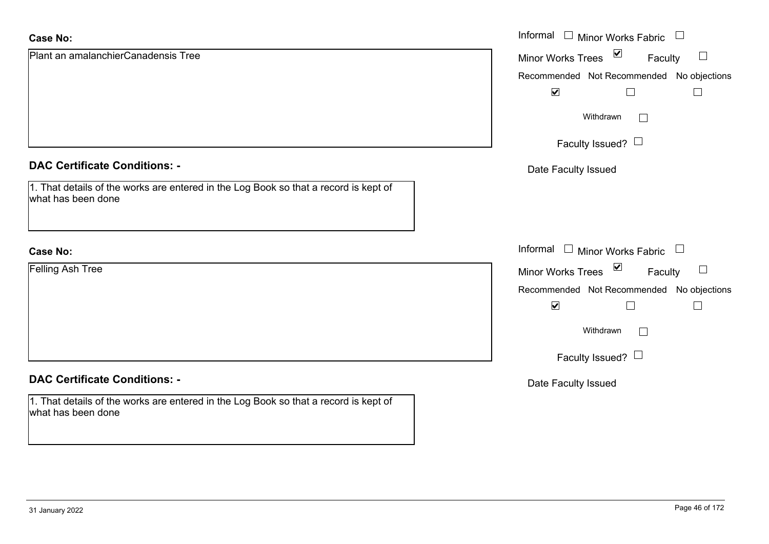| <b>Case No:</b>                                                                                            | Informal $\Box$ Minor Works Fabric $\Box$               |
|------------------------------------------------------------------------------------------------------------|---------------------------------------------------------|
| Plant an amalanchierCanadensis Tree                                                                        | $\sum$<br>$\Box$<br><b>Minor Works Trees</b><br>Faculty |
|                                                                                                            | Recommended Not Recommended No objections               |
|                                                                                                            | $\blacktriangledown$                                    |
|                                                                                                            | Withdrawn                                               |
|                                                                                                            | Faculty Issued? $\Box$                                  |
| <b>DAC Certificate Conditions: -</b>                                                                       | Date Faculty Issued                                     |
| 1. That details of the works are entered in the Log Book so that a record is kept of<br>what has been done |                                                         |
| <b>Case No:</b>                                                                                            | Informal<br>$\Box$ Minor Works Fabric $\Box$            |
| Felling Ash Tree                                                                                           | $\vee$<br>$\Box$<br>Minor Works Trees<br>Faculty        |
|                                                                                                            | Recommended Not Recommended No objections               |
|                                                                                                            | $\blacktriangledown$                                    |
|                                                                                                            | Withdrawn<br>$\mathbf{L}$                               |
|                                                                                                            | Faculty Issued? $\Box$                                  |
| <b>DAC Certificate Conditions: -</b>                                                                       | Date Faculty Issued                                     |
| 1. That details of the works are entered in the Log Book so that a record is kept of<br>what has been done |                                                         |

 $\sim$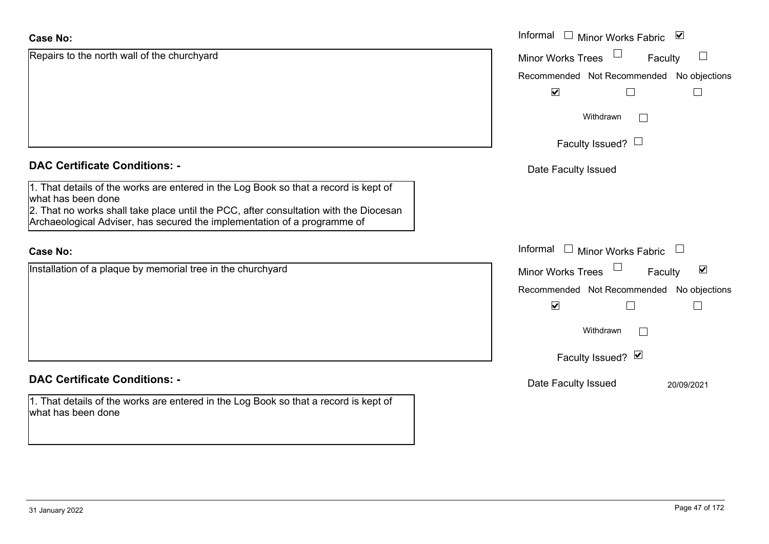| <b>Case No:</b>                                                                                                                                                   | Informal $\square$<br><b>Minor Works Fabric</b> | $\blacktriangledown$                  |
|-------------------------------------------------------------------------------------------------------------------------------------------------------------------|-------------------------------------------------|---------------------------------------|
| Repairs to the north wall of the churchyard                                                                                                                       | Minor Works Trees                               | Faculty                               |
|                                                                                                                                                                   | Recommended Not Recommended No objections       |                                       |
|                                                                                                                                                                   | $\blacktriangledown$                            | $\sqcup$                              |
|                                                                                                                                                                   | Withdrawn<br>$\Box$                             |                                       |
|                                                                                                                                                                   | Faculty Issued? $\Box$                          |                                       |
| <b>DAC Certificate Conditions: -</b>                                                                                                                              | Date Faculty Issued                             |                                       |
| 1. That details of the works are entered in the Log Book so that a record is kept of<br>what has been done                                                        |                                                 |                                       |
| 2. That no works shall take place until the PCC, after consultation with the Diocesan<br>Archaeological Adviser, has secured the implementation of a programme of |                                                 |                                       |
| <b>Case No:</b>                                                                                                                                                   | Informal □ Minor Works Fabric                   | $\begin{array}{c} \hline \end{array}$ |
| Installation of a plaque by memorial tree in the churchyard                                                                                                       | Minor Works Trees                               | $\blacktriangledown$<br>Faculty       |
|                                                                                                                                                                   | Recommended Not Recommended No objections       |                                       |
|                                                                                                                                                                   | $\blacktriangledown$                            |                                       |
|                                                                                                                                                                   | Withdrawn<br>$\perp$                            |                                       |
|                                                                                                                                                                   | Faculty Issued? Ø                               |                                       |
| <b>DAC Certificate Conditions: -</b>                                                                                                                              | Date Faculty Issued                             | 20/09/2021                            |
| 1. That details of the works are entered in the Log Book so that a record is kept of<br>what has been done                                                        |                                                 |                                       |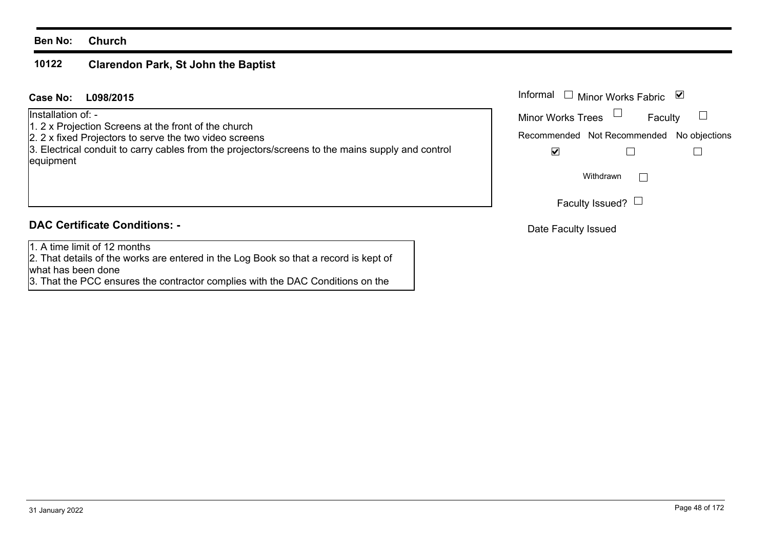#### **10122Clarendon Park, St John the Baptist**

**L098/2015Case No:** Informal

Installation of: -

- 1. 2 x Projection Screens at the front of the church
- 2. 2 x fixed Projectors to serve the two video screens

3. Electrical conduit to carry cables from the projectors/screens to the mains supply and control equipment

## **DAC Certificate Conditions: -**

1. A time limit of 12 months

2. That details of the works are entered in the Log Book so that a record is kept of what has been done

3. That the PCC ensures the contractor complies with the DAC Conditions on the

| Informal                 | $\Box$ Minor Works Fabric                 | ⋁       |
|--------------------------|-------------------------------------------|---------|
| <b>Minor Works Trees</b> |                                           | Faculty |
|                          | Recommended Not Recommended No objections |         |
|                          |                                           |         |
|                          | Withdrawn                                 |         |
|                          | Faculty Issued?                           |         |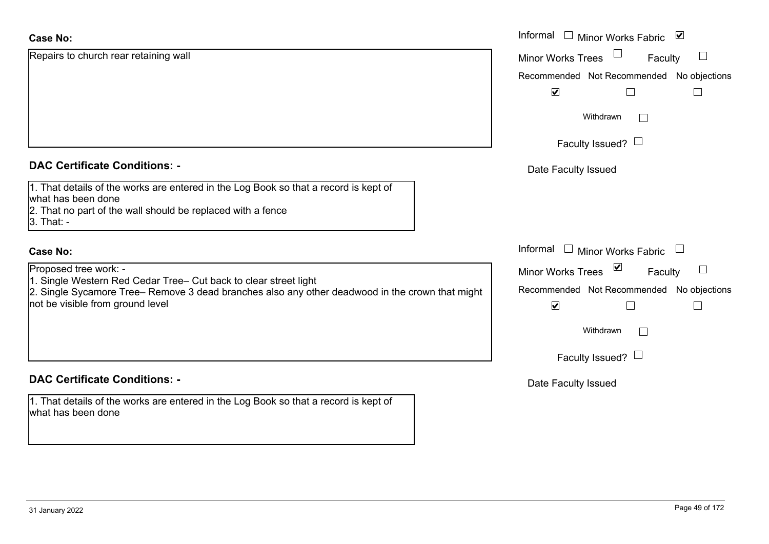| <b>Case No:</b>                                                                                                                                                                                                                  | Informal □ Minor Works Fabric<br>$\overline{\mathbf{v}}$                                                                             |
|----------------------------------------------------------------------------------------------------------------------------------------------------------------------------------------------------------------------------------|--------------------------------------------------------------------------------------------------------------------------------------|
| Repairs to church rear retaining wall                                                                                                                                                                                            | <b>Minor Works Trees</b><br>Faculty                                                                                                  |
|                                                                                                                                                                                                                                  | Recommended Not Recommended No objections                                                                                            |
|                                                                                                                                                                                                                                  | $\blacktriangledown$                                                                                                                 |
|                                                                                                                                                                                                                                  | Withdrawn<br>$\sim$                                                                                                                  |
|                                                                                                                                                                                                                                  | Faculty Issued? $\Box$                                                                                                               |
| <b>DAC Certificate Conditions: -</b>                                                                                                                                                                                             | Date Faculty Issued                                                                                                                  |
| 1. That details of the works are entered in the Log Book so that a record is kept of<br>what has been done<br>2. That no part of the wall should be replaced with a fence<br>3. That: -                                          |                                                                                                                                      |
| <b>Case No:</b>                                                                                                                                                                                                                  | Informal □ Minor Works Fabric                                                                                                        |
| Proposed tree work: -<br>1. Single Western Red Cedar Tree- Cut back to clear street light<br>2. Single Sycamore Tree– Remove 3 dead branches also any other deadwood in the crown that might<br>not be visible from ground level | $\blacktriangledown$<br>Minor Works Trees<br>$\perp$<br>Faculty<br>Recommended Not Recommended No objections<br>$\blacktriangledown$ |
|                                                                                                                                                                                                                                  | Withdrawn<br>$\Box$                                                                                                                  |
|                                                                                                                                                                                                                                  | Faculty Issued? $\Box$                                                                                                               |
| <b>DAC Certificate Conditions: -</b>                                                                                                                                                                                             | Date Faculty Issued                                                                                                                  |
| 1. That details of the works are entered in the Log Book so that a record is kept of<br>what has been done                                                                                                                       |                                                                                                                                      |
|                                                                                                                                                                                                                                  |                                                                                                                                      |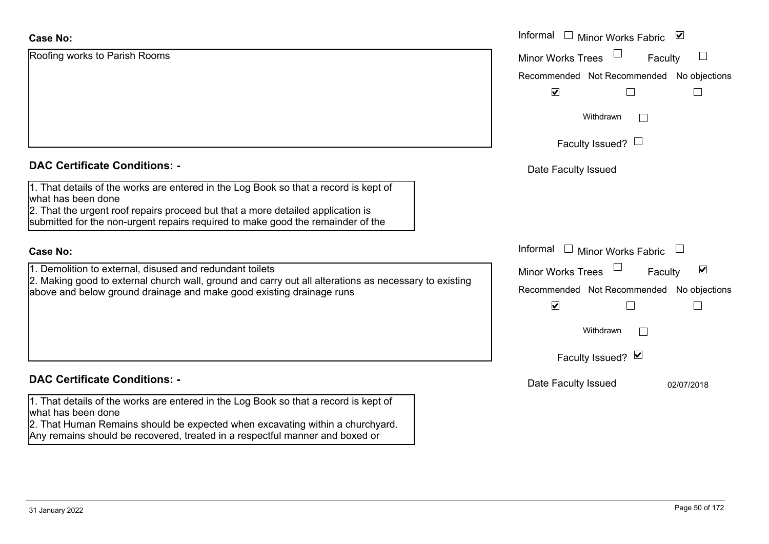| <b>Case No:</b>                                                                                                                                                                                                                                                                  | Informal $\Box$ Minor Works Fabric $\Box$                   |
|----------------------------------------------------------------------------------------------------------------------------------------------------------------------------------------------------------------------------------------------------------------------------------|-------------------------------------------------------------|
| Roofing works to Parish Rooms                                                                                                                                                                                                                                                    | <b>Minor Works Trees</b><br>Faculty                         |
|                                                                                                                                                                                                                                                                                  | Recommended Not Recommended No objections                   |
|                                                                                                                                                                                                                                                                                  | $\blacktriangledown$<br>$\Box$                              |
|                                                                                                                                                                                                                                                                                  | Withdrawn                                                   |
|                                                                                                                                                                                                                                                                                  | Faculty Issued? $\Box$                                      |
| <b>DAC Certificate Conditions: -</b>                                                                                                                                                                                                                                             | Date Faculty Issued                                         |
| 1. That details of the works are entered in the Log Book so that a record is kept of<br>what has been done<br>2. That the urgent roof repairs proceed but that a more detailed application is<br>submitted for the non-urgent repairs required to make good the remainder of the |                                                             |
| <b>Case No:</b>                                                                                                                                                                                                                                                                  | Informal $\Box$ Minor Works Fabric $\Box$                   |
| 1. Demolition to external, disused and redundant toilets                                                                                                                                                                                                                         | $\blacktriangledown$<br><b>Minor Works Trees</b><br>Faculty |
| 2. Making good to external church wall, ground and carry out all alterations as necessary to existing<br>above and below ground drainage and make good existing drainage runs                                                                                                    | Recommended Not Recommended No objections                   |
|                                                                                                                                                                                                                                                                                  | $\blacktriangledown$<br>$\Box$                              |
|                                                                                                                                                                                                                                                                                  | Withdrawn                                                   |
|                                                                                                                                                                                                                                                                                  | Faculty Issued? Ø                                           |
| <b>DAC Certificate Conditions: -</b>                                                                                                                                                                                                                                             | Date Faculty Issued<br>02/07/2018                           |
| 1. That details of the works are entered in the Log Book so that a record is kept of<br>what has been done<br>2. That Human Remains should be expected when excavating within a churchyard.                                                                                      |                                                             |

Any remains should be recovered, treated in a respectful manner and boxed or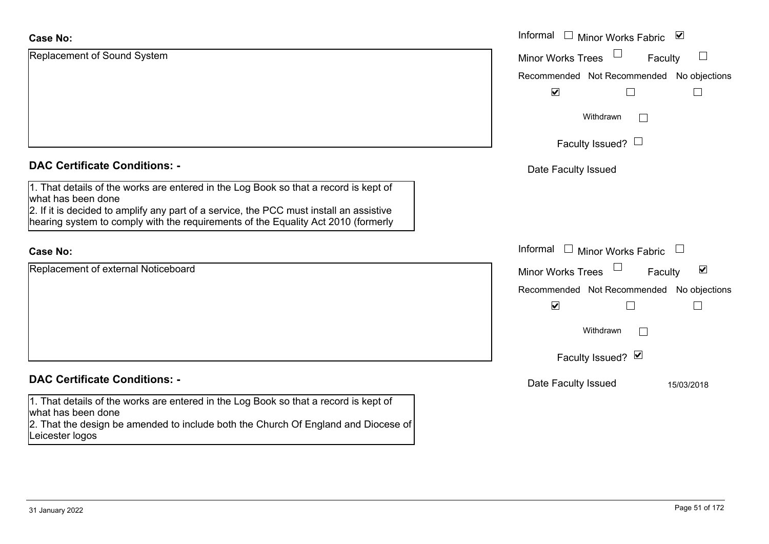| <b>Case No:</b>                                                                                                                                                              | Informal<br>⊻<br>Minor Works Fabric                               |
|------------------------------------------------------------------------------------------------------------------------------------------------------------------------------|-------------------------------------------------------------------|
| Replacement of Sound System                                                                                                                                                  | <b>Minor Works Trees</b><br>ப<br>Faculty                          |
|                                                                                                                                                                              | Recommended Not Recommended No objections                         |
|                                                                                                                                                                              | $\blacktriangledown$                                              |
|                                                                                                                                                                              | Withdrawn<br>$\perp$                                              |
|                                                                                                                                                                              | Faculty Issued? $\Box$                                            |
| <b>DAC Certificate Conditions: -</b>                                                                                                                                         | Date Faculty Issued                                               |
| 1. That details of the works are entered in the Log Book so that a record is kept of<br>what has been done                                                                   |                                                                   |
| 2. If it is decided to amplify any part of a service, the PCC must install an assistive<br>hearing system to comply with the requirements of the Equality Act 2010 (formerly |                                                                   |
| <b>Case No:</b>                                                                                                                                                              | Informal<br>$\mathbb{R}^n$<br><b>Minor Works Fabric</b><br>$\Box$ |
| Replacement of external Noticeboard                                                                                                                                          | $\blacktriangledown$<br><b>Minor Works Trees</b><br>Faculty       |
|                                                                                                                                                                              | Recommended Not Recommended No objections                         |
|                                                                                                                                                                              | $\blacktriangledown$                                              |
|                                                                                                                                                                              | Withdrawn<br>$\Box$                                               |
|                                                                                                                                                                              | Faculty Issued? Ø                                                 |
| <b>DAC Certificate Conditions: -</b>                                                                                                                                         | Date Faculty Issued<br>15/03/2018                                 |
| 1. That details of the works are entered in the Log Book so that a record is kept of                                                                                         |                                                                   |
| what has been done<br>2. That the design be amended to include both the Church Of England and Diocese of                                                                     |                                                                   |
| Leicester logos                                                                                                                                                              |                                                                   |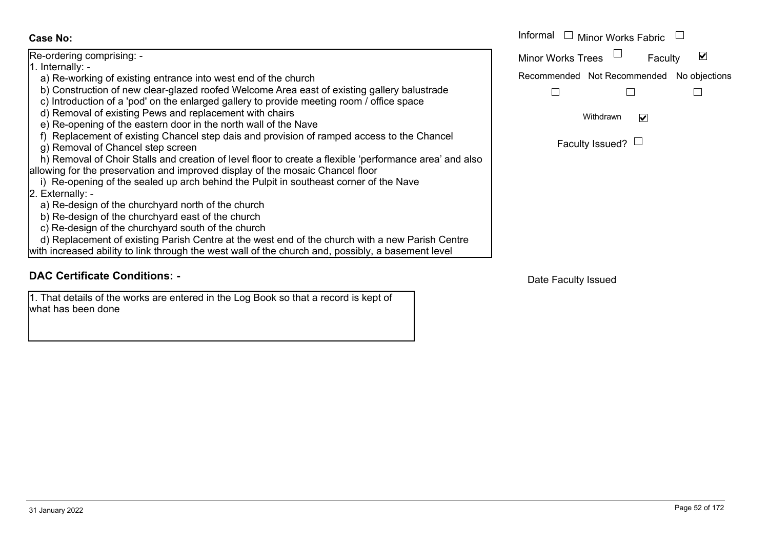Re-ordering comprising: - 1. Internally: a) Re-working of existing entrance into west end of the church b) Construction of new clear-glazed roofed Welcome Area east of existing gallery balustrade c) Introduction of a 'pod' on the enlarged gallery to provide meeting room / office space d) Removal of existing Pews and replacement with chairs e) Re-opening of the eastern door in the north wall of the Nave f) Replacement of existing Chancel step dais and provision of ramped access to the Chancel g) Removal of Chancel step screen h) Removal of Choir Stalls and creation of level floor to create a flexible 'performance area' and allowing for the preservation and improved display of the mosaic Chancel floor i) Re-opening of the sealed up arch behind the Pulpit in southeast corner of the Nave 2. Externally: a) Re-design of the churchyard north of the church b) Re-design of the churchyard east of the church c) Re-design of the churchyard south of the church d) Replacement of existing Parish Centre at the west end of the church with a new Parish Centre with increased ability to link through the west wall of the church and, possibly, a basement level

## **DAC Certificate Conditions: -**

1. That details of the works are entered in the Log Book so that a record is kept of what has been done

|                                                                                                    | Informal<br>Minor Works Fabric               |
|----------------------------------------------------------------------------------------------------|----------------------------------------------|
|                                                                                                    |                                              |
| ing comprising: -                                                                                  | M<br><b>Minor Works Trees</b><br>Faculty     |
| ally: -                                                                                            |                                              |
| working of existing entrance into west end of the church                                           | Recommended Not Recommended<br>No objections |
| istruction of new clear-glazed roofed Welcome Area east of existing gallery balustrade             |                                              |
| oduction of a 'pod' on the enlarged gallery to provide meeting room / office space                 |                                              |
| noval of existing Pews and replacement with chairs                                                 | Withdrawn<br>$\blacktriangledown$            |
| opening of the eastern door in the north wall of the Nave                                          |                                              |
| lacement of existing Chancel step dais and provision of ramped access to the Chancel               | Faculty Issued? $\Box$                       |
| noval of Chancel step screen                                                                       |                                              |
| noval of Choir Stalls and creation of level floor to create a flexible 'performance area' and also |                                              |
| for the preservation and improved display of the mosaic Chancel floor                              |                                              |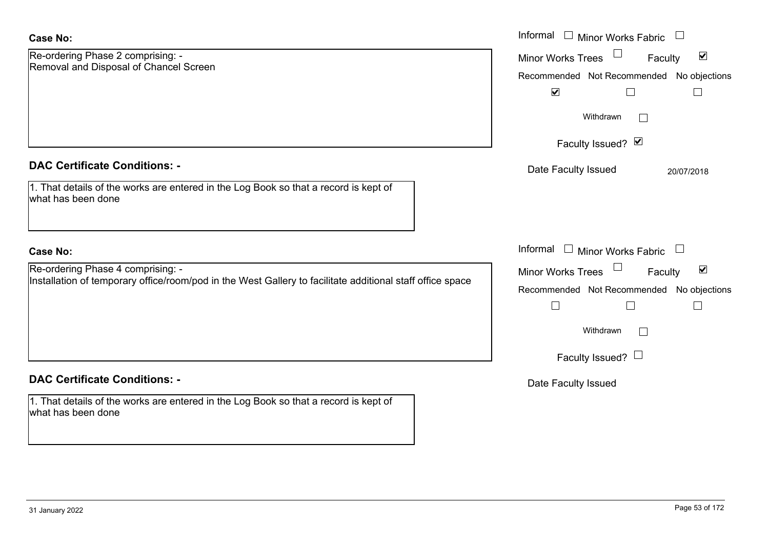| <b>Case No:</b>                                                                                                                                | Informal<br>Minor Works Fabric<br>$\Box$                                                                  |
|------------------------------------------------------------------------------------------------------------------------------------------------|-----------------------------------------------------------------------------------------------------------|
| Re-ordering Phase 2 comprising: -<br>Removal and Disposal of Chancel Screen                                                                    | $\blacktriangledown$<br><b>Minor Works Trees</b><br>Faculty<br>Recommended Not Recommended No objections  |
|                                                                                                                                                | $\blacktriangledown$<br>$\Box$                                                                            |
|                                                                                                                                                | Withdrawn                                                                                                 |
|                                                                                                                                                | Faculty Issued? Ø                                                                                         |
| <b>DAC Certificate Conditions: -</b>                                                                                                           | Date Faculty Issued<br>20/07/2018                                                                         |
| 1. That details of the works are entered in the Log Book so that a record is kept of<br>what has been done                                     |                                                                                                           |
| <b>Case No:</b>                                                                                                                                | Informal<br><b>Minor Works Fabric</b>                                                                     |
| Re-ordering Phase 4 comprising: -<br>Installation of temporary office/room/pod in the West Gallery to facilitate additional staff office space | $\blacktriangledown$<br>Minor Works Trees<br>Faculty<br>Recommended Not Recommended<br>No objections<br>L |
|                                                                                                                                                | Withdrawn<br>$\Box$                                                                                       |
|                                                                                                                                                | Faculty Issued? $\Box$                                                                                    |
| <b>DAC Certificate Conditions: -</b>                                                                                                           | Date Faculty Issued                                                                                       |
| 1. That details of the works are entered in the Log Book so that a record is kept of<br>what has been done                                     |                                                                                                           |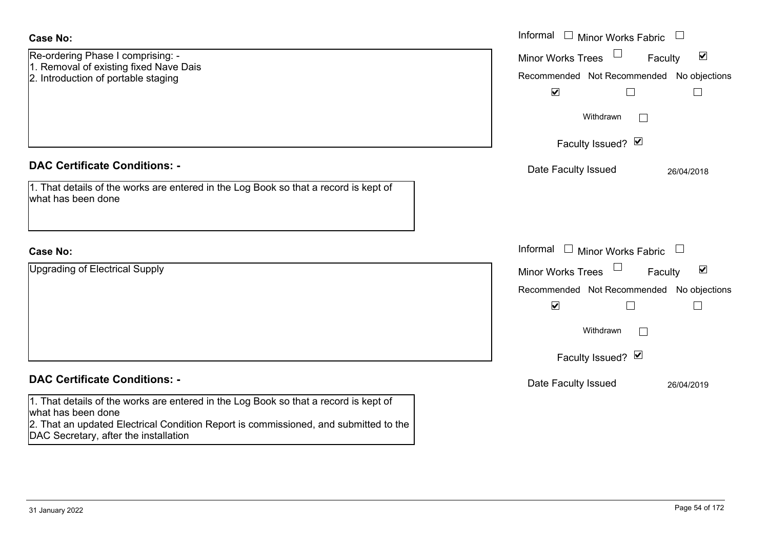| <b>Case No:</b>                                                                                                                                                                                                                             | Informal $\Box$ Minor Works Fabric $\Box$                                                                                                                                             |
|---------------------------------------------------------------------------------------------------------------------------------------------------------------------------------------------------------------------------------------------|---------------------------------------------------------------------------------------------------------------------------------------------------------------------------------------|
| Re-ordering Phase I comprising: -<br>1. Removal of existing fixed Nave Dais<br>2. Introduction of portable staging                                                                                                                          | $\blacktriangledown$<br><b>Minor Works Trees</b><br>Faculty<br>Recommended Not Recommended No objections<br>$\blacktriangledown$<br>$\Box$<br>$\Box$                                  |
|                                                                                                                                                                                                                                             | Withdrawn                                                                                                                                                                             |
|                                                                                                                                                                                                                                             | Faculty Issued? Ø                                                                                                                                                                     |
| <b>DAC Certificate Conditions: -</b><br>1. That details of the works are entered in the Log Book so that a record is kept of<br>what has been done                                                                                          | Date Faculty Issued<br>26/04/2018                                                                                                                                                     |
| <b>Case No:</b>                                                                                                                                                                                                                             | Informal<br>$\Box$ Minor Works Fabric                                                                                                                                                 |
| Upgrading of Electrical Supply                                                                                                                                                                                                              | $\blacktriangledown$<br>Minor Works Trees<br>Faculty<br>Recommended Not Recommended No objections<br>$\blacktriangledown$<br>$\Box$<br>$\mathbf{L}$<br>Withdrawn<br>Faculty Issued? Ø |
| <b>DAC Certificate Conditions: -</b>                                                                                                                                                                                                        | Date Faculty Issued<br>26/04/2019                                                                                                                                                     |
| 1. That details of the works are entered in the Log Book so that a record is kept of<br>what has been done<br>2. That an updated Electrical Condition Report is commissioned, and submitted to the<br>DAC Secretary, after the installation |                                                                                                                                                                                       |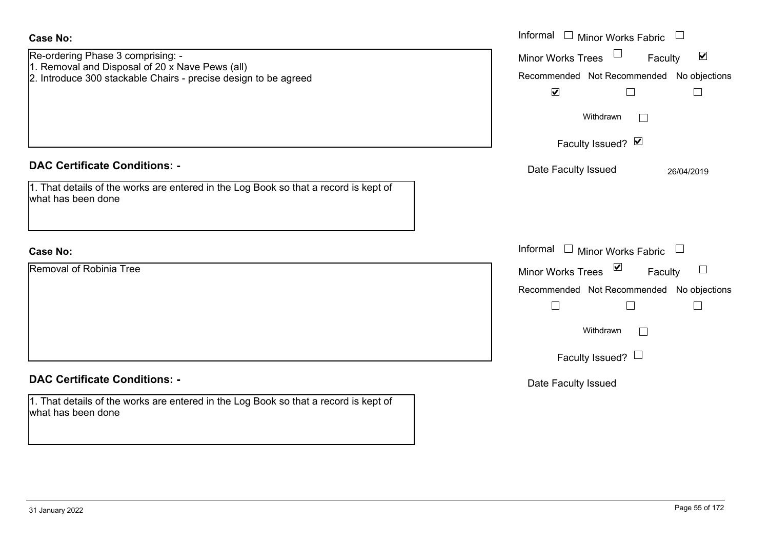| <b>Case No:</b>                                                                                                                                         | Informal<br>$\Box$ Minor Works Fabric $\Box$                                                                                                                         |
|---------------------------------------------------------------------------------------------------------------------------------------------------------|----------------------------------------------------------------------------------------------------------------------------------------------------------------------|
| Re-ordering Phase 3 comprising: -<br>1. Removal and Disposal of 20 x Nave Pews (all)<br>2. Introduce 300 stackable Chairs - precise design to be agreed | Minor Works Trees<br>$\blacktriangledown$<br>Faculty<br>Recommended Not Recommended No objections<br>$\blacktriangledown$<br>$\Box$<br>$\Box$<br>Withdrawn<br>$\Box$ |
|                                                                                                                                                         | Faculty Issued? Ø                                                                                                                                                    |
| <b>DAC Certificate Conditions: -</b><br>1. That details of the works are entered in the Log Book so that a record is kept of<br>what has been done      | Date Faculty Issued<br>26/04/2019                                                                                                                                    |
| <b>Case No:</b>                                                                                                                                         | Informal<br>$\Box$ Minor Works Fabric $\Box$                                                                                                                         |
| Removal of Robinia Tree                                                                                                                                 | Minor Works Trees <b>■</b><br>Faculty                                                                                                                                |
|                                                                                                                                                         | Recommended Not Recommended No objections                                                                                                                            |
|                                                                                                                                                         | $\Box$<br>Withdrawn<br>$\Box$<br>Faculty Issued? $\Box$                                                                                                              |
| <b>DAC Certificate Conditions: -</b>                                                                                                                    | Date Faculty Issued                                                                                                                                                  |
| 1. That details of the works are entered in the Log Book so that a record is kept of<br>what has been done                                              |                                                                                                                                                                      |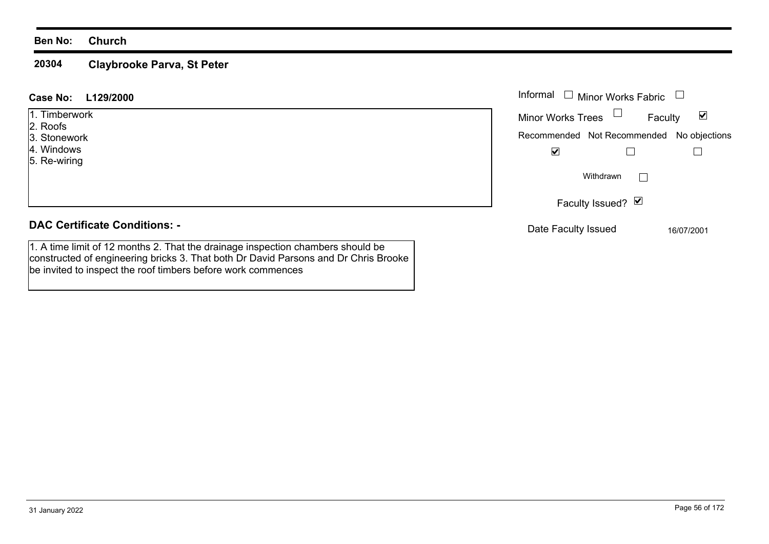#### **20304Claybrooke Parva, St Peter**

be invited to inspect the roof timbers before work commences

#### Informal  $\Box$  Minor Works Fabric  $\Box$ **L129/2000Case No:** Informal 1. Timberwork $\blacktriangledown$ Faculty Minor Works Trees 2. Roofs 3. StoneworkRecommended Not Recommended No objections 4. Windows $\overline{\mathbf{v}}$  $\Box$  $\Box$ 5. Re-wiring  $\Box$ WithdrawnFaculty Issued? Ø **DAC Certificate Conditions: -**Date Faculty Issued 16/07/2001 1. A time limit of 12 months 2. That the drainage inspection chambers should be constructed of engineering bricks 3. That both Dr David Parsons and Dr Chris Brooke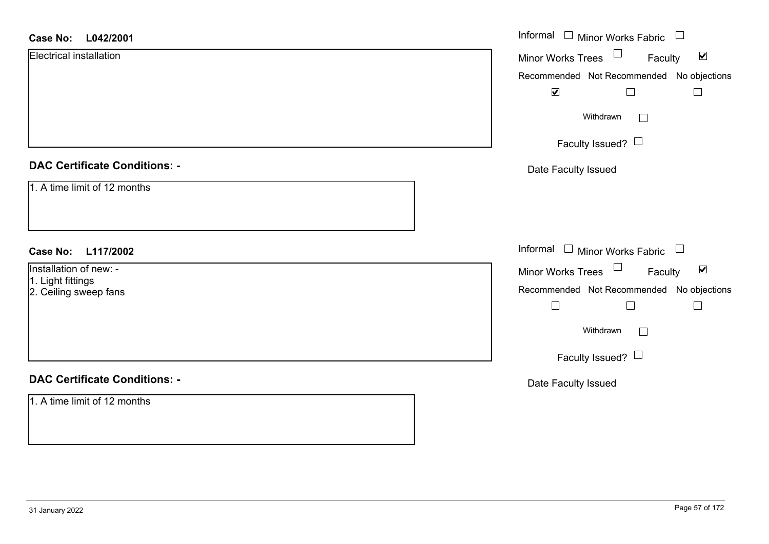| <b>Case No:</b><br>L042/2001               | Informal $\Box$ Minor Works Fabric $\Box$                             |
|--------------------------------------------|-----------------------------------------------------------------------|
| Electrical installation                    | $\Box$<br>$\blacktriangledown$<br><b>Minor Works Trees</b><br>Faculty |
|                                            | Recommended Not Recommended No objections                             |
|                                            | $\blacktriangledown$<br>$\Box$<br>$\Box$                              |
|                                            | Withdrawn                                                             |
|                                            | Faculty Issued? $\Box$                                                |
| <b>DAC Certificate Conditions: -</b>       | Date Faculty Issued                                                   |
| 1. A time limit of 12 months               |                                                                       |
| <b>Case No:</b><br>L117/2002               | Informal $\Box$ Minor Works Fabric $\Box$                             |
| Installation of new: -                     | Minor Works Trees<br>$\blacktriangledown$<br>Faculty                  |
| 1. Light fittings<br>2. Ceiling sweep fans | Recommended Not Recommended No objections                             |
|                                            | $\Box$<br>$\Box$<br>$\Box$                                            |
|                                            | Withdrawn                                                             |
|                                            | Faculty Issued? $\Box$                                                |
| <b>DAC Certificate Conditions: -</b>       | Date Faculty Issued                                                   |
| 1. A time limit of 12 months               |                                                                       |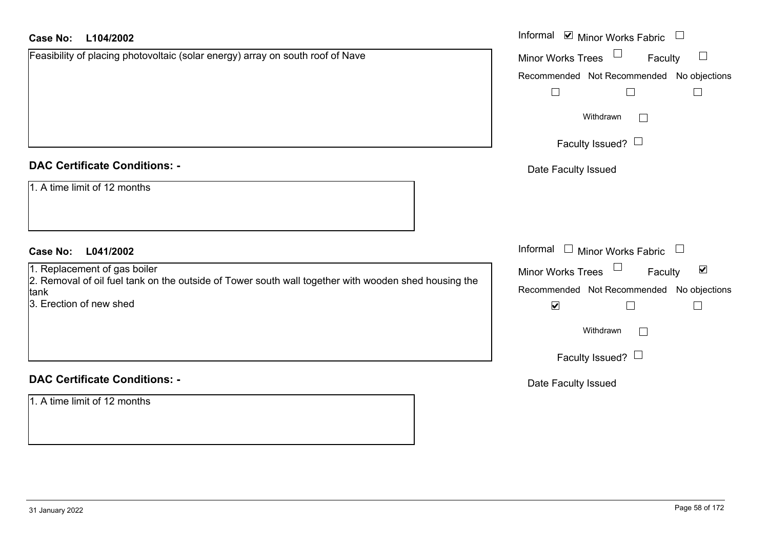| Case No:<br>L104/2002                                                                                        | Informal <b>☑</b> Minor Works Fabric                 |
|--------------------------------------------------------------------------------------------------------------|------------------------------------------------------|
| Feasibility of placing photovoltaic (solar energy) array on south roof of Nave                               | Minor Works Trees<br>Faculty<br>⊔                    |
|                                                                                                              | Recommended Not Recommended No objections            |
|                                                                                                              | $\Box$<br>$\Box$<br>$\Box$                           |
|                                                                                                              | Withdrawn<br>$\Box$                                  |
|                                                                                                              | Faculty Issued? $\Box$                               |
| <b>DAC Certificate Conditions: -</b>                                                                         | Date Faculty Issued                                  |
| 1. A time limit of 12 months                                                                                 |                                                      |
| <b>Case No:</b><br>L041/2002                                                                                 | Informal<br>$\Box$ Minor Works Fabric                |
| 1. Replacement of gas boiler                                                                                 | Minor Works Trees<br>$\blacktriangledown$<br>Faculty |
| 2. Removal of oil fuel tank on the outside of Tower south wall together with wooden shed housing the<br>tank | Recommended Not Recommended No objections            |
| 3. Erection of new shed                                                                                      | $\blacktriangledown$<br>$\Box$<br>$\Box$             |
|                                                                                                              | Withdrawn                                            |
|                                                                                                              | Faculty Issued? $\Box$                               |
| <b>DAC Certificate Conditions: -</b>                                                                         | Date Faculty Issued                                  |
| 1. A time limit of 12 months                                                                                 |                                                      |
|                                                                                                              |                                                      |
|                                                                                                              |                                                      |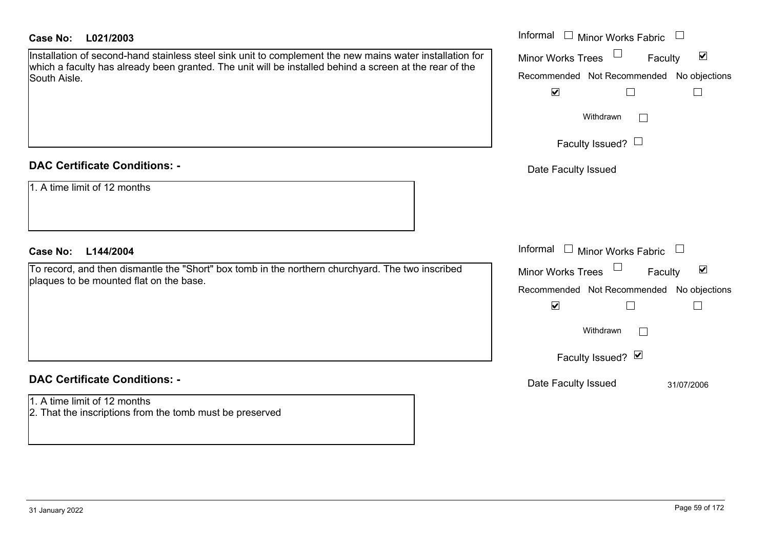## **L021/2003Case No:** Informal

Installation of second-hand stainless steel sink unit to complement the new mains water installation which a faculty has already been granted. The unit will be installed behind a screen at the rear of the South Aisle.

### **DAC Certificate Conditions: -**

| 1. A time limit of 12 months |
|------------------------------|
|------------------------------|

### **L144/2004Case No:** Informal

To record, and then dismantle the "Short" box tomb in the northern churchyard. The two inscribed plaques to be mounted flat on the base.

## **DAC Certificate Conditions: -**

1. A time limit of 12 months2. That the inscriptions from the tomb must be preserved

| for<br>e | Informal<br><b>Minor Works Fabric</b><br>⊻<br><b>Minor Works Trees</b><br>Faculty<br>Recommended Not Recommended No objections<br>$\blacktriangledown$<br>Withdrawn<br>Faculty Issued? $\Box$ |
|----------|-----------------------------------------------------------------------------------------------------------------------------------------------------------------------------------------------|
|          | Date Faculty Issued<br>Informal<br><b>Minor Works Fabric</b>                                                                                                                                  |
|          | ⊻<br><b>Minor Works Trees</b><br>Faculty                                                                                                                                                      |
|          | Recommended Not Recommended No objections<br>$\blacktriangledown$<br>Withdrawn                                                                                                                |
|          | Faculty Issued? Ø                                                                                                                                                                             |
|          | Date Faculty Issued<br>31/07/2006                                                                                                                                                             |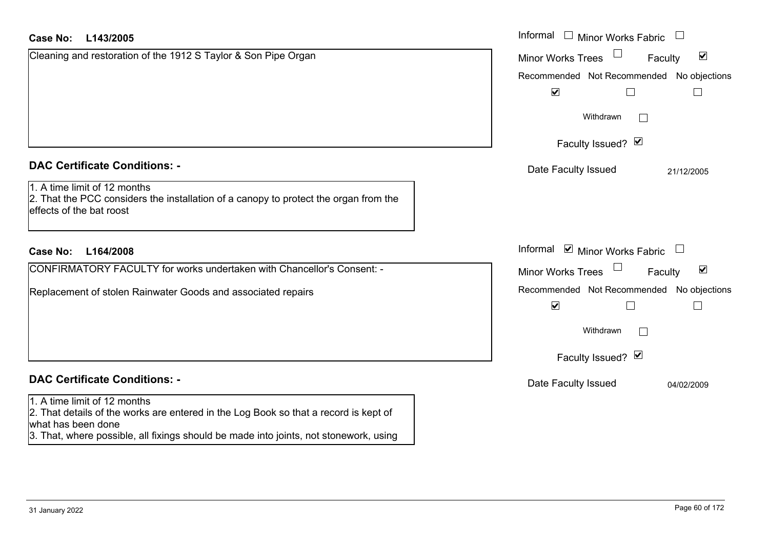| <b>Case No:</b><br>L143/2005                                                                                                                                                                                                        | Informal $\Box$ Minor Works Fabric $\Box$                         |
|-------------------------------------------------------------------------------------------------------------------------------------------------------------------------------------------------------------------------------------|-------------------------------------------------------------------|
| Cleaning and restoration of the 1912 S Taylor & Son Pipe Organ                                                                                                                                                                      | $\blacktriangledown$<br><b>Minor Works Trees</b><br>Faculty       |
|                                                                                                                                                                                                                                     | Recommended Not Recommended No objections                         |
|                                                                                                                                                                                                                                     | $\overline{\mathbf{v}}$                                           |
|                                                                                                                                                                                                                                     | Withdrawn                                                         |
|                                                                                                                                                                                                                                     | Faculty Issued? Ø                                                 |
| <b>DAC Certificate Conditions: -</b>                                                                                                                                                                                                | Date Faculty Issued<br>21/12/2005                                 |
| 1. A time limit of 12 months<br>2. That the PCC considers the installation of a canopy to protect the organ from the<br>effects of the bat roost                                                                                    |                                                                   |
| L164/2008<br><b>Case No:</b>                                                                                                                                                                                                        | Informal <b>v</b> Minor Works Fabric                              |
| CONFIRMATORY FACULTY for works undertaken with Chancellor's Consent: -                                                                                                                                                              | $\blacktriangledown$<br>Minor Works Trees<br>Faculty              |
| Replacement of stolen Rainwater Goods and associated repairs                                                                                                                                                                        | Recommended Not Recommended No objections<br>$\blacktriangledown$ |
|                                                                                                                                                                                                                                     | Withdrawn                                                         |
|                                                                                                                                                                                                                                     | Faculty Issued? Ø                                                 |
| <b>DAC Certificate Conditions: -</b>                                                                                                                                                                                                | Date Faculty Issued<br>04/02/2009                                 |
| 1. A time limit of 12 months<br>2. That details of the works are entered in the Log Book so that a record is kept of<br>what has been done<br>3. That, where possible, all fixings should be made into joints, not stonework, using |                                                                   |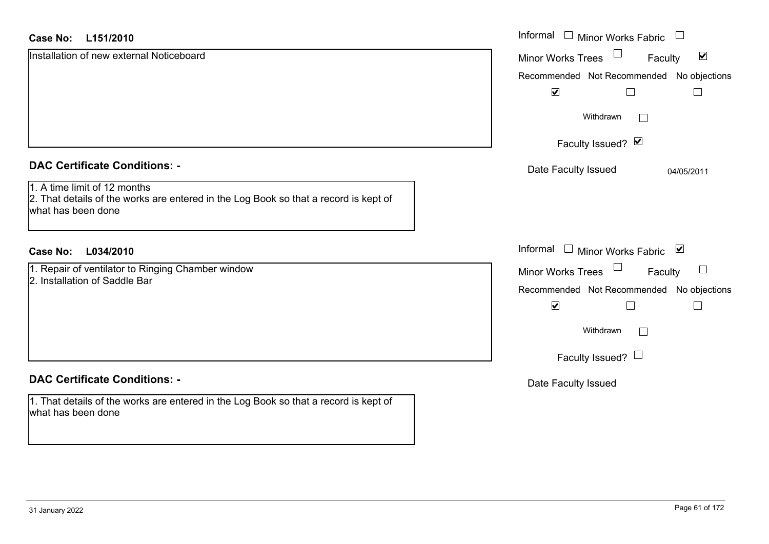| <b>Case No:</b><br>L151/2010                                                                                                               | Informal $\quad \Box$ Minor Works Fabric                    |
|--------------------------------------------------------------------------------------------------------------------------------------------|-------------------------------------------------------------|
| Installation of new external Noticeboard                                                                                                   | $\blacktriangledown$<br><b>Minor Works Trees</b><br>Faculty |
|                                                                                                                                            | Recommended Not Recommended No objections                   |
|                                                                                                                                            | $\blacktriangledown$                                        |
|                                                                                                                                            | Withdrawn<br>$\mathcal{L}^{\mathcal{A}}$                    |
|                                                                                                                                            | Faculty Issued? Ø                                           |
| <b>DAC Certificate Conditions: -</b>                                                                                                       | Date Faculty Issued<br>04/05/2011                           |
| 1. A time limit of 12 months<br>2. That details of the works are entered in the Log Book so that a record is kept of<br>what has been done |                                                             |
| <b>Case No:</b><br>L034/2010                                                                                                               | Informal □ Minor Works Fabric ⊠                             |
| 1. Repair of ventilator to Ringing Chamber window                                                                                          | Minor Works Trees<br>$\Box$<br>Faculty                      |
| 2. Installation of Saddle Bar                                                                                                              | Recommended Not Recommended No objections                   |
|                                                                                                                                            | $\blacktriangledown$                                        |
|                                                                                                                                            | Withdrawn<br>$\mathcal{L}^{\mathcal{A}}$                    |
|                                                                                                                                            | Faculty Issued? $\Box$                                      |
| <b>DAC Certificate Conditions: -</b>                                                                                                       | Date Faculty Issued                                         |
| 1. That details of the works are entered in the Log Book so that a record is kept of<br>what has been done                                 |                                                             |
|                                                                                                                                            |                                                             |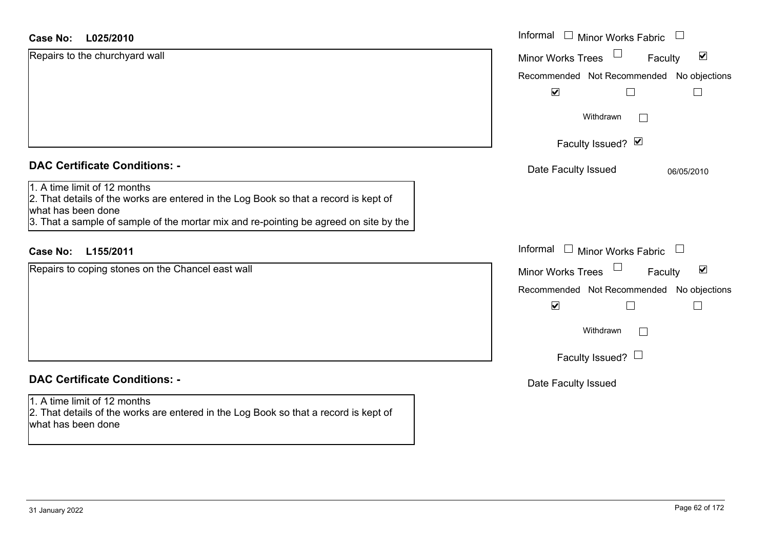#### **L025/2010Case No:**

| <b>Case No:</b><br>L025/2010                                                                                                                                                                                                        | Informal $\Box$ Minor Works Fabric                                    |
|-------------------------------------------------------------------------------------------------------------------------------------------------------------------------------------------------------------------------------------|-----------------------------------------------------------------------|
| Repairs to the churchyard wall                                                                                                                                                                                                      | $\Box$<br>$\blacktriangledown$<br><b>Minor Works Trees</b><br>Faculty |
|                                                                                                                                                                                                                                     | Recommended Not Recommended No objections                             |
|                                                                                                                                                                                                                                     | $\blacktriangledown$                                                  |
|                                                                                                                                                                                                                                     | Withdrawn<br>$\Box$                                                   |
|                                                                                                                                                                                                                                     | Faculty Issued? Ø                                                     |
| <b>DAC Certificate Conditions: -</b>                                                                                                                                                                                                | Date Faculty Issued<br>06/05/2010                                     |
| 1. A time limit of 12 months<br>2. That details of the works are entered in the Log Book so that a record is kept of<br>what has been done<br>3. That a sample of sample of the mortar mix and re-pointing be agreed on site by the |                                                                       |
| L155/2011<br><b>Case No:</b>                                                                                                                                                                                                        | Informal $\Box$ Minor Works Fabric $\Box$                             |
| Repairs to coping stones on the Chancel east wall                                                                                                                                                                                   | $\Box$<br>$\blacktriangledown$<br>Minor Works Trees<br>Faculty        |
|                                                                                                                                                                                                                                     | Recommended Not Recommended No objections                             |
|                                                                                                                                                                                                                                     | $\blacktriangledown$<br>$\Box$<br>$\overline{\phantom{0}}$            |
|                                                                                                                                                                                                                                     | Withdrawn<br>$\Box$                                                   |
|                                                                                                                                                                                                                                     | Faculty Issued? $\Box$                                                |
| <b>DAC Certificate Conditions: -</b>                                                                                                                                                                                                | Date Faculty Issued                                                   |
| 1. A time limit of 12 months<br>2. That details of the works are entered in the Log Book so that a record is kept of<br>what has been done                                                                                          |                                                                       |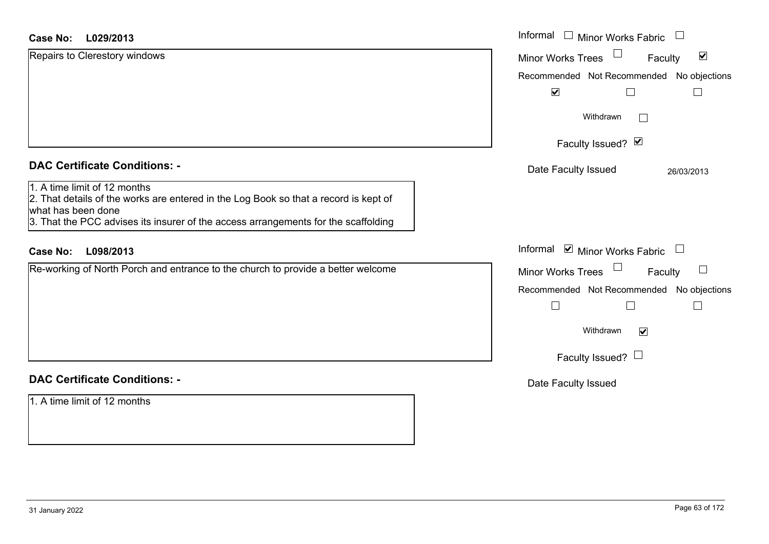#### **L029/2013Case No:**

| <b>Case No:</b><br>L029/2013                                                                                                                                                                                                     | Informal □ Minor Works Fabric □                             |
|----------------------------------------------------------------------------------------------------------------------------------------------------------------------------------------------------------------------------------|-------------------------------------------------------------|
| Repairs to Clerestory windows                                                                                                                                                                                                    | $\blacktriangledown$<br><b>Minor Works Trees</b><br>Faculty |
|                                                                                                                                                                                                                                  | Recommended Not Recommended No objections                   |
|                                                                                                                                                                                                                                  | $\blacktriangledown$                                        |
|                                                                                                                                                                                                                                  | Withdrawn<br>$\mathbf{L}$                                   |
|                                                                                                                                                                                                                                  | Faculty Issued? Ø                                           |
| <b>DAC Certificate Conditions: -</b>                                                                                                                                                                                             | Date Faculty Issued<br>26/03/2013                           |
| 1. A time limit of 12 months<br>2. That details of the works are entered in the Log Book so that a record is kept of<br>what has been done<br>3. That the PCC advises its insurer of the access arrangements for the scaffolding |                                                             |
| L098/2013<br><b>Case No:</b>                                                                                                                                                                                                     | Informal <b>☑</b> Minor Works Fabric<br>$\Box$              |
| Re-working of North Porch and entrance to the church to provide a better welcome                                                                                                                                                 | Minor Works Trees<br>Faculty                                |
|                                                                                                                                                                                                                                  | Recommended Not Recommended No objections<br>$\Box$         |
|                                                                                                                                                                                                                                  | Withdrawn<br>$\overline{\mathbf{v}}$                        |
|                                                                                                                                                                                                                                  | Faculty Issued? $\Box$                                      |
| <b>DAC Certificate Conditions: -</b>                                                                                                                                                                                             | Date Faculty Issued                                         |
| 1. A time limit of 12 months                                                                                                                                                                                                     |                                                             |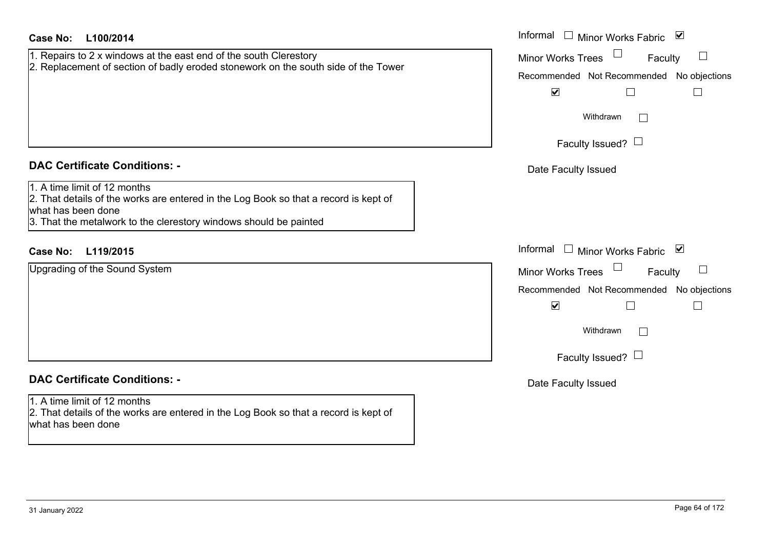| <b>Case No:</b><br>L100/2014                                                                                                                                                                                    | Informal<br>□ Minor Works Fabric $\blacksquare$                                            |
|-----------------------------------------------------------------------------------------------------------------------------------------------------------------------------------------------------------------|--------------------------------------------------------------------------------------------|
| 1. Repairs to 2 x windows at the east end of the south Clerestory<br>2. Replacement of section of badly eroded stonework on the south side of the Tower                                                         | <b>Minor Works Trees</b><br>Faculty<br>$\Box$<br>Recommended Not Recommended No objections |
|                                                                                                                                                                                                                 | $\blacktriangledown$                                                                       |
|                                                                                                                                                                                                                 | Withdrawn<br>$\vert \ \ \vert$                                                             |
|                                                                                                                                                                                                                 | Faculty Issued? $\Box$                                                                     |
| <b>DAC Certificate Conditions: -</b>                                                                                                                                                                            | Date Faculty Issued                                                                        |
| 1. A time limit of 12 months<br>2. That details of the works are entered in the Log Book so that a record is kept of<br>what has been done<br>3. That the metalwork to the clerestory windows should be painted |                                                                                            |
| <b>Case No:</b><br>L119/2015                                                                                                                                                                                    | Informal<br>$\Box$ Minor Works Fabric $\Box$                                               |
| Upgrading of the Sound System                                                                                                                                                                                   | <b>Minor Works Trees</b><br>$\Box$<br>Faculty                                              |
|                                                                                                                                                                                                                 | Recommended Not Recommended No objections                                                  |
|                                                                                                                                                                                                                 | $\blacktriangledown$                                                                       |
|                                                                                                                                                                                                                 | Withdrawn                                                                                  |
|                                                                                                                                                                                                                 | Faculty Issued? $\Box$                                                                     |
| <b>DAC Certificate Conditions: -</b>                                                                                                                                                                            | Date Faculty Issued                                                                        |
| 1. A time limit of 12 months<br>2. That details of the works are entered in the Log Book so that a record is kept of<br>what has been done                                                                      |                                                                                            |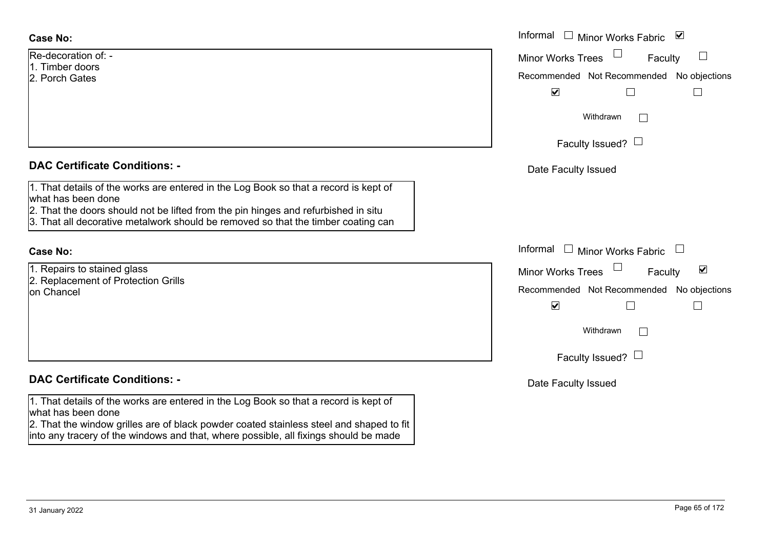| - :Re-decoration of |  |
|---------------------|--|
| l1. Timber doors    |  |
| l2. Porch Gates     |  |

## **DAC Certificate Conditions: -**

1. That details of the works are entered in the Log Book so that a record is kept of what has been done

- 2. That the doors should not be lifted from the pin hinges and refurbished in situ
- 3. That all decorative metalwork should be removed so that the timber coating can

#### **Case No:**

1. Repairs to stained glass 2. Replacement of Protection Grills on Chancel

## **DAC Certificate Conditions: -**

1. That details of the works are entered in the Log Book so that a record is kept of what has been done

2. That the window grilles are of black powder coated stainless steel and shaped to fit into any tracery of the windows and that, where possible, all fixings should be made

|                                                                                                                                                                                                                                                   | Informal □ Minor Works Fabric ☑                                                                                                                                  |
|---------------------------------------------------------------------------------------------------------------------------------------------------------------------------------------------------------------------------------------------------|------------------------------------------------------------------------------------------------------------------------------------------------------------------|
| ation of: -<br>r doors<br>Gates                                                                                                                                                                                                                   | <b>Minor Works Trees</b><br>$\Box$<br>Faculty<br>Recommended Not Recommended No objections<br>$\blacktriangledown$                                               |
|                                                                                                                                                                                                                                                   | Withdrawn<br>Faculty Issued? $\Box$                                                                                                                              |
| rtificate Conditions: -                                                                                                                                                                                                                           | Date Faculty Issued                                                                                                                                              |
| etails of the works are entered in the Log Book so that a record is kept of<br>been done<br>ne doors should not be lifted from the pin hinges and refurbished in situ<br>Il decorative metalwork should be removed so that the timber coating can |                                                                                                                                                                  |
|                                                                                                                                                                                                                                                   | Informal<br>$\Box$<br>Minor Works Fabric $\Box$                                                                                                                  |
| s to stained glass<br>cement of Protection Grills<br>cel                                                                                                                                                                                          | $\blacktriangledown$<br>Minor Works Trees<br>Faculty<br>Recommended Not Recommended No objections<br>$\blacktriangledown$<br>Withdrawn<br>Faculty Issued? $\Box$ |
| rtificate Conditions: -                                                                                                                                                                                                                           | Date Faculty Issued                                                                                                                                              |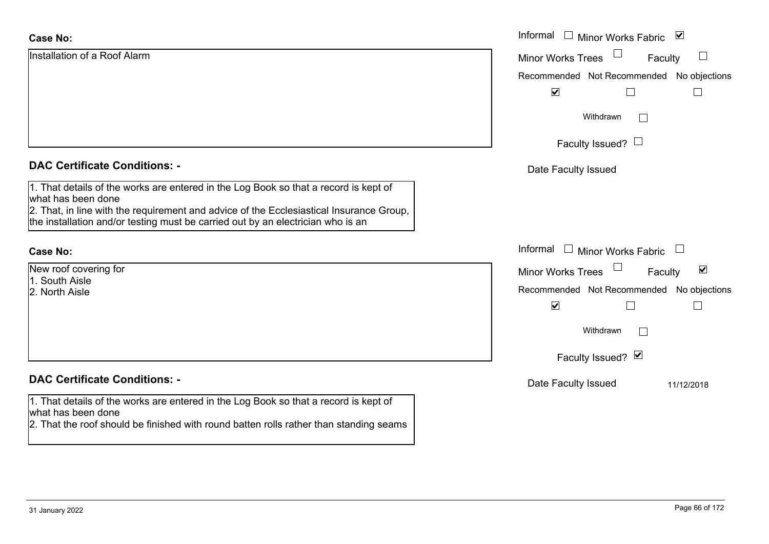| <b>Case No:</b>                                                                                                                                                                                                                                                                          | Informal $\square$<br>Minor Works Fabric ⊠                  |
|------------------------------------------------------------------------------------------------------------------------------------------------------------------------------------------------------------------------------------------------------------------------------------------|-------------------------------------------------------------|
| Installation of a Roof Alarm                                                                                                                                                                                                                                                             | $\Box$<br><b>Minor Works Trees</b><br>Faculty               |
|                                                                                                                                                                                                                                                                                          | Recommended Not Recommended No objections                   |
|                                                                                                                                                                                                                                                                                          | $\blacktriangledown$<br>Г                                   |
|                                                                                                                                                                                                                                                                                          | Withdrawn<br>$\vert$ $\vert$                                |
|                                                                                                                                                                                                                                                                                          | Faculty Issued? $\Box$                                      |
| <b>DAC Certificate Conditions: -</b>                                                                                                                                                                                                                                                     | Date Faculty Issued                                         |
| 1. That details of the works are entered in the Log Book so that a record is kept of<br>what has been done<br>2. That, in line with the requirement and advice of the Ecclesiastical Insurance Group,<br>the installation and/or testing must be carried out by an electrician who is an |                                                             |
| <b>Case No:</b>                                                                                                                                                                                                                                                                          | Informal $\square$<br>Minor Works Fabric<br>$\Box$          |
| New roof covering for                                                                                                                                                                                                                                                                    | $\blacktriangledown$<br><b>Minor Works Trees</b><br>Faculty |
| 1. South Aisle<br>2. North Aisle                                                                                                                                                                                                                                                         | Recommended Not Recommended No objections                   |
|                                                                                                                                                                                                                                                                                          | $\blacktriangledown$<br>$\Box$<br>$\Box$                    |
|                                                                                                                                                                                                                                                                                          | Withdrawn<br>$\Box$                                         |
|                                                                                                                                                                                                                                                                                          | Faculty Issued? Ø                                           |
| <b>DAC Certificate Conditions: -</b>                                                                                                                                                                                                                                                     | Date Faculty Issued<br>11/12/2018                           |
| 1. That details of the works are entered in the Log Book so that a record is kept of<br>what has been done                                                                                                                                                                               |                                                             |
| 2. That the roof should be finished with round batten rolls rather than standing seams                                                                                                                                                                                                   |                                                             |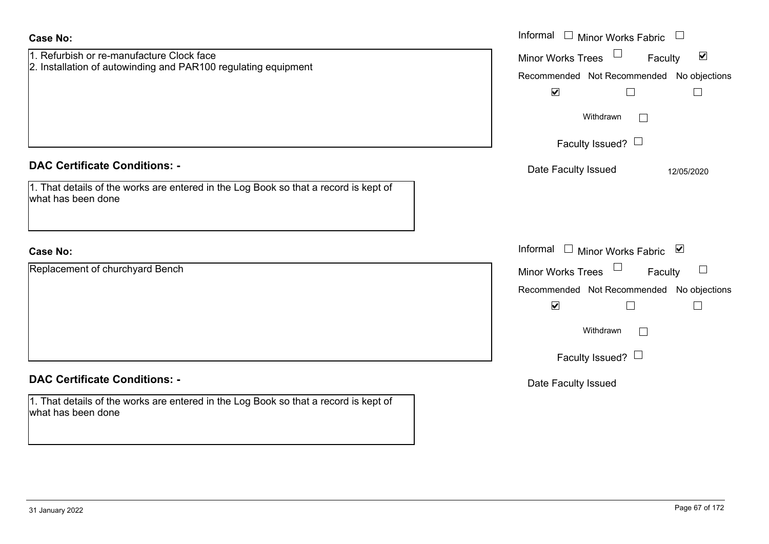| <b>Case No:</b>                                                                                                                                    | Informal $\Box$ Minor Works Fabric $\Box$                                                                                                                                     |
|----------------------------------------------------------------------------------------------------------------------------------------------------|-------------------------------------------------------------------------------------------------------------------------------------------------------------------------------|
| 1. Refurbish or re-manufacture Clock face<br>2. Installation of autowinding and PAR100 regulating equipment                                        | Minor Works Trees $\Box$<br>Faculty<br>$\blacktriangledown$<br>Recommended Not Recommended No objections<br>$\blacktriangledown$<br>$\Box$<br>$\Box$<br>Withdrawn<br>$\Box$   |
|                                                                                                                                                    | Faculty Issued? $\Box$                                                                                                                                                        |
| <b>DAC Certificate Conditions: -</b><br>1. That details of the works are entered in the Log Book so that a record is kept of<br>what has been done | Date Faculty Issued<br>12/05/2020                                                                                                                                             |
| <b>Case No:</b>                                                                                                                                    | Informal $\Box$ Minor Works Fabric $\Box$                                                                                                                                     |
| Replacement of churchyard Bench                                                                                                                    | Minor Works Trees $\Box$<br>Faculty<br>Recommended Not Recommended No objections<br>$\blacktriangledown$<br>$\Box$<br>$\Box$<br>Withdrawn<br>$\Box$<br>Faculty Issued? $\Box$ |
| <b>DAC Certificate Conditions: -</b>                                                                                                               | Date Faculty Issued                                                                                                                                                           |
| $ 1$ . That details of the works are entered in the Log Book so that a record is kept of<br>what has been done                                     |                                                                                                                                                                               |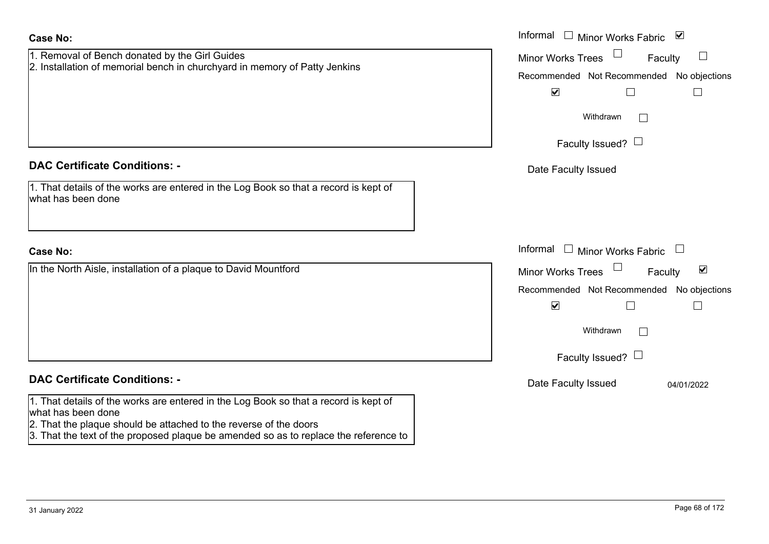| Case No: |  |
|----------|--|
|----------|--|

| <b>Case No:</b>                                                                                                                                                                 | Informal □ Minor Works Fabric ⊠                      |
|---------------------------------------------------------------------------------------------------------------------------------------------------------------------------------|------------------------------------------------------|
| 1. Removal of Bench donated by the Girl Guides                                                                                                                                  | Minor Works Trees<br>$\Box$<br>Faculty               |
| 2. Installation of memorial bench in churchyard in memory of Patty Jenkins                                                                                                      | Recommended Not Recommended No objections            |
|                                                                                                                                                                                 | $\blacktriangledown$                                 |
|                                                                                                                                                                                 | Withdrawn<br>$\mathbb{R}^n$                          |
|                                                                                                                                                                                 | Faculty Issued? $\Box$                               |
| <b>DAC Certificate Conditions: -</b>                                                                                                                                            | Date Faculty Issued                                  |
| 1. That details of the works are entered in the Log Book so that a record is kept of<br>what has been done                                                                      |                                                      |
| <b>Case No:</b>                                                                                                                                                                 | Informal $\Box$ Minor Works Fabric $\Box$            |
| In the North Aisle, installation of a plaque to David Mountford                                                                                                                 | Minor Works Trees<br>$\blacktriangledown$<br>Faculty |
|                                                                                                                                                                                 | Recommended Not Recommended No objections            |
|                                                                                                                                                                                 | $\blacktriangledown$<br>$\Box$                       |
|                                                                                                                                                                                 | Withdrawn<br>$\mathbf{L}$                            |
|                                                                                                                                                                                 | Faculty Issued? $\Box$                               |
| <b>DAC Certificate Conditions: -</b>                                                                                                                                            | Date Faculty Issued<br>04/01/2022                    |
| 1. That details of the works are entered in the Log Book so that a record is kept of<br>what has been done<br>2. That the plaque should be attached to the reverse of the doors |                                                      |

3. That the text of the proposed plaque be amended so as to replace the reference to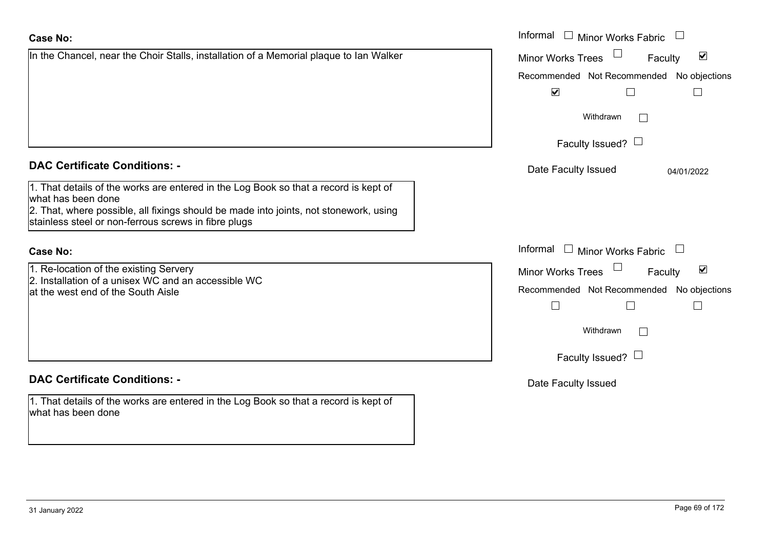#### Recommended Not Recommended No objections  $\overline{\mathbf{v}}$  $\Box$ Withdrawn $\Box$ Faculty Issued?  $\Box$ **DAC Certificate Conditions: -**Date Faculty Issued 04/01/2022 1. That details of the works are entered in the Log Book so that a record is kept of what has been done 2. That, where possible, all fixings should be made into joints, not stonework, using stainless steel or non-ferrous screws in fibre plugs Informal  $\Box$  Minor Works Fabric  $\Box$  Informal **Case No:**1. Re-location of the existing Servery Minor Works Trees 2. Installation of a unisex WC and an accessible WCat the west end of the South AisleRecommended Not Recommended No objections  $\Box$  $\Box$ Withdrawn $\Box$ Faculty Issued?  $\Box$ **DAC Certificate Conditions: -**Date Faculty Issued 1. That details of the works are entered in the Log Book so that a record is kept of what has been done

In the Chancel, near the Choir Stalls, installation of a Memorial plaque to Ian Walker

| Page 69 of 172 |  |  |
|----------------|--|--|
|                |  |  |

 $\overline{\mathbf{v}}$ Faculty

Informal  $\Box$  Minor Works Fabric  $\Box$ 

Minor Works Trees

 $\Box$ 

Faculty

 $\blacktriangledown$ 

 $\Box$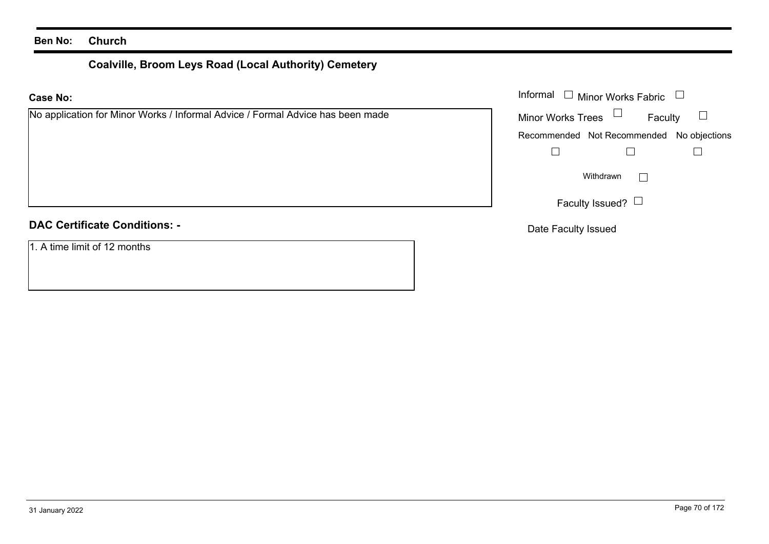# **Coalville, Broom Leys Road (Local Authority) Cemetery**

| No application for Minor Works / Informal Advice / Formal Advice has been made |  |  |
|--------------------------------------------------------------------------------|--|--|
|--------------------------------------------------------------------------------|--|--|

## **DAC Certificate Conditions: -**

1. A time limit of 12 months

|                                                                        | Informal $\Box$ Minor Works Fabric $\Box$ |                                           |                   |
|------------------------------------------------------------------------|-------------------------------------------|-------------------------------------------|-------------------|
| cation for Minor Works / Informal Advice / Formal Advice has been made | Minor Works Trees $\Box$                  |                                           | Faculty $\square$ |
|                                                                        |                                           | Recommended Not Recommended No objections |                   |
|                                                                        |                                           |                                           |                   |
|                                                                        |                                           | Withdrawn                                 |                   |
|                                                                        |                                           | Faculty Issued? $\Box$                    |                   |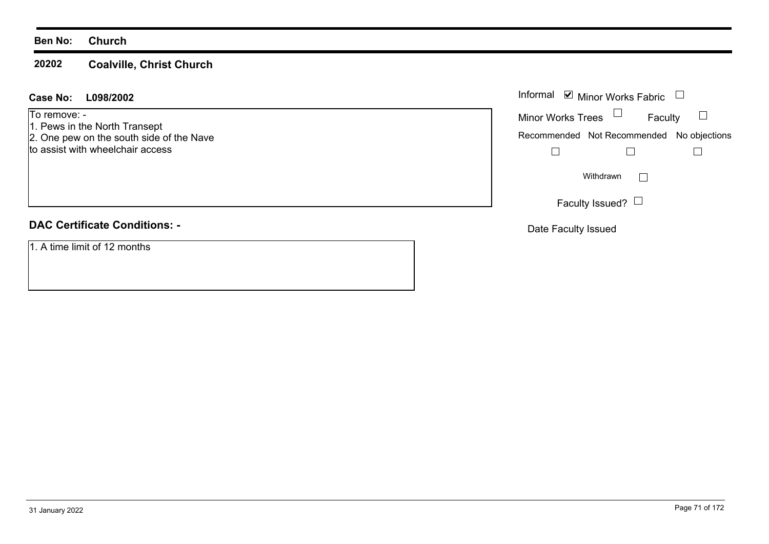#### **20202Coalville, Christ Church**

### **L098/2002Case No:** Informal

To remove: -

- 1. Pews in the North Transept
- 2. One pew on the south side of the Nave to assist with wheelchair access

# **DAC Certificate Conditions: -**

1. A time limit of 12 months

|                          | Informal Ø Minor Works Fabric             |  |
|--------------------------|-------------------------------------------|--|
| <b>Minor Works Trees</b> | Faculty                                   |  |
|                          | Recommended Not Recommended No objections |  |
|                          |                                           |  |
|                          | Withdrawn                                 |  |
|                          | Faculty Issued? $\Box$                    |  |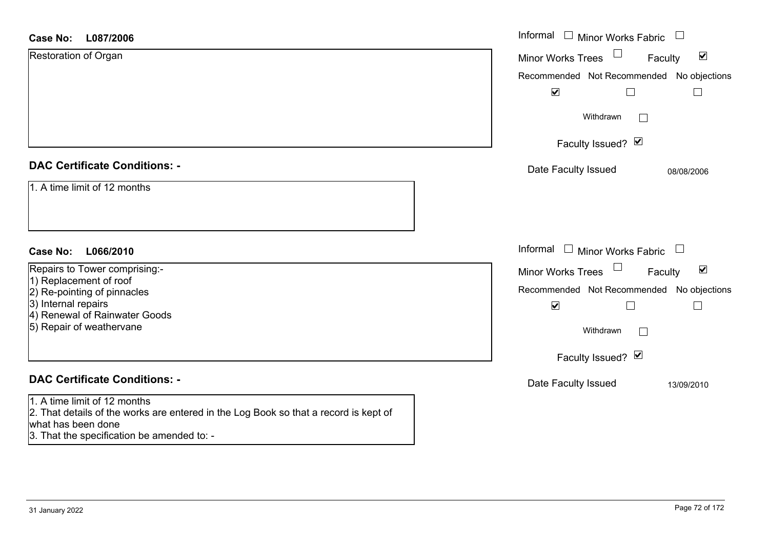| <b>Case No:</b><br>L087/2006                                                                                                                                                             | Informal<br>$\Box$ Minor Works Fabric                             |
|------------------------------------------------------------------------------------------------------------------------------------------------------------------------------------------|-------------------------------------------------------------------|
| Restoration of Organ                                                                                                                                                                     | $\blacktriangledown$<br><b>Minor Works Trees</b><br>Faculty       |
|                                                                                                                                                                                          | Recommended Not Recommended<br>No objections                      |
|                                                                                                                                                                                          | $\blacktriangledown$                                              |
|                                                                                                                                                                                          | Withdrawn<br>$\vert \ \ \vert$                                    |
|                                                                                                                                                                                          | Faculty Issued? Ø                                                 |
| <b>DAC Certificate Conditions: -</b>                                                                                                                                                     | Date Faculty Issued<br>08/08/2006                                 |
| 1. A time limit of 12 months                                                                                                                                                             |                                                                   |
| <b>Case No:</b><br>L066/2010                                                                                                                                                             | Informal<br>$\Box$ Minor Works Fabric<br>$\overline{\phantom{a}}$ |
| Repairs to Tower comprising:-                                                                                                                                                            | Minor Works Trees<br>$\blacktriangledown$<br>Faculty              |
| 1) Replacement of roof<br>2) Re-pointing of pinnacles                                                                                                                                    | Recommended Not Recommended No objections                         |
| 3) Internal repairs                                                                                                                                                                      | $\blacktriangledown$                                              |
| 4) Renewal of Rainwater Goods<br>5) Repair of weathervane                                                                                                                                | Withdrawn                                                         |
|                                                                                                                                                                                          | Faculty Issued? Ø                                                 |
| <b>DAC Certificate Conditions: -</b>                                                                                                                                                     | Date Faculty Issued<br>13/09/2010                                 |
| 1. A time limit of 12 months<br>2. That details of the works are entered in the Log Book so that a record is kept of<br>what has been done<br>3. That the specification be amended to: - |                                                                   |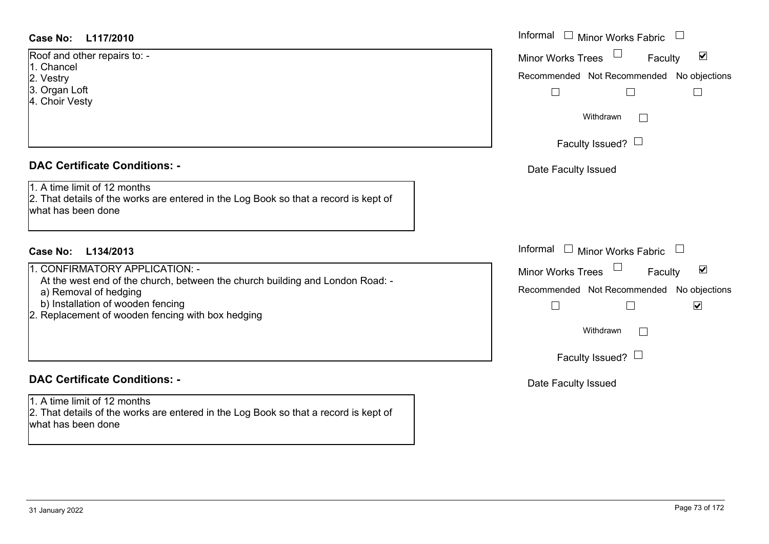# **L117/2010Case No:** Informal

Roof and other repairs to: -

1. Chancel

- 2. Vestry
- 3. Organ Loft
- 4. Choir Vesty

# **DAC Certificate Conditions: -**

1. A time limit of 12 months

2. That details of the works are entered in the Log Book so that a record is kept of what has been done

# **L134/2013Case No:** Informal

1. CONFIRMATORY APPLICATION: -

At the west end of the church, between the church building and London Road: -

- a) Removal of hedging
- b) Installation of wooden fencing
- 2. Replacement of wooden fencing with box hedging

# **DAC Certificate Conditions: -**

1. A time limit of 12 months2. That details of the works are entered in the Log Book so that a record is kept of what has been done

| Informal<br><b>Minor Works Fabric</b>                          |
|----------------------------------------------------------------|
| $\overline{\mathbf{v}}$<br><b>Minor Works Trees</b><br>Faculty |
| Recommended Not Recommended No objections                      |
|                                                                |
| Withdrawn                                                      |
| Faculty Issued? $\Box$                                         |
| Date Faculty Issued                                            |
|                                                                |
|                                                                |
| Informal<br>$\Box$<br>Minor Works Fabric                       |
| ⊻<br><b>Minor Works Trees</b><br>Faculty                       |
| Recommended Not Recommended No objections<br>⊻                 |
|                                                                |
| Withdrawn                                                      |
| Faculty Issued? $\Box$                                         |
| Date Faculty Issued                                            |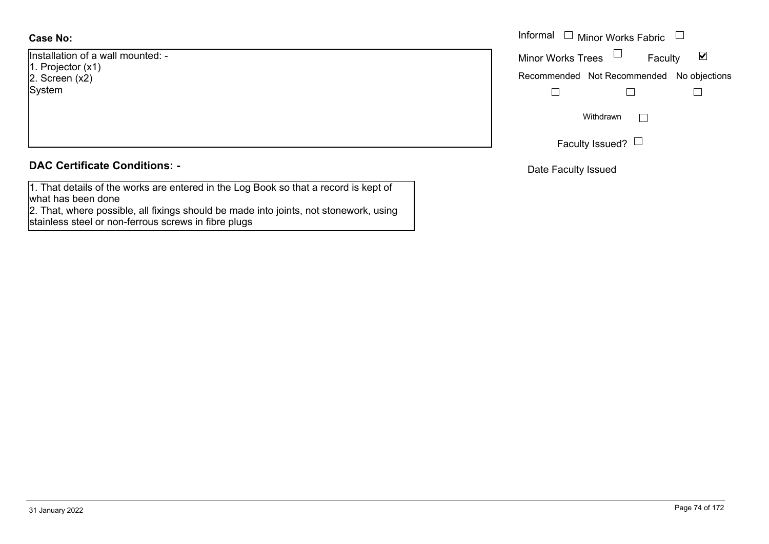# **Case No:**

Installation of a wall mounted: -1. Projector (x1) 2. Screen  $(x<sup>2</sup>)$ System

# **DAC Certificate Conditions: -**

1. That details of the works are entered in the Log Book so that a record is kept of what has been done

2. That, where possible, all fixings should be made into joints, not stonework, using stainless steel or non-ferrous screws in fibre plugs

|                         | Informal $\Box$ Minor Works Fabric $\Box$ |
|-------------------------|-------------------------------------------|
| on of a wall mounted: - | Minor Works Trees<br>⊻<br>Faculty         |
| tor $(x1)$<br>(x2)      | Recommended Not Recommended No objections |
|                         |                                           |
|                         | Withdrawn                                 |
|                         | Faculty Issued? $\Box$                    |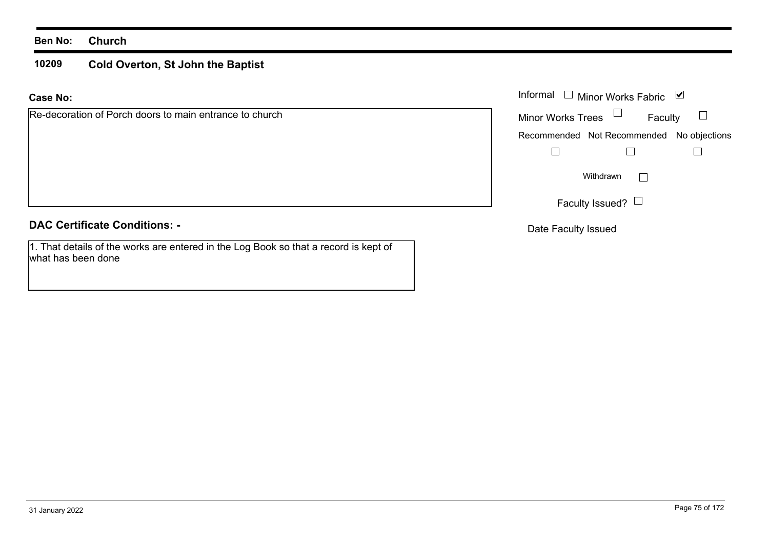#### **10209Cold Overton, St John the Baptist**

**Case No:**

| Re-decoration of Porch doors to main entrance to church |  |  |  |  |
|---------------------------------------------------------|--|--|--|--|
|                                                         |  |  |  |  |

# **DAC Certificate Conditions: -**

1. That details of the works are entered in the Log Book so that a record is kept of what has been done

|                                                 |                          | Informal $\Box$ Minor Works Fabric $\Box$ |                   |
|-------------------------------------------------|--------------------------|-------------------------------------------|-------------------|
| ation of Porch doors to main entrance to church | Minor Works Trees $\Box$ |                                           | Faculty $\square$ |
|                                                 |                          | Recommended Not Recommended No objections |                   |
|                                                 |                          |                                           |                   |
|                                                 |                          | Withdrawn                                 |                   |
|                                                 |                          | Faculty Issued? $\Box$                    |                   |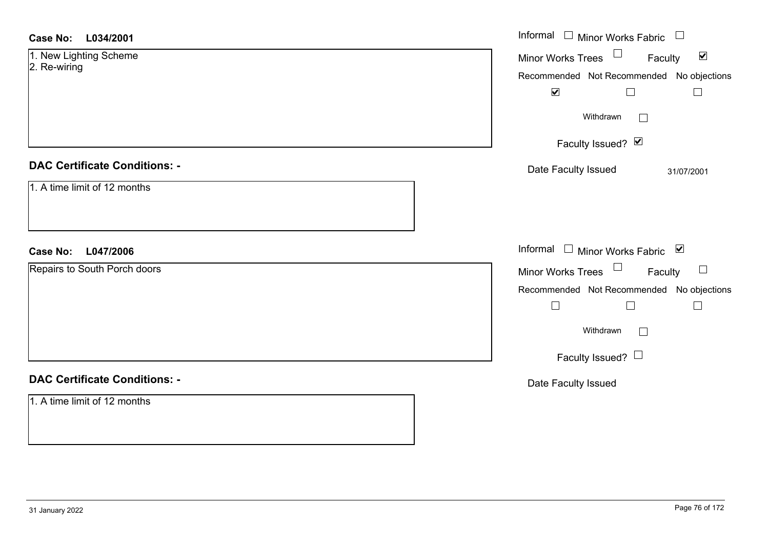| <b>Case No:</b><br>L034/2001           | Informal $\Box$ Minor Works Fabric $\Box$                                             |
|----------------------------------------|---------------------------------------------------------------------------------------|
| 1. New Lighting Scheme<br>2. Re-wiring | Minor Works Trees <sup>1</sup><br>$\blacktriangledown$<br>Faculty                     |
|                                        | Recommended Not Recommended No objections<br>$\blacktriangledown$<br>$\Box$<br>$\Box$ |
|                                        | Withdrawn                                                                             |
|                                        | Faculty Issued? $\vee$                                                                |
| <b>DAC Certificate Conditions: -</b>   | Date Faculty Issued<br>31/07/2001                                                     |
| 1. A time limit of 12 months           |                                                                                       |
|                                        |                                                                                       |
| Case No: L047/2006                     | Informal □ Minor Works Fabric ⊠                                                       |
| Repairs to South Porch doors           | Minor Works Trees $\Box$<br>Faculty<br>$\Box$                                         |
|                                        | Recommended Not Recommended No objections<br>$\Box$<br>$\Box$<br>$\Box$               |
|                                        | Withdrawn<br>$\Box$                                                                   |
|                                        | Faculty Issued? $\Box$                                                                |
| <b>DAC Certificate Conditions: -</b>   | Date Faculty Issued                                                                   |
| 1. A time limit of 12 months           |                                                                                       |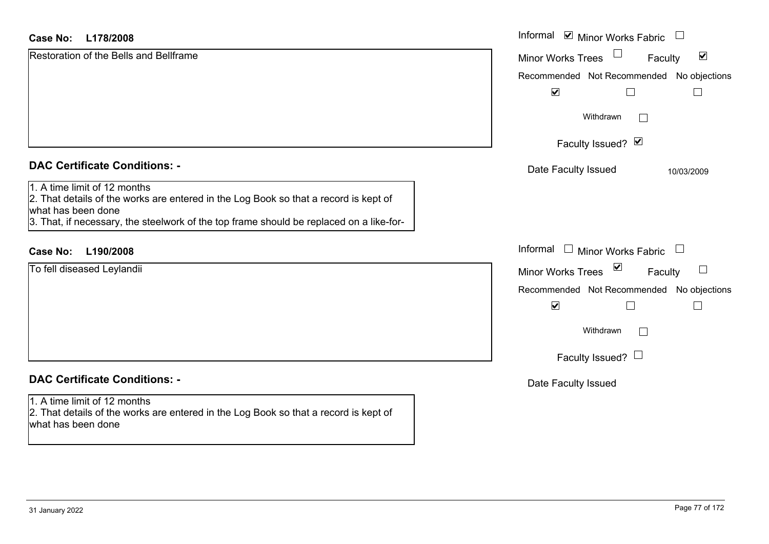#### **L178/2008Case No:**

| L178/2008<br>Case No:                                                                                                                                                                                                                 | Informal ⊠ Minor Works Fabric                        |
|---------------------------------------------------------------------------------------------------------------------------------------------------------------------------------------------------------------------------------------|------------------------------------------------------|
| <b>Restoration of the Bells and Bellframe</b>                                                                                                                                                                                         | $\blacktriangledown$<br>Minor Works Trees<br>Faculty |
|                                                                                                                                                                                                                                       | Recommended Not Recommended No objections            |
|                                                                                                                                                                                                                                       | $\blacktriangledown$<br>L                            |
|                                                                                                                                                                                                                                       | Withdrawn<br>L                                       |
|                                                                                                                                                                                                                                       | Faculty Issued? Ø                                    |
| <b>DAC Certificate Conditions: -</b>                                                                                                                                                                                                  | Date Faculty Issued<br>10/03/2009                    |
| 1. A time limit of 12 months<br>2. That details of the works are entered in the Log Book so that a record is kept of<br>what has been done<br>3. That, if necessary, the steelwork of the top frame should be replaced on a like-for- |                                                      |
| L190/2008<br><b>Case No:</b>                                                                                                                                                                                                          | Informal<br>$\Box$ Minor Works Fabric $\Box$         |
| To fell diseased Leylandii                                                                                                                                                                                                            | ⊻<br>$\sqcup$<br><b>Minor Works Trees</b><br>Faculty |
|                                                                                                                                                                                                                                       | Recommended Not Recommended No objections            |
|                                                                                                                                                                                                                                       | $\blacktriangledown$<br>Г                            |
|                                                                                                                                                                                                                                       | Withdrawn                                            |
|                                                                                                                                                                                                                                       | Faculty Issued? $\Box$                               |
| <b>DAC Certificate Conditions: -</b>                                                                                                                                                                                                  | Date Faculty Issued                                  |
| 1. A time limit of 12 months<br>2. That details of the works are entered in the Log Book so that a record is kept of<br>what has been done                                                                                            |                                                      |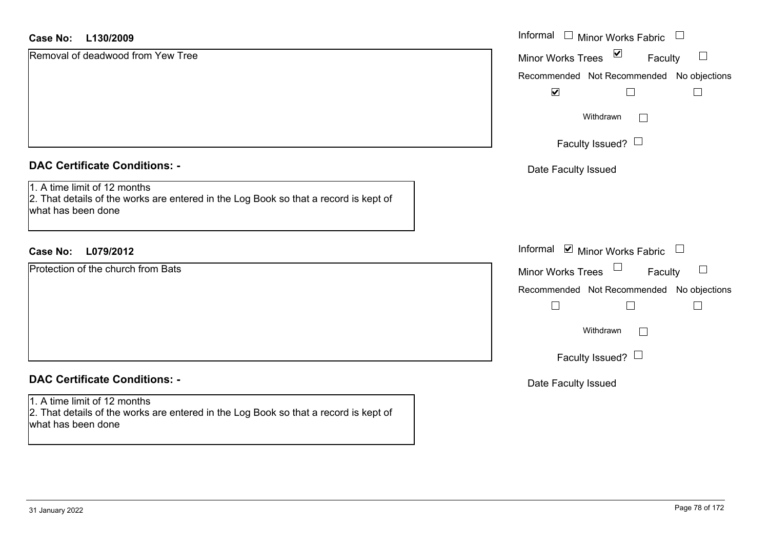| $\sum$<br>Removal of deadwood from Yew Tree<br><b>Minor Works Trees</b><br>Faculty<br>Recommended Not Recommended No objections<br>$\blacktriangledown$<br>Withdrawn<br>$\mathbb{R}^n$<br>Faculty Issued? $\Box$<br><b>DAC Certificate Conditions: -</b><br>Date Faculty Issued<br>1. A time limit of 12 months<br>2. That details of the works are entered in the Log Book so that a record is kept of<br>what has been done |              |
|-------------------------------------------------------------------------------------------------------------------------------------------------------------------------------------------------------------------------------------------------------------------------------------------------------------------------------------------------------------------------------------------------------------------------------|--------------|
|                                                                                                                                                                                                                                                                                                                                                                                                                               | $\Box$       |
|                                                                                                                                                                                                                                                                                                                                                                                                                               |              |
|                                                                                                                                                                                                                                                                                                                                                                                                                               |              |
|                                                                                                                                                                                                                                                                                                                                                                                                                               |              |
|                                                                                                                                                                                                                                                                                                                                                                                                                               |              |
|                                                                                                                                                                                                                                                                                                                                                                                                                               |              |
|                                                                                                                                                                                                                                                                                                                                                                                                                               |              |
| Informal ⊠ Minor Works Fabric □<br><b>Case No:</b><br>L079/2012                                                                                                                                                                                                                                                                                                                                                               |              |
| Protection of the church from Bats<br>$\Box$<br>Minor Works Trees<br>Faculty                                                                                                                                                                                                                                                                                                                                                  | $\Box$       |
| Recommended Not Recommended No objections                                                                                                                                                                                                                                                                                                                                                                                     |              |
| $\Box$                                                                                                                                                                                                                                                                                                                                                                                                                        | $\mathbf{I}$ |
| Withdrawn<br>$\Box$                                                                                                                                                                                                                                                                                                                                                                                                           |              |
| Faculty Issued? $\Box$                                                                                                                                                                                                                                                                                                                                                                                                        |              |
| <b>DAC Certificate Conditions: -</b><br>Date Faculty Issued                                                                                                                                                                                                                                                                                                                                                                   |              |
| 1. A time limit of 12 months<br>2. That details of the works are entered in the Log Book so that a record is kept of<br>what has been done                                                                                                                                                                                                                                                                                    |              |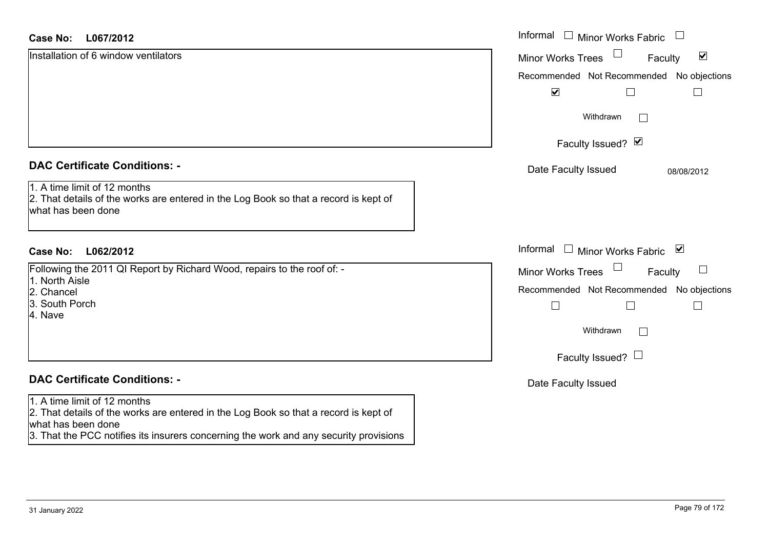| <b>Case No:</b><br>L067/2012                                                                                                               | Informal □ Minor Works Fabric                               |
|--------------------------------------------------------------------------------------------------------------------------------------------|-------------------------------------------------------------|
| Installation of 6 window ventilators                                                                                                       | $\blacktriangledown$<br><b>Minor Works Trees</b><br>Faculty |
|                                                                                                                                            | Recommended Not Recommended No objections                   |
|                                                                                                                                            | $\blacktriangledown$                                        |
|                                                                                                                                            | Withdrawn<br>$\Box$                                         |
|                                                                                                                                            | Faculty Issued? Ø                                           |
| <b>DAC Certificate Conditions: -</b>                                                                                                       | Date Faculty Issued<br>08/08/2012                           |
| 1. A time limit of 12 months<br>2. That details of the works are entered in the Log Book so that a record is kept of<br>what has been done |                                                             |
| L062/2012<br>Case No:                                                                                                                      | Informal $\Box$ Minor Works Fabric $\Box$                   |
| Following the 2011 QI Report by Richard Wood, repairs to the roof of: -<br>1. North Aisle                                                  | <b>Minor Works Trees</b><br>Faculty                         |
| 2. Chancel                                                                                                                                 | Recommended Not Recommended No objections                   |
| 3. South Porch<br>4. Nave                                                                                                                  | $\Box$                                                      |
|                                                                                                                                            | Withdrawn<br>$\sqrt{2}$                                     |
|                                                                                                                                            | Faculty Issued? $\Box$                                      |
| <b>DAC Certificate Conditions: -</b>                                                                                                       | Date Faculty Issued                                         |
| 1. A time limit of 12 months<br>2. That details of the works are entered in the Log Book so that a record is kept of<br>what has been done |                                                             |
| 3. That the PCC notifies its insurers concerning the work and any security provisions                                                      |                                                             |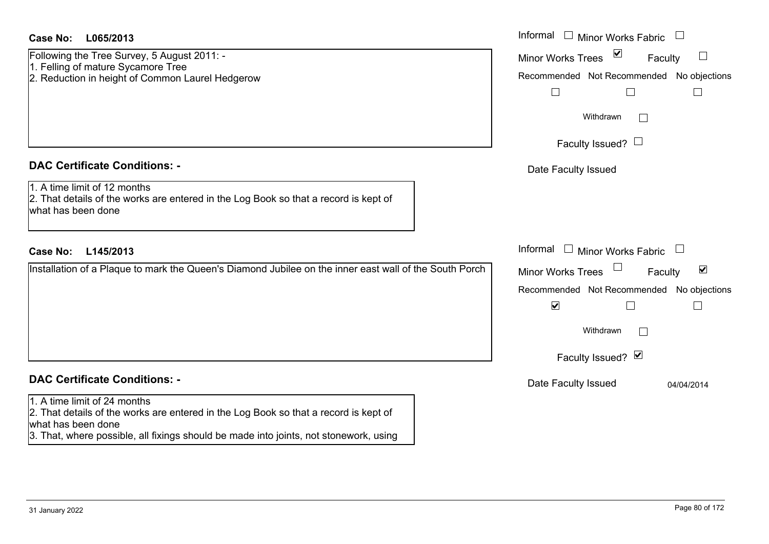| <b>Case No:</b><br>L065/2013                                                                                                                                                                                                        | Informal □ Minor Works Fabric                                                                                                                          |
|-------------------------------------------------------------------------------------------------------------------------------------------------------------------------------------------------------------------------------------|--------------------------------------------------------------------------------------------------------------------------------------------------------|
| Following the Tree Survey, 5 August 2011: -<br>1. Felling of mature Sycamore Tree<br>2. Reduction in height of Common Laurel Hedgerow                                                                                               | $\blacktriangledown$<br><b>Minor Works Trees</b><br>$\Box$<br>Faculty<br>Recommended Not Recommended No objections<br>$\Box$<br>$\Box$                 |
|                                                                                                                                                                                                                                     | Withdrawn<br>$\mathbf{I}$<br>Faculty Issued? $\Box$                                                                                                    |
| <b>DAC Certificate Conditions: -</b><br>1. A time limit of 12 months<br>2. That details of the works are entered in the Log Book so that a record is kept of<br>what has been done                                                  | Date Faculty Issued                                                                                                                                    |
| <b>Case No:</b><br>L145/2013                                                                                                                                                                                                        | Informal<br>Minor Works Fabric                                                                                                                         |
| Installation of a Plaque to mark the Queen's Diamond Jubilee on the inner east wall of the South Porch                                                                                                                              | $\blacktriangledown$<br>Minor Works Trees<br>Faculty<br>Recommended Not Recommended No objections<br>$\blacktriangledown$<br>$\mathbf{L}$<br>Withdrawn |
|                                                                                                                                                                                                                                     | Faculty Issued? Ø                                                                                                                                      |
| <b>DAC Certificate Conditions: -</b>                                                                                                                                                                                                | Date Faculty Issued<br>04/04/2014                                                                                                                      |
| 1. A time limit of 24 months<br>2. That details of the works are entered in the Log Book so that a record is kept of<br>what has been done<br>3. That, where possible, all fixings should be made into joints, not stonework, using |                                                                                                                                                        |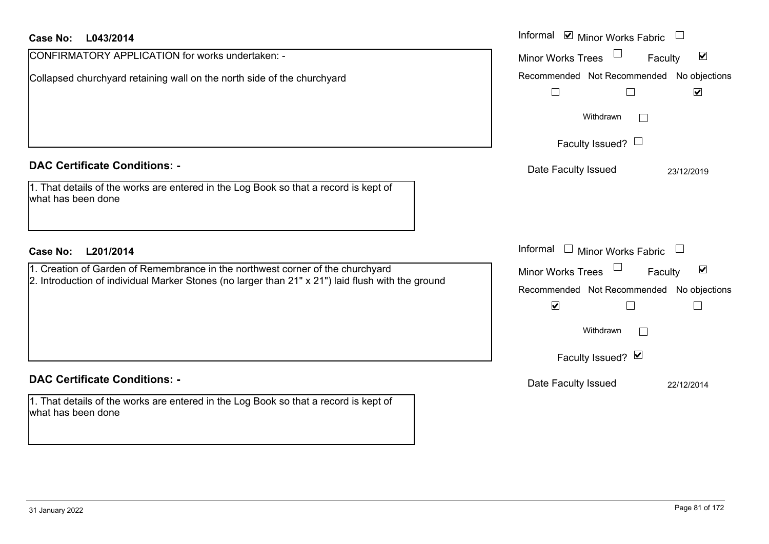| <b>Case No:</b><br>L043/2014                                                                                                                                                        | Informal $\blacksquare$ Minor Works Fabric $\blacksquare$                                                                              |
|-------------------------------------------------------------------------------------------------------------------------------------------------------------------------------------|----------------------------------------------------------------------------------------------------------------------------------------|
| CONFIRMATORY APPLICATION for works undertaken: -                                                                                                                                    | $\blacktriangledown$<br><b>Minor Works Trees</b><br>Faculty                                                                            |
| Collapsed churchyard retaining wall on the north side of the churchyard                                                                                                             | Recommended Not Recommended No objections<br>$\blacktriangledown$<br>$\sqcup$<br>$\mathbf{L}$                                          |
|                                                                                                                                                                                     | Withdrawn                                                                                                                              |
|                                                                                                                                                                                     | Faculty Issued? $\Box$                                                                                                                 |
| <b>DAC Certificate Conditions: -</b>                                                                                                                                                | Date Faculty Issued<br>23/12/2019                                                                                                      |
| 1. That details of the works are entered in the Log Book so that a record is kept of<br>what has been done                                                                          |                                                                                                                                        |
| <b>Case No:</b><br>L201/2014                                                                                                                                                        | Informal $\Box$ Minor Works Fabric $\Box$                                                                                              |
| 1. Creation of Garden of Remembrance in the northwest corner of the churchyard<br>2. Introduction of individual Marker Stones (no larger than 21" x 21") laid flush with the ground | $\blacktriangledown$<br>$\Box$<br>Minor Works Trees<br>Faculty<br>Recommended Not Recommended<br>No objections<br>$\blacktriangledown$ |
|                                                                                                                                                                                     | Withdrawn                                                                                                                              |
|                                                                                                                                                                                     | Faculty Issued? Ø                                                                                                                      |
| <b>DAC Certificate Conditions: -</b>                                                                                                                                                | Date Faculty Issued<br>22/12/2014                                                                                                      |
| 1. That details of the works are entered in the Log Book so that a record is kept of<br>what has been done                                                                          |                                                                                                                                        |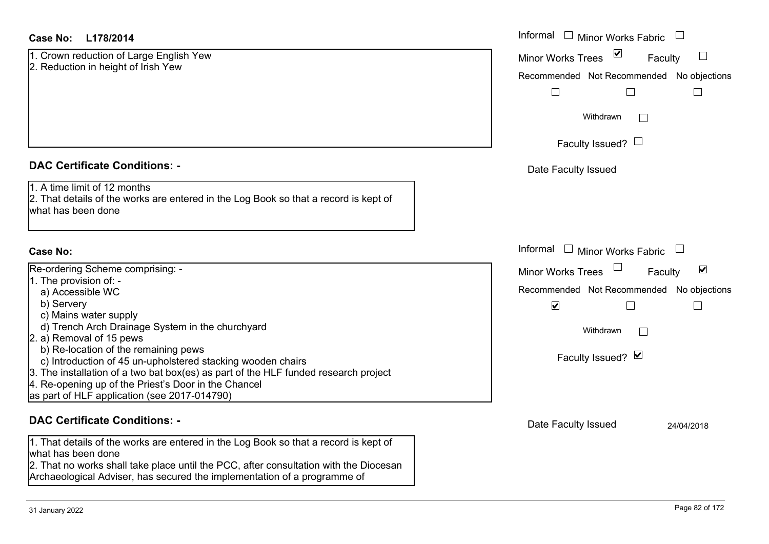| 1. Crown reduction of Large English Yew |  |
|-----------------------------------------|--|
| 2. Reduction in height of Irish Yew     |  |

### **DAC Certificate Conditions: -**

# **Case No:**

| <b>Minor Works Trees</b> |
|--------------------------|
|                          |
| Recommended Not Recom    |
| V                        |
|                          |
| Withdrawn                |
| Faculty Issued?          |
|                          |
|                          |
|                          |
|                          |

### **DAC Certificate Conditions: -**

1. That details of the works are entered in the Log Book so that a record is kept of what has been done

 2. That no works shall take place until the PCC, after consultation with the Diocesan Archaeological Adviser, has secured the implementation of a programme of

| <b>Case No:</b><br>L178/2014                                                                                                               | Informal $\Box$ Minor Works Fabric $\Box$            |
|--------------------------------------------------------------------------------------------------------------------------------------------|------------------------------------------------------|
| 1. Crown reduction of Large English Yew<br>2. Reduction in height of Irish Yew                                                             | Minor Works Trees ⊠<br>$\Box$<br>Faculty             |
|                                                                                                                                            | Recommended Not Recommended No objections            |
|                                                                                                                                            | $\Box$                                               |
|                                                                                                                                            | Withdrawn                                            |
|                                                                                                                                            | Faculty Issued? $\Box$                               |
| <b>DAC Certificate Conditions: -</b>                                                                                                       | Date Faculty Issued                                  |
| 1. A time limit of 12 months<br>2. That details of the works are entered in the Log Book so that a record is kept of<br>what has been done |                                                      |
| <b>Case No:</b>                                                                                                                            | Informal $\Box$ Minor Works Fabric $\Box$            |
| Re-ordering Scheme comprising: -                                                                                                           | $\blacktriangledown$<br>Minor Works Trees<br>Faculty |
| 1. The provision of: -                                                                                                                     | Recommended Not Recommended No objections            |
| a) Accessible WC<br>b) Servery                                                                                                             | $\blacktriangledown$<br>$\vert \ \ \vert$            |
| c) Mains water supply                                                                                                                      |                                                      |
| d) Trench Arch Drainage System in the churchyard                                                                                           | Withdrawn                                            |
| 2. a) Removal of 15 pews<br>b) Re-location of the remaining pews                                                                           |                                                      |
| c) Introduction of 45 un-upholstered stacking wooden chairs                                                                                | Faculty Issued? Ø                                    |
| 3. The installation of a two bat box(es) as part of the HLF funded research project                                                        |                                                      |
| 4. Re-opening up of the Priest's Door in the Chancel                                                                                       |                                                      |
| as part of HLF application (see 2017-014790)                                                                                               |                                                      |
| <b>DAC Certificate Conditions: -</b>                                                                                                       | Date Faculty Issued<br>24/04/2018                    |
| 1. That details of the works are entered in the Log Book so that a record is kept of<br>what has been done                                 |                                                      |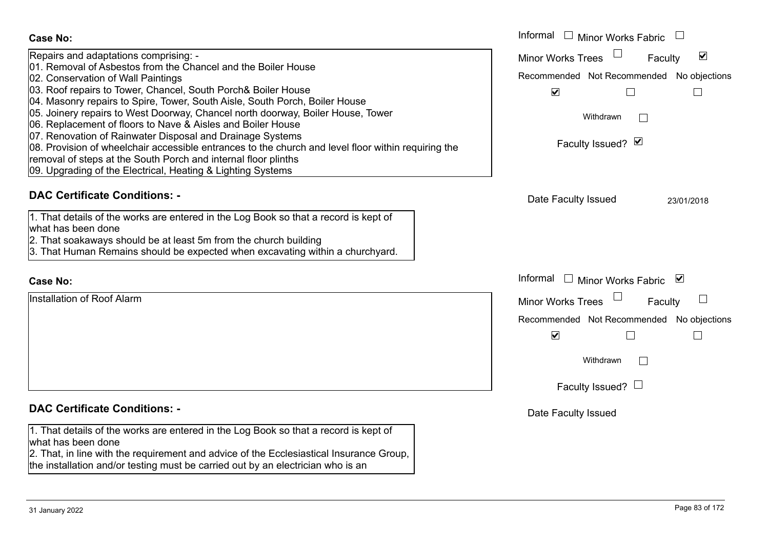| <b>Case No:</b>                                                                                                                                                                                                                                                                                                                                                                                                                                                                                                                                                                                                                                                                                                                                     | Informal $\Box$ Minor Works Fabric                                                                                                                                                      |
|-----------------------------------------------------------------------------------------------------------------------------------------------------------------------------------------------------------------------------------------------------------------------------------------------------------------------------------------------------------------------------------------------------------------------------------------------------------------------------------------------------------------------------------------------------------------------------------------------------------------------------------------------------------------------------------------------------------------------------------------------------|-----------------------------------------------------------------------------------------------------------------------------------------------------------------------------------------|
| Repairs and adaptations comprising: -<br>01. Removal of Asbestos from the Chancel and the Boiler House<br>02. Conservation of Wall Paintings<br>03. Roof repairs to Tower, Chancel, South Porch& Boiler House<br>04. Masonry repairs to Spire, Tower, South Aisle, South Porch, Boiler House<br>05. Joinery repairs to West Doorway, Chancel north doorway, Boiler House, Tower<br>06. Replacement of floors to Nave & Aisles and Boiler House<br>07. Renovation of Rainwater Disposal and Drainage Systems<br>08. Provision of wheelchair accessible entrances to the church and level floor within requiring the<br>removal of steps at the South Porch and internal floor plinths<br>09. Upgrading of the Electrical, Heating & Lighting Systems | <b>Minor Works Trees</b><br>$\blacktriangledown$<br>Faculty<br>Recommended Not Recommended No objections<br>$\blacktriangledown$<br>$\vert \ \ \vert$<br>Withdrawn<br>Faculty Issued? Ø |
| <b>DAC Certificate Conditions: -</b>                                                                                                                                                                                                                                                                                                                                                                                                                                                                                                                                                                                                                                                                                                                | Date Faculty Issued<br>23/01/2018                                                                                                                                                       |
| 1. That details of the works are entered in the Log Book so that a record is kept of<br>what has been done<br>2. That soakaways should be at least 5m from the church building<br>3. That Human Remains should be expected when excavating within a churchyard.                                                                                                                                                                                                                                                                                                                                                                                                                                                                                     |                                                                                                                                                                                         |
| <b>Case No:</b>                                                                                                                                                                                                                                                                                                                                                                                                                                                                                                                                                                                                                                                                                                                                     | Informal<br>□ Minor Works Fabric $\vert \mathbf{v} \vert$                                                                                                                               |
| Installation of Roof Alarm                                                                                                                                                                                                                                                                                                                                                                                                                                                                                                                                                                                                                                                                                                                          | <b>Minor Works Trees</b><br>Faculty                                                                                                                                                     |
|                                                                                                                                                                                                                                                                                                                                                                                                                                                                                                                                                                                                                                                                                                                                                     | Recommended Not Recommended No objections                                                                                                                                               |
|                                                                                                                                                                                                                                                                                                                                                                                                                                                                                                                                                                                                                                                                                                                                                     | $\blacktriangledown$<br>$\Box$                                                                                                                                                          |
|                                                                                                                                                                                                                                                                                                                                                                                                                                                                                                                                                                                                                                                                                                                                                     | Withdrawn                                                                                                                                                                               |
|                                                                                                                                                                                                                                                                                                                                                                                                                                                                                                                                                                                                                                                                                                                                                     | Faculty Issued? $\Box$                                                                                                                                                                  |
| <b>DAC Certificate Conditions: -</b>                                                                                                                                                                                                                                                                                                                                                                                                                                                                                                                                                                                                                                                                                                                | Date Faculty Issued                                                                                                                                                                     |
| 1. That details of the works are entered in the Log Book so that a record is kept of<br>what has been done<br>2. That, in line with the requirement and advice of the Ecclesiastical Insurance Group,<br>the installation and/or testing must be carried out by an electrician who is an                                                                                                                                                                                                                                                                                                                                                                                                                                                            |                                                                                                                                                                                         |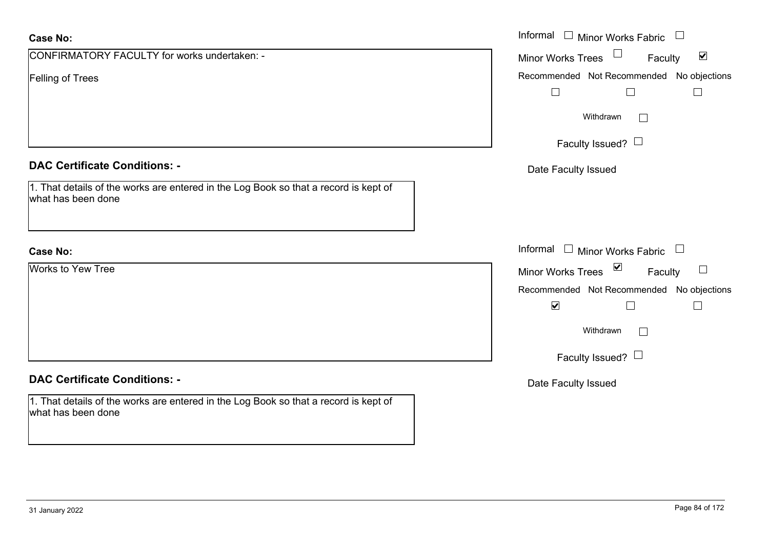| <b>Case No:</b>                                                                                                              | Informal □ Minor Works Fabric □                                 |
|------------------------------------------------------------------------------------------------------------------------------|-----------------------------------------------------------------|
| CONFIRMATORY FACULTY for works undertaken: -                                                                                 | Minor Works Trees $\Box$<br>$\blacktriangledown$<br>Faculty     |
| <b>Felling of Trees</b>                                                                                                      | Recommended Not Recommended No objections<br>$\Box$<br>$\perp$  |
|                                                                                                                              | Withdrawn<br>$\Box$                                             |
|                                                                                                                              | Faculty Issued? $\Box$                                          |
| <b>DAC Certificate Conditions: -</b><br>1. That details of the works are entered in the Log Book so that a record is kept of | Date Faculty Issued                                             |
| what has been done                                                                                                           |                                                                 |
| <b>Case No:</b>                                                                                                              | Informal $\Box$ Minor Works Fabric $\Box$                       |
| Works to Yew Tree                                                                                                            | Minor Works Trees $\boxed{\triangleright}$<br>$\Box$<br>Faculty |
|                                                                                                                              | Recommended Not Recommended No objections                       |
|                                                                                                                              | $\blacktriangledown$                                            |
|                                                                                                                              | Withdrawn<br>$\Box$                                             |
|                                                                                                                              | Faculty Issued? $\Box$                                          |
| <b>DAC Certificate Conditions: -</b>                                                                                         | Date Faculty Issued                                             |
| 1. That details of the works are entered in the Log Book so that a record is kept of<br>what has been done                   |                                                                 |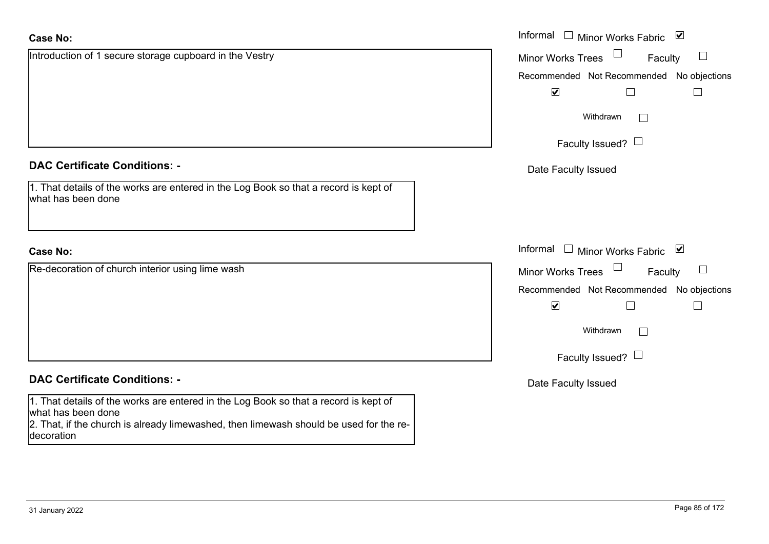| <b>Case No:</b>                                                                                                                                                                                      | Informal $\Box$ Minor Works Fabric $\Box$               |
|------------------------------------------------------------------------------------------------------------------------------------------------------------------------------------------------------|---------------------------------------------------------|
| Introduction of 1 secure storage cupboard in the Vestry                                                                                                                                              | $\Box$<br><b>Minor Works Trees</b><br>$\Box$<br>Faculty |
|                                                                                                                                                                                                      | Recommended Not Recommended No objections               |
|                                                                                                                                                                                                      | $\blacktriangleright$                                   |
|                                                                                                                                                                                                      | Withdrawn                                               |
|                                                                                                                                                                                                      | Faculty Issued? $\Box$                                  |
| <b>DAC Certificate Conditions: -</b>                                                                                                                                                                 | Date Faculty Issued                                     |
| 1. That details of the works are entered in the Log Book so that a record is kept of<br>what has been done                                                                                           |                                                         |
| <b>Case No:</b>                                                                                                                                                                                      | Informal □ Minor Works Fabric ⊠                         |
| Re-decoration of church interior using lime wash                                                                                                                                                     | Minor Works Trees<br>Faculty<br>$\sqcup$                |
|                                                                                                                                                                                                      | Recommended Not Recommended No objections               |
|                                                                                                                                                                                                      | $\blacktriangledown$                                    |
|                                                                                                                                                                                                      | Withdrawn                                               |
|                                                                                                                                                                                                      | Faculty Issued? $\Box$                                  |
| <b>DAC Certificate Conditions: -</b>                                                                                                                                                                 | Date Faculty Issued                                     |
| 1. That details of the works are entered in the Log Book so that a record is kept of<br>what has been done<br>2. That, if the church is already limewashed, then limewash should be used for the re- |                                                         |

decoration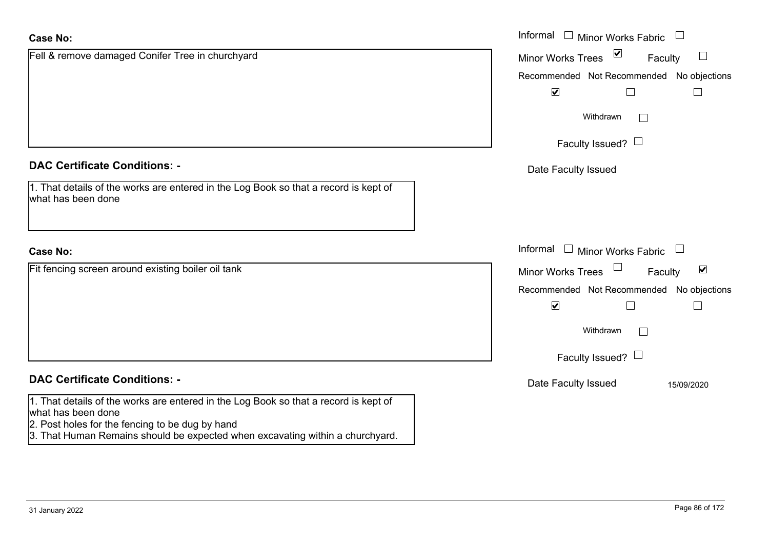| <b>Case No:</b>                                                                                            | Informal<br>$\Box$<br><b>Minor Works Fabric</b>                |
|------------------------------------------------------------------------------------------------------------|----------------------------------------------------------------|
| Fell & remove damaged Conifer Tree in churchyard                                                           | $\sum$<br>$\Box$<br><b>Minor Works Trees</b><br>Faculty        |
|                                                                                                            | Recommended Not Recommended No objections                      |
|                                                                                                            | $\blacktriangledown$                                           |
|                                                                                                            | Withdrawn<br>$\vert \ \ \vert$                                 |
|                                                                                                            | Faculty Issued? $\Box$                                         |
| <b>DAC Certificate Conditions: -</b>                                                                       | Date Faculty Issued                                            |
| 1. That details of the works are entered in the Log Book so that a record is kept of<br>what has been done |                                                                |
|                                                                                                            |                                                                |
| <b>Case No:</b>                                                                                            | Informal $\Box$ Minor Works Fabric $\Box$                      |
| Fit fencing screen around existing boiler oil tank                                                         | $\Box$<br>$\blacktriangledown$<br>Minor Works Trees<br>Faculty |
|                                                                                                            | Recommended Not Recommended No objections                      |
|                                                                                                            | $\blacktriangledown$                                           |
|                                                                                                            | Withdrawn<br>$\Box$                                            |
|                                                                                                            | Faculty Issued? $\Box$                                         |
| <b>DAC Certificate Conditions: -</b>                                                                       | Date Faculty Issued<br>15/09/2020                              |
| 1. That details of the works are entered in the Log Book so that a record is kept of<br>what has been done |                                                                |
| 2. Post holes for the fencing to be dug by hand                                                            |                                                                |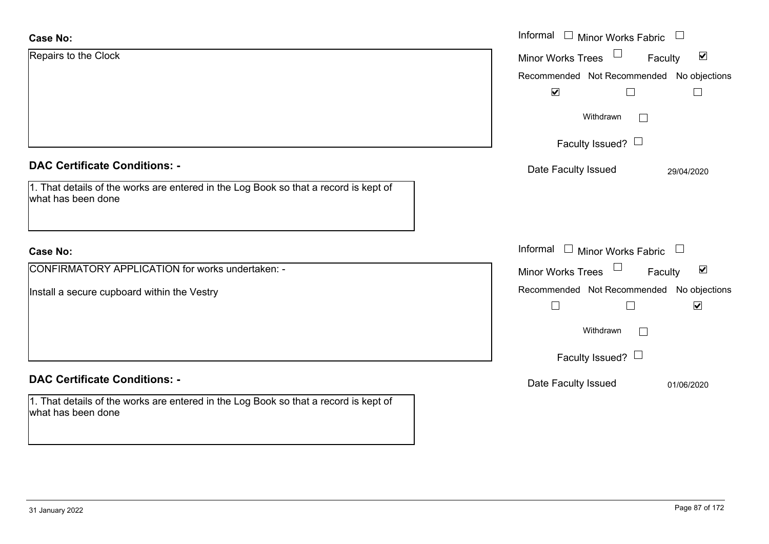| <b>Case No:</b>                                                                                            | Informal $\Box$ Minor Works Fabric $\Box$                      |
|------------------------------------------------------------------------------------------------------------|----------------------------------------------------------------|
| Repairs to the Clock                                                                                       | $\blacktriangledown$<br>Minor Works Trees<br>Faculty           |
|                                                                                                            | Recommended Not Recommended No objections                      |
|                                                                                                            | $\blacktriangledown$<br>$\Box$                                 |
|                                                                                                            | Withdrawn                                                      |
|                                                                                                            | Faculty Issued? $\Box$                                         |
| <b>DAC Certificate Conditions: -</b>                                                                       | Date Faculty Issued<br>29/04/2020                              |
| 1. That details of the works are entered in the Log Book so that a record is kept of<br>what has been done |                                                                |
|                                                                                                            |                                                                |
| <b>Case No:</b>                                                                                            | Informal $\Box$ Minor Works Fabric<br>$\overline{\phantom{a}}$ |
| <b>CONFIRMATORY APPLICATION for works undertaken: -</b>                                                    | $\Box$<br>$\blacktriangledown$<br>Minor Works Trees<br>Faculty |
| Install a secure cupboard within the Vestry                                                                | Recommended Not Recommended No objections                      |
|                                                                                                            | $\blacktriangledown$                                           |
|                                                                                                            | Withdrawn<br>$\mathbf{I}$                                      |
|                                                                                                            | Faculty Issued? $\Box$                                         |
| <b>DAC Certificate Conditions: -</b>                                                                       | Date Faculty Issued<br>01/06/2020                              |
| 1. That details of the works are entered in the Log Book so that a record is kept of<br>what has been done |                                                                |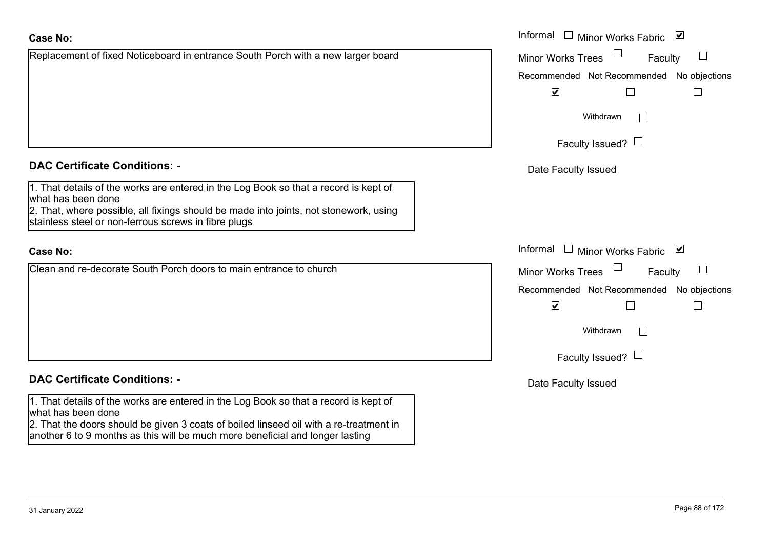| <b>Case No:</b>                                                                                                                                                                                                                                                                       | Informal $\Box$ Minor Works Fabric $\Box$               |
|---------------------------------------------------------------------------------------------------------------------------------------------------------------------------------------------------------------------------------------------------------------------------------------|---------------------------------------------------------|
| Replacement of fixed Noticeboard in entrance South Porch with a new larger board                                                                                                                                                                                                      | $\Box$<br><b>Minor Works Trees</b><br>$\Box$<br>Faculty |
|                                                                                                                                                                                                                                                                                       | Recommended Not Recommended No objections               |
|                                                                                                                                                                                                                                                                                       | $\blacktriangledown$<br>$\Box$                          |
|                                                                                                                                                                                                                                                                                       | Withdrawn<br>$\mathbf{I}$                               |
|                                                                                                                                                                                                                                                                                       | Faculty Issued? $\Box$                                  |
| <b>DAC Certificate Conditions: -</b>                                                                                                                                                                                                                                                  | Date Faculty Issued                                     |
| 1. That details of the works are entered in the Log Book so that a record is kept of<br>what has been done                                                                                                                                                                            |                                                         |
| 2. That, where possible, all fixings should be made into joints, not stonework, using<br>stainless steel or non-ferrous screws in fibre plugs                                                                                                                                         |                                                         |
| <b>Case No:</b>                                                                                                                                                                                                                                                                       | Informal<br>Minor Works Fabric ⊠                        |
| Clean and re-decorate South Porch doors to main entrance to church                                                                                                                                                                                                                    | $\Box$<br>$\Box$<br><b>Minor Works Trees</b><br>Faculty |
|                                                                                                                                                                                                                                                                                       | Recommended Not Recommended No objections               |
|                                                                                                                                                                                                                                                                                       | $\blacktriangledown$<br>$\Box$<br>$\Box$                |
|                                                                                                                                                                                                                                                                                       | Withdrawn<br>$\mathbb{R}^n$                             |
|                                                                                                                                                                                                                                                                                       | Faculty Issued? $\Box$                                  |
| <b>DAC Certificate Conditions: -</b>                                                                                                                                                                                                                                                  | Date Faculty Issued                                     |
| 1. That details of the works are entered in the Log Book so that a record is kept of<br>what has been done<br>2. That the doors should be given 3 coats of boiled linseed oil with a re-treatment in<br>another 6 to 9 months as this will be much more beneficial and longer lasting |                                                         |
|                                                                                                                                                                                                                                                                                       |                                                         |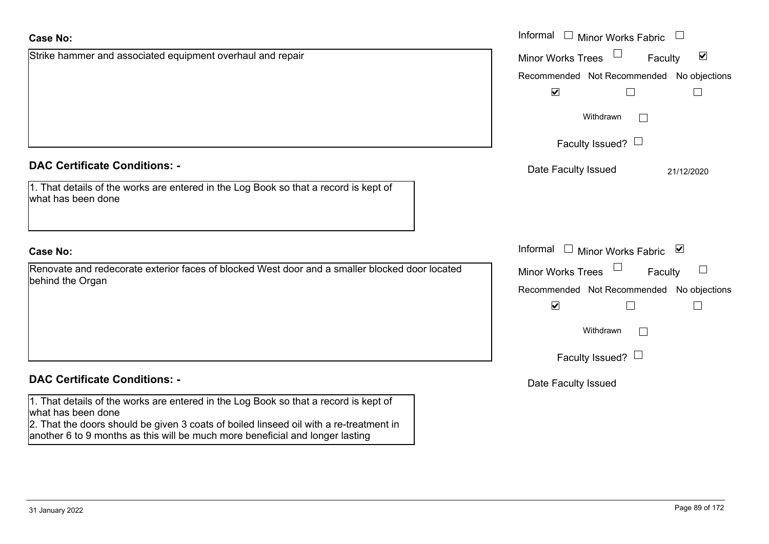|                                                                                                     | Not Recommended<br>Recommended<br>☑                                   |
|-----------------------------------------------------------------------------------------------------|-----------------------------------------------------------------------|
|                                                                                                     | Withdrawn                                                             |
|                                                                                                     | Faculty Issued? $\Box$                                                |
| rtificate Conditions: -                                                                             | Date Faculty Issued                                                   |
| etails of the works are entered in the Log Book so that a record is kept of<br>been done            |                                                                       |
|                                                                                                     | Informal<br><b>Minor Works Fabric</b>                                 |
| e and redecorate exterior faces of blocked West door and a smaller blocked door located<br>ie Organ | <b>Minor Works Trees</b><br>Fac<br>December and ad Net December and a |
|                                                                                                     |                                                                       |

#### **Case No:**Informal

**DAC Certificate Conditions: -**

1. That details of the works are entered in the what has been done

Strike hammer and associated equipment overhaul and repair

### **Case No:**

Renovate and redecorate exterior faces of blo behind the Organ

# **DAC Certificate Conditions: -**

1. That details of the works are entered in the Log Book so that a record is kept of what has been done

2. That the doors should be given 3 coats of boiled linseed oil with a re-treatment in another 6 to 9 months as this will be much more beneficial and longer lasting

 $\Box$ 

Faculty  $\blacktriangledown$ Minor Works Trees mmended No objections  $\Box$  $\Box$  $\Box$  $\Box$  $21/12/2020$ 

Informal  $\Box$  Minor Works Fabric  $\Box$ 

Recommended Not Recommended No objections Faculty

 $\overline{\mathbf{v}}$  $\Box$  $\Box$ 

> Withdrawn $\Box$

Faculty Issued?  $\Box$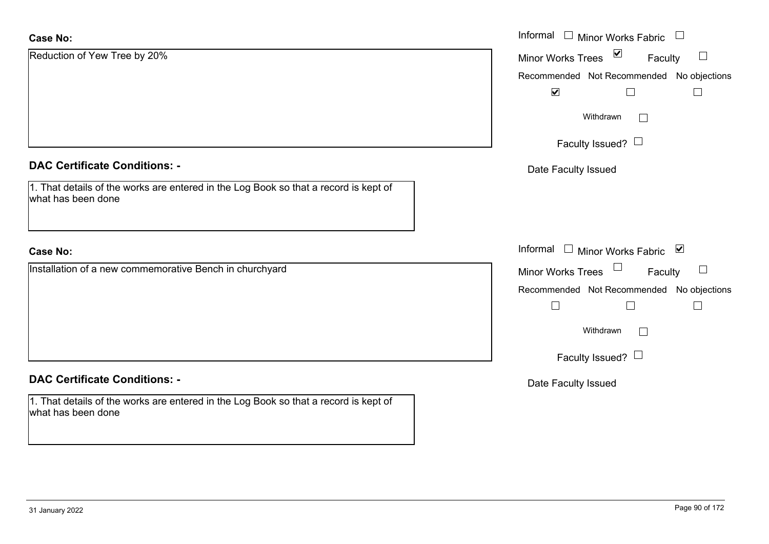| <b>Case No:</b>                                                                                            | Informal $\square$<br><b>Minor Works Fabric</b>           |
|------------------------------------------------------------------------------------------------------------|-----------------------------------------------------------|
| Reduction of Yew Tree by 20%                                                                               | $\triangledown$<br>$\Box$<br>Minor Works Trees<br>Faculty |
|                                                                                                            | Recommended Not Recommended No objections                 |
|                                                                                                            | $\blacktriangledown$                                      |
|                                                                                                            | Withdrawn<br>$\Box$                                       |
|                                                                                                            | Faculty Issued? $\Box$                                    |
| <b>DAC Certificate Conditions: -</b>                                                                       | Date Faculty Issued                                       |
| 1. That details of the works are entered in the Log Book so that a record is kept of<br>what has been done |                                                           |
|                                                                                                            |                                                           |
| <b>Case No:</b>                                                                                            | Informal $\square$<br>Minor Works Fabric ⊠                |
| Installation of a new commemorative Bench in churchyard                                                    | Minor Works Trees <sup>1</sup><br>$\Box$<br>Faculty       |
|                                                                                                            | Recommended Not Recommended No objections                 |
|                                                                                                            |                                                           |
|                                                                                                            | Withdrawn<br>$\Box$                                       |
|                                                                                                            | Faculty Issued? $\Box$                                    |
| <b>DAC Certificate Conditions: -</b>                                                                       | Date Faculty Issued                                       |
| 1. That details of the works are entered in the Log Book so that a record is kept of<br>what has been done |                                                           |
|                                                                                                            |                                                           |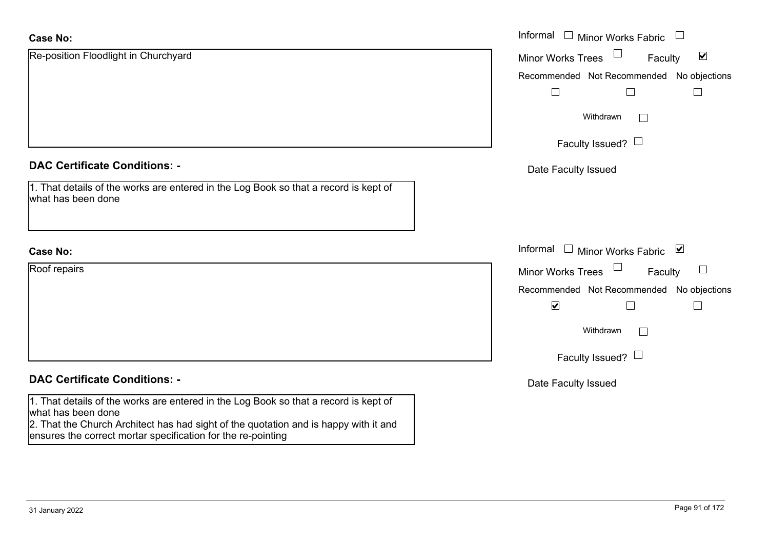| <b>Case No:</b>                                                                                                                                      | Informal □ Minor Works Fabric                               |
|------------------------------------------------------------------------------------------------------------------------------------------------------|-------------------------------------------------------------|
| Re-position Floodlight in Churchyard                                                                                                                 | $\blacktriangledown$<br><b>Minor Works Trees</b><br>Faculty |
|                                                                                                                                                      | Recommended Not Recommended No objections                   |
|                                                                                                                                                      |                                                             |
|                                                                                                                                                      | Withdrawn<br>$\mathbb{R}^n$                                 |
|                                                                                                                                                      | Faculty Issued? $\Box$                                      |
| <b>DAC Certificate Conditions: -</b>                                                                                                                 | Date Faculty Issued                                         |
| 1. That details of the works are entered in the Log Book so that a record is kept of<br>what has been done                                           |                                                             |
| <b>Case No:</b>                                                                                                                                      | Informal □ Minor Works Fabric<br>$\blacktriangledown$       |
| Roof repairs                                                                                                                                         | $\Box$<br><b>Minor Works Trees</b><br>Faculty               |
|                                                                                                                                                      | Recommended Not Recommended No objections                   |
|                                                                                                                                                      | $\blacktriangledown$                                        |
|                                                                                                                                                      | Withdrawn<br>$\Box$                                         |
|                                                                                                                                                      | Faculty Issued? $\Box$                                      |
| <b>DAC Certificate Conditions: -</b>                                                                                                                 | Date Faculty Issued                                         |
| 1. That details of the works are entered in the Log Book so that a record is kept of<br>what has been done                                           |                                                             |
| 2. That the Church Architect has had sight of the quotation and is happy with it and<br>ensures the correct mortar specification for the re-pointing |                                                             |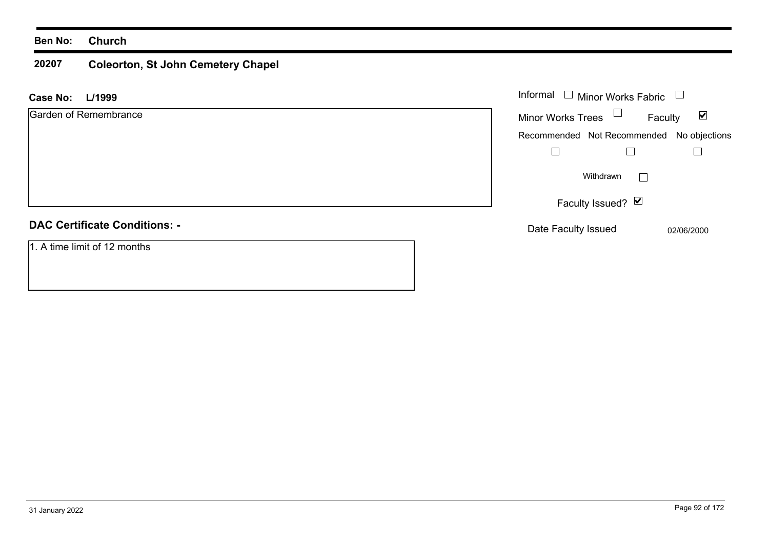### **20207 Coleorton, St John Cemetery Chapel**

| L/1999<br><b>Case No:</b>            | Informal<br>$\Box$ Minor Works Fabric                       |
|--------------------------------------|-------------------------------------------------------------|
| Garden of Remembrance                | Minor Works Trees $\Box$<br>$\blacktriangledown$<br>Faculty |
|                                      | Recommended Not Recommended No objections                   |
|                                      |                                                             |
|                                      | Withdrawn<br>$\mathbf{1}$                                   |
|                                      | Faculty Issued? Ø                                           |
| <b>DAC Certificate Conditions: -</b> | Date Faculty Issued<br>02/06/2000                           |
| 1. A time limit of 12 months         |                                                             |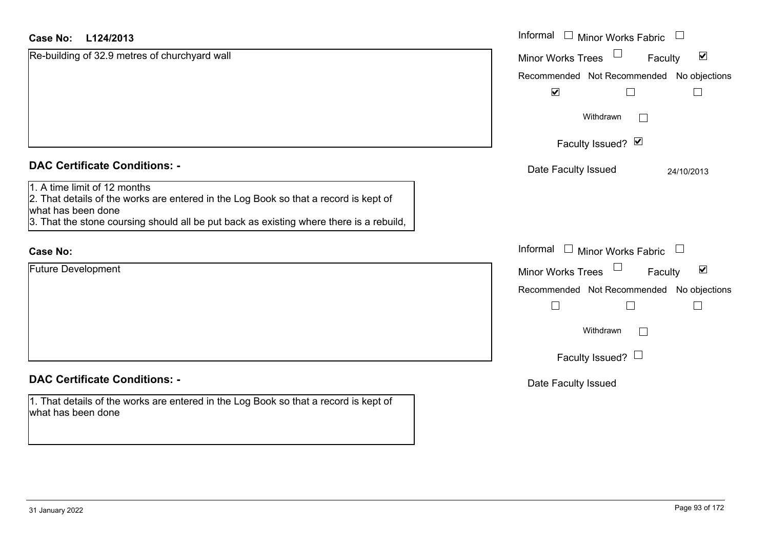| L124/2013<br>Case No:                                                                                                                                                                                                                 | Informal<br><b>Minor Works Fabric</b>                                 |
|---------------------------------------------------------------------------------------------------------------------------------------------------------------------------------------------------------------------------------------|-----------------------------------------------------------------------|
| Re-building of 32.9 metres of churchyard wall                                                                                                                                                                                         | $\Box$<br>$\blacktriangledown$<br><b>Minor Works Trees</b><br>Faculty |
|                                                                                                                                                                                                                                       | Recommended Not Recommended No objections                             |
|                                                                                                                                                                                                                                       | $\blacktriangledown$<br>$\Box$                                        |
|                                                                                                                                                                                                                                       | Withdrawn<br>$\vert \ \ \vert$                                        |
|                                                                                                                                                                                                                                       | Faculty Issued? Ø                                                     |
| <b>DAC Certificate Conditions: -</b>                                                                                                                                                                                                  | Date Faculty Issued<br>24/10/2013                                     |
| 1. A time limit of 12 months<br>2. That details of the works are entered in the Log Book so that a record is kept of<br>what has been done<br>3. That the stone coursing should all be put back as existing where there is a rebuild, |                                                                       |
| <b>Case No:</b>                                                                                                                                                                                                                       | Informal<br>Minor Works Fabric                                        |
| <b>Future Development</b>                                                                                                                                                                                                             | $\blacktriangledown$<br><b>Minor Works Trees</b><br>Faculty           |
|                                                                                                                                                                                                                                       | Recommended Not Recommended No objections                             |
|                                                                                                                                                                                                                                       | $\Box$<br>Г                                                           |
|                                                                                                                                                                                                                                       | Withdrawn                                                             |
|                                                                                                                                                                                                                                       | Faculty Issued? $\Box$                                                |
| <b>DAC Certificate Conditions: -</b>                                                                                                                                                                                                  | Date Faculty Issued                                                   |
| 1. That details of the works are entered in the Log Book so that a record is kept of<br>what has been done                                                                                                                            |                                                                       |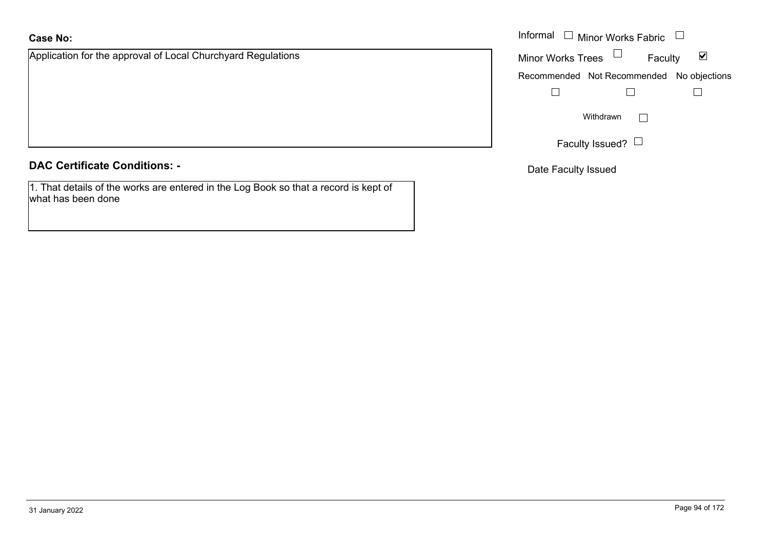# **Case No:**

Application for the approval of Local Churchyard Regulations

**DAC Certificate Conditions: -**

1. That details of the works are entered in the Log Book so that a record is kept of what has been done

|                                                     | Informal $\Box$ Minor Works Fabric $\Box$ |
|-----------------------------------------------------|-------------------------------------------|
| on for the approval of Local Churchyard Regulations | Minor Works Trees $\Box$<br>⊻<br>Faculty  |
|                                                     | Recommended Not Recommended No objections |
|                                                     |                                           |
|                                                     | Withdrawn<br>$\mathbf{L}$                 |
|                                                     | Faculty Issued? $\Box$                    |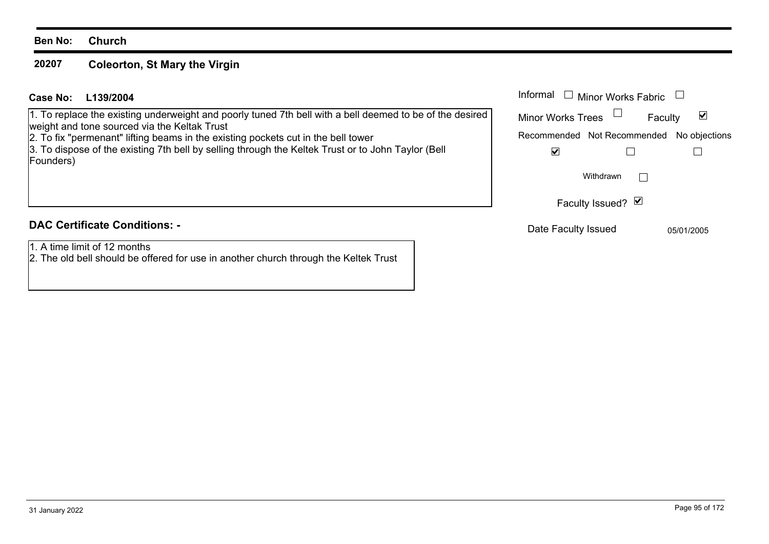#### **20207Coleorton, St Mary the Virgin**

# **L139/2004Case No:** Informal

1. To replace the existing underweight and poorly tuned 7th bell with a bell deemed to be of the desired weight and tone sourced via the Keltak Trust

2. To fix "permenant" lifting beams in the existing pockets cut in the bell tower

3. To dispose of the existing 7th bell by selling through the Keltek Trust or to John Taylor (Bell Founders)

# **DAC Certificate Conditions: -**

1. A time limit of 12 months

2. The old bell should be offered for use in another church through the Keltek Trust

| Informal<br>$\Box$ Minor Works Fabric |               |
|---------------------------------------|---------------|
| <b>Minor Works Trees</b>              | Faculty       |
| Recommended Not Recommended           | No objections |
|                                       |               |
| Withdrawn                             |               |
| Faculty Issued? Ø                     |               |
| Date Faculty Issued                   | 05/01/2005    |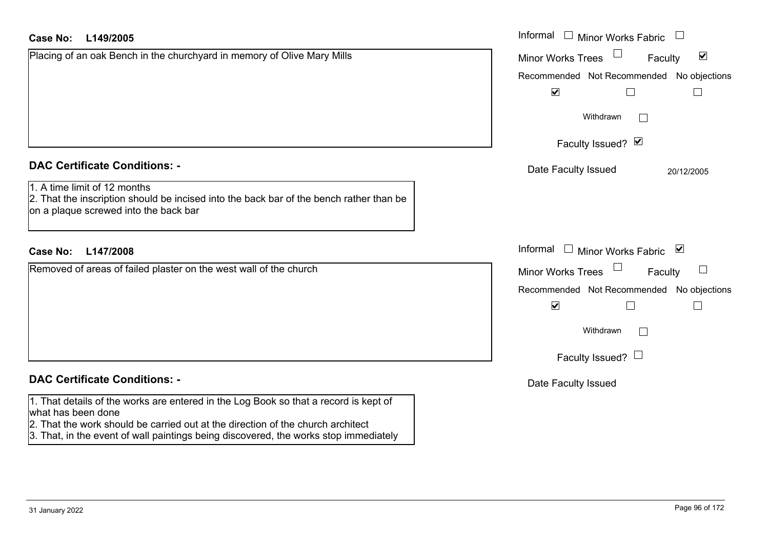| Case No:<br>L149/2005                                                                                                                                                                                                                                                                 | Informal $\Box$ Minor Works Fabric $\Box$                   |
|---------------------------------------------------------------------------------------------------------------------------------------------------------------------------------------------------------------------------------------------------------------------------------------|-------------------------------------------------------------|
| Placing of an oak Bench in the churchyard in memory of Olive Mary Mills                                                                                                                                                                                                               | $\blacktriangledown$<br><b>Minor Works Trees</b><br>Faculty |
|                                                                                                                                                                                                                                                                                       | Recommended Not Recommended No objections                   |
|                                                                                                                                                                                                                                                                                       | $\blacktriangledown$                                        |
|                                                                                                                                                                                                                                                                                       | Withdrawn                                                   |
|                                                                                                                                                                                                                                                                                       | Faculty Issued? Ø                                           |
| <b>DAC Certificate Conditions: -</b>                                                                                                                                                                                                                                                  | Date Faculty Issued<br>20/12/2005                           |
| 1. A time limit of 12 months<br>2. That the inscription should be incised into the back bar of the bench rather than be<br>on a plaque screwed into the back bar                                                                                                                      |                                                             |
| <b>Case No:</b><br>L147/2008                                                                                                                                                                                                                                                          | Informal<br>Minor Works Fabric ⊠                            |
| Removed of areas of failed plaster on the west wall of the church                                                                                                                                                                                                                     | $\sqcup$<br><b>Minor Works Trees</b><br>Faculty             |
|                                                                                                                                                                                                                                                                                       | Recommended Not Recommended<br>No objections                |
|                                                                                                                                                                                                                                                                                       | $\blacktriangledown$                                        |
|                                                                                                                                                                                                                                                                                       | Withdrawn                                                   |
|                                                                                                                                                                                                                                                                                       | Faculty Issued? $\Box$                                      |
| <b>DAC Certificate Conditions: -</b>                                                                                                                                                                                                                                                  | Date Faculty Issued                                         |
| 1. That details of the works are entered in the Log Book so that a record is kept of<br>what has been done<br>2. That the work should be carried out at the direction of the church architect<br>3. That, in the event of wall paintings being discovered, the works stop immediately |                                                             |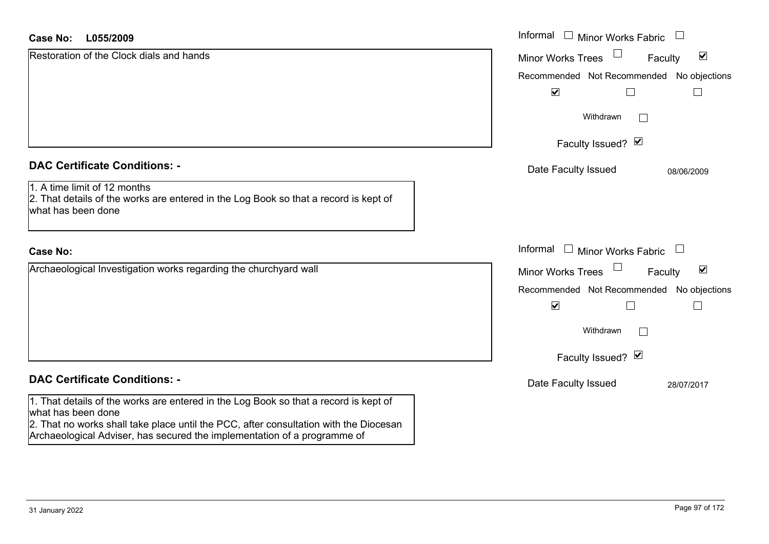| <b>Case No:</b><br>L055/2009                                                                                                                                                                                                                                                    | Informal<br>$\mathbf{1}$<br><b>Minor Works Fabric</b>       |
|---------------------------------------------------------------------------------------------------------------------------------------------------------------------------------------------------------------------------------------------------------------------------------|-------------------------------------------------------------|
| Restoration of the Clock dials and hands                                                                                                                                                                                                                                        | $\blacktriangledown$<br><b>Minor Works Trees</b><br>Faculty |
|                                                                                                                                                                                                                                                                                 | Recommended Not Recommended No objections                   |
|                                                                                                                                                                                                                                                                                 | $\blacktriangledown$                                        |
|                                                                                                                                                                                                                                                                                 | Withdrawn<br>$\mathbf{I}$                                   |
|                                                                                                                                                                                                                                                                                 | Faculty Issued? Ø                                           |
| <b>DAC Certificate Conditions: -</b>                                                                                                                                                                                                                                            | Date Faculty Issued<br>08/06/2009                           |
| 1. A time limit of 12 months<br>2. That details of the works are entered in the Log Book so that a record is kept of<br>what has been done                                                                                                                                      |                                                             |
| <b>Case No:</b>                                                                                                                                                                                                                                                                 | Informal<br>$\Box$ Minor Works Fabric $\Box$                |
| Archaeological Investigation works regarding the churchyard wall                                                                                                                                                                                                                | $\blacktriangledown$<br><b>Minor Works Trees</b><br>Faculty |
|                                                                                                                                                                                                                                                                                 | Recommended Not Recommended No objections                   |
|                                                                                                                                                                                                                                                                                 | $\blacktriangledown$                                        |
|                                                                                                                                                                                                                                                                                 | Withdrawn<br>$\mathbf{I}$                                   |
|                                                                                                                                                                                                                                                                                 | Faculty Issued? Ø                                           |
| <b>DAC Certificate Conditions: -</b>                                                                                                                                                                                                                                            | Date Faculty Issued<br>28/07/2017                           |
| 1. That details of the works are entered in the Log Book so that a record is kept of<br>what has been done<br>2. That no works shall take place until the PCC, after consultation with the Diocesan<br>Archaeological Adviser, has secured the implementation of a programme of |                                                             |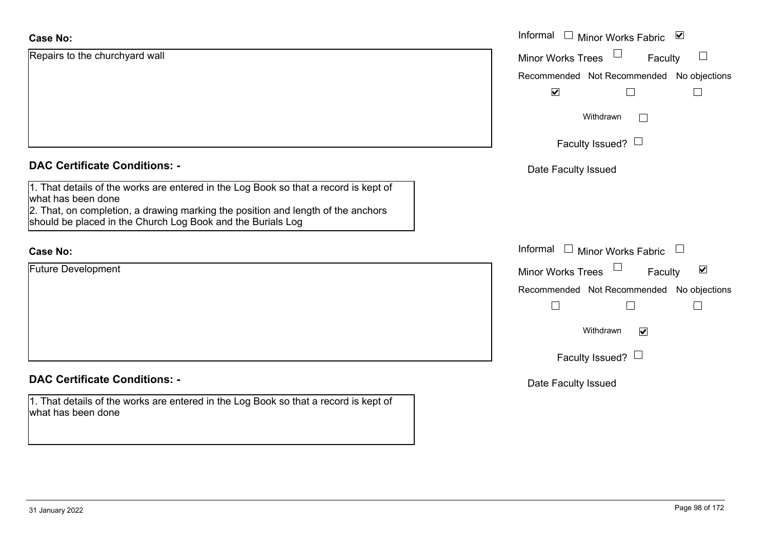| <b>Case No:</b>                                                                                                                                                                                                                                               | Informal □ Minor Works Fabric<br>⊻                          |
|---------------------------------------------------------------------------------------------------------------------------------------------------------------------------------------------------------------------------------------------------------------|-------------------------------------------------------------|
| Repairs to the churchyard wall                                                                                                                                                                                                                                | <b>Minor Works Trees</b><br>Faculty                         |
|                                                                                                                                                                                                                                                               | Recommended Not Recommended No objections                   |
|                                                                                                                                                                                                                                                               | $\blacktriangledown$                                        |
|                                                                                                                                                                                                                                                               | Withdrawn<br>$\mathbf{1}$                                   |
|                                                                                                                                                                                                                                                               | Faculty Issued? $\Box$                                      |
| <b>DAC Certificate Conditions: -</b>                                                                                                                                                                                                                          | Date Faculty Issued                                         |
| 1. That details of the works are entered in the Log Book so that a record is kept of<br>what has been done<br>2. That, on completion, a drawing marking the position and length of the anchors<br>should be placed in the Church Log Book and the Burials Log |                                                             |
|                                                                                                                                                                                                                                                               |                                                             |
| <b>Case No:</b>                                                                                                                                                                                                                                               | Informal □ Minor Works Fabric                               |
| <b>Future Development</b>                                                                                                                                                                                                                                     | $\blacktriangledown$<br><b>Minor Works Trees</b><br>Faculty |
|                                                                                                                                                                                                                                                               | Recommended Not Recommended No objections                   |
|                                                                                                                                                                                                                                                               | $\mathcal{L}_{\mathcal{A}}$<br>$\Box$<br>$\Box$             |
|                                                                                                                                                                                                                                                               | Withdrawn<br>$\blacktriangledown$                           |
|                                                                                                                                                                                                                                                               | Faculty Issued? $\Box$                                      |
| <b>DAC Certificate Conditions: -</b>                                                                                                                                                                                                                          | Date Faculty Issued                                         |
| 1. That details of the works are entered in the Log Book so that a record is kept of<br>what has been done                                                                                                                                                    |                                                             |
|                                                                                                                                                                                                                                                               |                                                             |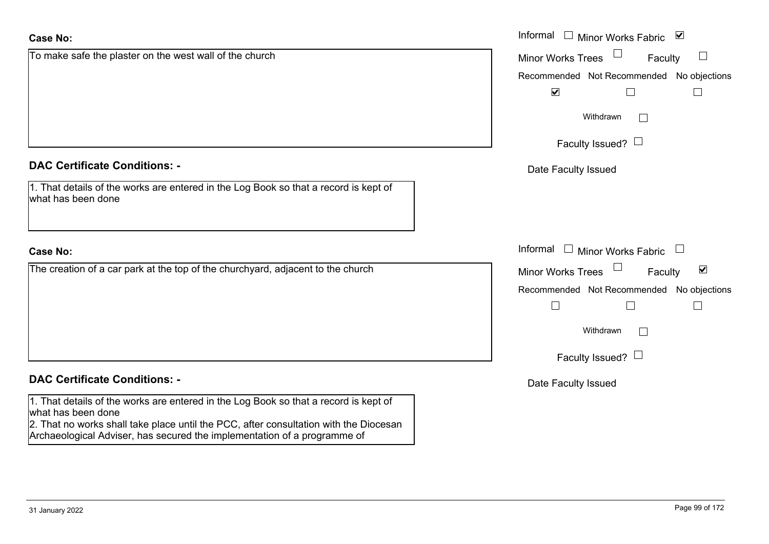| <b>Case No:</b>                                                                                                                                                                                                                                                                 | Informal □ Minor Works Fabric ⊠                             |
|---------------------------------------------------------------------------------------------------------------------------------------------------------------------------------------------------------------------------------------------------------------------------------|-------------------------------------------------------------|
| To make safe the plaster on the west wall of the church                                                                                                                                                                                                                         | <b>Minor Works Trees</b><br>Faculty                         |
|                                                                                                                                                                                                                                                                                 | Recommended Not Recommended No objections                   |
|                                                                                                                                                                                                                                                                                 | $\blacktriangledown$<br>$\mathbf{L}$<br>$\Box$              |
|                                                                                                                                                                                                                                                                                 | Withdrawn<br>$\mathbf{L}$                                   |
|                                                                                                                                                                                                                                                                                 | Faculty Issued? $\Box$                                      |
| <b>DAC Certificate Conditions: -</b>                                                                                                                                                                                                                                            | Date Faculty Issued                                         |
| 1. That details of the works are entered in the Log Book so that a record is kept of<br>what has been done                                                                                                                                                                      |                                                             |
| <b>Case No:</b>                                                                                                                                                                                                                                                                 | Informal<br>$\Box$ Minor Works Fabric $\Box$                |
| The creation of a car park at the top of the churchyard, adjacent to the church                                                                                                                                                                                                 | $\blacktriangledown$<br><b>Minor Works Trees</b><br>Faculty |
|                                                                                                                                                                                                                                                                                 | Recommended Not Recommended<br>No objections                |
|                                                                                                                                                                                                                                                                                 | $\Box$<br>$\mathbf{L}$<br>L.                                |
|                                                                                                                                                                                                                                                                                 | Withdrawn                                                   |
|                                                                                                                                                                                                                                                                                 | Faculty Issued? $\Box$                                      |
| <b>DAC Certificate Conditions: -</b>                                                                                                                                                                                                                                            | Date Faculty Issued                                         |
| 1. That details of the works are entered in the Log Book so that a record is kept of<br>what has been done<br>2. That no works shall take place until the PCC, after consultation with the Diocesan<br>Archaeological Adviser, has secured the implementation of a programme of |                                                             |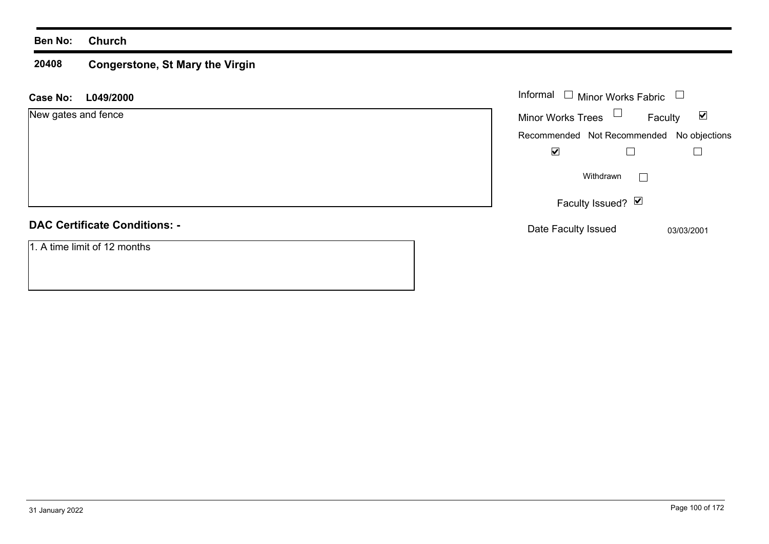### **20408 Congerstone, St Mary the Virgin**

| <b>Case No:</b><br>L049/2000         | Informal $\Box$<br>Minor Works Fabric     | $\begin{array}{c} \hline \end{array}$ |
|--------------------------------------|-------------------------------------------|---------------------------------------|
| New gates and fence                  | Minor Works Trees $\Box$                  | $\blacktriangledown$<br>Faculty       |
|                                      | Recommended Not Recommended No objections |                                       |
|                                      | $\blacktriangledown$                      |                                       |
|                                      | Withdrawn                                 | <b>Contract</b>                       |
|                                      | Faculty Issued? $\boxed{\triangleright}$  |                                       |
| <b>DAC Certificate Conditions: -</b> | Date Faculty Issued                       | 03/03/2001                            |
| 1. A time limit of 12 months         |                                           |                                       |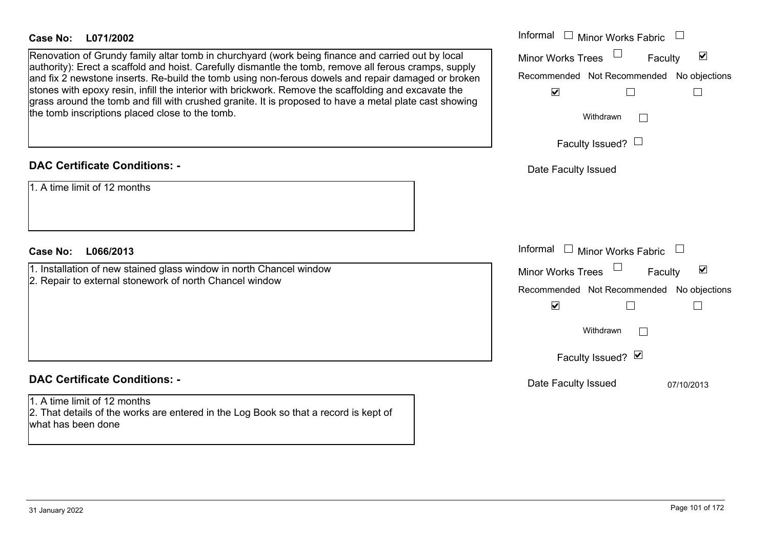## **L071/2002Case No:** Informal

Renovation of Grundy family altar tomb in churchyard (work being finance and carried out by local authority): Erect a scaffold and hoist. Carefully dismantle the tomb, remove all ferous cramps, supply and fix 2 newstone inserts. Re-build the tomb using non-ferous dowels and repair damaged or broken stones with epoxy resin, infill the interior with brickwork. Remove the scaffolding and excavate the grass around the tomb and fill with crushed granite. It is proposed to have a metal plate cast showing the tomb inscriptions placed close to the tomb.

## **DAC Certificate Conditions: -**

1. A time limit of 12 months

# **L066/2013Case No:** Informal

1. Installation of new stained glass window in north Chancel window 2. Repair to external stonework of north Chancel window

# **DAC Certificate Conditions: -**

1. A time limit of 12 months2. That details of the works are entered in the Log Book so that a record is kept of what has been done

| Informal<br><b>Minor Works Fabric</b>                             |
|-------------------------------------------------------------------|
| $\blacktriangledown$<br><b>Minor Works Trees</b><br>Faculty       |
| Recommended Not Recommended No objections<br>$\blacktriangledown$ |
| Withdrawn                                                         |
| Faculty Issued? $\Box$                                            |
| Date Faculty Issued                                               |
|                                                                   |
|                                                                   |
| Informal<br><b>Minor Works Fabric</b>                             |
| $\blacktriangledown$<br><b>Minor Works Trees</b><br>Faculty       |
| Recommended Not Recommended No objections<br>$\blacktriangledown$ |
| Withdrawn                                                         |
| Faculty Issued? Ø                                                 |
| Date Faculty Issued<br>07/10/2013                                 |
|                                                                   |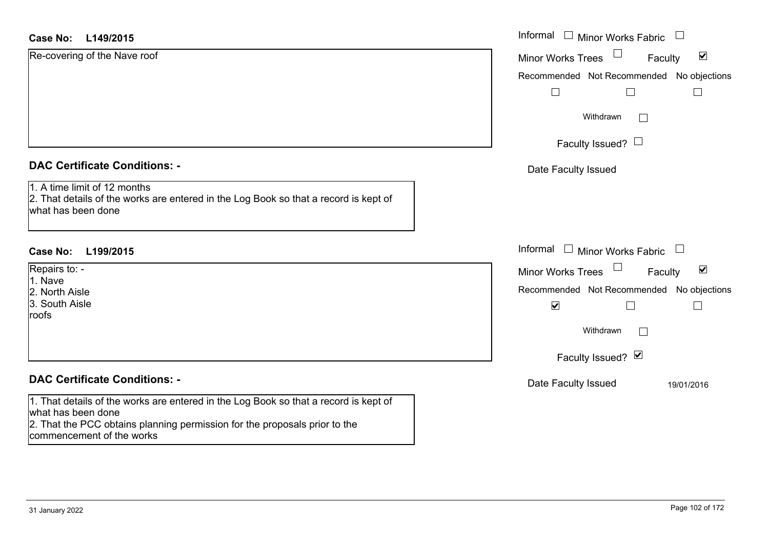| <b>Case No:</b><br>L149/2015                                                                                                                                                                                          | Informal □ Minor Works Fabric<br>$\frac{1}{2}$                         |
|-----------------------------------------------------------------------------------------------------------------------------------------------------------------------------------------------------------------------|------------------------------------------------------------------------|
| Re-covering of the Nave roof                                                                                                                                                                                          | $\blacktriangledown$<br><b>Minor Works Trees</b><br>Faculty            |
|                                                                                                                                                                                                                       | Recommended Not Recommended No objections                              |
|                                                                                                                                                                                                                       |                                                                        |
|                                                                                                                                                                                                                       | Withdrawn<br>$\Box$                                                    |
|                                                                                                                                                                                                                       | Faculty Issued? $\Box$                                                 |
| <b>DAC Certificate Conditions: -</b>                                                                                                                                                                                  | Date Faculty Issued                                                    |
| 1. A time limit of 12 months<br>2. That details of the works are entered in the Log Book so that a record is kept of<br>what has been done                                                                            |                                                                        |
| <b>Case No:</b><br>L199/2015                                                                                                                                                                                          | Informal □ Minor Works Fabric<br>$\begin{array}{c} \hline \end{array}$ |
| Repairs to: -                                                                                                                                                                                                         | $\blacktriangledown$<br><b>Minor Works Trees</b><br>Faculty            |
| 1. Nave<br>2. North Aisle                                                                                                                                                                                             | Recommended Not Recommended No objections                              |
| 3. South Aisle<br>roofs                                                                                                                                                                                               | $\blacktriangledown$<br>$\Box$<br>$\mathcal{L}_{\mathcal{A}}$          |
|                                                                                                                                                                                                                       | Withdrawn<br>$\Box$                                                    |
|                                                                                                                                                                                                                       | Faculty Issued? Ø                                                      |
| <b>DAC Certificate Conditions: -</b>                                                                                                                                                                                  | Date Faculty Issued<br>19/01/2016                                      |
| 1. That details of the works are entered in the Log Book so that a record is kept of<br>what has been done<br>2. That the PCC obtains planning permission for the proposals prior to the<br>commencement of the works |                                                                        |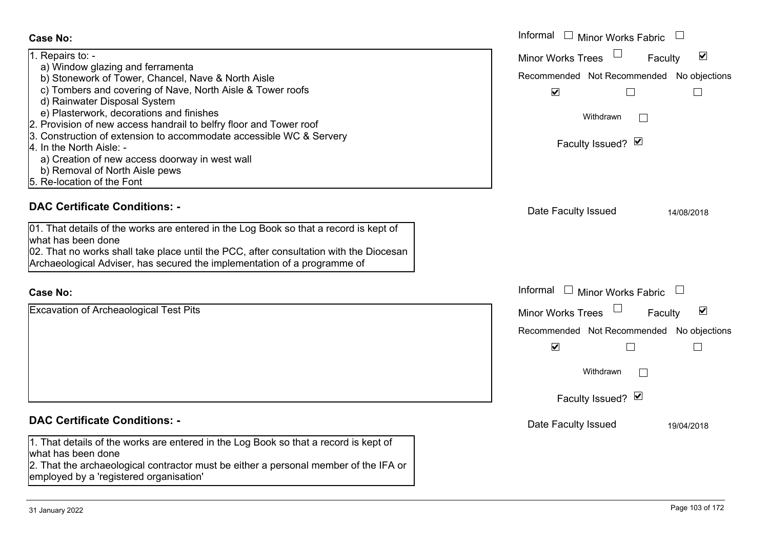### Informal  $\Box$  Minor Works Fabric  $\Box$  Informal **Case No:**1. Repairs to: - Minor Works Trees<sup>1</sup> Faculty a) Window glazing and ferramenta b) Stonework of Tower, Chancel, Nave & North Aisle Recommended Not Recommended No objections c) Tombers and covering of Nave, North Aisle & Tower roofs  $\overline{\mathbf{v}}$  $\Box$  d) Rainwater Disposal System e) Plasterwork, decorations and finishes Withdrawn $\Box$ 2. Provision of new access handrail to belfry floor and Tower roof 3. Construction of extension to accommodate accessible WC & Servery Faculty Issued?  $\boxtimes$ 4. In the North Aisle: a) Creation of new access doorway in west wall b) Removal of North Aisle pews 5. Re-location of the Font**DAC Certificate Conditions: -**Date Faculty Issued 14/08/2018 01. That details of the works are entered in the Log Book so that a record is kept of what has been done02. That no works shall take place until the PCC, after consultation with the Diocesan Archaeological Adviser, has secured the implementation of a programme of Informal  $\Box$  Minor Works Fabric  $\Box$  Informal **Case No:**Excavation of Archeaological Test Pits Minor Works Trees  $\Box$ Faculty Recommended Not Recommended No objections  $\overline{\mathbf{v}}$  $\Box$ Withdrawn $\Box$ Faculty Issued? Ø **DAC Certificate Conditions: -**Date Faculty Issued 19/04/2018 1. That details of the works are entered in the Log Book so that a record is kept of what has been done

2. That the archaeological contractor must be either a personal member of the IFA or employed by a 'registered organisation'

 $\overline{\mathbf{v}}$ 

 $\Box$ 

 $\blacktriangledown$ 

 $\Box$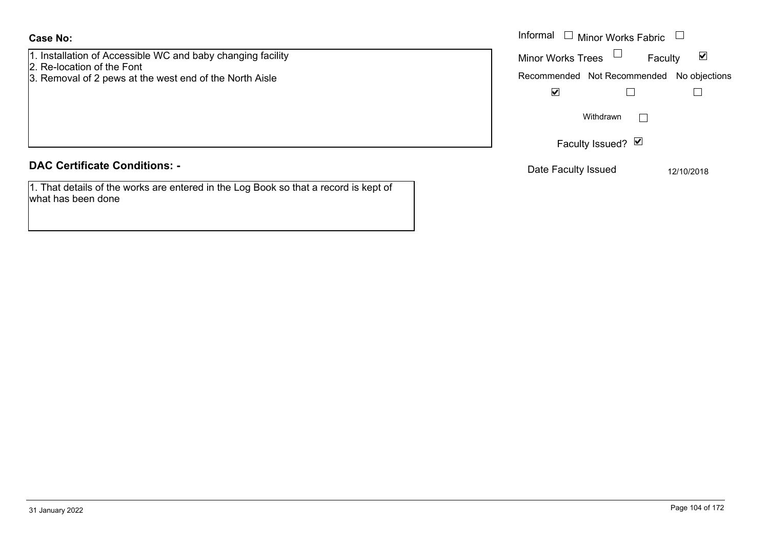| Informal<br>Minor Works Fabric<br>$\Box$<br>Case No:                                                                                                 |                                                                                                             |
|------------------------------------------------------------------------------------------------------------------------------------------------------|-------------------------------------------------------------------------------------------------------------|
| 1. Installation of Accessible WC and baby changing facility<br>2. Re-location of the Font<br>3. Removal of 2 pews at the west end of the North Aisle | <b>Minor Works Trees</b><br>$\blacktriangledown$<br>Faculty<br>Recommended Not Recommended<br>No objections |
|                                                                                                                                                      | ⊻<br>Withdrawn                                                                                              |
|                                                                                                                                                      | Faculty Issued? Ø                                                                                           |
| <b>DAC Certificate Conditions: -</b>                                                                                                                 | Date Faculty Issued<br>12/10/2018                                                                           |
| 1. That details of the works are entered in the Log Book so that a record is kept of<br>what has been done                                           |                                                                                                             |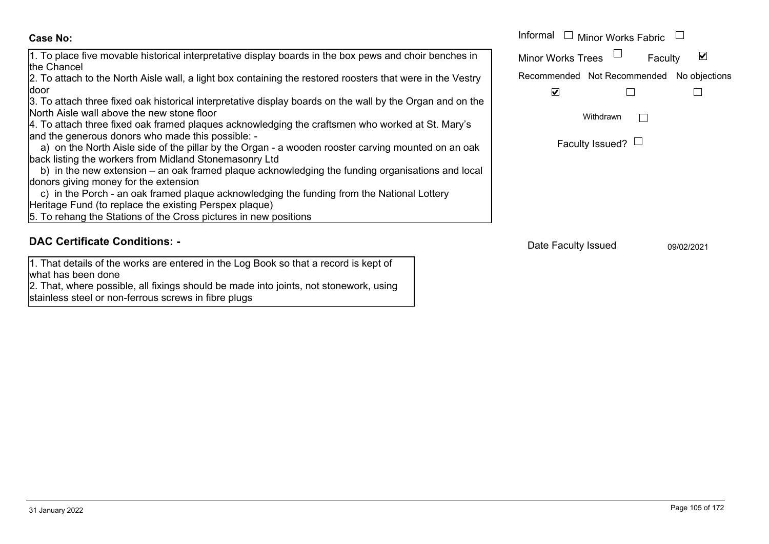the Chancel

**Case No:**

2. To attach to the North Aisle wall, a light box containing the restored roosters that were in the Vestry door

1. To place five movable historical interpretative display boards in the box pews and choir benches in

3. To attach three fixed oak historical interpretative display boards on the wall by the Organ and on the North Aisle wall above the new stone floor

4. To attach three fixed oak framed plaques acknowledging the craftsmen who worked at St. Mary's and the generous donors who made this possible: -

 a) on the North Aisle side of the pillar by the Organ - a wooden rooster carving mounted on an oak back listing the workers from Midland Stonemasonry Ltd

 b) in the new extension – an oak framed plaque acknowledging the funding organisations and local donors giving money for the extension

 c) in the Porch - an oak framed plaque acknowledging the funding from the National Lottery Heritage Fund (to replace the existing Perspex plaque)

5. To rehang the Stations of the Cross pictures in new positions

# **DAC Certificate Conditions: -**

1. That details of the works are entered in the Log Book so that a record is kept of what has been done

2. That, where possible, all fixings should be made into joints, not stonework, using stainless steel or non-ferrous screws in fibre plugs

|                                                                                                                                                                                                                                  | Informal<br>Minor Works Fabric $\mathbb L$ |
|----------------------------------------------------------------------------------------------------------------------------------------------------------------------------------------------------------------------------------|--------------------------------------------|
| ce five movable historical interpretative display boards in the box pews and choir benches in<br>cel                                                                                                                             | <b>Minor Works Trees</b><br>Faculty        |
| ach to the North Aisle wall, a light box containing the restored roosters that were in the Vestry                                                                                                                                | Recommended Not Recommended No objections  |
| ach three fixed oak historical interpretative display boards on the wall by the Organ and on the<br>le wall above the new stone floor<br>ach three fixed oak framed plaques acknowledging the craftsmen who worked at St. Mary's | ⊻<br>Withdrawn                             |
| enerous donors who made this possible: -<br>the North Aisle side of the pillar by the Organ - a wooden rooster carving mounted on an oak<br>ng the workers from Midland Stonemasonry Ltd                                         | Faculty Issued? $\Box$                     |
| he new extension – an oak framed plaque acknowledging the funding organisations and local<br>iving money for the extension.                                                                                                      |                                            |

Date Faculty Issued 09/02/2021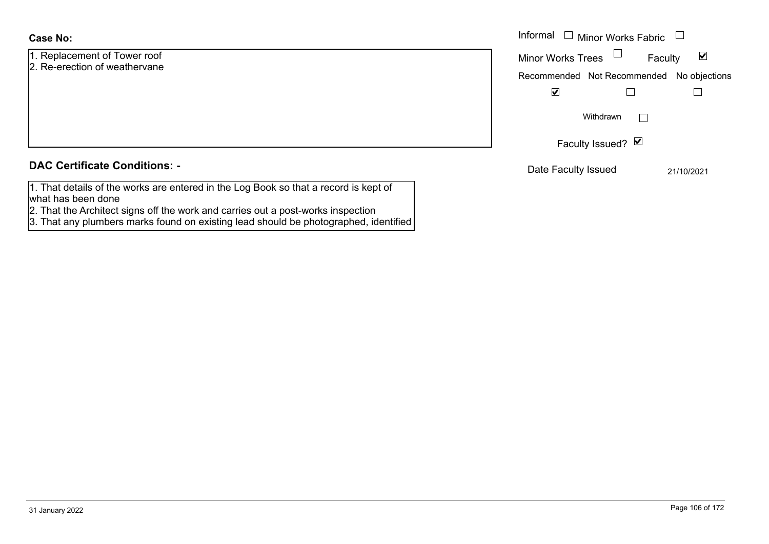# **Case No:**

1. Replacement of Tower roof 2. Re-erection of weathervane

| <b>DAC Certificate Conditions: -</b> |  |
|--------------------------------------|--|
|--------------------------------------|--|

| 1. That details of the works are entered in the Log Book so that a record is kept of |  |
|--------------------------------------------------------------------------------------|--|
| what has been done                                                                   |  |

2. That the Architect signs off the work and carries out a post-works inspection

3. That any plumbers marks found on existing lead should be photographed, identified

|                                             | Informal<br>$\Box$ Minor Works Fabric $\Box$                                                                                     |  |  |
|---------------------------------------------|----------------------------------------------------------------------------------------------------------------------------------|--|--|
| ement of Tower roof<br>ction of weathervane | Minor Works Trees $\Box$<br>$\blacktriangledown$<br>Faculty<br>Recommended Not Recommended No objections<br>$\blacktriangledown$ |  |  |
|                                             | Withdrawn                                                                                                                        |  |  |
|                                             | Faculty Issued? $\Box$                                                                                                           |  |  |
| rtificate Conditions: -                     | Date Faculty Issued<br>21/10/2021                                                                                                |  |  |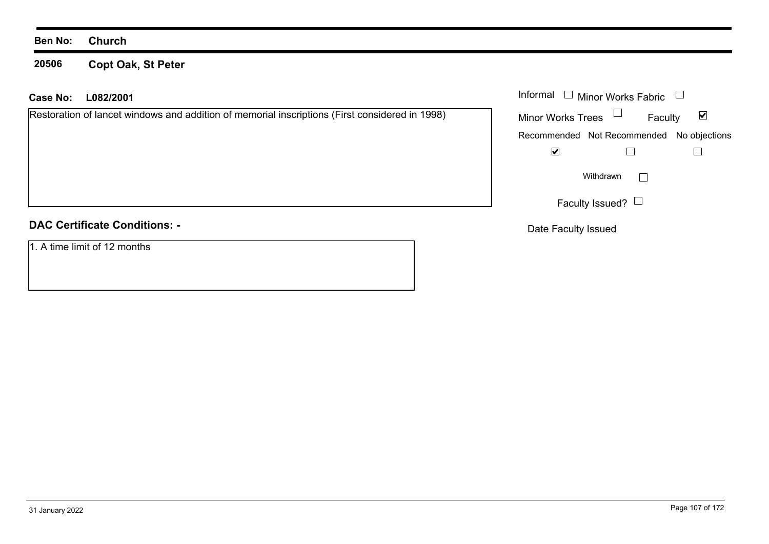**20506 Copt Oak, St Peter**

| <b>Case No:</b>                      | L082/2001                                                                                      |                           | Informal $\Box$ Minor Works Fabric        |                      |
|--------------------------------------|------------------------------------------------------------------------------------------------|---------------------------|-------------------------------------------|----------------------|
|                                      | Restoration of lancet windows and addition of memorial inscriptions (First considered in 1998) | <b>Minor Works Trees</b>  | $\Box$<br>Faculty                         | $\blacktriangledown$ |
|                                      |                                                                                                |                           | Recommended Not Recommended No objections |                      |
|                                      |                                                                                                | $\blacktriangledown$      |                                           |                      |
|                                      |                                                                                                | Withdrawn<br>$\mathbf{I}$ |                                           |                      |
|                                      |                                                                                                |                           | Faculty Issued? $\Box$                    |                      |
| <b>DAC Certificate Conditions: -</b> |                                                                                                | Date Faculty Issued       |                                           |                      |
| 1. A time limit of 12 months         |                                                                                                |                           |                                           |                      |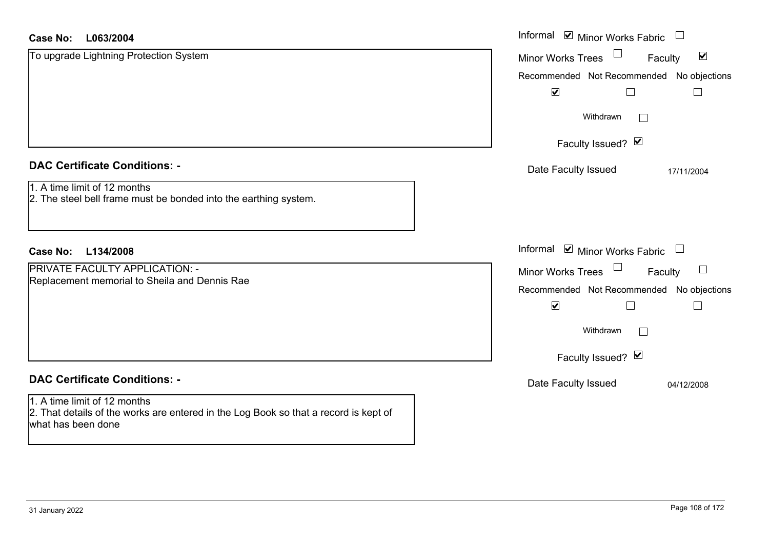| <b>Case No:</b><br>L063/2004                                                                                                               | Informal ⊠ Minor Works Fabric                               |
|--------------------------------------------------------------------------------------------------------------------------------------------|-------------------------------------------------------------|
| To upgrade Lightning Protection System                                                                                                     | $\blacktriangledown$<br><b>Minor Works Trees</b><br>Faculty |
|                                                                                                                                            | Recommended Not Recommended No objections                   |
|                                                                                                                                            | $\blacktriangledown$                                        |
|                                                                                                                                            | Withdrawn<br>$\Box$                                         |
|                                                                                                                                            | Faculty Issued? Ø                                           |
| <b>DAC Certificate Conditions: -</b>                                                                                                       | Date Faculty Issued<br>17/11/2004                           |
| 1. A time limit of 12 months<br>2. The steel bell frame must be bonded into the earthing system.                                           |                                                             |
| <b>Case No:</b><br>L134/2008                                                                                                               | Informal ☑ Minor Works Fabric                               |
| PRIVATE FACULTY APPLICATION: -                                                                                                             | Minor Works Trees<br>$\Box$<br>Faculty                      |
| Replacement memorial to Sheila and Dennis Rae                                                                                              | Recommended Not Recommended No objections                   |
|                                                                                                                                            | $\blacktriangledown$<br>$\Box$                              |
|                                                                                                                                            | Withdrawn<br>$\mathbf{L}$                                   |
|                                                                                                                                            | Faculty Issued? Ø                                           |
| <b>DAC Certificate Conditions: -</b>                                                                                                       | Date Faculty Issued<br>04/12/2008                           |
| 1. A time limit of 12 months<br>2. That details of the works are entered in the Log Book so that a record is kept of<br>what has been done |                                                             |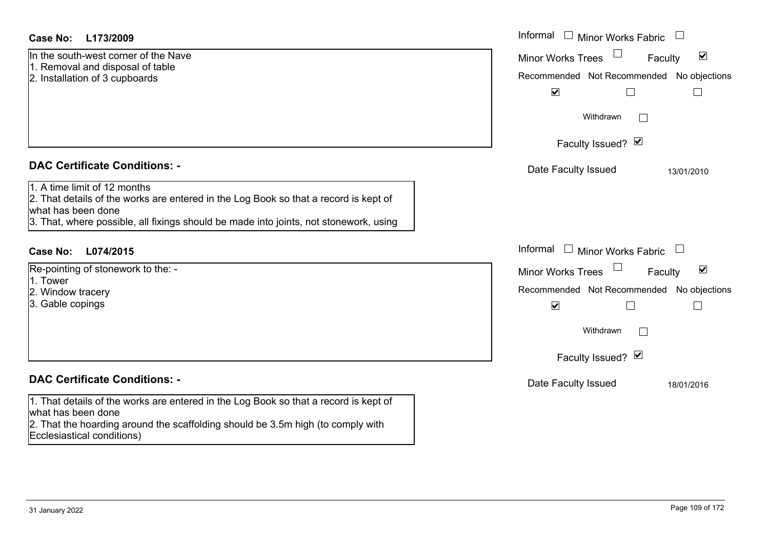In the south-west corner of the Nave 1. Removal and disposal of table 2. Installation of 3 cupboards

### **DAC Certificate Conditions: -**

# 1. A time limit of 12 months

2. That details of the works are entered in the Log Book so that a record is kept of what has been done

3. That, where possible, all fixings should be made into joints, not stonework, using

# **L074/2015Case No:** Informal

Re-pointing of stonework to the: -

- 1. Tower
- 2. Window tracery

3. Gable copings

# **DAC Certificate Conditions: -**

1. That details of the works are entered in the Log Book so that a record is kept of what has been done

2. That the hoarding around the scaffolding should be 3.5m high (to comply with Ecclesiastical conditions)

| L173/2009                                                                                                                                                                                                     | Informal □ Minor Works Fabric<br>$\overline{\phantom{0}}$                                                                        |
|---------------------------------------------------------------------------------------------------------------------------------------------------------------------------------------------------------------|----------------------------------------------------------------------------------------------------------------------------------|
| uth-west corner of the Nave<br>val and disposal of table<br>ation of 3 cupboards                                                                                                                              | $\blacktriangledown$<br><b>Minor Works Trees</b><br>Faculty<br>Recommended Not Recommended No objections<br>$\blacktriangledown$ |
|                                                                                                                                                                                                               | Withdrawn                                                                                                                        |
|                                                                                                                                                                                                               | Faculty Issued? Ø                                                                                                                |
| rtificate Conditions: -                                                                                                                                                                                       | Date Faculty Issued<br>13/01/2010                                                                                                |
| limit of 12 months<br>etails of the works are entered in the Log Book so that a record is kept of<br>been done<br>where possible, all fixings should be made into joints, not stonework, using                |                                                                                                                                  |
| L074/2015                                                                                                                                                                                                     | Informal<br>$\Box$ Minor Works Fabric<br>$\Box$                                                                                  |
| ng of stonework to the: -                                                                                                                                                                                     | $\blacktriangledown$<br>Minor Works Trees<br>Faculty                                                                             |
| w tracery<br>copings                                                                                                                                                                                          | Recommended Not Recommended No objections<br>$\blacktriangledown$                                                                |
|                                                                                                                                                                                                               | Withdrawn                                                                                                                        |
|                                                                                                                                                                                                               | Faculty Issued? Ø                                                                                                                |
| rtificate Conditions: -                                                                                                                                                                                       | Date Faculty Issued<br>18/01/2016                                                                                                |
| etails of the works are entered in the Log Book so that a record is kept of<br>been done<br>والإنتاج والمتموم والمتأر والمتوارقات والمستقل الماريوما والمتعالم والمتابعة والمتعالم وريتوه والمستوات والمستوات |                                                                                                                                  |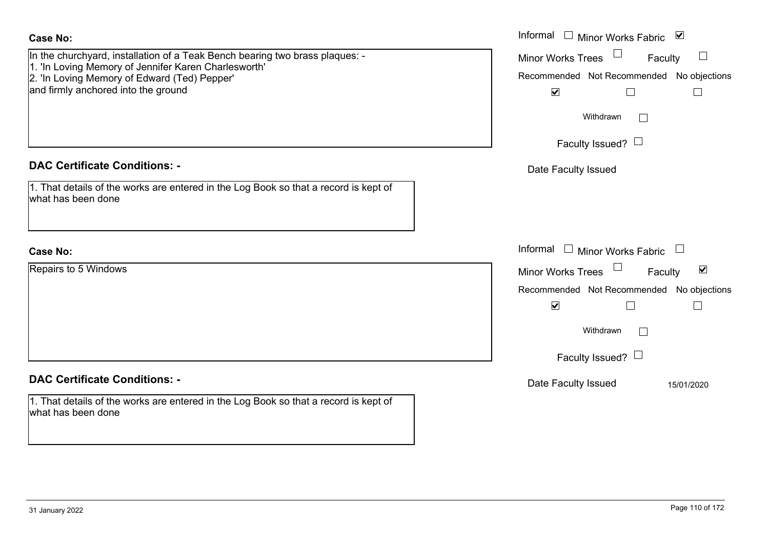| <b>Case No:</b>                                                                                            | Informal □ Minor Works Fabric ☑                      |
|------------------------------------------------------------------------------------------------------------|------------------------------------------------------|
| In the churchyard, installation of a Teak Bench bearing two brass plaques: -                               | <b>Minor Works Trees</b><br>Faculty                  |
| 1. 'In Loving Memory of Jennifer Karen Charlesworth'<br>2. 'In Loving Memory of Edward (Ted) Pepper'       | Recommended Not Recommended No objections            |
| and firmly anchored into the ground                                                                        | $\blacktriangledown$<br>$\Box$<br>$\Box$             |
|                                                                                                            | Withdrawn                                            |
|                                                                                                            | Faculty Issued? $\Box$                               |
| <b>DAC Certificate Conditions: -</b>                                                                       | Date Faculty Issued                                  |
| 1. That details of the works are entered in the Log Book so that a record is kept of<br>what has been done |                                                      |
| <b>Case No:</b>                                                                                            | Informal $\Box$ Minor Works Fabric $\Box$            |
| Repairs to 5 Windows                                                                                       | $\blacktriangledown$<br>Minor Works Trees<br>Faculty |
|                                                                                                            | Recommended Not Recommended<br>No objections         |
|                                                                                                            | $\blacktriangledown$<br>$\Box$<br>$\Box$             |
|                                                                                                            | Withdrawn                                            |
|                                                                                                            | Faculty Issued? $\Box$                               |
| <b>DAC Certificate Conditions: -</b>                                                                       | Date Faculty Issued<br>15/01/2020                    |
| 1. That details of the works are entered in the Log Book so that a record is kept of<br>what has been done |                                                      |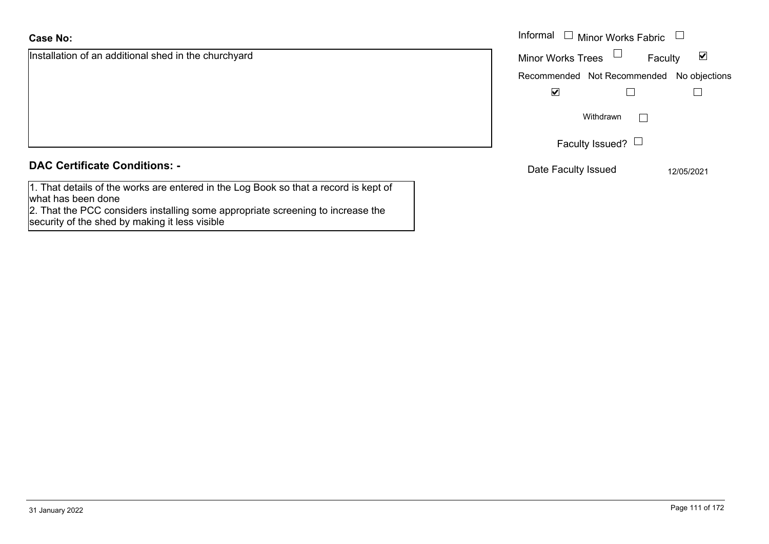### **Case No:**

| <b>Case No:</b>                                                                      | Informal |
|--------------------------------------------------------------------------------------|----------|
| Installation of an additional shed in the churchyard                                 | Minor W  |
|                                                                                      | Recomm   |
|                                                                                      |          |
|                                                                                      |          |
|                                                                                      |          |
|                                                                                      |          |
| <b>DAC Certificate Conditions: -</b>                                                 | Date I   |
| 1. That details of the works are entered in the Log Book so that a record is kept of |          |

what has been done

2. That the PCC considers installing some appropriate screening to increase the security of the shed by making it less visible

| Informal<br>$\Box$ Minor Works Fabric |                                           |  |
|---------------------------------------|-------------------------------------------|--|
| <b>Minor Works Trees</b>              | Faculty                                   |  |
|                                       | Recommended Not Recommended No objections |  |
|                                       |                                           |  |
| Withdrawn                             |                                           |  |
|                                       | Faculty Issued?                           |  |

te Faculty Issued 12/05/2021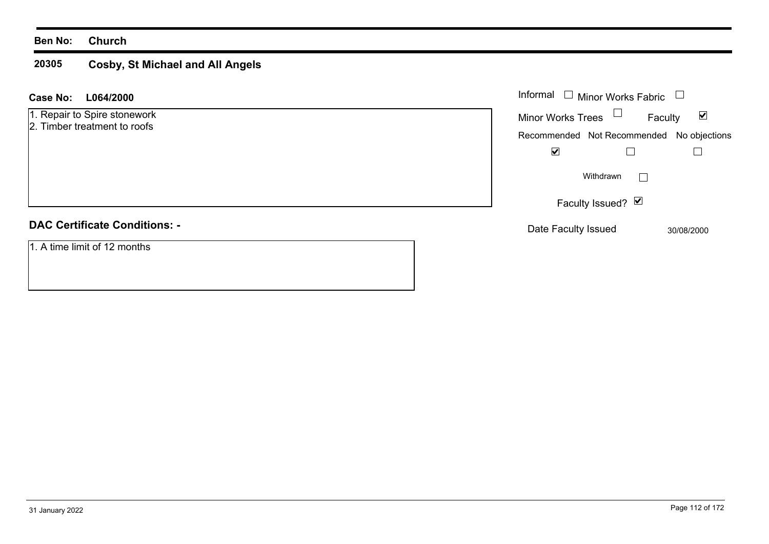### **Ben No: Church**

### **20305 Cosby, St Michael and All Angels**

| L064/2000<br>Case No:                                        | Informal $\Box$ Minor Works Fabric                          |
|--------------------------------------------------------------|-------------------------------------------------------------|
| 1. Repair to Spire stonework<br>2. Timber treatment to roofs | Minor Works Trees $\Box$<br>$\blacktriangledown$<br>Faculty |
|                                                              | Recommended Not Recommended No objections                   |
|                                                              | $\blacktriangledown$                                        |
|                                                              | Withdrawn                                                   |
|                                                              | Faculty Issued? Ø                                           |
| <b>DAC Certificate Conditions: -</b>                         | Date Faculty Issued<br>30/08/2000                           |
| 1. A time limit of 12 months                                 |                                                             |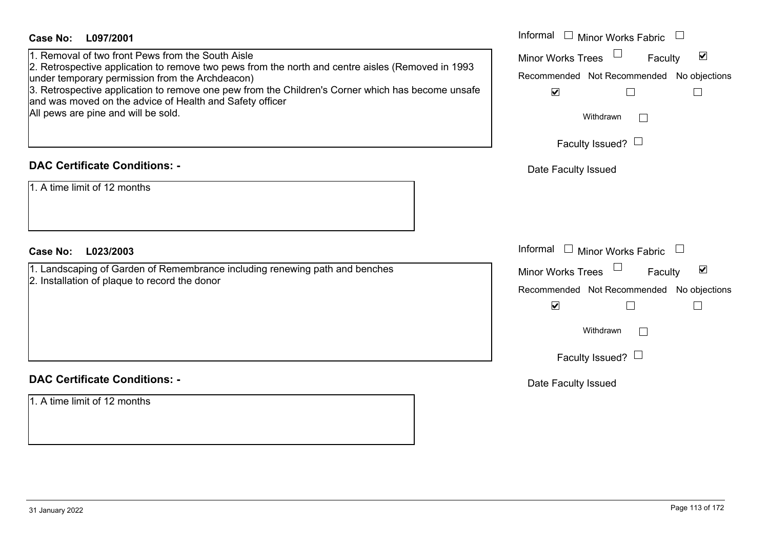| <b>Case No:</b><br>L097/2001                                                                                                                                                                                                                                                                                                                                                                                      | Informal $\Box$ Minor Works Fabric $\Box$                                                                                                                                                             |
|-------------------------------------------------------------------------------------------------------------------------------------------------------------------------------------------------------------------------------------------------------------------------------------------------------------------------------------------------------------------------------------------------------------------|-------------------------------------------------------------------------------------------------------------------------------------------------------------------------------------------------------|
| 1. Removal of two front Pews from the South Aisle<br>2. Retrospective application to remove two pews from the north and centre aisles (Removed in 1993<br>under temporary permission from the Archdeacon)<br>3. Retrospective application to remove one pew from the Children's Corner which has become unsafe<br>and was moved on the advice of Health and Safety officer<br>All pews are pine and will be sold. | $\blacktriangledown$<br><b>Minor Works Trees</b><br>Faculty<br>Recommended Not Recommended No objections<br>$\blacktriangledown$<br>$\Box$<br>$\Box$<br>Withdrawn<br>$\Box$<br>Faculty Issued? $\Box$ |
| <b>DAC Certificate Conditions: -</b>                                                                                                                                                                                                                                                                                                                                                                              | Date Faculty Issued                                                                                                                                                                                   |
| 1. A time limit of 12 months                                                                                                                                                                                                                                                                                                                                                                                      |                                                                                                                                                                                                       |
| Case No:<br>L023/2003                                                                                                                                                                                                                                                                                                                                                                                             | Informal $\Box$ Minor Works Fabric $\Box$                                                                                                                                                             |
| 1. Landscaping of Garden of Remembrance including renewing path and benches<br>2. Installation of plaque to record the donor                                                                                                                                                                                                                                                                                      | Minor Works Trees<br>$\blacktriangledown$<br>Faculty<br>Recommended Not Recommended No objections<br>$\blacktriangledown$<br>$\Box$<br>$\mathsf{L}$<br>Withdrawn<br>Faculty Issued? $\Box$            |
| <b>DAC Certificate Conditions: -</b>                                                                                                                                                                                                                                                                                                                                                                              | Date Faculty Issued                                                                                                                                                                                   |
| 1. A time limit of 12 months                                                                                                                                                                                                                                                                                                                                                                                      |                                                                                                                                                                                                       |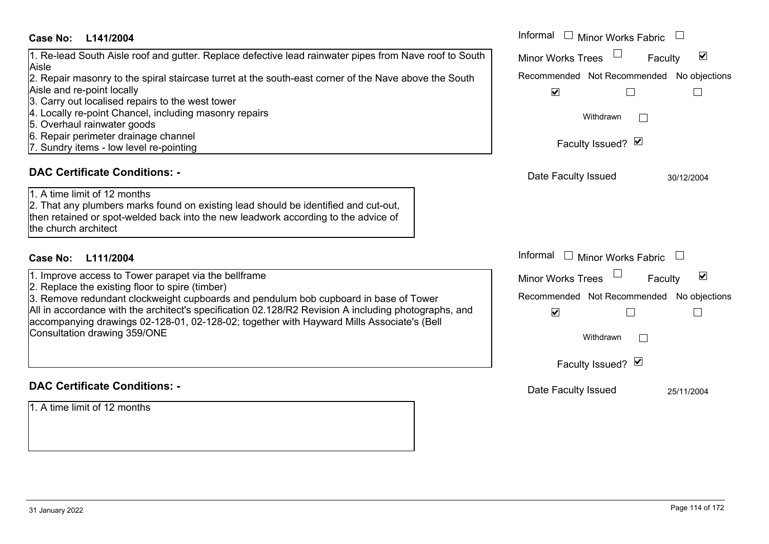### **L141/2004Case No:** Informal

### 1. Re-lead South Aisle roof and gutter. Replace defective lead rainwater pipes from Nave roof to So Aisle

2. Repair masonry to the spiral staircase turret at the south-east corner of the Nave above the South Aisle and re-point locally

- 3. Carry out localised repairs to the west tower
- 4. Locally re-point Chancel, including masonry repairs
- 5. Overhaul rainwater goods
- 6. Repair perimeter drainage channel
- 7. Sundry items low level re-pointing

### **DAC Certificate Conditions: -**

# 1. A time limit of 12 months

2. That any plumbers marks found on existing lead should be identified and cut-out, then retained or spot-welded back into the new leadwork according to the advice of the church architect

# **L111/2004Case No:** Informal

1. Improve access to Tower parapet via the bellframe

2. Replace the existing floor to spire (timber)

3. Remove redundant clockweight cupboards and pendulum bob cupboard in base of Tower All in accordance with the architect's specification 02.128/R2 Revision A including photographs, and accompanying drawings 02-128-01, 02-128-02; together with Hayward Mills Associate's (Bell Consultation drawing 359/ONE

### **DAC Certificate Conditions: -**

1. A time limit of 12 months

|     | Informal<br>Minor Works Fabric                                    |  |  |
|-----|-------------------------------------------------------------------|--|--|
| uth | ⊻<br><b>Minor Works Trees</b><br>Faculty                          |  |  |
| ٦   | Recommended Not Recommended No objections                         |  |  |
|     | $\overline{\mathbf{v}}$                                           |  |  |
|     | Withdrawn                                                         |  |  |
|     | Faculty Issued? Ø                                                 |  |  |
|     | Date Faculty Issued<br>30/12/2004                                 |  |  |
|     |                                                                   |  |  |
|     |                                                                   |  |  |
|     | Informal<br>Minor Works Fabric                                    |  |  |
|     | ⊻<br><b>Minor Works Trees</b><br>Faculty                          |  |  |
|     | Recommended Not Recommended No objections<br>$\blacktriangledown$ |  |  |
|     | Withdrawn                                                         |  |  |
|     | Faculty Issued? Ø                                                 |  |  |
|     | Date Faculty Issued<br>25/11/2004                                 |  |  |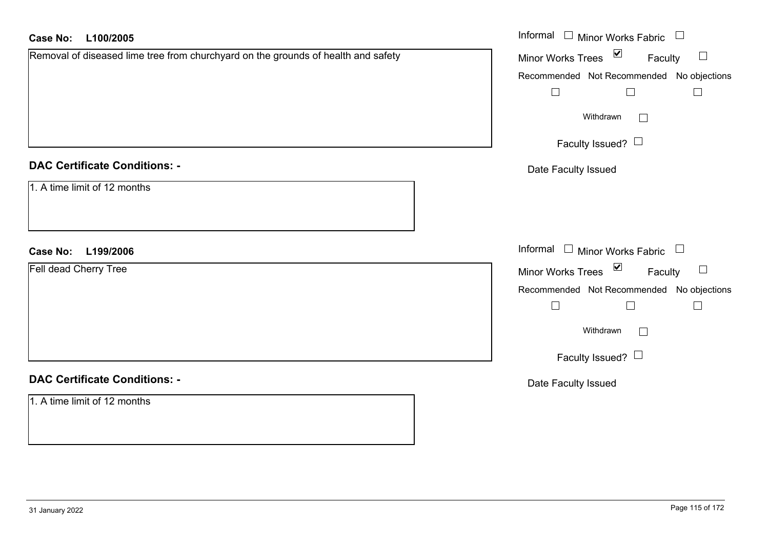| <b>Case No:</b><br>L100/2005                                                      | Informal □ Minor Works Fabric<br>$\overline{\phantom{a}}$ |
|-----------------------------------------------------------------------------------|-----------------------------------------------------------|
| Removal of diseased lime tree from churchyard on the grounds of health and safety | Minor Works Trees ⊠<br>Faculty<br>$\Box$                  |
|                                                                                   | Recommended Not Recommended No objections                 |
|                                                                                   | $\Box$<br>$\Box$<br>$\Box$                                |
|                                                                                   | Withdrawn<br>$\Box$                                       |
|                                                                                   | Faculty Issued? $\Box$                                    |
| <b>DAC Certificate Conditions: -</b>                                              | Date Faculty Issued                                       |
| 1. A time limit of 12 months                                                      |                                                           |
| <b>Case No:</b><br>L199/2006                                                      | Informal □ Minor Works Fabric □                           |
| Fell dead Cherry Tree                                                             | Minor Works Trees ⊠<br>Faculty<br>$\sqcup$                |
|                                                                                   | Recommended Not Recommended No objections                 |
|                                                                                   | $\Box$<br>$\Box$<br>$\Box$                                |
|                                                                                   | Withdrawn<br>$\Box$                                       |
|                                                                                   | Faculty Issued? $\Box$                                    |
| <b>DAC Certificate Conditions: -</b>                                              | Date Faculty Issued                                       |
| 1. A time limit of 12 months                                                      |                                                           |
|                                                                                   |                                                           |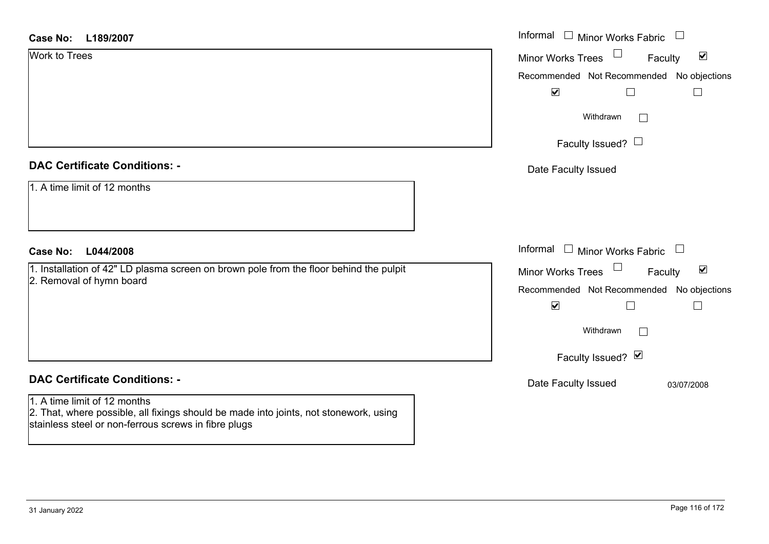| <b>Case No:</b><br>L189/2007                                                                                                                                                  | Informal □ Minor Works Fabric                                                                                                                                                          |
|-------------------------------------------------------------------------------------------------------------------------------------------------------------------------------|----------------------------------------------------------------------------------------------------------------------------------------------------------------------------------------|
| <b>Work to Trees</b>                                                                                                                                                          | $\blacktriangledown$<br>Minor Works Trees<br>Faculty                                                                                                                                   |
|                                                                                                                                                                               | Recommended Not Recommended No objections                                                                                                                                              |
|                                                                                                                                                                               | $\blacktriangledown$<br>$\Box$<br>$\Box$                                                                                                                                               |
|                                                                                                                                                                               | Withdrawn<br>$\Box$                                                                                                                                                                    |
|                                                                                                                                                                               | Faculty Issued? $\Box$                                                                                                                                                                 |
| <b>DAC Certificate Conditions: -</b>                                                                                                                                          | Date Faculty Issued                                                                                                                                                                    |
| 1. A time limit of 12 months                                                                                                                                                  |                                                                                                                                                                                        |
| <b>Case No:</b><br>L044/2008                                                                                                                                                  | Informal $\Box$ Minor Works Fabric $\Box$                                                                                                                                              |
| 1. Installation of 42" LD plasma screen on brown pole from the floor behind the pulpit<br>2. Removal of hymn board                                                            | Minor Works Trees<br>$\blacktriangledown$<br>Faculty<br>Recommended Not Recommended No objections<br>$\blacktriangledown$<br>$\Box$<br>$\overline{\phantom{a}}$<br>Withdrawn<br>$\sim$ |
| <b>DAC Certificate Conditions: -</b>                                                                                                                                          | Faculty Issued? V                                                                                                                                                                      |
| 1. A time limit of 12 months<br>2. That, where possible, all fixings should be made into joints, not stonework, using<br>stainless steel or non-ferrous screws in fibre plugs | Date Faculty Issued<br>03/07/2008                                                                                                                                                      |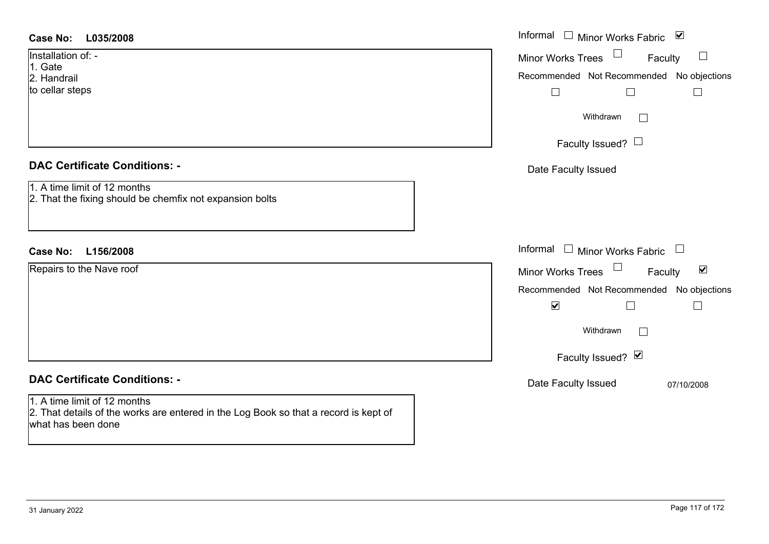| <b>Case No:</b><br>L035/2008                                                                                                               | Informal □ Minor Works Fabric ⊠                      |
|--------------------------------------------------------------------------------------------------------------------------------------------|------------------------------------------------------|
| Installation of: -                                                                                                                         | Minor Works Trees<br>Faculty<br>$\Box$               |
| 1. Gate<br>2. Handrail                                                                                                                     | Recommended Not Recommended No objections            |
| to cellar steps                                                                                                                            | $\Box$<br>$\overline{\phantom{a}}$<br>$\Box$         |
|                                                                                                                                            | Withdrawn                                            |
|                                                                                                                                            | Faculty Issued? $\Box$                               |
| <b>DAC Certificate Conditions: -</b>                                                                                                       | Date Faculty Issued                                  |
| 1. A time limit of 12 months<br>2. That the fixing should be chemfix not expansion bolts                                                   |                                                      |
|                                                                                                                                            |                                                      |
| Case No: L156/2008                                                                                                                         | Informal $\Box$ Minor Works Fabric $\Box$            |
| Repairs to the Nave roof                                                                                                                   | Minor Works Trees<br>$\blacktriangledown$<br>Faculty |
|                                                                                                                                            | Recommended Not Recommended No objections            |
|                                                                                                                                            | $\blacktriangledown$                                 |
|                                                                                                                                            | Withdrawn<br>$\mathbb{R}^n$                          |
|                                                                                                                                            | Faculty Issued? Ø                                    |
| <b>DAC Certificate Conditions: -</b>                                                                                                       | Date Faculty Issued<br>07/10/2008                    |
| 1. A time limit of 12 months<br>2. That details of the works are entered in the Log Book so that a record is kept of<br>what has been done |                                                      |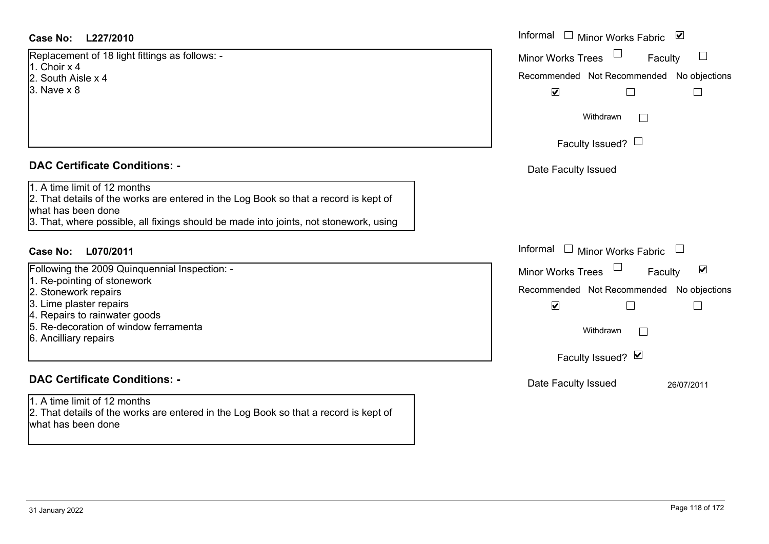### **L227/2010Case No:** Informal

Replacement of 18 light fittings as follows: - 1. Choir x 42. South Aisle x 4

3. Nave x 8

### **DAC Certificate Conditions: -**

1. A time limit of 12 months

2. That details of the works are entered in the Log Book so that a record is kept of what has been done

3. That, where possible, all fixings should be made into joints, not stonework, using

# **L070/2011Case No:** Informal

Following the 2009 Quinquennial Inspection: -

- 1. Re-pointing of stonework
- 2. Stonework repairs
- 3. Lime plaster repairs
- 4. Repairs to rainwater goods
- 5. Re-decoration of window ferramenta
- 6. Ancilliary repairs

# **DAC Certificate Conditions: -**

1. A time limit of 12 months2. That details of the works are entered in the Log Book so that a record is kept of what has been done

| Informal<br>$\blacktriangledown$<br>Minor Works Fabric                                                                                                            |  |
|-------------------------------------------------------------------------------------------------------------------------------------------------------------------|--|
| <b>Minor Works Trees</b><br>Faculty<br>Recommended Not Recommended No objections<br>$\blacktriangledown$<br>Withdrawn<br>Faculty Issued? $\Box$                   |  |
| Date Faculty Issued<br>Informal<br>$\Box$<br><b>Minor Works Fabric</b>                                                                                            |  |
| ⊻<br><b>Minor Works Trees</b><br>Faculty<br>Recommended Not Recommended No objections<br>☑<br>Withdrawn<br>Faculty Issued? Ø<br>Date Faculty Issued<br>26/07/2011 |  |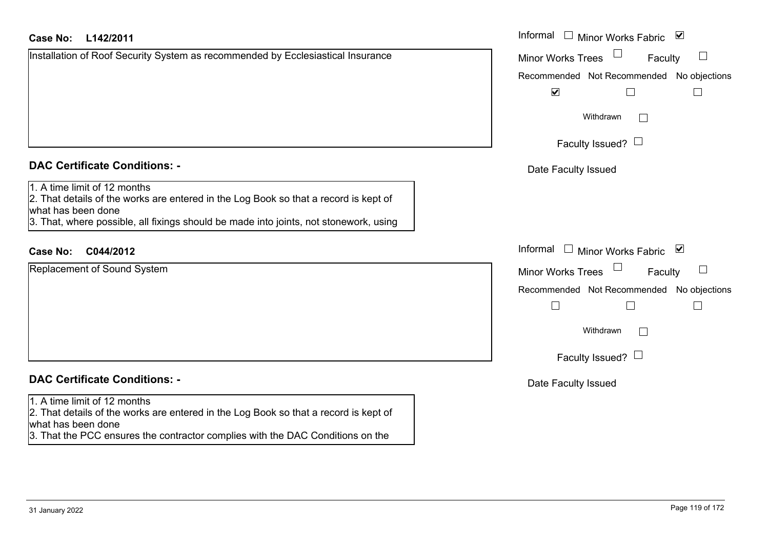### **L142/2011Case No:** Informal

| Installation of Roof Security System as recommended by Ecclesiastical Insurance |  |  |
|---------------------------------------------------------------------------------|--|--|
|                                                                                 |  |  |
|                                                                                 |  |  |
|                                                                                 |  |  |
|                                                                                 |  |  |

# **DAC Certificate Conditions: -**

# 1. A time limit of 12 months

 2. That details of the works are entered in the Log Book so that a record is kept of what has been done

3. That, where possible, all fixings should be made into joints, not stonework, using

# **C044/2012Case No:** Informal

Replacement of Sound System

# **DAC Certificate Conditions: -**

### 1. A time limit of 12 months

2. That details of the works are entered in the Log Book so that a record is kept of what has been done

3. That the PCC ensures the contractor complies with the DAC Conditions on the

| Informal<br>Minor Works Fabric ⊠               |
|------------------------------------------------|
| <b>Minor Works Trees</b><br>Faculty            |
| Recommended Not Recommended No objections<br>⊻ |
| Withdrawn                                      |
| Faculty Issued? $\Box$                         |
| Date Faculty Issued                            |
|                                                |
|                                                |
| Informal<br>Minor Works Fabric ⊠               |
| <b>Minor Works Trees</b><br>Faculty            |
| Recommended Not Recommended No objections      |
|                                                |
| Withdrawn                                      |
| Faculty Issued? $\Box$                         |
| Date Faculty Issued                            |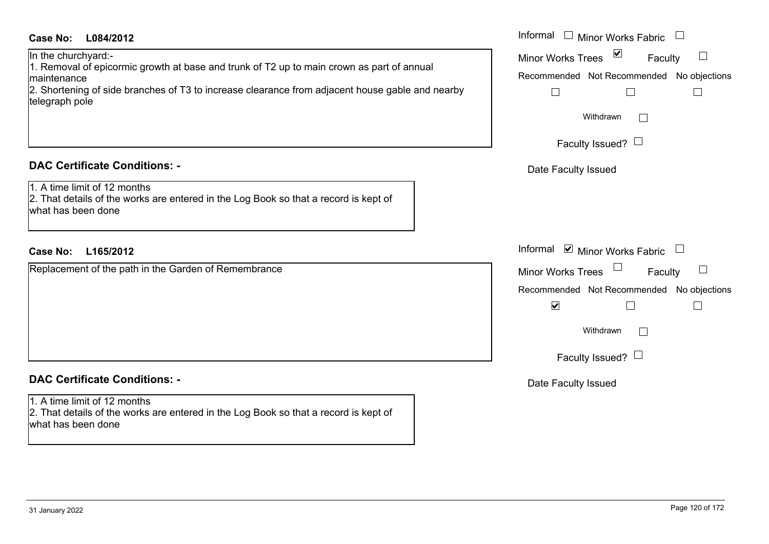### **L084/2012Case No:** Informal

In the churchyard:-

1. Removal of epicormic growth at base and trunk of T2 up to main crown as part of annual maintenance

2. Shortening of side branches of T3 to increase clearance from adjacent house gable and nearby telegraph pole

# **DAC Certificate Conditions: -**

1. A time limit of 12 months

2. That details of the works are entered in the Log Book so that a record is kept of what has been done

## **L165/2012Case No:** Informal

Replacement of the path in the Garden of Remembrance

# **DAC Certificate Conditions: -**

1. A time limit of 12 months2. That details of the works are entered in the Log Book so that a record is kept of what has been done

| Informal<br><b>Minor Works Fabric</b>                         |  |
|---------------------------------------------------------------|--|
| $\vert\mathbf{v}\vert$<br><b>Minor Works Trees</b><br>Faculty |  |
| Recommended Not Recommended No objections                     |  |
|                                                               |  |
| Withdrawn                                                     |  |
| Faculty Issued?                                               |  |
| Date Faculty Issued                                           |  |
|                                                               |  |
|                                                               |  |
| Informal<br>$\blacksquare$ Minor Works Fabric                 |  |
| <b>Minor Works Trees</b><br>Faculty                           |  |
| Recommended Not Recommended No objections                     |  |
| $\blacktriangledown$                                          |  |
| Withdrawn                                                     |  |
| Faculty Issued?                                               |  |
| Date Faculty Issued                                           |  |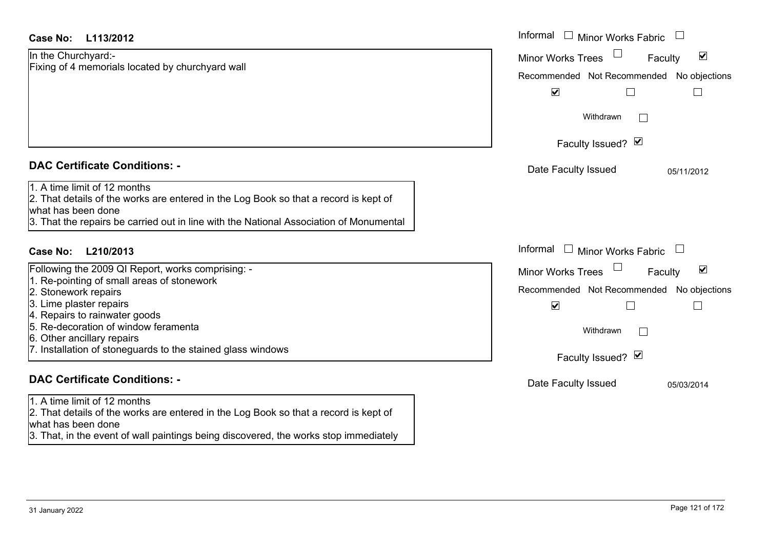| <b>Case No:</b><br>L113/2012                                                                               | Informal<br>$\Box$<br><b>Minor Works Fabric</b>             |
|------------------------------------------------------------------------------------------------------------|-------------------------------------------------------------|
| In the Churchyard:-                                                                                        | $\blacktriangledown$<br><b>Minor Works Trees</b><br>Faculty |
| Fixing of 4 memorials located by churchyard wall                                                           | Recommended Not Recommended No objections                   |
|                                                                                                            | $\blacktriangledown$<br>$\Box$<br>$\Box$                    |
|                                                                                                            | Withdrawn<br>$\Box$                                         |
|                                                                                                            | Faculty Issued? M                                           |
| <b>DAC Certificate Conditions: -</b>                                                                       | Date Faculty Issued<br>05/11/2012                           |
| 1. A time limit of 12 months                                                                               |                                                             |
| 2. That details of the works are entered in the Log Book so that a record is kept of<br>what has been done |                                                             |
| 3. That the repairs be carried out in line with the National Association of Monumental                     |                                                             |
|                                                                                                            |                                                             |
| <b>Case No:</b><br>L210/2013                                                                               | Informal<br><b>Minor Works Fabric</b>                       |
| Following the 2009 QI Report, works comprising: -                                                          | $\blacktriangledown$<br><b>Minor Works Trees</b><br>Faculty |
| 1. Re-pointing of small areas of stonework                                                                 | Recommended Not Recommended No objections                   |
| 2. Stonework repairs<br>3. Lime plaster repairs                                                            | $\blacktriangledown$<br>Г                                   |
| 4. Repairs to rainwater goods                                                                              |                                                             |
| 5. Re-decoration of window feramenta                                                                       | Withdrawn<br>$\mathbf{L}$                                   |
| 6. Other ancillary repairs                                                                                 |                                                             |
| 7. Installation of stoneguards to the stained glass windows                                                | Faculty Issued? Ø                                           |
| <b>DAC Certificate Conditions: -</b>                                                                       | Date Faculty Issued<br>05/03/2014                           |
| $1.$ A time limit of 12 months                                                                             |                                                             |
| 2. That details of the works are entered in the Log Book so that a record is kept of                       |                                                             |
| what has been done                                                                                         |                                                             |
| 3. That, in the event of wall paintings being discovered, the works stop immediately                       |                                                             |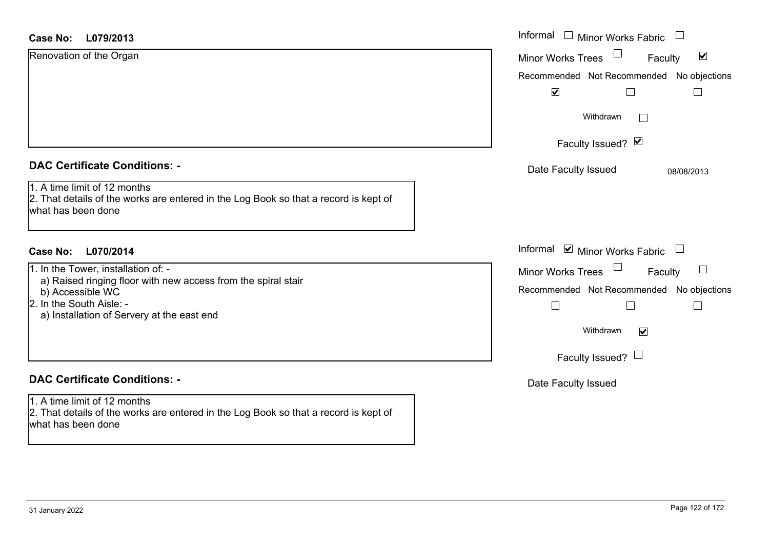| <b>Case No:</b><br>L079/2013                                                                                                               | Informal<br>$\Box$ Minor Works Fabric                       |
|--------------------------------------------------------------------------------------------------------------------------------------------|-------------------------------------------------------------|
| Renovation of the Organ                                                                                                                    | $\blacktriangledown$<br><b>Minor Works Trees</b><br>Faculty |
|                                                                                                                                            | Recommended Not Recommended No objections                   |
|                                                                                                                                            | $\blacktriangledown$                                        |
|                                                                                                                                            | Withdrawn                                                   |
|                                                                                                                                            | Faculty Issued? Ø                                           |
| <b>DAC Certificate Conditions: -</b>                                                                                                       | Date Faculty Issued<br>08/08/2013                           |
| 1. A time limit of 12 months<br>2. That details of the works are entered in the Log Book so that a record is kept of<br>what has been done |                                                             |
| L070/2014<br>Case No:                                                                                                                      | Informal <b>☑</b> Minor Works Fabric                        |
| 1. In the Tower, installation of: -                                                                                                        | $\Box$<br><b>Minor Works Trees</b><br>Faculty               |
| a) Raised ringing floor with new access from the spiral stair<br>b) Accessible WC                                                          | Recommended Not Recommended No objections                   |
| 2. In the South Aisle: -<br>a) Installation of Servery at the east end                                                                     | $\overline{\phantom{a}}$<br>$\sim$                          |
|                                                                                                                                            | Withdrawn<br>$\blacktriangledown$                           |
|                                                                                                                                            | Faculty Issued? $\Box$                                      |
| <b>DAC Certificate Conditions: -</b>                                                                                                       | Date Faculty Issued                                         |
| 1. A time limit of 12 months<br>2. That details of the works are entered in the Log Book so that a record is kept of<br>what has been done |                                                             |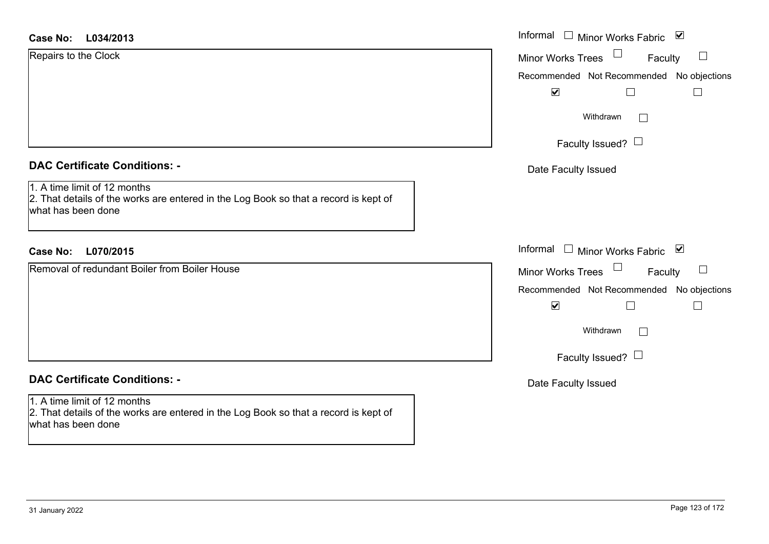### **L034/2013Case No:**

| Case No:<br>L034/2013                                                                                                                      | Informal<br>ا سا<br>⊻<br>Minor Works Fabric          |
|--------------------------------------------------------------------------------------------------------------------------------------------|------------------------------------------------------|
| Repairs to the Clock                                                                                                                       | Minor Works Trees $\Box$<br>Faculty                  |
|                                                                                                                                            | Recommended Not Recommended No objections            |
|                                                                                                                                            | $\blacktriangledown$                                 |
|                                                                                                                                            | Withdrawn<br>$\perp$                                 |
|                                                                                                                                            | Faculty Issued? $\Box$                               |
| <b>DAC Certificate Conditions: -</b>                                                                                                       | Date Faculty Issued                                  |
| 1. A time limit of 12 months<br>2. That details of the works are entered in the Log Book so that a record is kept of<br>what has been done |                                                      |
| <b>Case No:</b><br>L070/2015                                                                                                               | Informal $\square$<br>⊻<br><b>Minor Works Fabric</b> |
| Removal of redundant Boiler from Boiler House                                                                                              | Minor Works Trees <sup>1</sup><br>Faculty            |
|                                                                                                                                            | Recommended Not Recommended No objections            |

### **DAC Certificate Conditions: -**

1. A time limit of 12 months 2. That details of the works are entered in the Log Book so that a record is kept of what has been done

| . ,                                  |   |
|--------------------------------------|---|
|                                      |   |
|                                      |   |
| Ⅰ □ Minor Works Fabric               | び |
| <b>Vorks Trees</b><br>Faculty        |   |
| nended Not Recommended No objections |   |
| ✔                                    |   |
| Withdrawn                            |   |
| Faculty Issued?                      |   |

Date Faculty Issued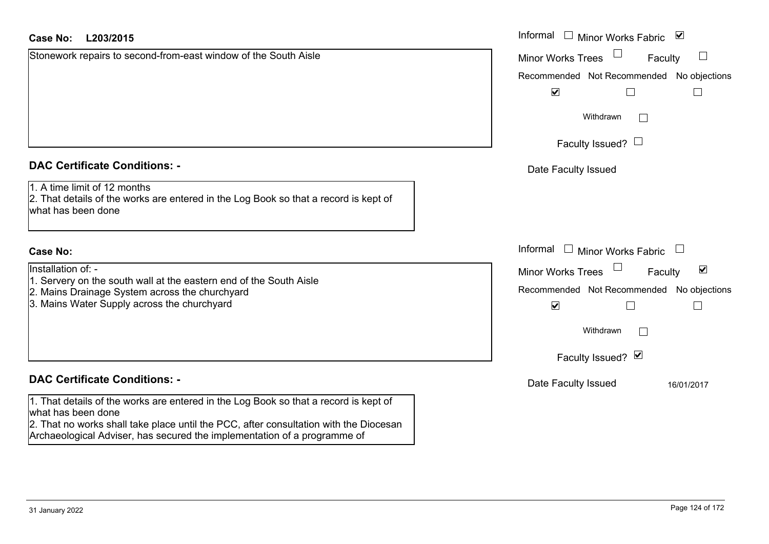| Case No: | L203/2015 | Informal |
|----------|-----------|----------|
|          |           |          |

Stonework repairs to second-from-east window of the South Aisle

### **DAC Certificate Conditions: -**

1. A time limit of 12 months

2. That details of the works are entered in the Log Book so that a record is kept of what has been done

### **Case No:**

Installation of: -

- 1. Servery on the south wall at the eastern end of the South Aisle
- 2. Mains Drainage System across the churchyard
- 3. Mains Water Supply across the churchyard

# **DAC Certificate Conditions: -**

1. That details of the works are entered in the Log Book so that a record is kept of what has been done

2. That no works shall take place until the PCC, after consultation with the Diocesan Archaeological Adviser, has secured the implementation of a programme of

| L203/2015                                                                                                                                                    | Informal<br>□ Minor Works Fabric $\vert \mathbf{v} \vert$                                                                           |
|--------------------------------------------------------------------------------------------------------------------------------------------------------------|-------------------------------------------------------------------------------------------------------------------------------------|
| rk repairs to second-from-east window of the South Aisle                                                                                                     | <b>Minor Works Trees</b><br>Faculty<br>Recommended Not Recommended No objections<br>$\blacktriangledown$                            |
|                                                                                                                                                              | Withdrawn<br>$\mathbf{L}$<br>Faculty Issued? $\Box$                                                                                 |
| rtificate Conditions: -                                                                                                                                      | Date Faculty Issued                                                                                                                 |
| limit of 12 months<br>etails of the works are entered in the Log Book so that a record is kept of<br>been done                                               |                                                                                                                                     |
|                                                                                                                                                              | Informal<br>Minor Works Fabric $\;\;\sqcup\;\;$                                                                                     |
| $\infty$ n of: -<br>y on the south wall at the eastern end of the South Aisle<br>Drainage System across the churchyard<br>Water Supply across the churchyard | $\blacktriangledown$<br>Minor Works Trees<br>Faculty<br>Recommended Not Recommended No objections<br>$\blacktriangledown$<br>$\Box$ |
|                                                                                                                                                              | Withdrawn<br>$\mathbf{L}$                                                                                                           |
|                                                                                                                                                              | Faculty Issued? Ø                                                                                                                   |
| rtificate Conditions: -                                                                                                                                      | Date Faculty Issued<br>16/01/2017                                                                                                   |
| etails of the works are entered in the Log Book so that a record is kent of                                                                                  |                                                                                                                                     |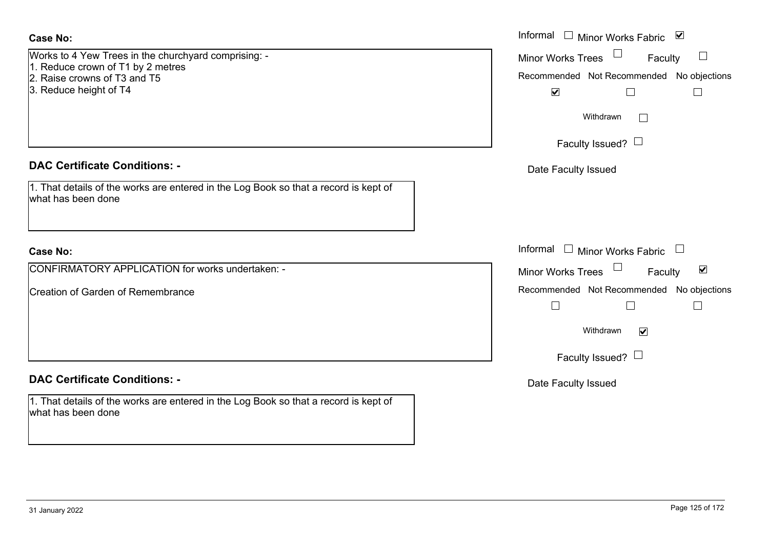### **Case No:**

| Works to 4 Yew Trees in the churchyard comprising: - |
|------------------------------------------------------|
| 1. Reduce crown of T1 by 2 metres                    |
| 2. Raise crowns of T3 and T5                         |

3. Reduce height of T4

### **DAC Certificate Conditions: -**

| 1. That details of the works are entered in the Log Book so that a record is kept of |  |
|--------------------------------------------------------------------------------------|--|
| what has been done                                                                   |  |

### **Case No:**

CONFIRMATORY APPLICATION for works undertaken: -

Creation of Garden of Remembrance

### **DAC Certificate Conditions: -**

1. That details of the works are entered in the Log Book so that a record is kept of what has been done

|                                                                                                                   | Informal $\square$<br>Minor Works Fabric ⊠                                                                         |
|-------------------------------------------------------------------------------------------------------------------|--------------------------------------------------------------------------------------------------------------------|
| 4 Yew Trees in the churchyard comprising: -<br>e crown of T1 by 2 metres<br>crowns of T3 and T5<br>e height of T4 | <b>Minor Works Trees</b><br>Faculty<br>$\Box$<br>Recommended Not Recommended No objections<br>$\blacktriangledown$ |
|                                                                                                                   | Withdrawn<br>Faculty Issued? $\Box$                                                                                |
| rtificate Conditions: -                                                                                           | Date Faculty Issued                                                                                                |
| etails of the works are entered in the Log Book so that a record is kept of<br>been done                          |                                                                                                                    |
|                                                                                                                   | Informal<br>$\Box$<br>Minor Works Fabric                                                                           |
| MATORY APPLICATION for works undertaken: -                                                                        | $\blacktriangledown$<br>Minor Works Trees $\Box$<br>Faculty                                                        |
| of Garden of Remembrance                                                                                          | Recommended Not Recommended No objections<br>H                                                                     |
|                                                                                                                   | Withdrawn<br>$\blacktriangledown$                                                                                  |
|                                                                                                                   | Faculty Issued? $\Box$                                                                                             |
| rtificate Conditions: -                                                                                           | Date Faculty Issued                                                                                                |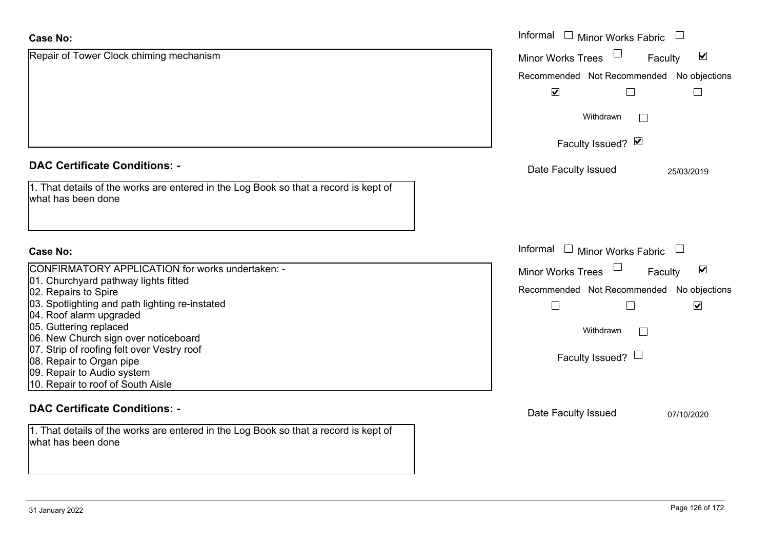| <b>Case No:</b>                                                                                            | Informal $\Box$ Minor Works Fabric<br>$\Box$                   |
|------------------------------------------------------------------------------------------------------------|----------------------------------------------------------------|
| Repair of Tower Clock chiming mechanism                                                                    | Minor Works Trees<br>$\blacktriangledown$<br>Faculty           |
|                                                                                                            | Recommended Not Recommended No objections                      |
|                                                                                                            | $\blacktriangledown$                                           |
|                                                                                                            | Withdrawn<br>$\mathbb{R}^n$                                    |
|                                                                                                            | Faculty Issued? Ø                                              |
| <b>DAC Certificate Conditions: -</b>                                                                       | Date Faculty Issued<br>25/03/2019                              |
| 1. That details of the works are entered in the Log Book so that a record is kept of<br>what has been done |                                                                |
| <b>Case No:</b>                                                                                            | Informal<br>□ Minor Works Fabric □                             |
| CONFIRMATORY APPLICATION for works undertaken: -                                                           | $\Box$<br>$\blacktriangledown$<br>Minor Works Trees<br>Faculty |
| 01. Churchyard pathway lights fitted<br>02. Repairs to Spire                                               | Recommended Not Recommended No objections                      |
| 03. Spotlighting and path lighting re-instated                                                             | $\Box$<br>$\blacktriangledown$                                 |
| 04. Roof alarm upgraded                                                                                    |                                                                |
| 05. Guttering replaced                                                                                     | Withdrawn<br>$\Box$                                            |
| 06. New Church sign over noticeboard<br>07. Strip of roofing felt over Vestry roof                         |                                                                |
| 08. Repair to Organ pipe                                                                                   | Faculty Issued? $\Box$                                         |
| 09. Repair to Audio system                                                                                 |                                                                |
| 10. Repair to roof of South Aisle                                                                          |                                                                |
| <b>DAC Certificate Conditions: -</b>                                                                       | Date Faculty Issued<br>07/10/2020                              |
| 1. That details of the works are entered in the Log Book so that a record is kept of                       |                                                                |
| what has been done                                                                                         |                                                                |
|                                                                                                            |                                                                |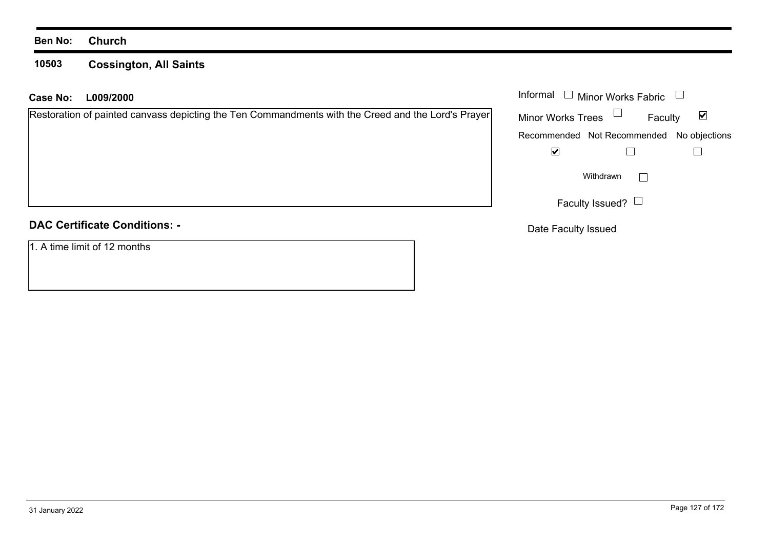### **Ben No: Church**

### **10503 Cossington, All Saints**

### **L009/2000 Case No:** Informal

### **DAC Certificate Conditions: -**

1. A time limit of 12 months

| Informal                                  | <b>Minor Works Fabric</b> |  |
|-------------------------------------------|---------------------------|--|
| <b>Minor Works Trees</b>                  | Faculty                   |  |
| Recommended Not Recommended No objections |                           |  |
|                                           |                           |  |
|                                           | Withdrawn                 |  |
| Faculty Issued?                           |                           |  |

Date Faculty Issued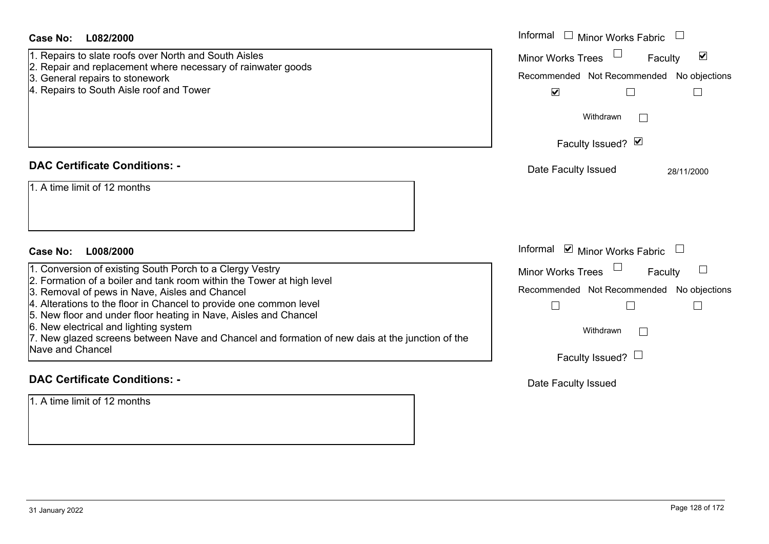| <b>Case No:</b><br>L082/2000<br>1. Repairs to slate roofs over North and South Aisles<br>2. Repair and replacement where necessary of rainwater goods<br>3. General repairs to stonework<br>4. Repairs to South Aisle roof and Tower                                                                                                                                                                                                                                                                                   | Informal $\Box$ Minor Works Fabric $\Box$<br>Minor Works Trees<br>$\blacktriangledown$<br>Faculty<br>Recommended Not Recommended No objections<br>$\blacktriangledown$  |
|------------------------------------------------------------------------------------------------------------------------------------------------------------------------------------------------------------------------------------------------------------------------------------------------------------------------------------------------------------------------------------------------------------------------------------------------------------------------------------------------------------------------|-------------------------------------------------------------------------------------------------------------------------------------------------------------------------|
|                                                                                                                                                                                                                                                                                                                                                                                                                                                                                                                        | Withdrawn<br>Faculty Issued? Ø                                                                                                                                          |
| <b>DAC Certificate Conditions: -</b><br>1. A time limit of 12 months                                                                                                                                                                                                                                                                                                                                                                                                                                                   | Date Faculty Issued<br>28/11/2000                                                                                                                                       |
| Case No:<br>L008/2000<br>1. Conversion of existing South Porch to a Clergy Vestry<br>2. Formation of a boiler and tank room within the Tower at high level<br>3. Removal of pews in Nave, Aisles and Chancel<br>4. Alterations to the floor in Chancel to provide one common level<br>5. New floor and under floor heating in Nave, Aisles and Chancel<br>6. New electrical and lighting system<br>7. New glazed screens between Nave and Chancel and formation of new dais at the junction of the<br>Nave and Chancel | Informal $\Box$ Minor Works Fabric $\Box$<br>Minor Works Trees<br>Faculty<br>Recommended Not Recommended No objections<br>$\Box$<br>Withdrawn<br>Faculty Issued? $\Box$ |
| <b>DAC Certificate Conditions: -</b><br>1. A time limit of 12 months                                                                                                                                                                                                                                                                                                                                                                                                                                                   | Date Faculty Issued                                                                                                                                                     |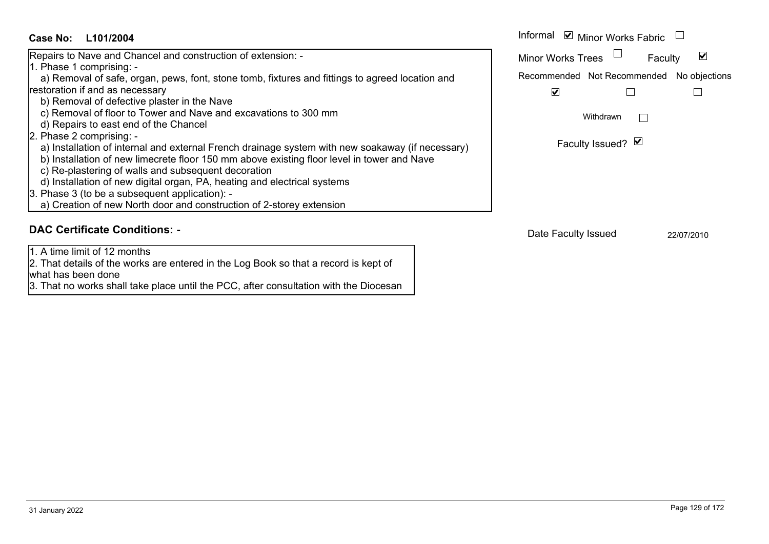### Informal  $\vee$  Minor Works Fabric  $\Box$ **L101/2004Case No:** Informal Repairs to Nave and Chancel and construction of extension: -  $\blacktriangledown$ Faculty Minor Works Trees 1. Phase 1 comprising: a) Removal of safe, organ, pews, font, stone tomb, fixtures and fittings to agreed location and Recommended Not Recommended No objections restoration if and as necessary  $\overline{\mathbf{v}}$  $\Box$  $\Box$  b) Removal of defective plaster in the Nave c) Removal of floor to Tower and Nave and excavations to 300 mm Withdrawn $\Box$  d) Repairs to east end of the Chancel 2. Phase 2 comprising: - Faculty Issued? Ø a) Installation of internal and external French drainage system with new soakaway (if necessary) b) Installation of new limecrete floor 150 mm above existing floor level in tower and Nave c) Re-plastering of walls and subsequent decoration d) Installation of new digital organ, PA, heating and electrical systems 3. Phase 3 (to be a subsequent application): a) Creation of new North door and construction of 2-storey extension **DAC Certificate Conditions: -**Date Faculty Issued 22/07/2010

1. A time limit of 12 months

2. That details of the works are entered in the Log Book so that a record is kept of what has been done

3. That no works shall take place until the PCC, after consultation with the Diocesan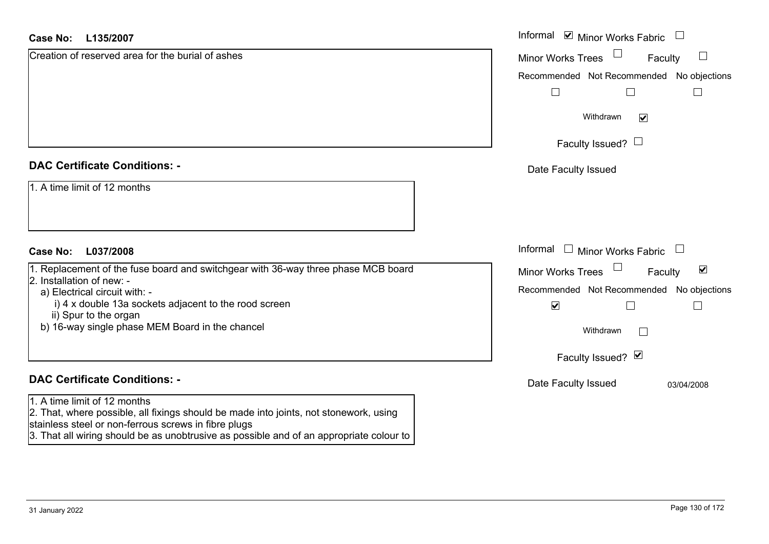### **L135/2007Case No:**

| Case No:<br>L135/2007                                                                                                                                                                                                                                                    | Informal <b>☑</b> Minor Works Fabric<br>$\Box$              |
|--------------------------------------------------------------------------------------------------------------------------------------------------------------------------------------------------------------------------------------------------------------------------|-------------------------------------------------------------|
| Creation of reserved area for the burial of ashes                                                                                                                                                                                                                        | $\Box$<br>Minor Works Trees<br>Faculty                      |
|                                                                                                                                                                                                                                                                          | Recommended Not Recommended No objections                   |
|                                                                                                                                                                                                                                                                          | $\Box$                                                      |
|                                                                                                                                                                                                                                                                          | Withdrawn<br>$\blacktriangledown$                           |
|                                                                                                                                                                                                                                                                          | Faculty Issued? $\Box$                                      |
| <b>DAC Certificate Conditions: -</b>                                                                                                                                                                                                                                     | Date Faculty Issued                                         |
| 1. A time limit of 12 months                                                                                                                                                                                                                                             |                                                             |
| <b>Case No:</b><br>L037/2008                                                                                                                                                                                                                                             | Informal<br>$\Box$ Minor Works Fabric $\Box$                |
| 1. Replacement of the fuse board and switchgear with 36-way three phase MCB board                                                                                                                                                                                        | $\blacktriangledown$<br><b>Minor Works Trees</b><br>Faculty |
| 2. Installation of new: -<br>a) Electrical circuit with: -                                                                                                                                                                                                               | Recommended Not Recommended No objections                   |
| i) 4 x double 13a sockets adjacent to the rood screen                                                                                                                                                                                                                    | $\blacktriangledown$                                        |
| ii) Spur to the organ<br>b) 16-way single phase MEM Board in the chancel                                                                                                                                                                                                 | Withdrawn                                                   |
|                                                                                                                                                                                                                                                                          | Faculty Issued? Ø                                           |
| <b>DAC Certificate Conditions: -</b>                                                                                                                                                                                                                                     | Date Faculty Issued<br>03/04/2008                           |
| 1. A time limit of 12 months<br>2. That, where possible, all fixings should be made into joints, not stonework, using<br>stainless steel or non-ferrous screws in fibre plugs<br>3. That all wiring should be as unobtrusive as possible and of an appropriate colour to |                                                             |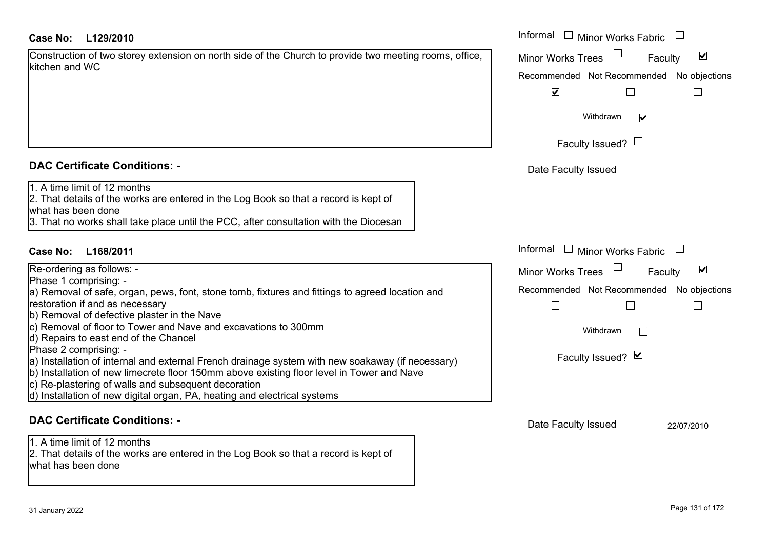| Construction of two storey extension on north side of the Church to provide two meeting rooms, office, |  |
|--------------------------------------------------------------------------------------------------------|--|
| kitchen and WC                                                                                         |  |

### **DAC Certificate Conditions: -**

| Phase 1 comprising: -                                                                            |  |
|--------------------------------------------------------------------------------------------------|--|
| a) Removal of safe, organ, pews, font, stone tomb, fixtures and fittings to agreed location and  |  |
| restoration if and as necessary                                                                  |  |
| b) Removal of defective plaster in the Nave                                                      |  |
| c) Removal of floor to Tower and Nave and excavations to 300mm                                   |  |
| d) Repairs to east end of the Chancel                                                            |  |
| Phase 2 comprising: -                                                                            |  |
| a) Installation of internal and external French drainage system with new soakaway (if necessary) |  |
| b) Installation of new limecrete floor 150mm above existing floor level in Tower and Nave        |  |
| c) Re-plastering of walls and subsequent decoration                                              |  |
| d) Installation of new digital organ, PA, heating and electrical systems                         |  |
|                                                                                                  |  |

### **DAC Certificate Conditions: -**

2. That details of the works are entered in the Log Book so that a record is kept of what has been done

| <b>Case No:</b><br>L129/2010                                                                                                                                                                                                        | Informal $\Box$ Minor Works Fabric $\Box$                   |
|-------------------------------------------------------------------------------------------------------------------------------------------------------------------------------------------------------------------------------------|-------------------------------------------------------------|
| Construction of two storey extension on north side of the Church to provide two meeting rooms, office,<br>kitchen and WC                                                                                                            | $\blacktriangledown$<br><b>Minor Works Trees</b><br>Faculty |
|                                                                                                                                                                                                                                     | Recommended Not Recommended No objections                   |
|                                                                                                                                                                                                                                     | $\blacktriangledown$                                        |
|                                                                                                                                                                                                                                     | Withdrawn<br>$\blacktriangledown$                           |
|                                                                                                                                                                                                                                     | Faculty Issued? $\Box$                                      |
| <b>DAC Certificate Conditions: -</b>                                                                                                                                                                                                | Date Faculty Issued                                         |
| 1. A time limit of 12 months<br>2. That details of the works are entered in the Log Book so that a record is kept of<br>what has been done<br>3. That no works shall take place until the PCC, after consultation with the Diocesan |                                                             |
| Case No:<br>L168/2011                                                                                                                                                                                                               | Informal $\Box$ Minor Works Fabric                          |
| Re-ordering as follows: -                                                                                                                                                                                                           | $\blacktriangledown$<br><b>Minor Works Trees</b><br>Faculty |
| Phase 1 comprising: -<br>a) Removal of safe, organ, pews, font, stone tomb, fixtures and fittings to agreed location and                                                                                                            | Recommended Not Recommended No objections                   |
| restoration if and as necessary                                                                                                                                                                                                     | $\mathbb{R}^n$                                              |
| b) Removal of defective plaster in the Nave                                                                                                                                                                                         |                                                             |
| c) Removal of floor to Tower and Nave and excavations to 300mm<br>d) Repairs to east end of the Chancel                                                                                                                             | Withdrawn                                                   |
| Phase 2 comprising: -                                                                                                                                                                                                               |                                                             |
| a) Installation of internal and external French drainage system with new soakaway (if necessary)                                                                                                                                    | Faculty Issued? Ø                                           |
| b) Installation of new limecrete floor 150mm above existing floor level in Tower and Nave<br>c) Re-plastering of walls and subsequent decoration                                                                                    |                                                             |
| d) Installation of new digital organ, PA, heating and electrical systems                                                                                                                                                            |                                                             |
| <b>DAC Certificate Conditions: -</b>                                                                                                                                                                                                | Date Faculty Issued<br>22/07/2010                           |
| 1. A time limit of 12 months                                                                                                                                                                                                        |                                                             |
| 2. That details of the works are entered in the Log Book so that a record is kept of                                                                                                                                                |                                                             |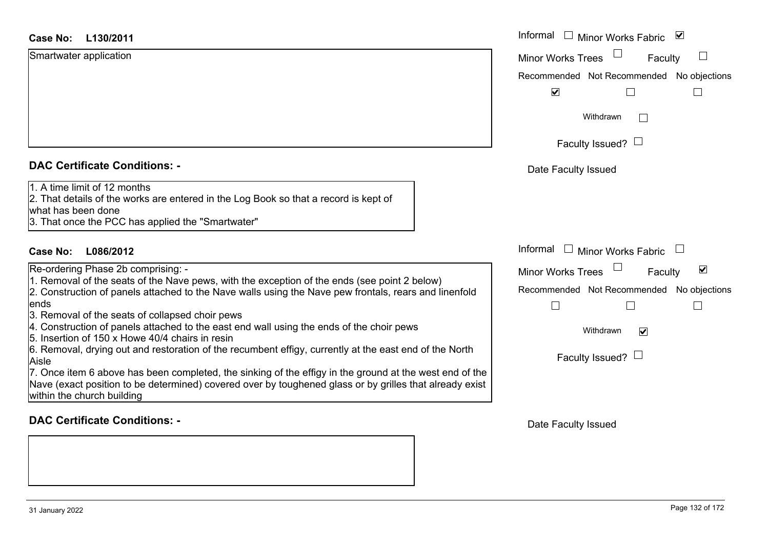| Case No: | L130/2011 |
|----------|-----------|
|----------|-----------|

| Smartwater application |  |
|------------------------|--|
|------------------------|--|

### **DAC Certificate Conditions: -**

- 3. Removal of the seats of collapsed choir pews
- 4. Construction of panels attached to the east end wall using the ends of the choir pews
- 5. Insertion of 150 x Howe 40/4 chairs in resin

7. Once item 6 above has been completed, the sinking of the effigy in the ground at the west end Nave (exact position to be determined) covered over by toughened glass or by grilles that already within the church building

### **DAC Certificate Conditions: -**

| <b>Case No:</b><br>L130/2011                                                                                                                                                                                                                                                                                                                                                                                                                                                                                                                                                                                                                                                                                                                                                                                                 | Informal $\Box$ Minor Works Fabric $\Box$                                                                                                                        |
|------------------------------------------------------------------------------------------------------------------------------------------------------------------------------------------------------------------------------------------------------------------------------------------------------------------------------------------------------------------------------------------------------------------------------------------------------------------------------------------------------------------------------------------------------------------------------------------------------------------------------------------------------------------------------------------------------------------------------------------------------------------------------------------------------------------------------|------------------------------------------------------------------------------------------------------------------------------------------------------------------|
| Smartwater application                                                                                                                                                                                                                                                                                                                                                                                                                                                                                                                                                                                                                                                                                                                                                                                                       | $\Box$<br><b>Minor Works Trees</b><br>Faculty<br>Recommended Not Recommended No objections<br>$\blacktriangledown$                                               |
|                                                                                                                                                                                                                                                                                                                                                                                                                                                                                                                                                                                                                                                                                                                                                                                                                              | Withdrawn<br>Faculty Issued? $\Box$                                                                                                                              |
| <b>DAC Certificate Conditions: -</b>                                                                                                                                                                                                                                                                                                                                                                                                                                                                                                                                                                                                                                                                                                                                                                                         | Date Faculty Issued                                                                                                                                              |
| 1. A time limit of 12 months<br>2. That details of the works are entered in the Log Book so that a record is kept of<br>what has been done<br>3. That once the PCC has applied the "Smartwater"                                                                                                                                                                                                                                                                                                                                                                                                                                                                                                                                                                                                                              |                                                                                                                                                                  |
| Case No:<br>L086/2012                                                                                                                                                                                                                                                                                                                                                                                                                                                                                                                                                                                                                                                                                                                                                                                                        | Informal $\Box$ Minor Works Fabric                                                                                                                               |
| Re-ordering Phase 2b comprising: -<br>1. Removal of the seats of the Nave pews, with the exception of the ends (see point 2 below)<br>2. Construction of panels attached to the Nave walls using the Nave pew frontals, rears and linenfold<br>ends<br>3. Removal of the seats of collapsed choir pews<br>4. Construction of panels attached to the east end wall using the ends of the choir pews<br>5. Insertion of 150 x Howe 40/4 chairs in resin<br>6. Removal, drying out and restoration of the recumbent effigy, currently at the east end of the North<br>Aisle<br>7. Once item 6 above has been completed, the sinking of the effigy in the ground at the west end of the<br>Nave (exact position to be determined) covered over by toughened glass or by grilles that already exist<br>within the church building | $\blacktriangledown$<br>Minor Works Trees<br>Faculty<br>Recommended Not Recommended No objections<br>$\blacktriangledown$<br>Withdrawn<br>Faculty Issued? $\Box$ |

Date Faculty Issued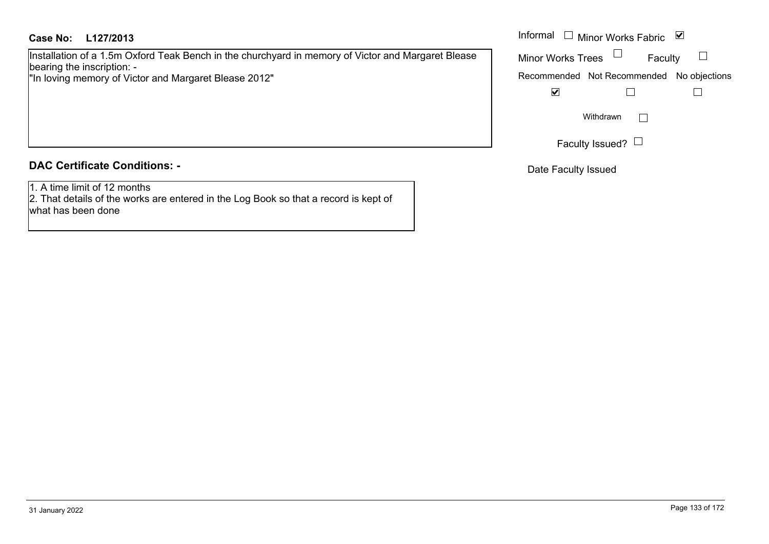### **L127/2013Case No:** Informal

Installation of a 1.5m Oxford Teak Bench in the churchyard in memory of Victor and Margaret Blease bearing the inscription: -

"In loving memory of Victor and Margaret Blease 2012"

## **DAC Certificate Conditions: -**

1. A time limit of 12 months

2. That details of the works are entered in the Log Book so that a record is kept of what has been done

|                          | Informal □ Minor Works Fabric             | ∣∨∣ |
|--------------------------|-------------------------------------------|-----|
| <b>Minor Works Trees</b> | Faculty                                   |     |
|                          | Recommended Not Recommended No objections |     |
|                          |                                           |     |
|                          | Withdrawn                                 |     |
|                          | Faculty Issued?                           |     |

Date Faculty Issued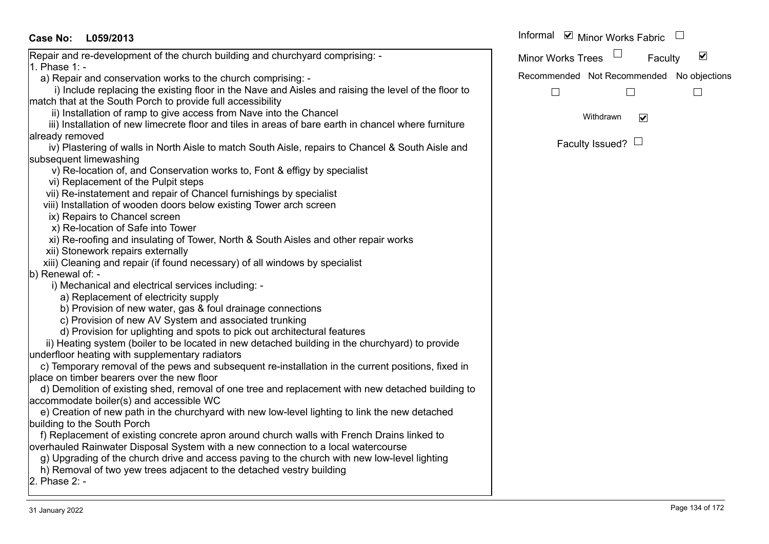| Case No: L059/2013                                                                                   | Informal ⊠ Minor Works Fabric                        |
|------------------------------------------------------------------------------------------------------|------------------------------------------------------|
| Repair and re-development of the church building and churchyard comprising: -                        | $\blacktriangledown$<br>Minor Works Trees<br>Faculty |
| <b>l</b> 1. Phase 1: -                                                                               |                                                      |
| a) Repair and conservation works to the church comprising: -                                         | Recommended Not Recommended No objections            |
| i) Include replacing the existing floor in the Nave and Aisles and raising the level of the floor to | $\Box$<br>L                                          |
| match that at the South Porch to provide full accessibility                                          |                                                      |
| ii) Installation of ramp to give access from Nave into the Chancel                                   | $\blacktriangledown$<br>Withdrawn                    |
| iii) Installation of new limecrete floor and tiles in areas of bare earth in chancel where furniture |                                                      |
| already removed                                                                                      | Faculty Issued? $\Box$                               |
| iv) Plastering of walls in North Aisle to match South Aisle, repairs to Chancel & South Aisle and    |                                                      |
| subsequent limewashing                                                                               |                                                      |
| v) Re-location of, and Conservation works to, Font & effigy by specialist                            |                                                      |
| vi) Replacement of the Pulpit steps                                                                  |                                                      |
| vii) Re-instatement and repair of Chancel furnishings by specialist                                  |                                                      |
| viii) Installation of wooden doors below existing Tower arch screen                                  |                                                      |
| ix) Repairs to Chancel screen                                                                        |                                                      |
| x) Re-location of Safe into Tower                                                                    |                                                      |
| xi) Re-roofing and insulating of Tower, North & South Aisles and other repair works                  |                                                      |
| xii) Stonework repairs externally                                                                    |                                                      |
| xiii) Cleaning and repair (if found necessary) of all windows by specialist                          |                                                      |
| b) Renewal of: -                                                                                     |                                                      |
| i) Mechanical and electrical services including: -                                                   |                                                      |
| a) Replacement of electricity supply                                                                 |                                                      |
| b) Provision of new water, gas & foul drainage connections                                           |                                                      |
| c) Provision of new AV System and associated trunking                                                |                                                      |
| d) Provision for uplighting and spots to pick out architectural features                             |                                                      |
| ii) Heating system (boiler to be located in new detached building in the churchyard) to provide      |                                                      |
| underfloor heating with supplementary radiators                                                      |                                                      |
| c) Temporary removal of the pews and subsequent re-installation in the current positions, fixed in   |                                                      |
| place on timber bearers over the new floor                                                           |                                                      |
| d) Demolition of existing shed, removal of one tree and replacement with new detached building to    |                                                      |
| accommodate boiler(s) and accessible WC                                                              |                                                      |
| e) Creation of new path in the churchyard with new low-level lighting to link the new detached       |                                                      |
| building to the South Porch                                                                          |                                                      |
| f) Replacement of existing concrete apron around church walls with French Drains linked to           |                                                      |
| overhauled Rainwater Disposal System with a new connection to a local watercourse                    |                                                      |
| g) Upgrading of the church drive and access paving to the church with new low-level lighting         |                                                      |
| h) Removal of two yew trees adjacent to the detached vestry building                                 |                                                      |
| 2. Phase 2: -                                                                                        |                                                      |
|                                                                                                      |                                                      |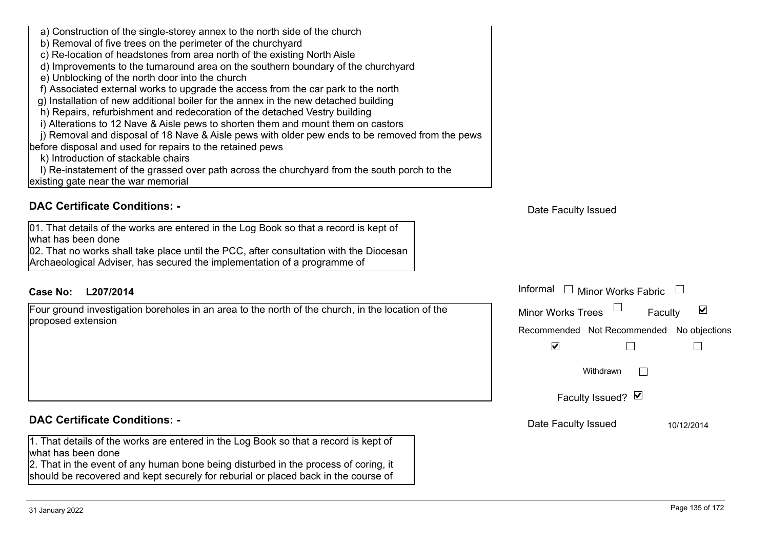| 1. That details of the works are entered in the Log Book so that<br>2. That in the event of any human bone being disturbed in the pollection<br>should be recovered and kept securely for reburial or placed ba | <b>DAC Certificate Conditions: -</b> |
|-----------------------------------------------------------------------------------------------------------------------------------------------------------------------------------------------------------------|--------------------------------------|
|                                                                                                                                                                                                                 | what has been done                   |

1. That details of the works are entered in the Log Book so that a record is kept of what has been done

2. That in the event of any human bone being disturbed in the process of coring, it should be recovered and kept securely for reburial or placed back in the course of

Recommended Not Recommended No objections  $\overline{\mathbf{v}}$ 

> Withdrawn $\Box$

 $\Box$ 

Faculty Issued? Ø

Informal  $\Box$  Minor Works Fabric  $\Box$ 

Date Faculty Issued 10/12/2014

 $\overline{\mathbf{v}}$ 

 $\Box$ 

Faculty

# **DAC Certificate Conditions: -**

k) Introduction of stackable chairs

existing gate near the war memorial

01. That details of the works are entered in the Log Book so that a record is kept of what has been done02. That no works shall take place until the PCC, after consultation with the Diocesan Archaeological Adviser, has secured the implementation of a programme of

a) Construction of the single-storey annex to the north side of the church

c) Re-location of headstones from area north of the existing North Aisle

d) Improvements to the turnaround area on the southern boundary of the churchyard

 f) Associated external works to upgrade the access from the car park to the north g) Installation of new additional boiler for the annex in the new detached building h) Repairs, refurbishment and redecoration of the detached Vestry building

i) Alterations to 12 Nave & Aisle pews to shorten them and mount them on castors

j) Removal and disposal of 18 Nave & Aisle pews with older pew ends to be removed from the pews

l) Re-instatement of the grassed over path across the churchyard from the south porch to the

b) Removal of five trees on the perimeter of the churchyard

e) Unblocking of the north door into the church

before disposal and used for repairs to the retained pews

# **L207/2014Case No:** Informal

Four ground investigation boreholes in an area to the north of the church, in the location of the proposed extension

# Date Faculty Issued

Minor Works Trees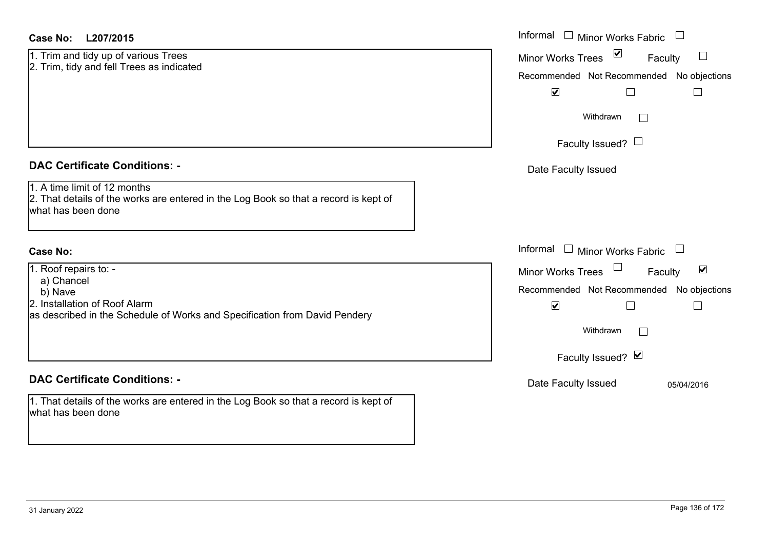| Case No: | L207/2015 |
|----------|-----------|
|----------|-----------|

|  |  |  | 1. Trim and tidy up of various Trees      |
|--|--|--|-------------------------------------------|
|  |  |  | 2. Trim, tidy and fell Trees as indicated |

### **DAC Certificate Conditions: -**

1. A time limit of 12 months

2. That details of the works are entered in the Log Book so that a record is kept of what has been done

### **Case No:**

1. Roof repairs to: -

a) Chancel

b) Nave

2. Installation of Roof Alarm

as described in the Schedule of Works and Specification from David Pendery

### **DAC Certificate Conditions: -**

1. That details of the works are entered in the Log Book so that a record is kept of what has been done

| L207/2015                                                                                                         | Informal $\Box$ Minor Works Fabric                                                                                                     |
|-------------------------------------------------------------------------------------------------------------------|----------------------------------------------------------------------------------------------------------------------------------------|
| nd tidy up of various Trees<br>idy and fell Trees as indicated                                                    | ☑<br><b>Minor Works Trees</b><br>$\Box$<br>Faculty<br>Recommended Not Recommended No objections<br>$\blacktriangledown$                |
|                                                                                                                   | Withdrawn<br>Faculty Issued? $\Box$                                                                                                    |
| rtificate Conditions: -                                                                                           | Date Faculty Issued                                                                                                                    |
| limit of 12 months<br>etails of the works are entered in the Log Book so that a record is kept of<br>been done    |                                                                                                                                        |
|                                                                                                                   | Informal<br>$\Box$ Minor Works Fabric $\Box$                                                                                           |
| epairs to: -<br>ıncel<br>ation of Roof Alarm<br>bed in the Schedule of Works and Specification from David Pendery | $\blacktriangledown$<br>Minor Works Trees<br>Faculty<br>Recommended Not Recommended No objections<br>$\blacktriangledown$<br>Withdrawn |
| rtificate Conditions: -                                                                                           | Faculty Issued? Ø<br>Date Faculty Issued<br>05/04/2016                                                                                 |
| etails of the works are entered in the Log Book so that a record is kept of                                       |                                                                                                                                        |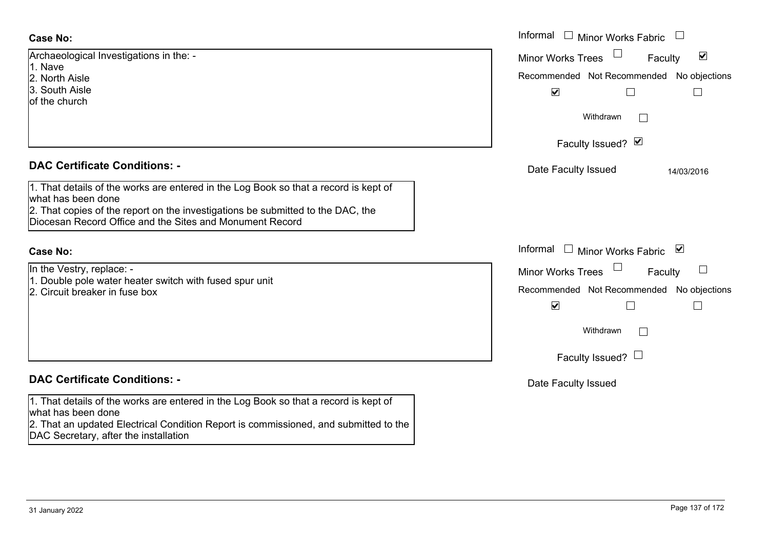| <b>Case No:</b>                                                                                                                             | Informal $\square$<br><b>Minor Works Fabric</b>             |
|---------------------------------------------------------------------------------------------------------------------------------------------|-------------------------------------------------------------|
| Archaeological Investigations in the: -                                                                                                     | $\blacktriangledown$<br><b>Minor Works Trees</b><br>Faculty |
| 1. Nave<br>2. North Aisle                                                                                                                   | Recommended Not Recommended No objections                   |
| 3. South Aisle                                                                                                                              | $\blacktriangledown$<br>$\Box$<br>$\vert$                   |
| of the church                                                                                                                               |                                                             |
|                                                                                                                                             | Withdrawn<br>$\perp$                                        |
|                                                                                                                                             | Faculty Issued? Ø                                           |
| <b>DAC Certificate Conditions: -</b>                                                                                                        | Date Faculty Issued<br>14/03/2016                           |
| 1. That details of the works are entered in the Log Book so that a record is kept of<br>what has been done                                  |                                                             |
| 2. That copies of the report on the investigations be submitted to the DAC, the<br>Diocesan Record Office and the Sites and Monument Record |                                                             |
| <b>Case No:</b>                                                                                                                             | Informal<br>Minor Works Fabric<br>⊻<br>$\perp$              |
| In the Vestry, replace: -                                                                                                                   | <b>Minor Works Trees</b><br>Faculty                         |
| 1. Double pole water heater switch with fused spur unit<br>2. Circuit breaker in fuse box                                                   | Recommended Not Recommended No objections                   |
|                                                                                                                                             | $\blacktriangledown$<br>⊔<br>$\Box$                         |
|                                                                                                                                             | Withdrawn<br>$\perp$                                        |
|                                                                                                                                             | Faculty Issued? $\Box$                                      |
|                                                                                                                                             |                                                             |
| <b>DAC Certificate Conditions: -</b>                                                                                                        | Date Faculty Issued                                         |
| 1. That details of the works are entered in the Log Book so that a record is kept of                                                        |                                                             |
| what has been done                                                                                                                          |                                                             |
| 2. That an updated Electrical Condition Report is commissioned, and submitted to the<br>DAC Secretary, after the installation               |                                                             |
|                                                                                                                                             |                                                             |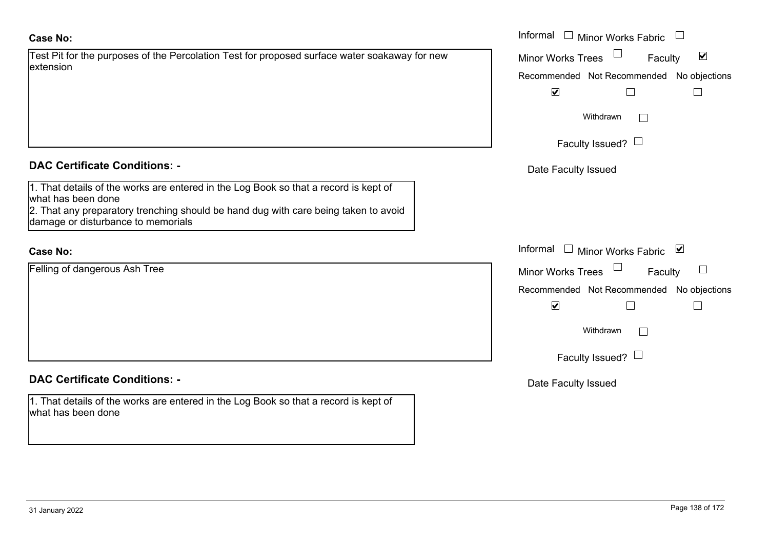### **Case No:**

|           | Test Pit for the purposes of the Percolation Test for proposed surface water soakaway for new |
|-----------|-----------------------------------------------------------------------------------------------|
| extension |                                                                                               |

### **DAC Certificate Conditions: -**

1. That details of the works are entered in the Log Book so that a record is kept of what has been done 2. That any preparatory trenching should be hand dug with care being taken to avoid damage or disturbance to memorials

## **Case No:**

Felling of dangerous Ash Tree

# **DAC Certificate Conditions: -**

1. That details of the works are entered in the Log Book so that a record is kept of what has been done

|                                                                                                           | Informal<br>$\overline{\phantom{0}}$<br><b>Minor Works Fabric</b> |
|-----------------------------------------------------------------------------------------------------------|-------------------------------------------------------------------|
| or the purposes of the Percolation Test for proposed surface water soakaway for new                       | $\blacktriangledown$<br>Minor Works Trees<br>Faculty              |
|                                                                                                           | Recommended Not Recommended No objections                         |
|                                                                                                           | $\blacktriangledown$                                              |
|                                                                                                           | Withdrawn                                                         |
|                                                                                                           | Faculty Issued? $\Box$                                            |
| rtificate Conditions: -                                                                                   | Date Faculty Issued                                               |
| etails of the works are entered in the Log Book so that a record is kept of<br>been done                  |                                                                   |
| ny preparatory trenching should be hand dug with care being taken to avoid<br>or disturbance to memorials |                                                                   |
|                                                                                                           | Informal $\square$<br><b>Minor Works Fabric</b><br>⊻              |
| dangerous Ash Tree                                                                                        | <b>Minor Works Trees</b><br>Faculty                               |
|                                                                                                           | No objections<br>Recommended Not Recommended                      |
|                                                                                                           | $\blacktriangledown$                                              |
|                                                                                                           | Withdrawn                                                         |
|                                                                                                           | Faculty Issued? $\Box$                                            |
| rtificate Conditions: -                                                                                   | Date Faculty Issued                                               |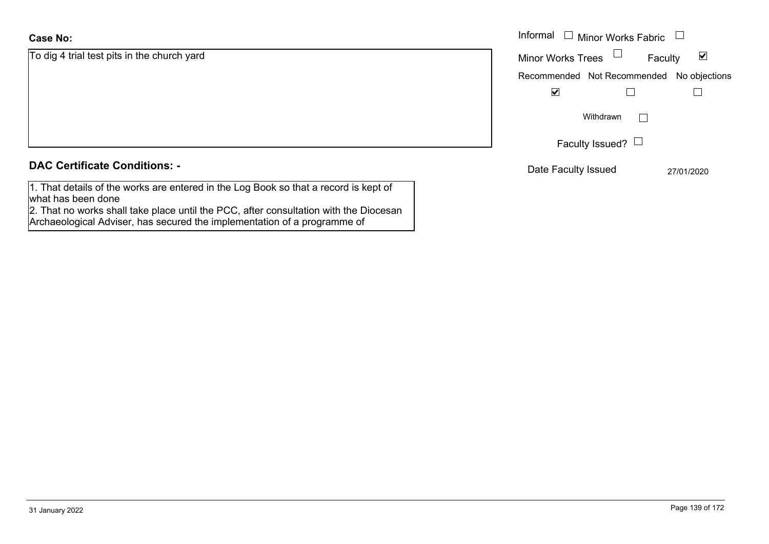### **Case No:**

| <b>Case No:</b>                                                                                                                                                                                                                                                                                                                                                                      | Informal |
|--------------------------------------------------------------------------------------------------------------------------------------------------------------------------------------------------------------------------------------------------------------------------------------------------------------------------------------------------------------------------------------|----------|
| To dig 4 trial test pits in the church yard                                                                                                                                                                                                                                                                                                                                          | Minor W  |
|                                                                                                                                                                                                                                                                                                                                                                                      | Recomm   |
|                                                                                                                                                                                                                                                                                                                                                                                      |          |
|                                                                                                                                                                                                                                                                                                                                                                                      |          |
|                                                                                                                                                                                                                                                                                                                                                                                      |          |
|                                                                                                                                                                                                                                                                                                                                                                                      |          |
| <b>DAC Certificate Conditions: -</b>                                                                                                                                                                                                                                                                                                                                                 | Date I   |
| $\overline{A}$ $\overline{B}$ $\overline{C}$ $\overline{C}$ $\overline{C}$ $\overline{C}$ $\overline{C}$ $\overline{C}$ $\overline{C}$ $\overline{C}$ $\overline{C}$ $\overline{C}$ $\overline{C}$ $\overline{C}$ $\overline{C}$ $\overline{C}$ $\overline{C}$ $\overline{C}$ $\overline{C}$ $\overline{C}$ $\overline{C}$ $\overline{C}$ $\overline{C}$ $\overline{C}$ $\overline{$ |          |

1. That details of the works are entered in the Log Book so that a record is kept of what has been done

2. That no works shall take place until the PCC, after consultation with the Diocesan Archaeological Adviser, has secured the implementation of a programme of

| Informal                 | $\Box$ Minor Works Fabric                 |  |
|--------------------------|-------------------------------------------|--|
| <b>Minor Works Trees</b> | Faculty                                   |  |
|                          | Recommended Not Recommended No objections |  |
|                          |                                           |  |
|                          | Withdrawn                                 |  |
|                          | Faculty Issued? $\Box$                    |  |

Date Faculty Issued 27/01/2020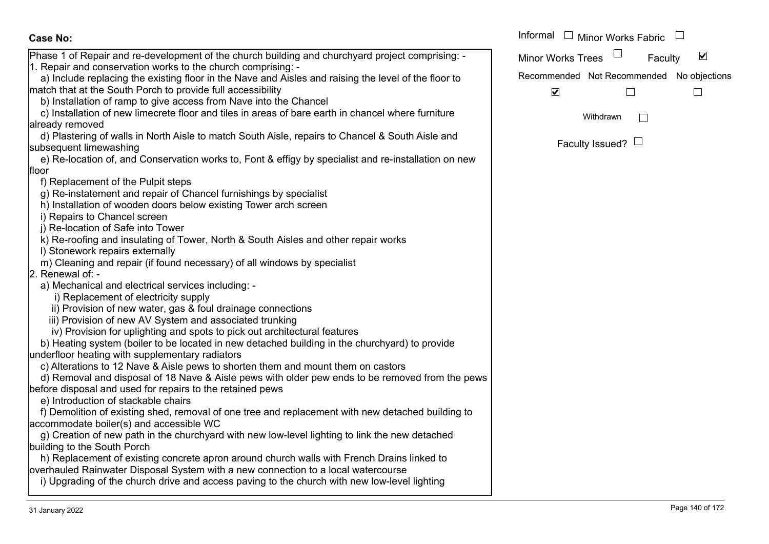| <b>Case No:</b>                                                                                      | Informal |
|------------------------------------------------------------------------------------------------------|----------|
| Phase 1 of Repair and re-development of the church building and churchyard project comprising: -     | Minor W  |
| 1. Repair and conservation works to the church comprising: -                                         |          |
| a) Include replacing the existing floor in the Nave and Aisles and raising the level of the floor to | Recomm   |
| match that at the South Porch to provide full accessibility                                          |          |
| b) Installation of ramp to give access from Nave into the Chancel                                    |          |
| c) Installation of new limecrete floor and tiles in areas of bare earth in chancel where furniture   |          |
| already removed                                                                                      |          |
| d) Plastering of walls in North Aisle to match South Aisle, repairs to Chancel & South Aisle and     |          |
| subsequent limewashing                                                                               |          |
| e) Re-location of, and Conservation works to, Font & effigy by specialist and re-installation on new |          |
| floor                                                                                                |          |
| f) Replacement of the Pulpit steps                                                                   |          |
| g) Re-instatement and repair of Chancel furnishings by specialist                                    |          |
| h) Installation of wooden doors below existing Tower arch screen                                     |          |
| i) Repairs to Chancel screen                                                                         |          |
| j) Re-location of Safe into Tower                                                                    |          |
| k) Re-roofing and insulating of Tower, North & South Aisles and other repair works                   |          |
| I) Stonework repairs externally                                                                      |          |
| m) Cleaning and repair (if found necessary) of all windows by specialist                             |          |
| 2. Renewal of: -                                                                                     |          |
| a) Mechanical and electrical services including: -                                                   |          |
| i) Replacement of electricity supply                                                                 |          |
| ii) Provision of new water, gas & foul drainage connections                                          |          |
| iii) Provision of new AV System and associated trunking                                              |          |
| iv) Provision for uplighting and spots to pick out architectural features                            |          |
| b) Heating system (boiler to be located in new detached building in the churchyard) to provide       |          |
| underfloor heating with supplementary radiators                                                      |          |
| c) Alterations to 12 Nave & Aisle pews to shorten them and mount them on castors                     |          |
| d) Removal and disposal of 18 Nave & Aisle pews with older pew ends to be removed from the pews      |          |
| before disposal and used for repairs to the retained pews                                            |          |
| e) Introduction of stackable chairs                                                                  |          |
| f) Demolition of existing shed, removal of one tree and replacement with new detached building to    |          |
| accommodate boiler(s) and accessible WC                                                              |          |
| g) Creation of new path in the churchyard with new low-level lighting to link the new detached       |          |
| building to the South Porch                                                                          |          |
| h) Replacement of existing concrete apron around church walls with French Drains linked to           |          |
| overhauled Rainwater Disposal System with a new connection to a local watercourse                    |          |

i) Upgrading of the church drive and access paving to the church with new low-level lighting

 $\blacktriangledown$ Faculty Minor Works Trees Recommended Not Recommended No objections  $\blacktriangledown$  $\Box$  $\Box$  $\Box$ Withdrawn Faculty Issued?  $\Box$ 

Minor Works Fabric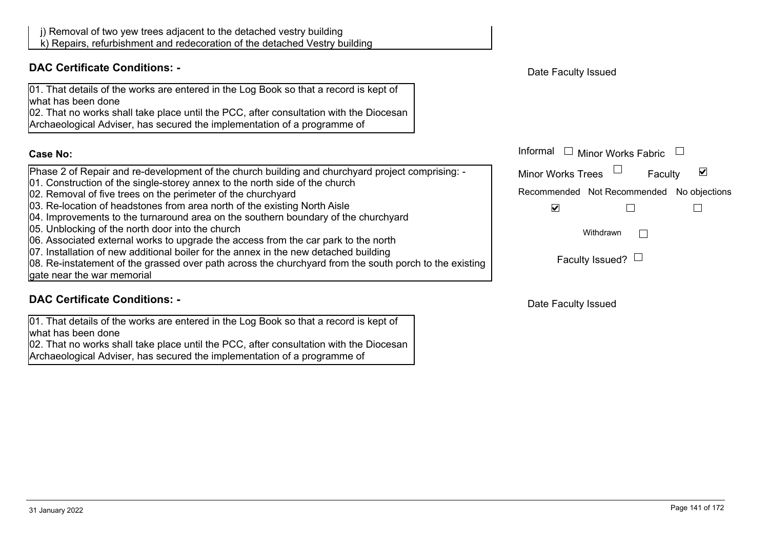

02. That no works shall take place until the PCC, after consultation with the Diocesan

Archaeological Adviser, has secured the implementation of a programme of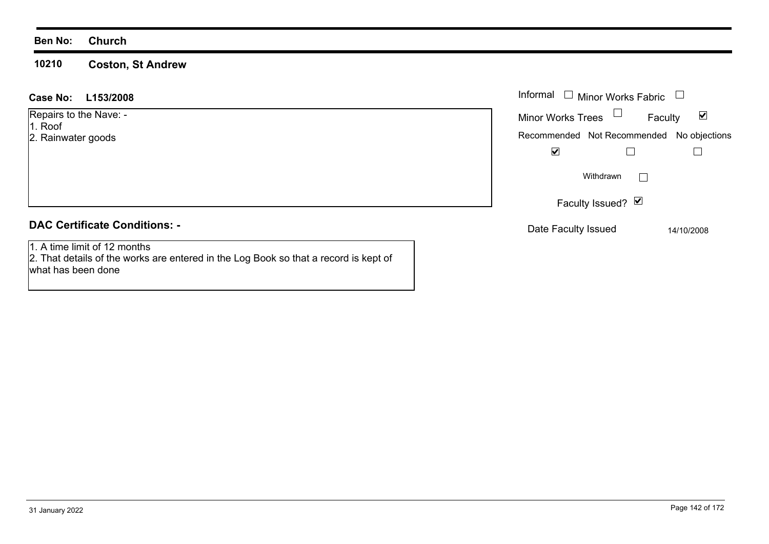### **Ben No: Church**

what has been done

### **10210 Coston, St Andrew**

| L153/2008<br><b>Case No:</b>                                                                                         | Informal $\Box$<br><b>Minor Works Fabric</b>                                                           |
|----------------------------------------------------------------------------------------------------------------------|--------------------------------------------------------------------------------------------------------|
| Repairs to the Nave: -<br>1. Roof<br>2. Rainwater goods                                                              | Minor Works Trees<br>$\blacktriangledown$<br>Faculty<br>Recommended Not Recommended No objections<br>⊻ |
|                                                                                                                      | Withdrawn                                                                                              |
|                                                                                                                      | Faculty Issued? $\Box$                                                                                 |
| <b>DAC Certificate Conditions: -</b>                                                                                 | Date Faculty Issued<br>14/10/2008                                                                      |
| 1. A time limit of 12 months<br>2. That details of the works are entered in the Log Book so that a record is kept of |                                                                                                        |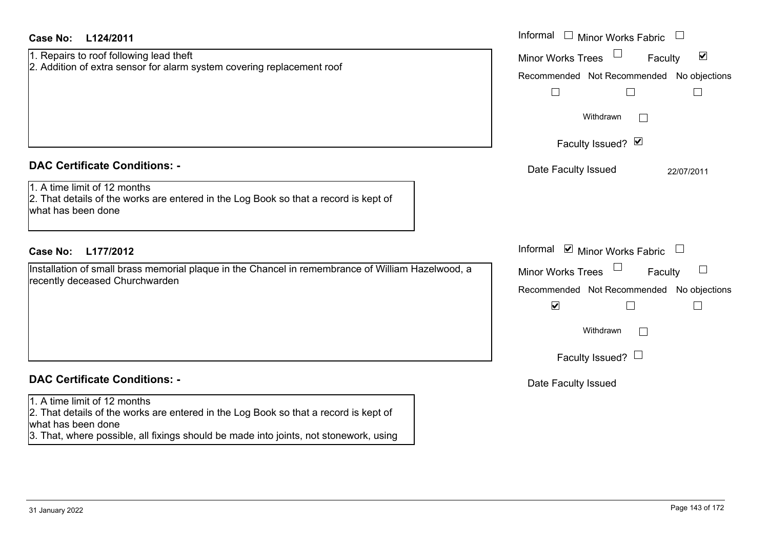| Case No:<br>L124/2011                                                                                                                                                                                                               | Informal $\Box$ Minor Works Fabric $\Box$                                                                                                                                           |
|-------------------------------------------------------------------------------------------------------------------------------------------------------------------------------------------------------------------------------------|-------------------------------------------------------------------------------------------------------------------------------------------------------------------------------------|
| 1. Repairs to roof following lead theft<br>2. Addition of extra sensor for alarm system covering replacement roof                                                                                                                   | $\blacktriangledown$<br><b>Minor Works Trees</b><br>Faculty<br>Recommended Not Recommended No objections<br>$\Box$<br>$\Box$<br>$\Box$<br>Withdrawn<br>$\perp$<br>Faculty Issued? Ø |
| <b>DAC Certificate Conditions: -</b><br>1. A time limit of 12 months<br>2. That details of the works are entered in the Log Book so that a record is kept of<br>what has been done                                                  | Date Faculty Issued<br>22/07/2011                                                                                                                                                   |
| <b>Case No:</b><br>L177/2012                                                                                                                                                                                                        | Informal ⊠ Minor Works Fabric □                                                                                                                                                     |
| Installation of small brass memorial plaque in the Chancel in remembrance of William Hazelwood, a<br>recently deceased Churchwarden                                                                                                 | <b>Minor Works Trees</b><br>Faculty<br>Recommended Not Recommended No objections<br>$\blacktriangledown$<br>П<br>$\overline{\phantom{a}}$<br>Withdrawn<br>Faculty Issued? $\Box$    |
| <b>DAC Certificate Conditions: -</b>                                                                                                                                                                                                | Date Faculty Issued                                                                                                                                                                 |
| 1. A time limit of 12 months<br>2. That details of the works are entered in the Log Book so that a record is kept of<br>what has been done<br>3. That, where possible, all fixings should be made into joints, not stonework, using |                                                                                                                                                                                     |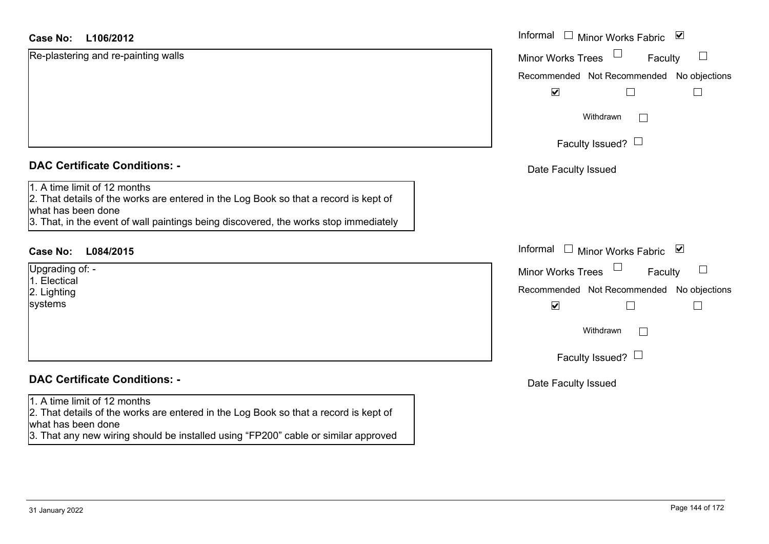## **L106/2012Case No:** Informal

Re-plastering and re-painting walls

| <b>DAC Certificate Conditions: -</b> |  |
|--------------------------------------|--|
|--------------------------------------|--|

1. A time limit of 12 months

2. That details of the works are entered in the Log Book so that a record is kept of what has been done

3. That, in the event of wall paintings being discovered, the works stop immediately

# **L084/2015Case No:** Informal

Upgrading of: - 1. Electical 2. Lighting systems

# **DAC Certificate Conditions: -**

### 1. A time limit of 12 months

2. That details of the works are entered in the Log Book so that a record is kept of what has been done

3. That any new wiring should be installed using "FP200" cable or similar approved

| Informal<br>$\overline{\mathbf{v}}$<br><b>Minor Works Fabric</b>                                                                                                                                                                           |  |
|--------------------------------------------------------------------------------------------------------------------------------------------------------------------------------------------------------------------------------------------|--|
| <b>Minor Works Trees</b><br>Faculty<br>Recommended Not Recommended No objections<br>$\blacktriangledown$<br>Withdrawn<br>Faculty Issued? $\Box$                                                                                            |  |
| Date Faculty Issued                                                                                                                                                                                                                        |  |
| Informal<br>$\blacktriangledown$<br><b>Minor Works Fabric</b><br><b>Minor Works Trees</b><br>Faculty<br>Recommended Not Recommended No objections<br>$\overline{\mathbf{v}}$<br>Withdrawn<br>Faculty Issued? $\Box$<br>Date Faculty Issued |  |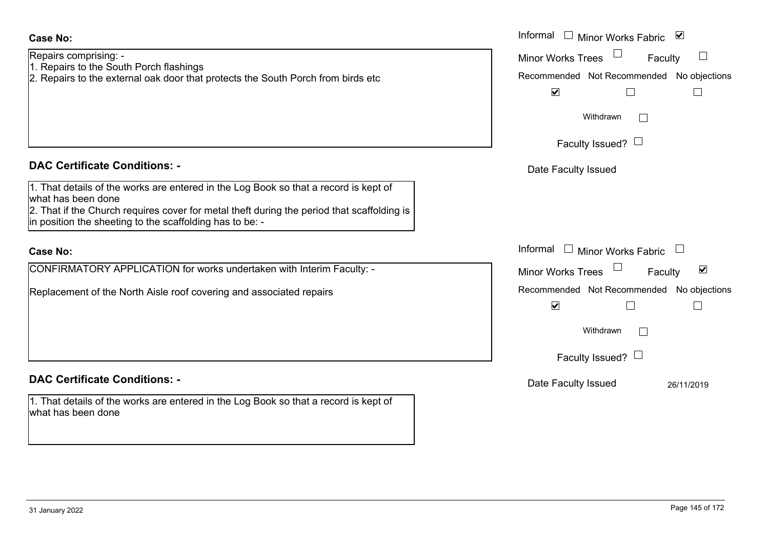# Repairs comprising: - 1. Repairs to the South Porch flashings **Case No:**

2. Repairs to the external oak door that protects the South Porch from birds etc

# **DAC Certificate Conditions: -**

1. That details of the works are entered in the Log Book so that a record is kept of what has been done

2. That if the Church requires cover for metal theft during the period that scaffolding is  $\frac{1}{2}$  in position the sheeting to the scaffolding has to be: -

### **Case No:**

CONFIRMATORY APPLICATION for works undertaken with Interim Faculty: -

Replacement of the North Aisle roof covering and associated repairs

# **DAC Certificate Conditions: -**

1. That details of the works are entered in the Log Book so that a record is kept of what has been done

|                                                                                                                                                                                                                               | Informal □ Minor Works Fabric ⊠                                                                                                                         |
|-------------------------------------------------------------------------------------------------------------------------------------------------------------------------------------------------------------------------------|---------------------------------------------------------------------------------------------------------------------------------------------------------|
| comprising: -<br>s to the South Porch flashings<br>s to the external oak door that protects the South Porch from birds etc                                                                                                    | Minor Works Trees<br>$\begin{array}{c} \hline \end{array}$<br>Faculty<br>Recommended Not Recommended No objections<br>$\blacktriangledown$<br>Withdrawn |
|                                                                                                                                                                                                                               | Faculty Issued? $\Box$                                                                                                                                  |
| rtificate Conditions: -                                                                                                                                                                                                       | Date Faculty Issued                                                                                                                                     |
| etails of the works are entered in the Log Book so that a record is kept of<br>been done<br>the Church requires cover for metal theft during the period that scaffolding is<br>n the sheeting to the scaffolding has to be: - |                                                                                                                                                         |
|                                                                                                                                                                                                                               | Informal<br>$\Box$ Minor Works Fabric                                                                                                                   |
| MATORY APPLICATION for works undertaken with Interim Faculty: -                                                                                                                                                               | $\blacktriangledown$<br><b>Minor Works Trees</b><br>Faculty                                                                                             |
| nent of the North Aisle roof covering and associated repairs                                                                                                                                                                  | Recommended Not Recommended No objections<br>$\blacktriangledown$                                                                                       |
|                                                                                                                                                                                                                               | Withdrawn<br>I.                                                                                                                                         |
|                                                                                                                                                                                                                               | Faculty Issued? $\Box$                                                                                                                                  |
| rtificate Conditions: -                                                                                                                                                                                                       | Date Faculty Issued<br>26/11/2019                                                                                                                       |
| etails of the works are entered in the Log Book so that a record is kept of                                                                                                                                                   |                                                                                                                                                         |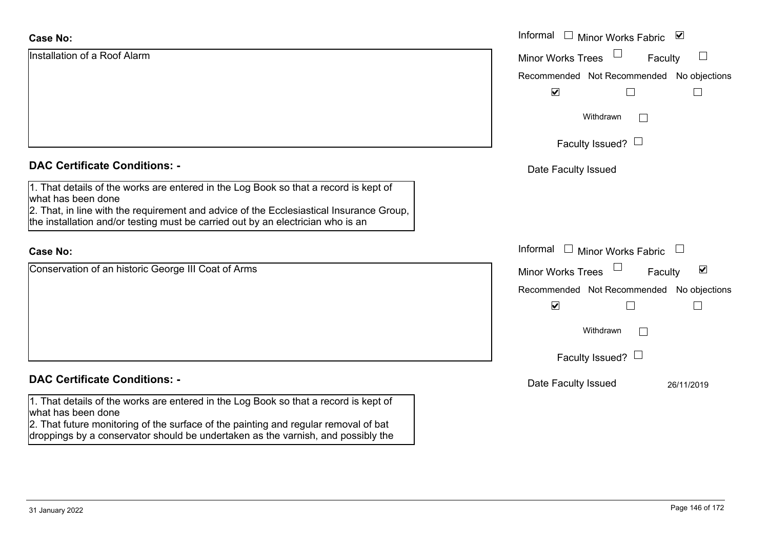| <b>Case No:</b>                                                                                                                                                                                       | Informal □ Minor Works Fabric<br>$\blacktriangledown$       |
|-------------------------------------------------------------------------------------------------------------------------------------------------------------------------------------------------------|-------------------------------------------------------------|
| Installation of a Roof Alarm                                                                                                                                                                          | $\mathbb{R}^n$<br><b>Minor Works Trees</b><br>Faculty       |
|                                                                                                                                                                                                       | Recommended Not Recommended No objections                   |
|                                                                                                                                                                                                       | $\blacktriangledown$                                        |
|                                                                                                                                                                                                       | Withdrawn<br>$\Box$                                         |
|                                                                                                                                                                                                       | Faculty Issued? $\Box$                                      |
| <b>DAC Certificate Conditions: -</b>                                                                                                                                                                  | Date Faculty Issued                                         |
| 1. That details of the works are entered in the Log Book so that a record is kept of<br>what has been done<br>2. That, in line with the requirement and advice of the Ecclesiastical Insurance Group, |                                                             |
| the installation and/or testing must be carried out by an electrician who is an                                                                                                                       |                                                             |
| <b>Case No:</b>                                                                                                                                                                                       | Informal □ Minor Works Fabric<br>$\Box$                     |
| Conservation of an historic George III Coat of Arms                                                                                                                                                   | $\blacktriangledown$<br><b>Minor Works Trees</b><br>Faculty |
|                                                                                                                                                                                                       | Recommended Not Recommended No objections                   |
|                                                                                                                                                                                                       | $\blacktriangledown$<br>$\Box$                              |
|                                                                                                                                                                                                       | Withdrawn<br>$\Box$                                         |
|                                                                                                                                                                                                       | Faculty Issued? $\Box$                                      |
| <b>DAC Certificate Conditions: -</b>                                                                                                                                                                  | Date Faculty Issued<br>26/11/2019                           |
| 1. That details of the works are entered in the Log Book so that a record is kept of<br>what has been done                                                                                            |                                                             |
| 2. That future monitoring of the surface of the painting and regular removal of bat<br>droppings by a conservator should be undertaken as the varnish, and possibly the                               |                                                             |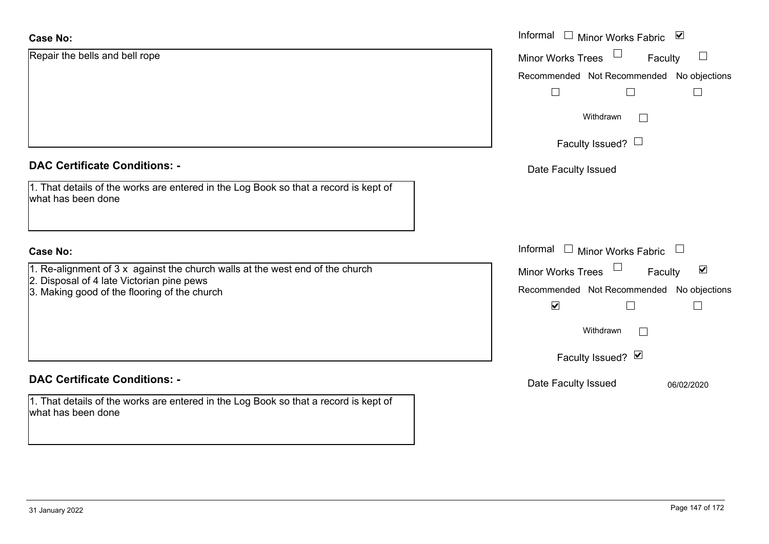| <b>Case No:</b>                                                                                                             | Informal □ Minor Works Fabric<br>$\blacktriangledown$       |
|-----------------------------------------------------------------------------------------------------------------------------|-------------------------------------------------------------|
| Repair the bells and bell rope                                                                                              | $\Box$<br><b>Minor Works Trees</b><br>Faculty               |
|                                                                                                                             | Recommended Not Recommended No objections                   |
|                                                                                                                             | $\Box$                                                      |
|                                                                                                                             | Withdrawn<br>$\Box$                                         |
|                                                                                                                             | Faculty Issued? $\Box$                                      |
| <b>DAC Certificate Conditions: -</b>                                                                                        | Date Faculty Issued                                         |
| 1. That details of the works are entered in the Log Book so that a record is kept of<br>what has been done                  |                                                             |
| <b>Case No:</b>                                                                                                             | Informal<br>$\Box$<br><b>Minor Works Fabric</b>             |
| 1. Re-alignment of $3x$ against the church walls at the west end of the church<br>2. Disposal of 4 late Victorian pine pews | $\blacktriangledown$<br><b>Minor Works Trees</b><br>Faculty |
| 3. Making good of the flooring of the church                                                                                | Recommended Not Recommended No objections                   |
|                                                                                                                             | $\blacktriangledown$<br>$\Box$                              |
|                                                                                                                             | Withdrawn<br>$\mathbf{L}$                                   |
|                                                                                                                             | Faculty Issued? Ø                                           |
| <b>DAC Certificate Conditions: -</b>                                                                                        | Date Faculty Issued<br>06/02/2020                           |
| 1. That details of the works are entered in the Log Book so that a record is kept of<br>what has been done                  |                                                             |
|                                                                                                                             |                                                             |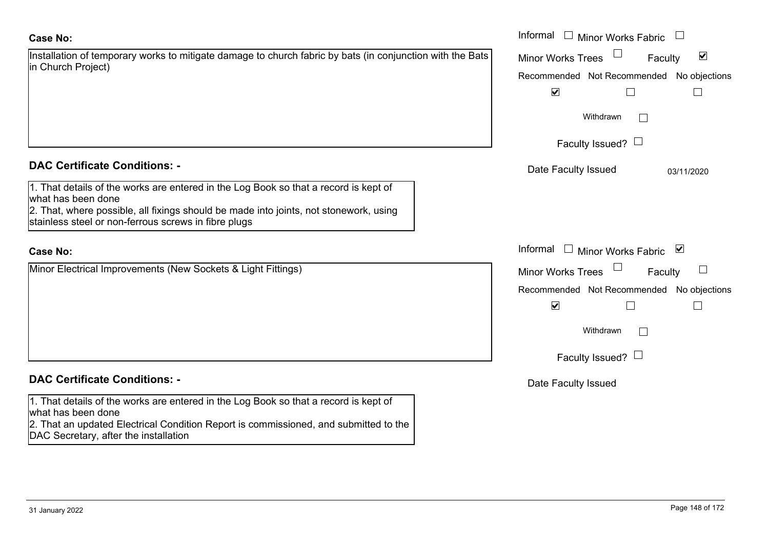| Installation of temporary works to mitigate damage to church fabric by bats (in conjunction with the Bats) |  |
|------------------------------------------------------------------------------------------------------------|--|
| in Church Project)                                                                                         |  |

# **DAC Certificate Conditions: -**

| 1. That details of the works are entered in the Log Book so that a record is kept of  |
|---------------------------------------------------------------------------------------|
| what has been done                                                                    |
| 2. That, where possible, all fixings should be made into joints, not stonework, using |

stainless steel or non-ferrous screws in fibre plugs

# **Case No:**

Minor Electrical Improvements (New Sockets & Light Fittings)

# **DAC Certificate Conditions: -**

1. That details of the works are entered in the Log Book so that a record is kept of what has been done

2. That an updated Electrical Condition Report is commissioned, and submitted to the DAC Secretary, after the installation

|                                                                                                                                                                                                                        | Informal<br>$\overline{\phantom{a}}$<br><b>Minor Works Fabric</b>            |
|------------------------------------------------------------------------------------------------------------------------------------------------------------------------------------------------------------------------|------------------------------------------------------------------------------|
| on of temporary works to mitigate damage to church fabric by bats (in conjunction with the Bats<br>Project)                                                                                                            | $\blacktriangledown$<br>Minor Works Trees<br>Faculty                         |
|                                                                                                                                                                                                                        | Recommended Not Recommended No objections                                    |
|                                                                                                                                                                                                                        | $\blacktriangledown$<br>⊔                                                    |
|                                                                                                                                                                                                                        | Withdrawn                                                                    |
|                                                                                                                                                                                                                        | Faculty Issued? $\Box$                                                       |
| rtificate Conditions: -                                                                                                                                                                                                | Date Faculty Issued<br>03/11/2020                                            |
| etails of the works are entered in the Log Book so that a record is kept of<br>been done<br>where possible, all fixings should be made into joints, not stonework, using<br>steel or non-ferrous screws in fibre plugs |                                                                              |
|                                                                                                                                                                                                                        | Informal<br>□ Minor Works Fabric $\blacksquare$                              |
| ectrical Improvements (New Sockets & Light Fittings)                                                                                                                                                                   | $\begin{array}{c} \hline \end{array}$<br><b>Minor Works Trees</b><br>Faculty |
|                                                                                                                                                                                                                        | Recommended Not Recommended No objections<br>$\blacktriangledown$            |
|                                                                                                                                                                                                                        | Withdrawn                                                                    |
|                                                                                                                                                                                                                        | Faculty Issued? $\Box$                                                       |
| rtificate Conditions: -                                                                                                                                                                                                | Date Faculty Issued                                                          |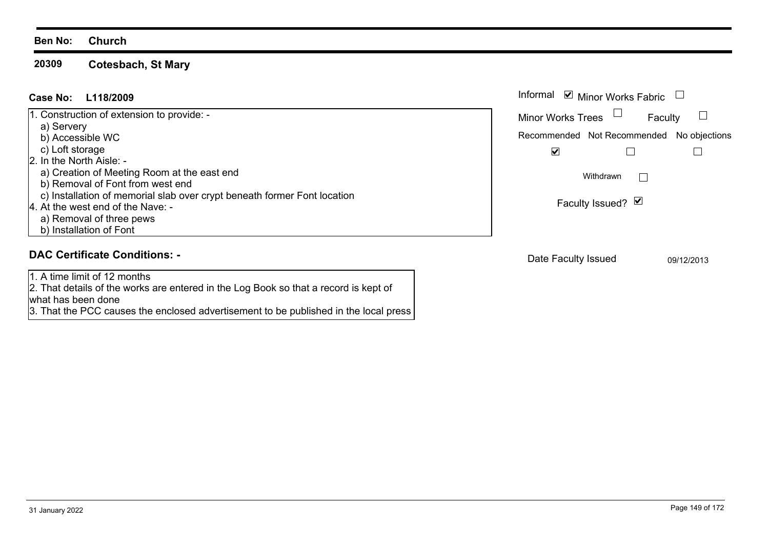**20309Cotesbach, St Mary**

# **L118/2009Case No:** Informal

| 1. Construction of extension to provide: -                               |
|--------------------------------------------------------------------------|
| a) Servery                                                               |
| b) Accessible WC                                                         |
| c) Loft storage                                                          |
| 2. In the North Aisle: -                                                 |
| a) Creation of Meeting Room at the east end                              |
| b) Removal of Font from west end                                         |
| c) Installation of memorial slab over crypt beneath former Font location |
| 4. At the west end of the Nave: -                                        |
| a) Removal of three pews                                                 |
| b) Installation of Font                                                  |

### **DAC Certificate Conditions: -**

1. A time limit of 12 months

2. That details of the works are entered in the Log Book so that a record is kept of what has been done

3. That the PCC causes the enclosed advertisement to be published in the local press

| Informal ☑ Minor Works Fabric |                                           |            |
|-------------------------------|-------------------------------------------|------------|
|                               | <b>Minor Works Trees</b>                  | Faculty    |
|                               | Recommended Not Recommended No objections |            |
|                               | V                                         |            |
|                               | Withdrawn                                 |            |
|                               | Faculty Issued? Ø                         |            |
|                               |                                           |            |
|                               | Date Faculty Issued                       | 09/12/2013 |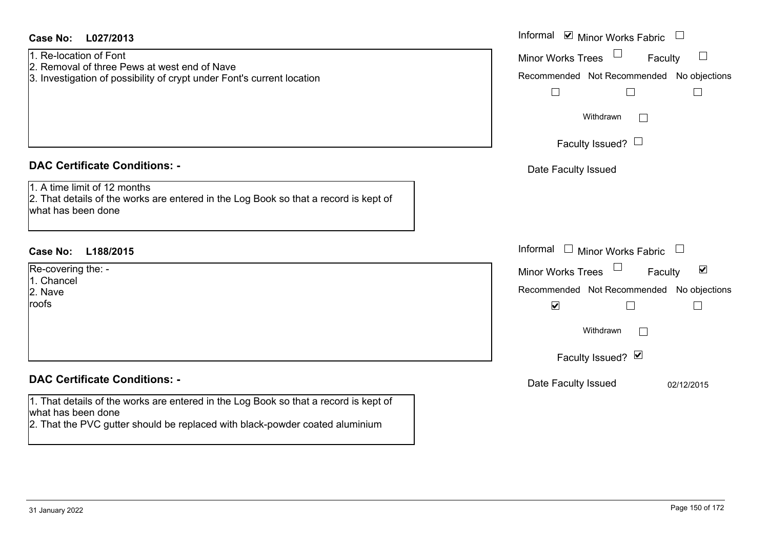| Case No:<br>L027/2013                                                                                                                                                                      | Informal <b>v</b> Minor Works Fabric                                         |
|--------------------------------------------------------------------------------------------------------------------------------------------------------------------------------------------|------------------------------------------------------------------------------|
| 1. Re-location of Font                                                                                                                                                                     | $\Box$<br>$\Box$<br><b>Minor Works Trees</b><br>Faculty                      |
| 2. Removal of three Pews at west end of Nave<br>3. Investigation of possibility of crypt under Font's current location                                                                     | Recommended Not Recommended No objections                                    |
|                                                                                                                                                                                            | $\Box$<br>$\Box$<br>$\mathbf{I}$                                             |
|                                                                                                                                                                                            |                                                                              |
|                                                                                                                                                                                            | Withdrawn                                                                    |
|                                                                                                                                                                                            |                                                                              |
|                                                                                                                                                                                            | Faculty Issued? $\Box$                                                       |
| <b>DAC Certificate Conditions: -</b>                                                                                                                                                       | Date Faculty Issued                                                          |
| 1. A time limit of 12 months                                                                                                                                                               |                                                                              |
| 2. That details of the works are entered in the Log Book so that a record is kept of<br>what has been done                                                                                 |                                                                              |
|                                                                                                                                                                                            |                                                                              |
|                                                                                                                                                                                            |                                                                              |
| <b>Case No:</b><br>L188/2015                                                                                                                                                               |                                                                              |
|                                                                                                                                                                                            | Informal □ Minor Works Fabric                                                |
| Re-covering the: -                                                                                                                                                                         | $\Box$<br>$\blacktriangledown$<br>Faculty                                    |
| 1. Chancel                                                                                                                                                                                 | Minor Works Trees                                                            |
| 2. Nave<br>roofs                                                                                                                                                                           | Recommended Not Recommended No objections<br>$\blacktriangledown$<br>$\perp$ |
|                                                                                                                                                                                            |                                                                              |
|                                                                                                                                                                                            | Withdrawn                                                                    |
|                                                                                                                                                                                            |                                                                              |
|                                                                                                                                                                                            | Faculty Issued? Ø                                                            |
| <b>DAC Certificate Conditions: -</b>                                                                                                                                                       | Date Faculty Issued<br>02/12/2015                                            |
|                                                                                                                                                                                            |                                                                              |
| 1. That details of the works are entered in the Log Book so that a record is kept of<br>what has been done<br>2. That the PVC gutter should be replaced with black-powder coated aluminium |                                                                              |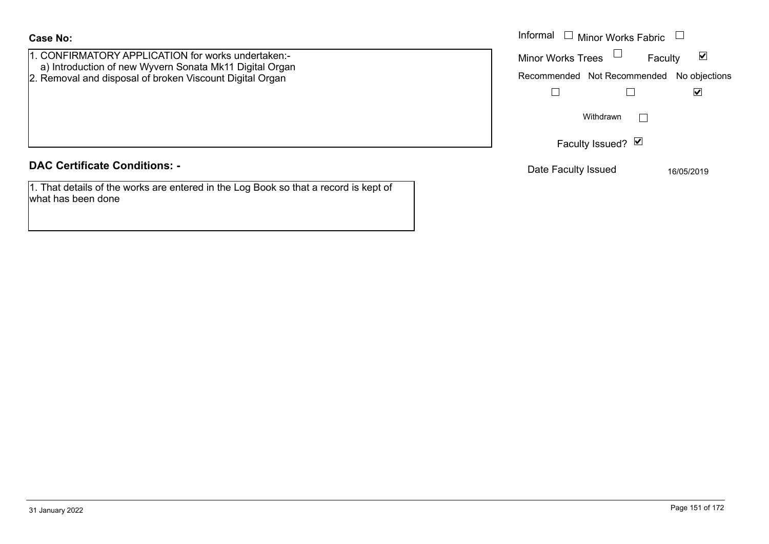what has been done

| <b>Case No:</b>                                                                                               | Informal<br><b>Minor Works Fabric</b>     |                                 |
|---------------------------------------------------------------------------------------------------------------|-------------------------------------------|---------------------------------|
| 1. CONFIRMATORY APPLICATION for works undertaken:-<br>a) Introduction of new Wyvern Sonata Mk11 Digital Organ | <b>Minor Works Trees</b>                  | $\blacktriangledown$<br>Faculty |
| 2. Removal and disposal of broken Viscount Digital Organ                                                      | Recommended Not Recommended No objections |                                 |
|                                                                                                               |                                           | M                               |
|                                                                                                               | Withdrawn                                 |                                 |
|                                                                                                               | Faculty Issued? Ø                         |                                 |
| <b>DAC Certificate Conditions: -</b>                                                                          | Date Faculty Issued                       | 16/05/2019                      |
| 1. That details of the works are entered in the Log Book so that a record is kept of                          |                                           |                                 |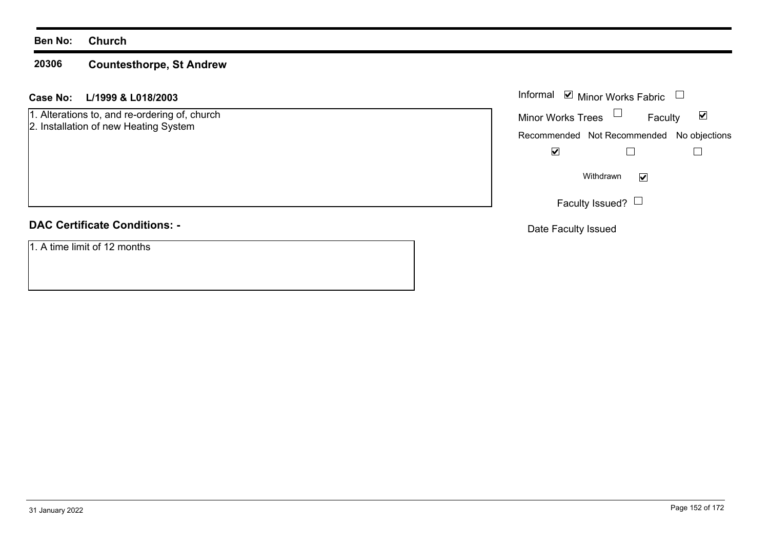#### **20306Countesthorpe, St Andrew**

# **L/1999 & L018/2003 Case No:** Informal

1. Alterations to, and re-ordering of, church 2. Installation of new Heating System

# **DAC Certificate Conditions: -**

1. A time limit of 12 months

| Informal <b>v</b> Minor Works Fabric |                                           |                      |
|--------------------------------------|-------------------------------------------|----------------------|
| <b>Minor Works Trees</b>             | Faculty                                   | $\blacktriangledown$ |
|                                      | Recommended Not Recommended No objections |                      |
|                                      |                                           |                      |
|                                      | Withdrawn                                 |                      |
|                                      | Faculty Issued?                           |                      |

Date Faculty Issued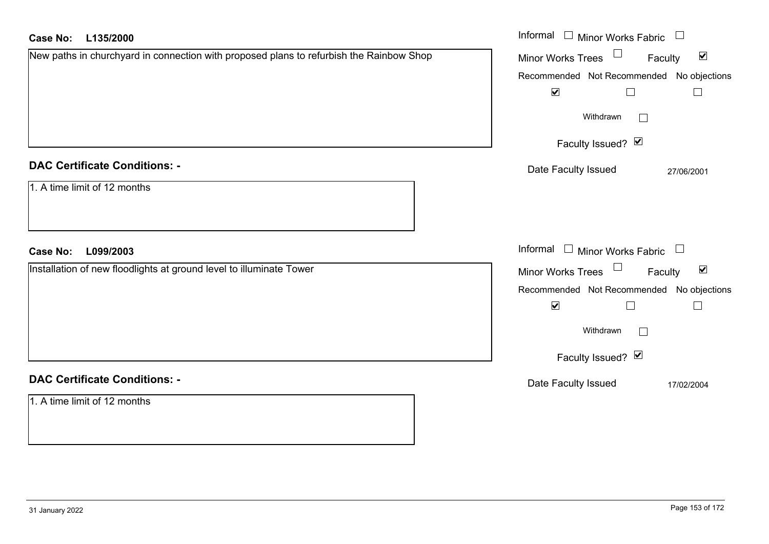| <b>Case No:</b><br>L135/2000                                                            | Informal $\Box$ Minor Works Fabric $\Box$                      |
|-----------------------------------------------------------------------------------------|----------------------------------------------------------------|
| New paths in churchyard in connection with proposed plans to refurbish the Rainbow Shop | $\Box$<br>$\blacktriangledown$<br>Minor Works Trees<br>Faculty |
|                                                                                         | Recommended Not Recommended No objections                      |
|                                                                                         | $\blacktriangledown$<br>$\Box$<br>$\Box$                       |
|                                                                                         | Withdrawn<br>$\vert \ \ \vert$                                 |
|                                                                                         | Faculty Issued? Ø                                              |
| <b>DAC Certificate Conditions: -</b>                                                    | Date Faculty Issued<br>27/06/2001                              |
| 1. A time limit of 12 months                                                            |                                                                |
|                                                                                         |                                                                |
| <b>Case No:</b><br>L099/2003                                                            | Informal $\Box$ Minor Works Fabric $\Box$                      |
| Installation of new floodlights at ground level to illuminate Tower                     | $\Box$<br>$\blacktriangledown$<br>Minor Works Trees<br>Faculty |
|                                                                                         | Recommended Not Recommended<br>No objections                   |
|                                                                                         | $\blacktriangledown$                                           |
|                                                                                         | Withdrawn<br>$\perp$                                           |
|                                                                                         | Faculty Issued? Ø                                              |
| <b>DAC Certificate Conditions: -</b>                                                    | Date Faculty Issued<br>17/02/2004                              |
| 1. A time limit of 12 months                                                            |                                                                |
|                                                                                         |                                                                |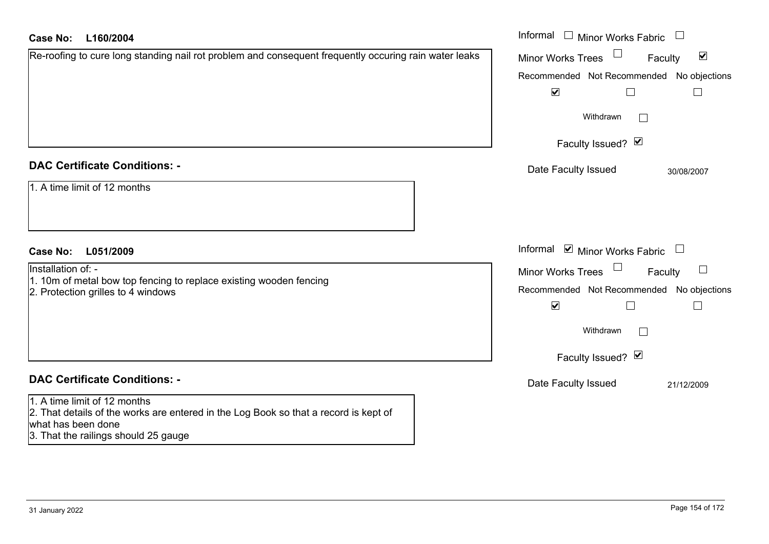| <b>Case No:</b><br>L160/2004                                                                                                                                                       | Informal $\Box$ Minor Works Fabric $\Box$                   |
|------------------------------------------------------------------------------------------------------------------------------------------------------------------------------------|-------------------------------------------------------------|
| Re-roofing to cure long standing nail rot problem and consequent frequently occuring rain water leaks                                                                              | $\blacktriangledown$<br><b>Minor Works Trees</b><br>Faculty |
|                                                                                                                                                                                    | Recommended Not Recommended No objections                   |
|                                                                                                                                                                                    | $\blacktriangledown$<br>$\Box$                              |
|                                                                                                                                                                                    | Withdrawn                                                   |
|                                                                                                                                                                                    | Faculty Issued? Ø                                           |
| <b>DAC Certificate Conditions: -</b>                                                                                                                                               | Date Faculty Issued<br>30/08/2007                           |
| 1. A time limit of 12 months                                                                                                                                                       |                                                             |
| <b>Case No:</b><br>L051/2009                                                                                                                                                       | Informal $\blacksquare$ Minor Works Fabric $\Box$           |
| Installation of: -                                                                                                                                                                 | <b>Minor Works Trees</b><br>Faculty                         |
| 1. 10m of metal bow top fencing to replace existing wooden fencing<br>2. Protection grilles to 4 windows                                                                           | Recommended Not Recommended No objections                   |
|                                                                                                                                                                                    | $\blacktriangledown$                                        |
|                                                                                                                                                                                    | Withdrawn                                                   |
|                                                                                                                                                                                    | Faculty Issued? Ø                                           |
| <b>DAC Certificate Conditions: -</b>                                                                                                                                               | Date Faculty Issued<br>21/12/2009                           |
| 1. A time limit of 12 months<br>2. That details of the works are entered in the Log Book so that a record is kept of<br>what has been done<br>3. That the railings should 25 gauge |                                                             |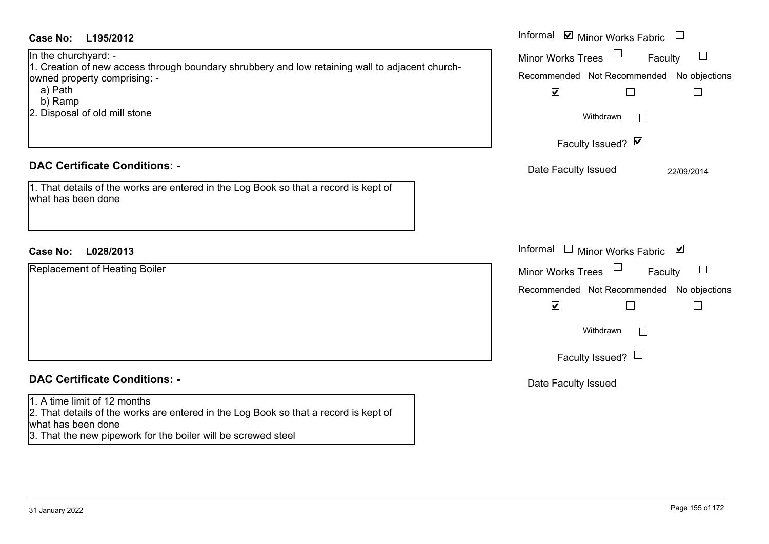| <b>Case No:</b><br>L195/2012                                                                                                                                                                                   | Informal <b>☑</b> Minor Works Fabric                                                                                                                                     |
|----------------------------------------------------------------------------------------------------------------------------------------------------------------------------------------------------------------|--------------------------------------------------------------------------------------------------------------------------------------------------------------------------|
| In the churchyard: -<br>1. Creation of new access through boundary shrubbery and low retaining wall to adjacent church-<br>owned property comprising: -<br>a) Path<br>b) Ramp<br>2. Disposal of old mill stone | $\Box$<br><b>Minor Works Trees</b><br>Faculty<br>Recommended Not Recommended No objections<br>$\blacktriangledown$<br>$\Box$<br>$\Box$<br>Withdrawn<br>Faculty Issued? Ø |
| <b>DAC Certificate Conditions: -</b>                                                                                                                                                                           | Date Faculty Issued<br>22/09/2014                                                                                                                                        |
| 1. That details of the works are entered in the Log Book so that a record is kept of<br>what has been done                                                                                                     |                                                                                                                                                                          |
| <b>Case No:</b><br>L028/2013                                                                                                                                                                                   | Informal<br>$\Box$ Minor Works Fabric $\Box$                                                                                                                             |
| Replacement of Heating Boiler                                                                                                                                                                                  | $\Box$<br><b>Minor Works Trees</b><br>Faculty                                                                                                                            |
|                                                                                                                                                                                                                | Recommended Not Recommended No objections                                                                                                                                |
|                                                                                                                                                                                                                | $\blacktriangledown$<br>$\Box$<br>$\perp$<br>Withdrawn<br>$\sim$<br>Faculty Issued? $\Box$                                                                               |
| <b>DAC Certificate Conditions: -</b>                                                                                                                                                                           | Date Faculty Issued                                                                                                                                                      |
| 1. A time limit of 12 months<br>2. That details of the works are entered in the Log Book so that a record is kept of<br>what has been done<br>3. That the new pipework for the boiler will be screwed steel    |                                                                                                                                                                          |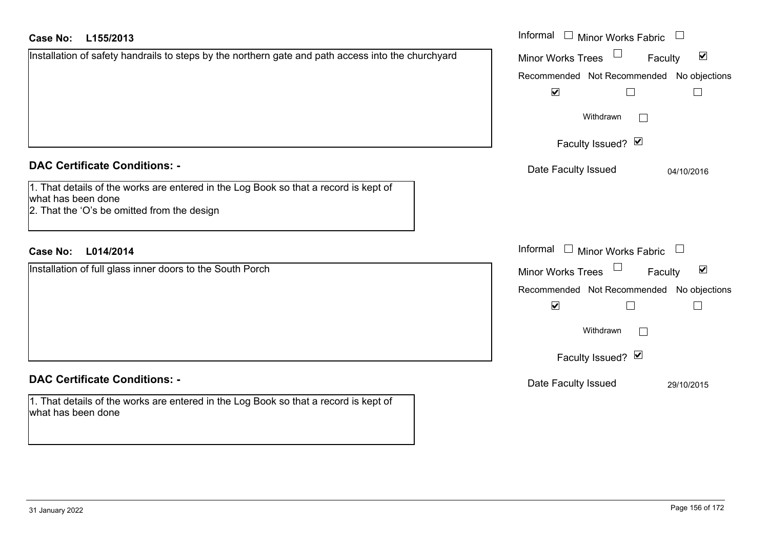| <b>Case No:</b><br>L155/2013                                                                                                 | Informal □ Minor Works Fabric                                  |
|------------------------------------------------------------------------------------------------------------------------------|----------------------------------------------------------------|
| Installation of safety handrails to steps by the northern gate and path access into the churchyard                           | $\blacktriangledown$<br>Minor Works Trees<br>Faculty           |
|                                                                                                                              | Recommended Not Recommended No objections                      |
|                                                                                                                              | $\blacktriangledown$<br>$\Box$                                 |
|                                                                                                                              | Withdrawn                                                      |
|                                                                                                                              | Faculty Issued? Ø                                              |
| <b>DAC Certificate Conditions: -</b><br>1. That details of the works are entered in the Log Book so that a record is kept of | Date Faculty Issued<br>04/10/2016                              |
| what has been done<br>2. That the 'O's be omitted from the design                                                            |                                                                |
| L014/2014<br><b>Case No:</b>                                                                                                 | Informal $\Box$ Minor Works Fabric                             |
| Installation of full glass inner doors to the South Porch                                                                    | $\Box$<br>$\blacktriangledown$<br>Minor Works Trees<br>Faculty |
|                                                                                                                              | Recommended Not Recommended No objections                      |
|                                                                                                                              | $\blacktriangledown$<br>$\Box$                                 |
|                                                                                                                              | Withdrawn                                                      |
|                                                                                                                              | Faculty Issued? Ø                                              |
| <b>DAC Certificate Conditions: -</b>                                                                                         | Date Faculty Issued<br>29/10/2015                              |
| 1. That details of the works are entered in the Log Book so that a record is kept of<br>what has been done                   |                                                                |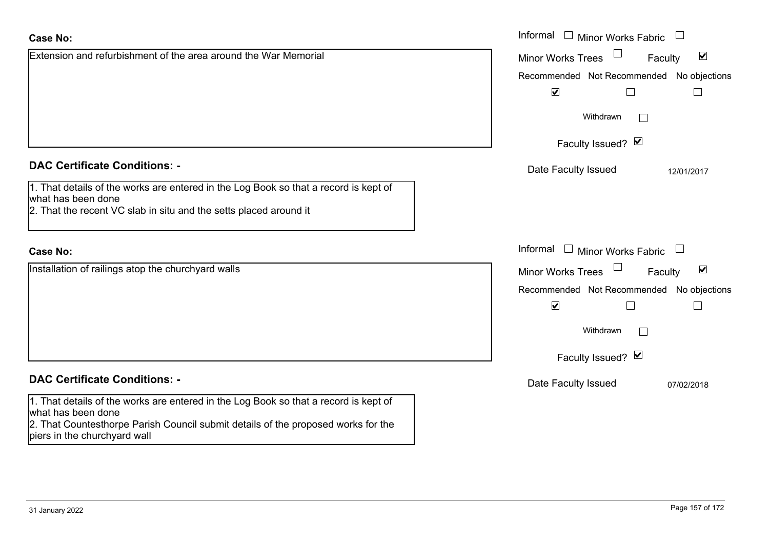|                                                                                                                                                                                 | <b>Faculty Issue</b> |
|---------------------------------------------------------------------------------------------------------------------------------------------------------------------------------|----------------------|
| <b>DAC Certificate Conditions: -</b>                                                                                                                                            | Date Faculty Issued  |
| 1. That details of the works are entered in the Log Book so that a record is kept of<br>what has been done<br>2. That the recent VC slab in situ and the setts placed around it |                      |
| <b>Case No:</b>                                                                                                                                                                 | Informal<br>Minor W  |
| Installation of railings atop the churchyard walls                                                                                                                              | Minor Works Trees    |
|                                                                                                                                                                                 | Recommended Not Re   |
|                                                                                                                                                                                 | ⊻                    |
|                                                                                                                                                                                 | Withdrav             |
|                                                                                                                                                                                 | <b>Faculty Issue</b> |

# **DAC Certificate Conditions: -**

1. That details of the works are entered in the Log Book so that a record is kept of what has been done

2. That Countesthorpe Parish Council submit details of the proposed works for the piers in the churchyard wall

Extension and refurbishment of the area around the War Memorial

|                                                                                          | Informal<br>$\begin{array}{c} \square \end{array}$<br>Minor Works Fabric       |
|------------------------------------------------------------------------------------------|--------------------------------------------------------------------------------|
| n and refurbishment of the area around the War Memorial                                  | $\blacktriangledown$<br>Minor Works Trees<br>Faculty                           |
|                                                                                          | Recommended Not Recommended No objections                                      |
|                                                                                          | $\blacktriangledown$                                                           |
|                                                                                          | Withdrawn                                                                      |
|                                                                                          | Faculty Issued? V                                                              |
| rtificate Conditions: -                                                                  | Date Faculty Issued<br>12/01/2017                                              |
| etails of the works are entered in the Log Book so that a record is kept of<br>been done |                                                                                |
| e recent VC slab in situ and the setts placed around it                                  |                                                                                |
|                                                                                          | Informal<br>$\begin{array}{c} \hline \end{array}$<br>Minor Works Fabric $\Box$ |
| on of railings atop the churchyard walls                                                 | $\blacktriangledown$<br>Minor Works Trees<br>Faculty                           |
|                                                                                          | Recommended Not Recommended No objections                                      |
|                                                                                          | $\blacktriangledown$                                                           |
|                                                                                          | Withdrawn                                                                      |
|                                                                                          | Faculty Issued? Ø                                                              |
| rtificate Conditions: -                                                                  | Date Faculty Issued<br>07/02/2018                                              |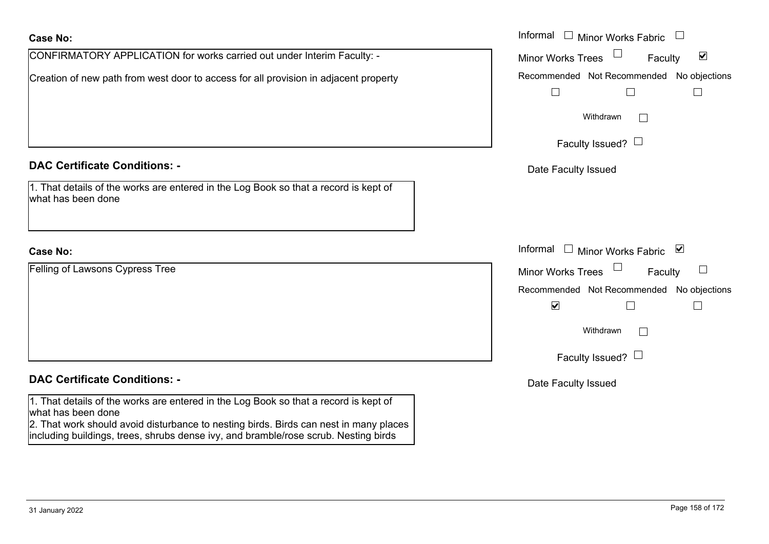| <b>Case No:</b>                                                                                                                                                                                     | Informal<br><b>Minor Works Fabric</b>                       |
|-----------------------------------------------------------------------------------------------------------------------------------------------------------------------------------------------------|-------------------------------------------------------------|
| CONFIRMATORY APPLICATION for works carried out under Interim Faculty: -                                                                                                                             | $\blacktriangledown$<br><b>Minor Works Trees</b><br>Faculty |
| Creation of new path from west door to access for all provision in adjacent property                                                                                                                | No objections<br>Recommended Not Recommended                |
|                                                                                                                                                                                                     |                                                             |
|                                                                                                                                                                                                     | Withdrawn<br>$\mathbf{L}$                                   |
|                                                                                                                                                                                                     | Faculty Issued? $\Box$                                      |
| <b>DAC Certificate Conditions: -</b>                                                                                                                                                                | Date Faculty Issued                                         |
| 1. That details of the works are entered in the Log Book so that a record is kept of<br>what has been done                                                                                          |                                                             |
|                                                                                                                                                                                                     |                                                             |
| <b>Case No:</b>                                                                                                                                                                                     | Informal<br>Minor Works Fabric ⊠                            |
| Felling of Lawsons Cypress Tree                                                                                                                                                                     | $\Box$<br>Minor Works Trees<br>Faculty                      |
|                                                                                                                                                                                                     | Recommended Not Recommended<br>No objections                |
|                                                                                                                                                                                                     | $\blacktriangledown$<br>$\Box$                              |
|                                                                                                                                                                                                     | Withdrawn<br>$\Box$                                         |
|                                                                                                                                                                                                     | Faculty Issued? $\Box$                                      |
| <b>DAC Certificate Conditions: -</b>                                                                                                                                                                | Date Faculty Issued                                         |
| 1. That details of the works are entered in the Log Book so that a record is kept of<br>what has been done<br>2. That work should avoid disturbance to nesting birds. Birds can nest in many places |                                                             |

including buildings, trees, shrubs dense ivy, and bramble/rose scrub. Nesting birds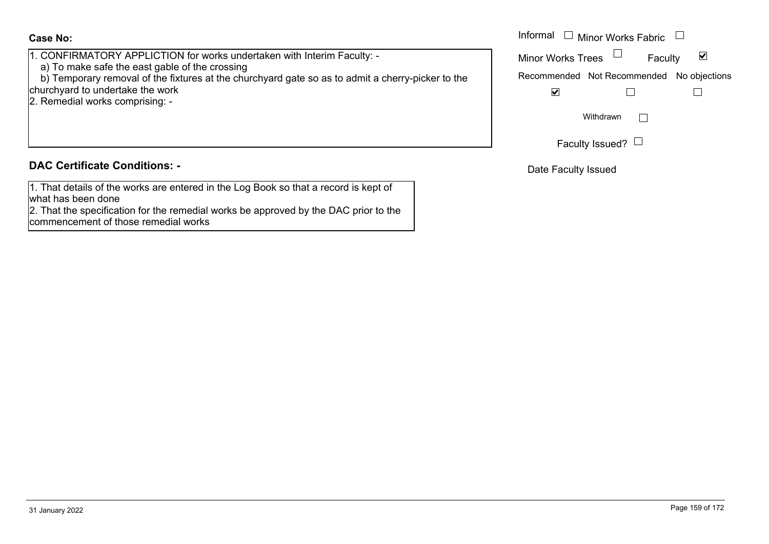1. CONFIRMATORY APPLICTION for works undertaken with Interim Faculty: -

a) To make safe the east gable of the crossing

 b) Temporary removal of the fixtures at the churchyard gate so as to admit a cherry-picker to the churchyard to undertake the work

2. Remedial works comprising: -

# **DAC Certificate Conditions: -**

1. That details of the works are entered in the Log Book so that a record is kept of what has been done

2. That the specification for the remedial works be approved by the DAC prior to the commencement of those remedial works

|                                                                                                              | Informal<br>Minor Works Fabric $\quad \Box$ |  |  |
|--------------------------------------------------------------------------------------------------------------|---------------------------------------------|--|--|
| IRMATORY APPLICTION for works undertaken with Interim Faculty: -<br>nake safe the east gable of the crossing | <b>Minor Works Trees</b><br>Faculty         |  |  |
| porary removal of the fixtures at the churchyard gate so as to admit a cherry-picker to the                  | Recommended Not Recommended No objections   |  |  |
| rd to undertake the work<br>- dial works comprising:                                                         | V                                           |  |  |
|                                                                                                              | Withdrawn                                   |  |  |
|                                                                                                              | Faculty Issued? $\Box$                      |  |  |

Date Faculty Issued

 $\overline{\phantom{a}}$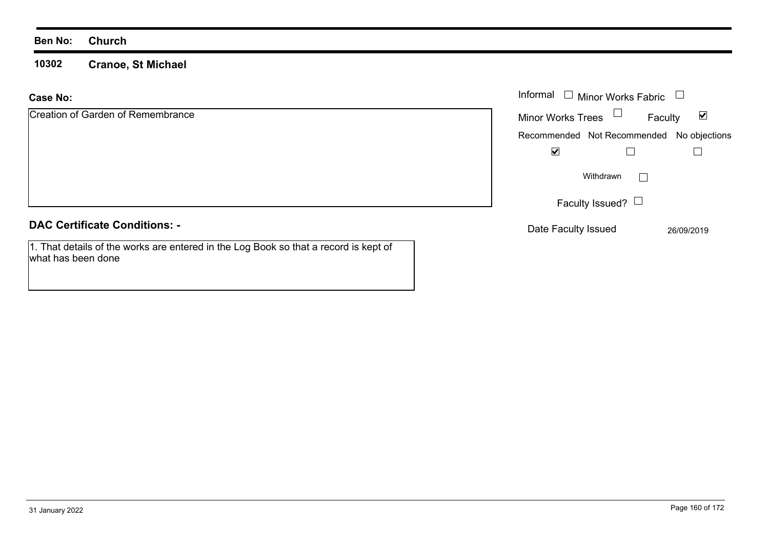what has been done

**10302 Cranoe, St Michael**

#### **Case No:**Informal

| Creation of Garden of Remembrance                                                    | <b>Minor Works Trees</b> | Faculty                                   | ☑          |
|--------------------------------------------------------------------------------------|--------------------------|-------------------------------------------|------------|
|                                                                                      |                          | Recommended Not Recommended No objections |            |
|                                                                                      | ⊻                        |                                           |            |
|                                                                                      |                          | Withdrawn                                 |            |
|                                                                                      |                          | Faculty Issued? $\Box$                    |            |
| <b>DAC Certificate Conditions: -</b>                                                 | Date Faculty Issued      |                                           | 26/09/2019 |
| 1. That details of the works are entered in the Log Book so that a record is kept of |                          |                                           |            |

Minor Works Fabric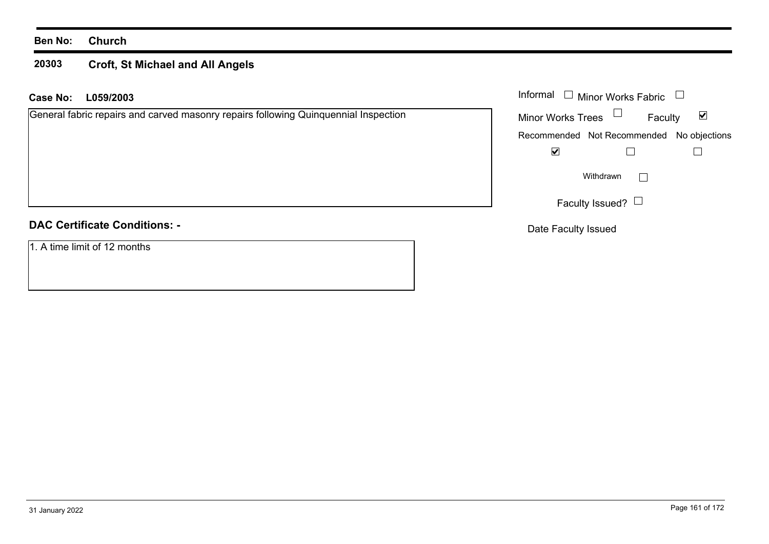### **20303 Croft, St Michael and All Angels**

| <b>Case No:</b> | L059/2003                                                                           | Informal | $\overline{\phantom{a}}$ | <b>Minor Works Fabric</b> |              |                                           |
|-----------------|-------------------------------------------------------------------------------------|----------|--------------------------|---------------------------|--------------|-------------------------------------------|
|                 | General fabric repairs and carved masonry repairs following Quinquennial Inspection |          | <b>Minor Works Trees</b> | $\Box$                    | Faculty      | $\blacktriangledown$                      |
|                 |                                                                                     |          |                          |                           |              | Recommended Not Recommended No objections |
|                 |                                                                                     |          | ☑                        |                           |              |                                           |
|                 |                                                                                     |          |                          | Withdrawn                 | $\mathbf{I}$ |                                           |
|                 |                                                                                     |          |                          | Faculty Issued? $\Box$    |              |                                           |
|                 | <b>DAC Certificate Conditions: -</b>                                                |          |                          | Date Faculty Issued       |              |                                           |
|                 | 1. A time limit of 12 months                                                        |          |                          |                           |              |                                           |
|                 |                                                                                     |          |                          |                           |              |                                           |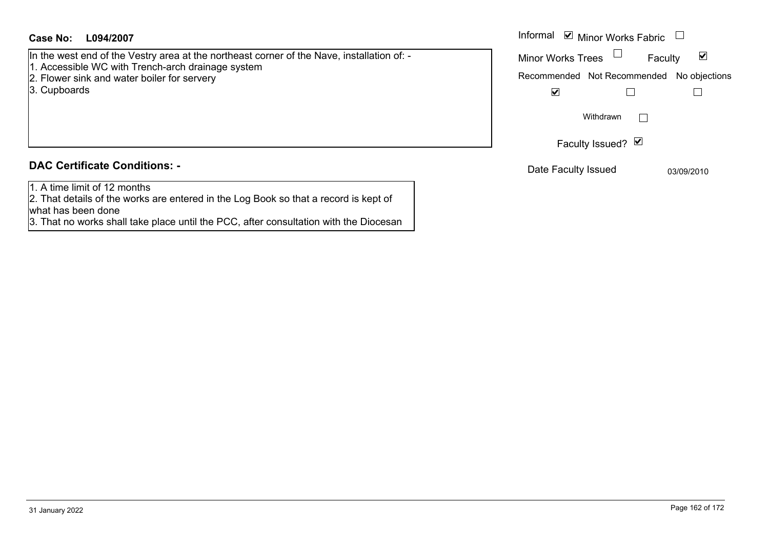In the west end of the Vestry area at the northeast corner of the Nave, installation of: -

- 1. Accessible WC with Trench-arch drainage system
- 2. Flower sink and water boiler for servery
- 3. Cupboards

# **DAC Certificate Conditions: -**

1. A time limit of 12 months

2. That details of the works are entered in the Log Book so that a record is kept of what has been done

3. That no works shall take place until the PCC, after consultation with the Diocesan

| Informal <b>v</b> Minor Works Fabric      |                   |         |            |
|-------------------------------------------|-------------------|---------|------------|
| <b>Minor Works Trees</b>                  |                   | Faculty | M          |
| Recommended Not Recommended No objections |                   |         |            |
| V                                         |                   |         |            |
|                                           | Withdrawn         |         |            |
|                                           | Faculty Issued? Ø |         |            |
| Date Faculty Issued                       |                   |         | 03/09/2010 |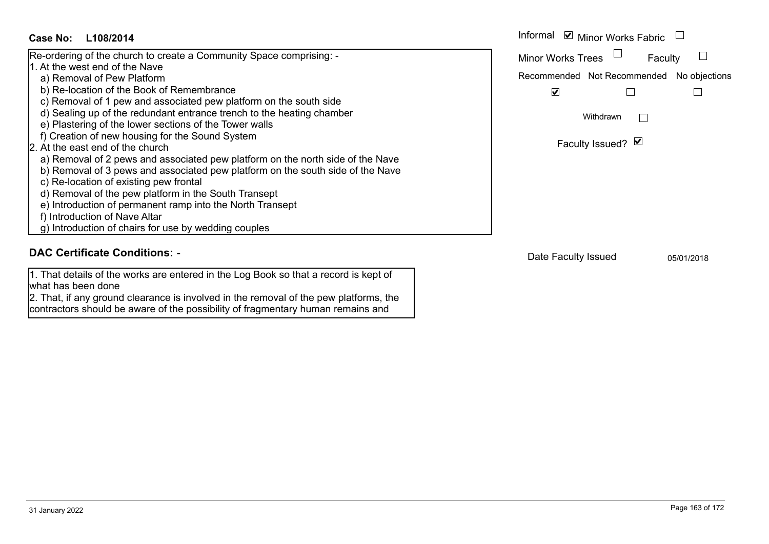

# **DAC Certificate Conditions: -**

1. That details of the works are entered in the Log Book so that a record is kept of what has been done

2. That, if any ground clearance is involved in the removal of the pew platforms, the contractors should be aware of the possibility of fragmentary human remains and

Date Faculty Issued 05/01/2018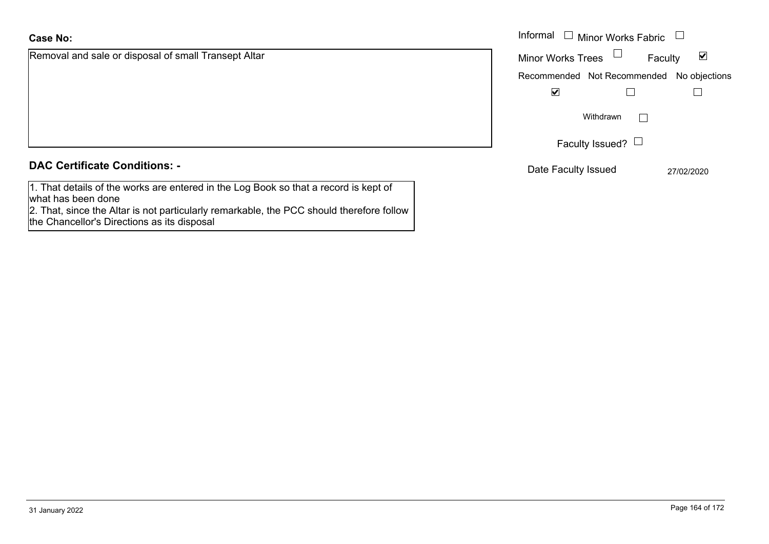Removal and sale or disposal of small Transept Altar

|  |  | <b>DAC Certificate Conditions: -</b> |  |
|--|--|--------------------------------------|--|
|--|--|--------------------------------------|--|

| 1. That details of the works are entered in the Log Book so that a record is kept of |  |
|--------------------------------------------------------------------------------------|--|
| what has been done                                                                   |  |
|                                                                                      |  |

 2. That, since the Altar is not particularly remarkable, the PCC should therefore follow the Chancellor's Directions as its disposal

|                                              | Informal [<br>Minor Works Fabric $\Box$   |                      |
|----------------------------------------------|-------------------------------------------|----------------------|
| and sale or disposal of small Transept Altar | <b>Minor Works Trees</b><br>Faculty       | $\blacktriangledown$ |
|                                              | Recommended Not Recommended No objections |                      |
|                                              | $\blacktriangledown$                      |                      |
|                                              | Withdrawn                                 |                      |
|                                              | Faculty Issued? $\Box$                    |                      |
| rtificate Conditions: -                      | Date Faculty Issued                       | 27/02/2020           |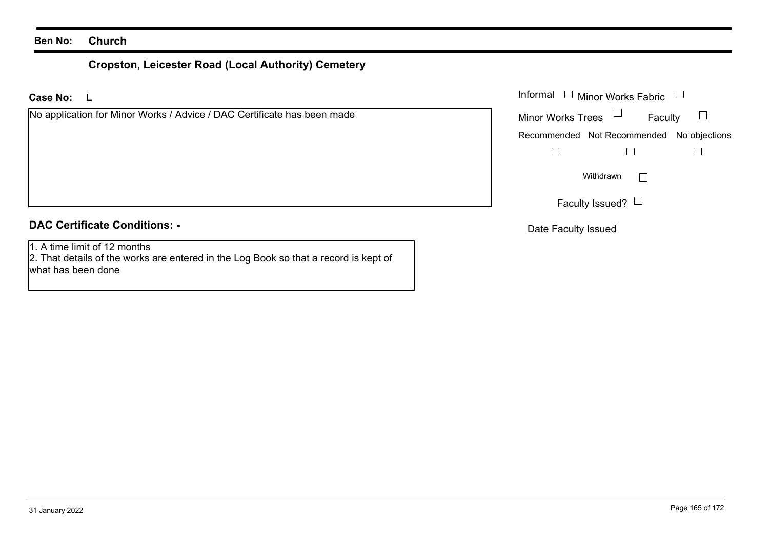# **Cropston, Leicester Road (Local Authority) Cemetery**

**LCase No:**Informal

| No application for Minor Works / Advice / DAC Certificate has been made | <b>Minor Works Trees</b><br>Faculty       |
|-------------------------------------------------------------------------|-------------------------------------------|
|                                                                         | Recommended Not Recommended No objections |
|                                                                         |                                           |
|                                                                         | Withdrawn                                 |
|                                                                         | Faculty Issued? $\Box$                    |
| <b>DAC Certificate Conditions: -</b>                                    | Deta Faaulkulaausel                       |

1. A time limit of 12 months

2. That details of the works are entered in the Log Book so that a record is kept of what has been done

Minor Works Fabric

Date Faculty Issued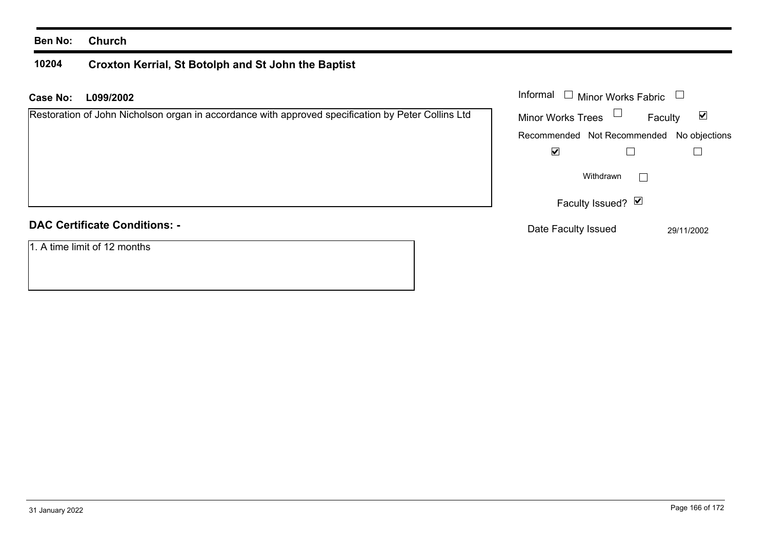### **10204 Croxton Kerrial, St Botolph and St John the Baptist**

| L099/2002<br>Case No:                                                                              | Informal $\Box$<br><b>Minor Works Fabric</b>                |
|----------------------------------------------------------------------------------------------------|-------------------------------------------------------------|
| Restoration of John Nicholson organ in accordance with approved specification by Peter Collins Ltd | $\blacktriangledown$<br><b>Minor Works Trees</b><br>Faculty |
|                                                                                                    | Recommended Not Recommended No objections                   |
|                                                                                                    | ⊻                                                           |
|                                                                                                    | Withdrawn<br>$\sim$                                         |
|                                                                                                    | Faculty Issued? Ø                                           |
| <b>DAC Certificate Conditions: -</b>                                                               | Date Faculty Issued<br>29/11/2002                           |
| 1. A time limit of 12 months                                                                       |                                                             |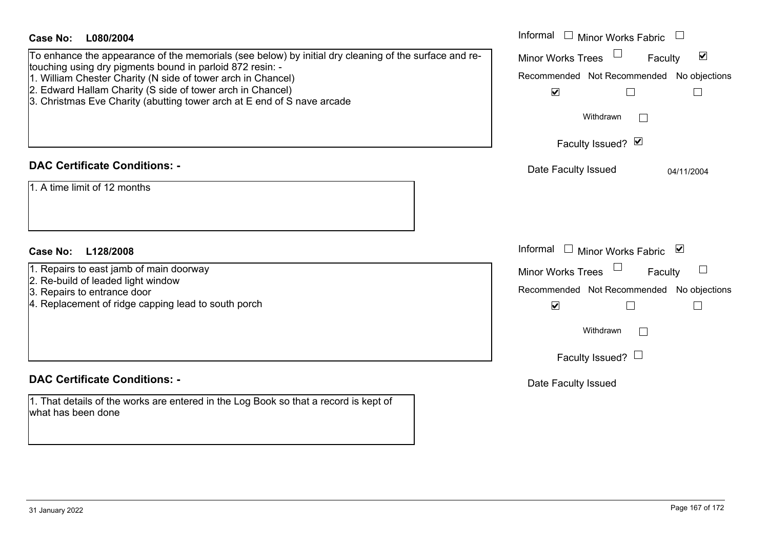| Case No: L080/2004                                                                                                        | Informal<br>$\Box$ Minor Works Fabric                     |
|---------------------------------------------------------------------------------------------------------------------------|-----------------------------------------------------------|
| To enhance the appearance of the memorials (see below) by initial dry cleaning of the surface and re-                     | Minor Works Trees<br>$\blacktriangledown$<br>Faculty      |
| touching using dry pigments bound in parloid 872 resin: -<br>1. William Chester Charity (N side of tower arch in Chancel) | Recommended Not Recommended No objections                 |
| 2. Edward Hallam Charity (S side of tower arch in Chancel)                                                                | $\blacktriangledown$<br>П<br>$\Box$                       |
| 3. Christmas Eve Charity (abutting tower arch at E end of S nave arcade                                                   |                                                           |
|                                                                                                                           | Withdrawn<br>$\Box$                                       |
|                                                                                                                           | Faculty Issued? Ø                                         |
| <b>DAC Certificate Conditions: -</b>                                                                                      | Date Faculty Issued<br>04/11/2004                         |
| 1. A time limit of 12 months                                                                                              |                                                           |
|                                                                                                                           |                                                           |
|                                                                                                                           |                                                           |
| <b>Case No:</b><br>L128/2008                                                                                              | Informal<br>□ Minor Works Fabric $\vert \mathbf{v} \vert$ |
| 1. Repairs to east jamb of main doorway                                                                                   | Minor Works Trees<br>Faculty                              |
| 2. Re-build of leaded light window<br>3. Repairs to entrance door                                                         | Recommended Not Recommended No objections                 |
| 4. Replacement of ridge capping lead to south porch                                                                       | $\blacktriangledown$<br>$\vert$                           |
|                                                                                                                           | Withdrawn<br>$\mathbb{R}^n$                               |
|                                                                                                                           | Faculty Issued? $\Box$                                    |
|                                                                                                                           |                                                           |
| <b>DAC Certificate Conditions: -</b>                                                                                      | Date Faculty Issued                                       |
| 1. That details of the works are entered in the Log Book so that a record is kept of<br>what has been done                |                                                           |
|                                                                                                                           |                                                           |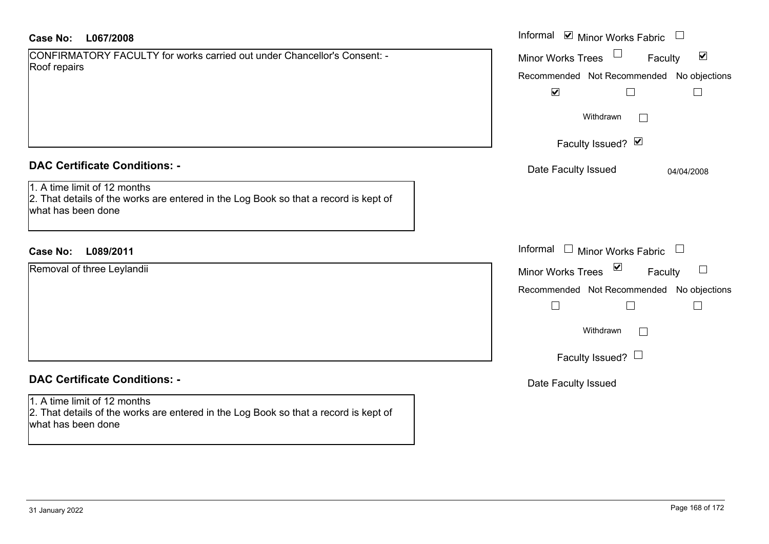| Case No: | L067/2008 |
|----------|-----------|
|----------|-----------|

| CONFIRMATORY FACULTY for works carried out under Chancellor's Consent: - |
|--------------------------------------------------------------------------|
| Roof repairs                                                             |

## **DAC Certificate Conditions: -**

1. A time limit of 12 months 2. That details of the works are entered in the Log Book so that a record is kept of what has been done

# **L089/2011Case No:** Informal

Removal of three Leylandii

# **DAC Certificate Conditions: -**

1. A time limit of 12 months 2. That details of the works are entered in the Log Book so that a record is kept of what has been done

| L067/2008                                                                                                      | Informal ⊠ Minor Works Fabric □                                                                                                        |
|----------------------------------------------------------------------------------------------------------------|----------------------------------------------------------------------------------------------------------------------------------------|
| MATORY FACULTY for works carried out under Chancellor's Consent: -<br>airs                                     | Minor Works Trees<br>$\blacktriangledown$<br>Faculty<br>Recommended Not Recommended<br>No objections<br>$\blacktriangledown$<br>$\Box$ |
|                                                                                                                | Withdrawn<br>Faculty Issued? Ø                                                                                                         |
| rtificate Conditions: -                                                                                        | Date Faculty Issued<br>04/04/2008                                                                                                      |
| limit of 12 months<br>etails of the works are entered in the Log Book so that a record is kept of<br>been done |                                                                                                                                        |
| L089/2011                                                                                                      | Informal $\Box$ Minor Works Fabric $\Box$                                                                                              |
| of three Leylandii                                                                                             | Minor Works Trees ⊠<br>Faculty<br>Recommended Not Recommended No objections<br>П<br>Withdrawn<br>$\Box$                                |
| rtificate Conditions: -                                                                                        | Faculty Issued? $\Box$<br>Date Faculty Issued                                                                                          |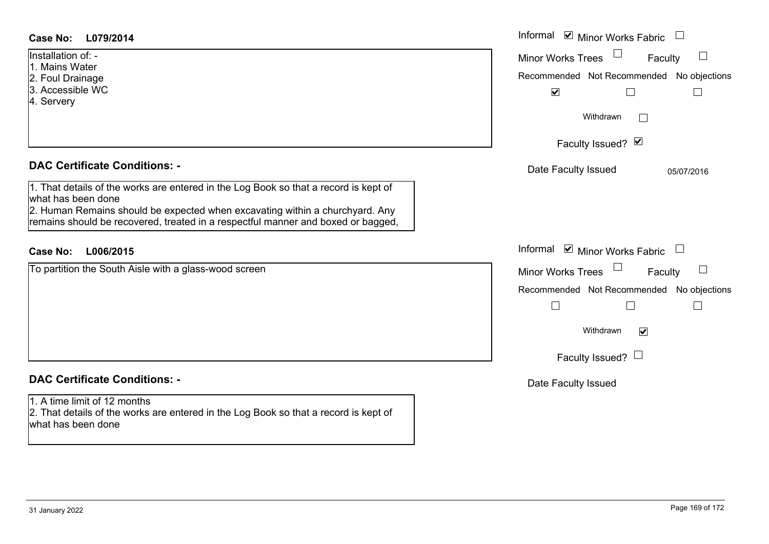| <b>Case No:</b><br>L079/2014                                                                                                                                                                                                                                                   | Informal $\blacksquare$ Minor Works Fabric $\Box$                                                                                                   |
|--------------------------------------------------------------------------------------------------------------------------------------------------------------------------------------------------------------------------------------------------------------------------------|-----------------------------------------------------------------------------------------------------------------------------------------------------|
| Installation of: -<br>1. Mains Water<br>2. Foul Drainage<br>3. Accessible WC<br>4. Servery                                                                                                                                                                                     | Minor Works Trees<br>Faculty<br>Recommended Not Recommended No objections<br>$\blacktriangledown$<br>⊔<br>$\vert$<br>Withdrawn<br>$\vert \ \ \vert$ |
|                                                                                                                                                                                                                                                                                | Faculty Issued? Ø                                                                                                                                   |
| <b>DAC Certificate Conditions: -</b>                                                                                                                                                                                                                                           | Date Faculty Issued<br>05/07/2016                                                                                                                   |
| 1. That details of the works are entered in the Log Book so that a record is kept of<br>what has been done<br>2. Human Remains should be expected when excavating within a churchyard. Any<br>remains should be recovered, treated in a respectful manner and boxed or bagged, |                                                                                                                                                     |
| L006/2015<br><b>Case No:</b>                                                                                                                                                                                                                                                   | Informal ⊠ Minor Works Fabric □                                                                                                                     |
| To partition the South Aisle with a glass-wood screen                                                                                                                                                                                                                          | Minor Works Trees<br>Faculty                                                                                                                        |
|                                                                                                                                                                                                                                                                                | Recommended Not Recommended No objections<br>$\Box$                                                                                                 |
|                                                                                                                                                                                                                                                                                | Withdrawn<br>$\blacktriangledown$                                                                                                                   |
|                                                                                                                                                                                                                                                                                | Faculty Issued? $\Box$                                                                                                                              |
| <b>DAC Certificate Conditions: -</b>                                                                                                                                                                                                                                           | Date Faculty Issued                                                                                                                                 |
| 1. A time limit of 12 months<br>2. That details of the works are entered in the Log Book so that a record is kept of<br>what has been done                                                                                                                                     |                                                                                                                                                     |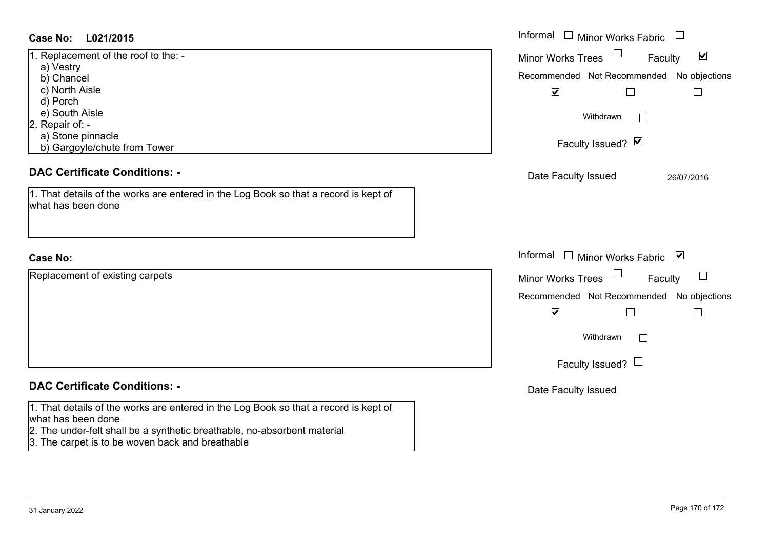# **L021/2015Case No:** Informal

| 1. Replacement of the roof to the: - |  |  |  |  |
|--------------------------------------|--|--|--|--|
| a) Vestry                            |  |  |  |  |
| b) Chancel                           |  |  |  |  |
| c) North Aisle                       |  |  |  |  |
| d) Porch                             |  |  |  |  |
| e) South Aisle                       |  |  |  |  |
| 2. Repair of: -                      |  |  |  |  |
| a) Stone pinnacle                    |  |  |  |  |
| b) Gargoyle/chute from Tower         |  |  |  |  |

# **DAC Certificate Conditions: -**

| 1. That details of the works are entered in the Log Book so that a record is kept of |  |  |
|--------------------------------------------------------------------------------------|--|--|
| what has been done                                                                   |  |  |

# **Case No:**

Replacement of existing carpets

# **DAC Certificate Conditions: -**

1. That details of the works are entered in the Log Book so that a record is kept of what has been done

- 2. The under-felt shall be a synthetic breathable, no-absorbent material
- 3. The carpet is to be woven back and breathable

| L021/2015<br>$\mathbf{r}$                                                                                                           | Informal $\Box$ Minor Works Fabric $\Box$                                                                                                                                   |
|-------------------------------------------------------------------------------------------------------------------------------------|-----------------------------------------------------------------------------------------------------------------------------------------------------------------------------|
| ement of the roof to the: -<br>try<br>incel<br>th Aisle<br>ch<br>th Aisle<br>$\cdot$ of: -<br>ne pinnacle<br>goyle/chute from Tower | Minor Works Trees<br>$\blacktriangledown$<br>Faculty<br>Recommended Not Recommended No objections<br>$\blacktriangledown$<br>Withdrawn<br>$\mathbf{L}$<br>Faculty Issued? Ø |
| rtificate Conditions: -<br>etails of the works are entered in the Log Book so that a record is kept of<br>been done                 | Date Faculty Issued<br>26/07/2016                                                                                                                                           |
|                                                                                                                                     | Informal □ Minor Works Fabric ⊠                                                                                                                                             |
| nent of existing carpets                                                                                                            | Minor Works Trees<br>Faculty<br>Recommended Not Recommended No objections<br>$\blacktriangledown$<br>Withdrawn<br>Faculty Issued? $\Box$                                    |
| rtificate Conditions: -                                                                                                             | Date Faculty Issued                                                                                                                                                         |
| etails of the works are entered in the Log Book so that a record is kent of                                                         |                                                                                                                                                                             |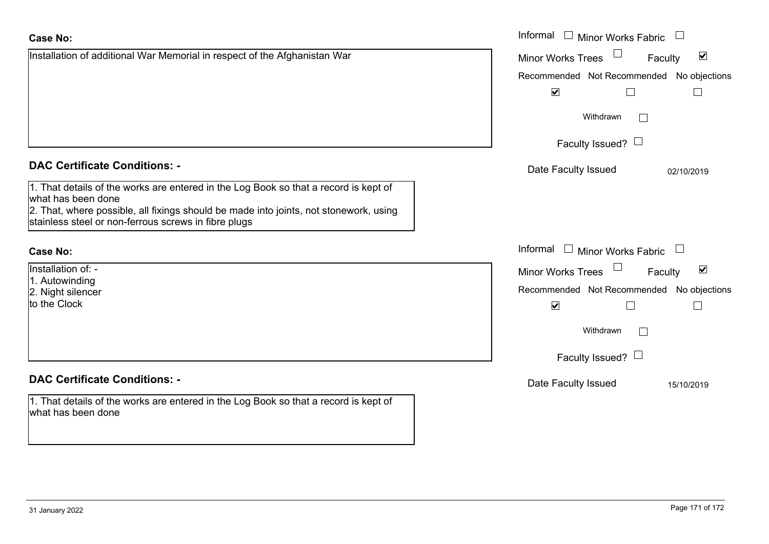|  | <b>DAC Certificate Conditions: -</b> |  |
|--|--------------------------------------|--|
|  |                                      |  |

1. That details of the works are entered in the Log Book so that a record is kept of what has been done 2. That, where possible, all fixings should be made into joints, not stonework, using

Installation of additional War Memorial in respect of the Afghanistan War

stainless steel or non-ferrous screws in fibre plugs

# **Case No:**

Installation of: -1. Autowinding 2. Night silencer

to the Clock

# **DAC Certificate Conditions: -**

1. That details of the works are entered in the Log Book so that a record is kept of what has been done

|                                                                                                                            | Informal □ Minor Works Fabric                               |
|----------------------------------------------------------------------------------------------------------------------------|-------------------------------------------------------------|
| on of additional War Memorial in respect of the Afghanistan War                                                            | $\blacktriangledown$<br><b>Minor Works Trees</b><br>Faculty |
|                                                                                                                            | Recommended Not Recommended No objections                   |
|                                                                                                                            | $\blacktriangledown$<br>$\Box$                              |
|                                                                                                                            | Withdrawn                                                   |
|                                                                                                                            | Faculty Issued? $\Box$                                      |
| rtificate Conditions: -                                                                                                    | Date Faculty Issued<br>02/10/2019                           |
| etails of the works are entered in the Log Book so that a record is kept of<br>been done                                   |                                                             |
| vhere possible, all fixings should be made into joints, not stonework, using<br>steel or non-ferrous screws in fibre plugs |                                                             |
|                                                                                                                            | Informal $\Box$ Minor Works Fabric $\Box$                   |
| $\overline{p}$ n of: -                                                                                                     | $\blacktriangledown$<br><b>Minor Works Trees</b><br>Faculty |
| inding<br>silencer                                                                                                         | Recommended Not Recommended No objections                   |
| ock                                                                                                                        | $\blacktriangledown$                                        |
|                                                                                                                            | Withdrawn<br>$\mathbf{L}$                                   |
|                                                                                                                            | Faculty Issued? $\Box$                                      |
| rtificate Conditions: -                                                                                                    | Date Faculty Issued<br>15/10/2019                           |
| etails of the works are entered in the Log Book so that a record is kept of<br>been done                                   |                                                             |